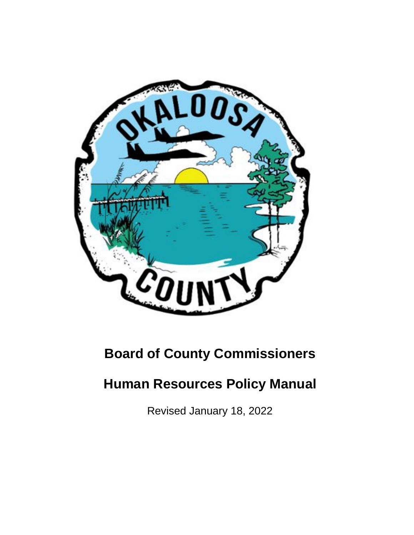

# **Board of County Commissioners**

# **Human Resources Policy Manual**

Revised January 18, 2022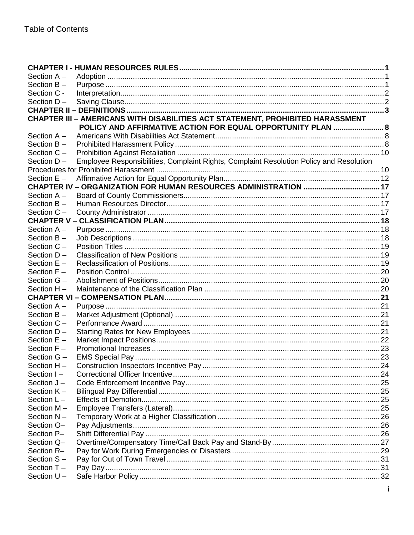| Section $A -$               |                                                                                         |  |
|-----------------------------|-----------------------------------------------------------------------------------------|--|
| Section $B -$               |                                                                                         |  |
| Section C -                 |                                                                                         |  |
| Section D-                  |                                                                                         |  |
|                             |                                                                                         |  |
|                             | CHAPTER III - AMERICANS WITH DISABILITIES ACT STATEMENT, PROHIBITED HARASSMENT          |  |
|                             | POLICY AND AFFIRMATIVE ACTION FOR EQUAL OPPORTUNITY PLAN  8                             |  |
| Section A -                 |                                                                                         |  |
| Section $B -$               |                                                                                         |  |
| Section C -                 |                                                                                         |  |
| Section D-                  | Employee Responsibilities, Complaint Rights, Complaint Resolution Policy and Resolution |  |
|                             |                                                                                         |  |
| Section $E -$               |                                                                                         |  |
|                             |                                                                                         |  |
| Section $A -$               |                                                                                         |  |
| Section B-                  |                                                                                         |  |
| Section C-                  |                                                                                         |  |
|                             |                                                                                         |  |
| Section $A -$               |                                                                                         |  |
| Section $B -$               |                                                                                         |  |
| Section $C -$               |                                                                                         |  |
| Section D-<br>Section $E -$ |                                                                                         |  |
| Section F-                  |                                                                                         |  |
| Section G -                 |                                                                                         |  |
| Section H-                  |                                                                                         |  |
|                             |                                                                                         |  |
| Section A-                  |                                                                                         |  |
| Section $B -$               |                                                                                         |  |
| Section C -                 |                                                                                         |  |
| Section D-                  |                                                                                         |  |
| Section $E -$               |                                                                                         |  |
| Section F-                  |                                                                                         |  |
| Section G -                 |                                                                                         |  |
| Section H-                  |                                                                                         |  |
| Section I-                  |                                                                                         |  |
| Section J-                  |                                                                                         |  |
| Section $K -$               |                                                                                         |  |
| Section $L -$               |                                                                                         |  |
| Section M-                  |                                                                                         |  |
| Section N-                  |                                                                                         |  |
| Section O-                  |                                                                                         |  |
| Section P-                  |                                                                                         |  |
| Section Q-                  |                                                                                         |  |
| Section R-                  |                                                                                         |  |
| Section S-                  |                                                                                         |  |
| Section T-                  |                                                                                         |  |
| Section $U -$               |                                                                                         |  |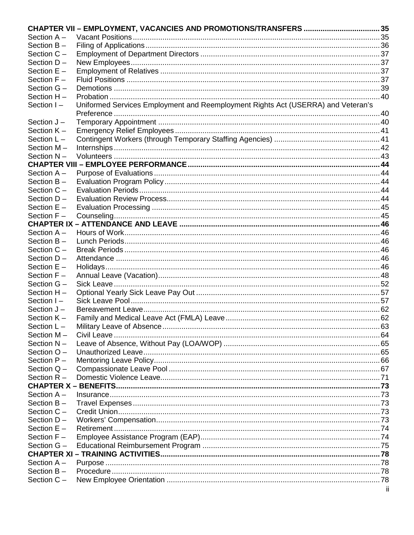|               | CHAPTER VII - EMPLOYMENT, VACANCIES AND PROMOTIONS/TRANSFERS  35                 |     |
|---------------|----------------------------------------------------------------------------------|-----|
| Section $A -$ |                                                                                  |     |
| Section $B -$ |                                                                                  |     |
| Section C -   |                                                                                  |     |
| Section D-    |                                                                                  |     |
| Section E -   |                                                                                  |     |
| Section F-    |                                                                                  |     |
| Section G -   |                                                                                  |     |
| Section H-    |                                                                                  |     |
| Section I-    | Uniformed Services Employment and Reemployment Rights Act (USERRA) and Veteran's |     |
|               |                                                                                  |     |
| Section J-    |                                                                                  |     |
| Section $K -$ |                                                                                  |     |
| Section $L -$ |                                                                                  |     |
| Section M-    |                                                                                  |     |
| Section N-    |                                                                                  |     |
|               |                                                                                  |     |
| Section $A -$ |                                                                                  |     |
| Section $B -$ |                                                                                  |     |
| Section $C -$ |                                                                                  |     |
| Section $D -$ |                                                                                  |     |
| Section $E -$ |                                                                                  |     |
| Section $F -$ |                                                                                  |     |
|               |                                                                                  |     |
| Section A-    |                                                                                  |     |
| Section B-    |                                                                                  |     |
| Section C -   |                                                                                  |     |
| Section D-    |                                                                                  |     |
| Section $E -$ |                                                                                  |     |
| Section $F -$ |                                                                                  |     |
| Section $G -$ |                                                                                  |     |
| Section H-    |                                                                                  |     |
| Section $I -$ |                                                                                  |     |
| Section $J -$ |                                                                                  |     |
| Section K-    |                                                                                  |     |
| Section $L -$ |                                                                                  |     |
| Section M-    |                                                                                  |     |
| Section N-    |                                                                                  |     |
| Section O-    |                                                                                  |     |
| Section P-    |                                                                                  |     |
| Section $Q -$ |                                                                                  |     |
| Section $R -$ |                                                                                  |     |
|               |                                                                                  |     |
| Section A-    |                                                                                  |     |
| Section B-    |                                                                                  |     |
| Section C -   |                                                                                  |     |
| Section D-    |                                                                                  |     |
| Section $E -$ |                                                                                  |     |
| Section $F -$ |                                                                                  |     |
| Section G -   |                                                                                  |     |
|               |                                                                                  |     |
| Section A-    |                                                                                  |     |
| Section $B -$ |                                                                                  |     |
| Section C -   |                                                                                  | ii. |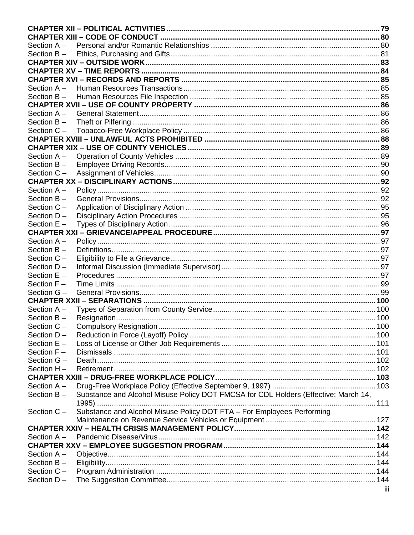| Section A-    |                                                                                     |     |
|---------------|-------------------------------------------------------------------------------------|-----|
| Section $B -$ |                                                                                     |     |
|               |                                                                                     |     |
|               |                                                                                     |     |
|               |                                                                                     |     |
| Section $A -$ |                                                                                     |     |
| Section $B -$ |                                                                                     |     |
|               |                                                                                     |     |
| Section $A -$ |                                                                                     |     |
| Section B-    |                                                                                     |     |
| Section C -   |                                                                                     |     |
|               |                                                                                     |     |
|               |                                                                                     |     |
| Section A-    |                                                                                     |     |
| Section B-    |                                                                                     |     |
| Section C -   |                                                                                     |     |
|               |                                                                                     |     |
| Section A-    |                                                                                     |     |
| Section B-    |                                                                                     |     |
| Section C -   |                                                                                     |     |
| Section D-    |                                                                                     |     |
| Section $E -$ |                                                                                     |     |
|               |                                                                                     |     |
| Section A -   |                                                                                     |     |
| Section B-    |                                                                                     |     |
| Section C -   |                                                                                     |     |
| Section D-    |                                                                                     |     |
| Section $E -$ |                                                                                     |     |
| Section $F -$ |                                                                                     |     |
| Section G-    |                                                                                     |     |
|               |                                                                                     |     |
| Section $A -$ |                                                                                     |     |
| Section B-    |                                                                                     |     |
| Section $C -$ |                                                                                     |     |
| Section D-    |                                                                                     |     |
| Section E -   |                                                                                     |     |
| Section F-    |                                                                                     |     |
| Section G -   |                                                                                     |     |
| Section H-    |                                                                                     |     |
|               |                                                                                     |     |
| Section A-    |                                                                                     |     |
| Section $B -$ | Substance and Alcohol Misuse Policy DOT FMCSA for CDL Holders (Effective: March 14, |     |
| Section C-    | Substance and Alcohol Misuse Policy DOT FTA - For Employees Performing              |     |
|               |                                                                                     |     |
|               |                                                                                     |     |
| Section A -   |                                                                                     |     |
|               |                                                                                     |     |
| Section A-    |                                                                                     |     |
| Section B-    |                                                                                     |     |
| Section C -   |                                                                                     |     |
| Section D-    |                                                                                     | iii |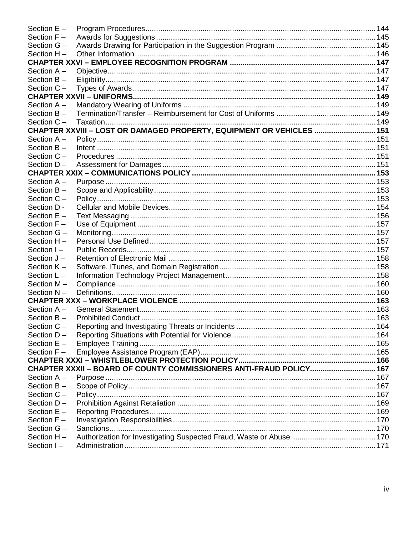| Section $E -$ |                                                                       |  |
|---------------|-----------------------------------------------------------------------|--|
| Section F-    |                                                                       |  |
| Section G -   |                                                                       |  |
| Section $H -$ |                                                                       |  |
|               |                                                                       |  |
| Section $A -$ |                                                                       |  |
| Section B-    |                                                                       |  |
| Section C-    |                                                                       |  |
|               |                                                                       |  |
| Section $A -$ |                                                                       |  |
| Section $B -$ |                                                                       |  |
| Section C -   |                                                                       |  |
|               | CHAPTER XXVIII - LOST OR DAMAGED PROPERTY, EQUIPMENT OR VEHICLES  151 |  |
| Section $A -$ |                                                                       |  |
| Section B-    |                                                                       |  |
| Section C-    |                                                                       |  |
| Section D-    |                                                                       |  |
|               |                                                                       |  |
| Section A-    |                                                                       |  |
| Section $B -$ |                                                                       |  |
| Section C -   |                                                                       |  |
| Section D -   |                                                                       |  |
| Section $E -$ |                                                                       |  |
| Section $F -$ |                                                                       |  |
| Section G -   |                                                                       |  |
| Section H-    |                                                                       |  |
| Section $I -$ |                                                                       |  |
| Section J-    |                                                                       |  |
| Section K-    |                                                                       |  |
| Section $L -$ |                                                                       |  |
| Section M-    |                                                                       |  |
| Section N-    |                                                                       |  |
|               |                                                                       |  |
| Section $A -$ |                                                                       |  |
| Section B-    |                                                                       |  |
| Section C     |                                                                       |  |
| Section D-    |                                                                       |  |
| Section $E -$ |                                                                       |  |
| Section F-    |                                                                       |  |
|               |                                                                       |  |
|               | CHAPTER XXXII - BOARD OF COUNTY COMMISSIONERS ANTI-FRAUD POLICY 167   |  |
| Section $A -$ |                                                                       |  |
| Section $B -$ |                                                                       |  |
| Section C -   |                                                                       |  |
| Section D-    |                                                                       |  |
| Section $E -$ |                                                                       |  |
| Section $F -$ |                                                                       |  |
| Section G -   |                                                                       |  |
| Section H-    |                                                                       |  |
| Section I-    |                                                                       |  |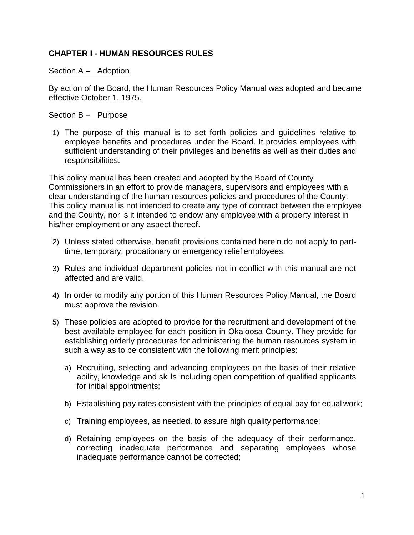# <span id="page-5-0"></span>**CHAPTER I - HUMAN RESOURCES RULES**

## <span id="page-5-1"></span>Section A – Adoption

By action of the Board, the Human Resources Policy Manual was adopted and became effective October 1, 1975.

## <span id="page-5-2"></span>Section B – Purpose

1) The purpose of this manual is to set forth policies and guidelines relative to employee benefits and procedures under the Board. It provides employees with sufficient understanding of their privileges and benefits as well as their duties and responsibilities.

This policy manual has been created and adopted by the Board of County Commissioners in an effort to provide managers, supervisors and employees with a clear understanding of the human resources policies and procedures of the County. This policy manual is not intended to create any type of contract between the employee and the County, nor is it intended to endow any employee with a property interest in his/her employment or any aspect thereof.

- 2) Unless stated otherwise, benefit provisions contained herein do not apply to parttime, temporary, probationary or emergency relief employees.
- 3) Rules and individual department policies not in conflict with this manual are not affected and are valid.
- 4) In order to modify any portion of this Human Resources Policy Manual, the Board must approve the revision.
- 5) These policies are adopted to provide for the recruitment and development of the best available employee for each position in Okaloosa County. They provide for establishing orderly procedures for administering the human resources system in such a way as to be consistent with the following merit principles:
	- a) Recruiting, selecting and advancing employees on the basis of their relative ability, knowledge and skills including open competition of qualified applicants for initial appointments;
	- b) Establishing pay rates consistent with the principles of equal pay for equal work;
	- c) Training employees, as needed, to assure high quality performance;
	- d) Retaining employees on the basis of the adequacy of their performance, correcting inadequate performance and separating employees whose inadequate performance cannot be corrected;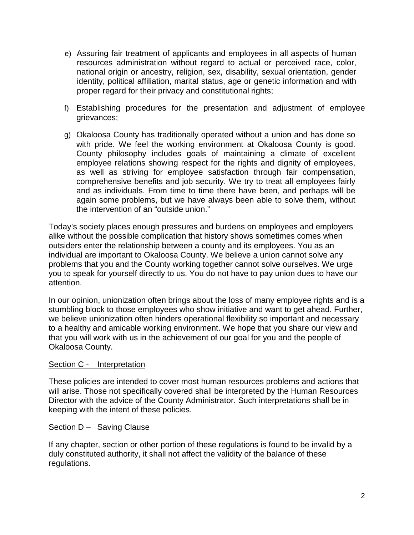- e) Assuring fair treatment of applicants and employees in all aspects of human resources administration without regard to actual or perceived race, color, national origin or ancestry, religion, sex, disability, sexual orientation, gender identity, political affiliation, marital status, age or genetic information and with proper regard for their privacy and constitutional rights;
- f) Establishing procedures for the presentation and adjustment of employee grievances;
- g) Okaloosa County has traditionally operated without a union and has done so with pride. We feel the working environment at Okaloosa County is good. County philosophy includes goals of maintaining a climate of excellent employee relations showing respect for the rights and dignity of employees, as well as striving for employee satisfaction through fair compensation, comprehensive benefits and job security. We try to treat all employees fairly and as individuals. From time to time there have been, and perhaps will be again some problems, but we have always been able to solve them, without the intervention of an "outside union."

Today's society places enough pressures and burdens on employees and employers alike without the possible complication that history shows sometimes comes when outsiders enter the relationship between a county and its employees. You as an individual are important to Okaloosa County. We believe a union cannot solve any problems that you and the County working together cannot solve ourselves. We urge you to speak for yourself directly to us. You do not have to pay union dues to have our attention.

In our opinion, unionization often brings about the loss of many employee rights and is a stumbling block to those employees who show initiative and want to get ahead. Further, we believe unionization often hinders operational flexibility so important and necessary to a healthy and amicable working environment. We hope that you share our view and that you will work with us in the achievement of our goal for you and the people of Okaloosa County.

## <span id="page-6-0"></span>Section C - Interpretation

These policies are intended to cover most human resources problems and actions that will arise. Those not specifically covered shall be interpreted by the Human Resources Director with the advice of the County Administrator. Such interpretations shall be in keeping with the intent of these policies.

## <span id="page-6-1"></span>Section D – Saving Clause

If any chapter, section or other portion of these regulations is found to be invalid by a duly constituted authority, it shall not affect the validity of the balance of these regulations.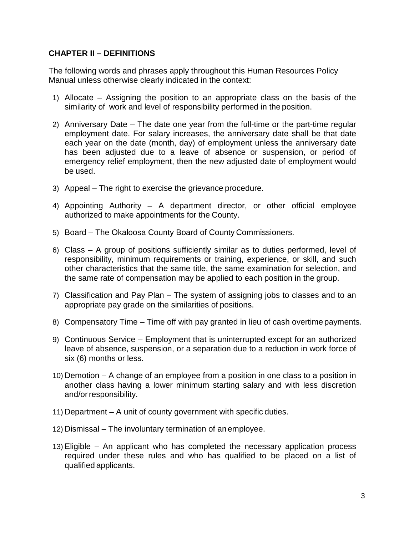## <span id="page-7-0"></span>**CHAPTER II – DEFINITIONS**

The following words and phrases apply throughout this Human Resources Policy Manual unless otherwise clearly indicated in the context:

- 1) Allocate Assigning the position to an appropriate class on the basis of the similarity of work and level of responsibility performed in the position.
- 2) Anniversary Date The date one year from the full-time or the part-time regular employment date. For salary increases, the anniversary date shall be that date each year on the date (month, day) of employment unless the anniversary date has been adjusted due to a leave of absence or suspension, or period of emergency relief employment, then the new adjusted date of employment would be used.
- 3) Appeal The right to exercise the grievance procedure.
- 4) Appointing Authority A department director, or other official employee authorized to make appointments for the County.
- 5) Board The Okaloosa County Board of County Commissioners.
- 6) Class A group of positions sufficiently similar as to duties performed, level of responsibility, minimum requirements or training, experience, or skill, and such other characteristics that the same title, the same examination for selection, and the same rate of compensation may be applied to each position in the group.
- 7) Classification and Pay Plan The system of assigning jobs to classes and to an appropriate pay grade on the similarities of positions.
- 8) Compensatory Time Time off with pay granted in lieu of cash overtime payments.
- 9) Continuous Service Employment that is uninterrupted except for an authorized leave of absence, suspension, or a separation due to a reduction in work force of six (6) months or less.
- 10) Demotion A change of an employee from a position in one class to a position in another class having a lower minimum starting salary and with less discretion and/or responsibility.
- 11) Department A unit of county government with specific duties.
- 12) Dismissal The involuntary termination of an employee.
- 13) Eligible An applicant who has completed the necessary application process required under these rules and who has qualified to be placed on a list of qualified applicants.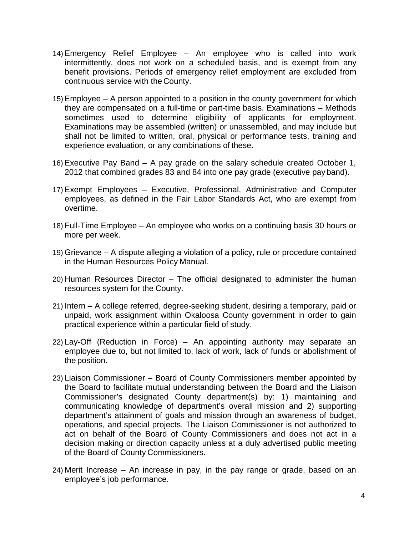- 14) Emergency Relief Employee An employee who is called into work intermittently, does not work on a scheduled basis, and is exempt from any benefit provisions. Periods of emergency relief employment are excluded from continuous service with the County.
- 15) Employee A person appointed to a position in the county government for which they are compensated on a full-time or part-time basis. Examinations – Methods sometimes used to determine eligibility of applicants for employment. Examinations may be assembled (written) or unassembled, and may include but shall not be limited to written, oral, physical or performance tests, training and experience evaluation, or any combinations of these.
- 16) Executive Pay Band A pay grade on the salary schedule created October 1, 2012 that combined grades 83 and 84 into one pay grade (executive pay band).
- 17) Exempt Employees Executive, Professional, Administrative and Computer employees, as defined in the Fair Labor Standards Act, who are exempt from overtime.
- 18) Full-Time Employee An employee who works on a continuing basis 30 hours or more per week.
- 19) Grievance A dispute alleging a violation of a policy, rule or procedure contained in the Human Resources Policy Manual.
- 20) Human Resources Director The official designated to administer the human resources system for the County.
- 21) Intern A college referred, degree-seeking student, desiring a temporary, paid or unpaid, work assignment within Okaloosa County government in order to gain practical experience within a particular field of study.
- 22) Lay-Off (Reduction in Force) An appointing authority may separate an employee due to, but not limited to, lack of work, lack of funds or abolishment of the position.
- 23) Liaison Commissioner Board of County Commissioners member appointed by the Board to facilitate mutual understanding between the Board and the Liaison Commissioner's designated County department(s) by: 1) maintaining and communicating knowledge of department's overall mission and 2) supporting department's attainment of goals and mission through an awareness of budget, operations, and special projects. The Liaison Commissioner is not authorized to act on behalf of the Board of County Commissioners and does not act in a decision making or direction capacity unless at a duly advertised public meeting of the Board of County Commissioners.
- 24) Merit Increase An increase in pay, in the pay range or grade, based on an employee's job performance.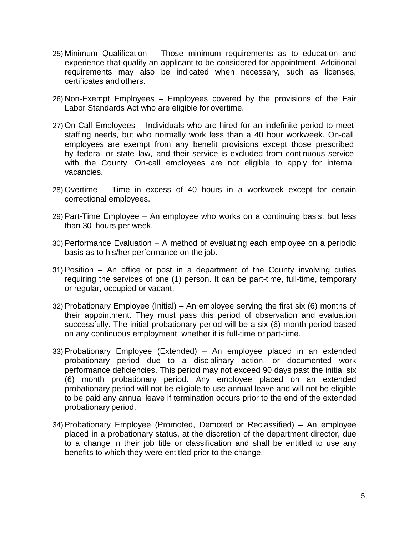- 25) Minimum Qualification Those minimum requirements as to education and experience that qualify an applicant to be considered for appointment. Additional requirements may also be indicated when necessary, such as licenses, certificates and others.
- 26) Non-Exempt Employees Employees covered by the provisions of the Fair Labor Standards Act who are eligible for overtime.
- 27) On-Call Employees Individuals who are hired for an indefinite period to meet staffing needs, but who normally work less than a 40 hour workweek. On-call employees are exempt from any benefit provisions except those prescribed by federal or state law, and their service is excluded from continuous service with the County. On-call employees are not eligible to apply for internal vacancies.
- 28) Overtime Time in excess of 40 hours in a workweek except for certain correctional employees.
- 29) Part-Time Employee An employee who works on a continuing basis, but less than 30 hours per week.
- 30) Performance Evaluation A method of evaluating each employee on a periodic basis as to his/her performance on the job.
- 31) Position An office or post in a department of the County involving duties requiring the services of one (1) person. It can be part-time, full-time, temporary or regular, occupied or vacant.
- 32) Probationary Employee (Initial) An employee serving the first six (6) months of their appointment. They must pass this period of observation and evaluation successfully. The initial probationary period will be a six (6) month period based on any continuous employment, whether it is full-time or part-time.
- 33) Probationary Employee (Extended) An employee placed in an extended probationary period due to a disciplinary action, or documented work performance deficiencies. This period may not exceed 90 days past the initial six (6) month probationary period. Any employee placed on an extended probationary period will not be eligible to use annual leave and will not be eligible to be paid any annual leave if termination occurs prior to the end of the extended probationary period.
- 34) Probationary Employee (Promoted, Demoted or Reclassified) An employee placed in a probationary status, at the discretion of the department director, due to a change in their job title or classification and shall be entitled to use any benefits to which they were entitled prior to the change.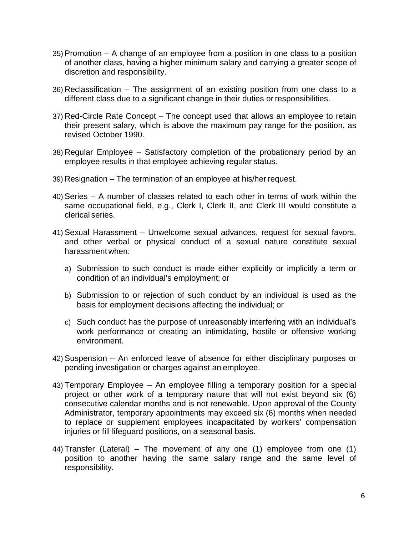- 35) Promotion A change of an employee from a position in one class to a position of another class, having a higher minimum salary and carrying a greater scope of discretion and responsibility.
- 36) Reclassification The assignment of an existing position from one class to a different class due to a significant change in their duties or responsibilities.
- 37) Red-Circle Rate Concept The concept used that allows an employee to retain their present salary, which is above the maximum pay range for the position, as revised October 1990.
- 38) Regular Employee Satisfactory completion of the probationary period by an employee results in that employee achieving regular status.
- 39) Resignation The termination of an employee at his/her request.
- 40) Series A number of classes related to each other in terms of work within the same occupational field, e.g., Clerk I, Clerk II, and Clerk III would constitute a clerical series.
- 41) Sexual Harassment Unwelcome sexual advances, request for sexual favors, and other verbal or physical conduct of a sexual nature constitute sexual harassment when:
	- a) Submission to such conduct is made either explicitly or implicitly a term or condition of an individual's employment; or
	- b) Submission to or rejection of such conduct by an individual is used as the basis for employment decisions affecting the individual; or
	- c) Such conduct has the purpose of unreasonably interfering with an individual's work performance or creating an intimidating, hostile or offensive working environment.
- 42) Suspension An enforced leave of absence for either disciplinary purposes or pending investigation or charges against an employee.
- 43) Temporary Employee An employee filling a temporary position for a special project or other work of a temporary nature that will not exist beyond six (6) consecutive calendar months and is not renewable. Upon approval of the County Administrator, temporary appointments may exceed six (6) months when needed to replace or supplement employees incapacitated by workers' compensation injuries or fill lifeguard positions, on a seasonal basis.
- 44) Transfer (Lateral) The movement of any one (1) employee from one (1) position to another having the same salary range and the same level of responsibility.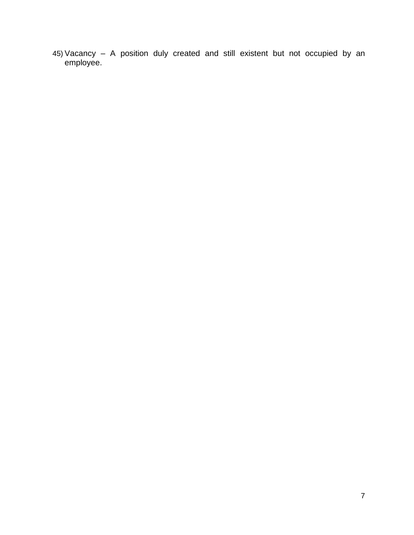45) Vacancy – A position duly created and still existent but not occupied by an employee.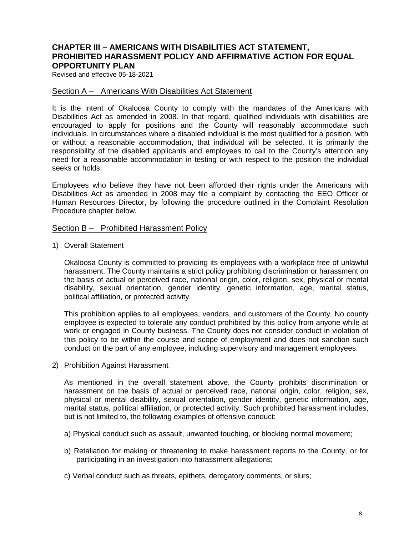#### <span id="page-12-0"></span>**CHAPTER III – AMERICANS WITH DISABILITIES ACT STATEMENT, PROHIBITED HARASSMENT POLICY AND AFFIRMATIVE ACTION FOR EQUAL OPPORTUNITY PLAN**

Revised and effective 05-18-2021

#### <span id="page-12-1"></span>Section A – Americans With Disabilities Act Statement

It is the intent of Okaloosa County to comply with the mandates of the Americans with Disabilities Act as amended in 2008. In that regard, qualified individuals with disabilities are encouraged to apply for positions and the County will reasonably accommodate such individuals. In circumstances where a disabled individual is the most qualified for a position, with or without a reasonable accommodation, that individual will be selected. It is primarily the responsibility of the disabled applicants and employees to call to the County's attention any need for a reasonable accommodation in testing or with respect to the position the individual seeks or holds.

Employees who believe they have not been afforded their rights under the Americans with Disabilities Act as amended in 2008 may file a complaint by contacting the EEO Officer or Human Resources Director, by following the procedure outlined in the Complaint Resolution Procedure chapter below.

#### <span id="page-12-2"></span>Section B – Prohibited Harassment Policy

1) Overall Statement

Okaloosa County is committed to providing its employees with a workplace free of unlawful harassment. The County maintains a strict policy prohibiting discrimination or harassment on the basis of actual or perceived race, national origin, color, religion, sex, physical or mental disability, sexual orientation, gender identity, genetic information, age, marital status, political affiliation, or protected activity.

This prohibition applies to all employees, vendors, and customers of the County. No county employee is expected to tolerate any conduct prohibited by this policy from anyone while at work or engaged in County business. The County does not consider conduct in violation of this policy to be within the course and scope of employment and does not sanction such conduct on the part of any employee, including supervisory and management employees.

2) Prohibition Against Harassment

As mentioned in the overall statement above, the County prohibits discrimination or harassment on the basis of actual or perceived race, national origin, color, religion, sex, physical or mental disability, sexual orientation, gender identity, genetic information, age, marital status, political affiliation, or protected activity. Such prohibited harassment includes, but is not limited to, the following examples of offensive conduct:

- a) Physical conduct such as assault, unwanted touching, or blocking normal movement;
- b) Retaliation for making or threatening to make harassment reports to the County, or for participating in an investigation into harassment allegations;
- c) Verbal conduct such as threats, epithets, derogatory comments, or slurs;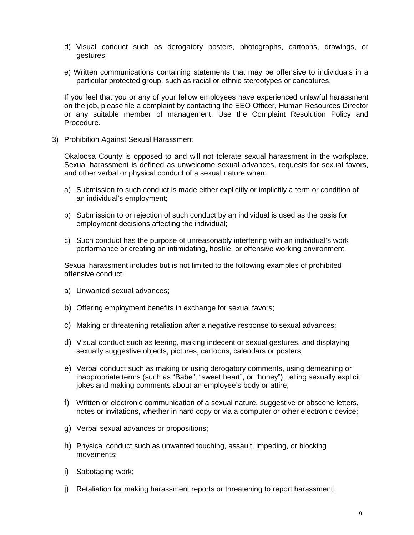- d) Visual conduct such as derogatory posters, photographs, cartoons, drawings, or gestures;
- e) Written communications containing statements that may be offensive to individuals in a particular protected group, such as racial or ethnic stereotypes or caricatures.

If you feel that you or any of your fellow employees have experienced unlawful harassment on the job, please file a complaint by contacting the EEO Officer, Human Resources Director or any suitable member of management. Use the Complaint Resolution Policy and Procedure.

3) Prohibition Against Sexual Harassment

Okaloosa County is opposed to and will not tolerate sexual harassment in the workplace. Sexual harassment is defined as unwelcome sexual advances, requests for sexual favors, and other verbal or physical conduct of a sexual nature when:

- a) Submission to such conduct is made either explicitly or implicitly a term or condition of an individual's employment;
- b) Submission to or rejection of such conduct by an individual is used as the basis for employment decisions affecting the individual;
- c) Such conduct has the purpose of unreasonably interfering with an individual's work performance or creating an intimidating, hostile, or offensive working environment.

Sexual harassment includes but is not limited to the following examples of prohibited offensive conduct:

- a) Unwanted sexual advances;
- b) Offering employment benefits in exchange for sexual favors;
- c) Making or threatening retaliation after a negative response to sexual advances;
- d) Visual conduct such as leering, making indecent or sexual gestures, and displaying sexually suggestive objects, pictures, cartoons, calendars or posters;
- e) Verbal conduct such as making or using derogatory comments, using demeaning or inappropriate terms (such as "Babe", "sweet heart", or "honey"), telling sexually explicit jokes and making comments about an employee's body or attire;
- f) Written or electronic communication of a sexual nature, suggestive or obscene letters, notes or invitations, whether in hard copy or via a computer or other electronic device;
- g) Verbal sexual advances or propositions;
- h) Physical conduct such as unwanted touching, assault, impeding, or blocking movements;
- i) Sabotaging work;
- j) Retaliation for making harassment reports or threatening to report harassment.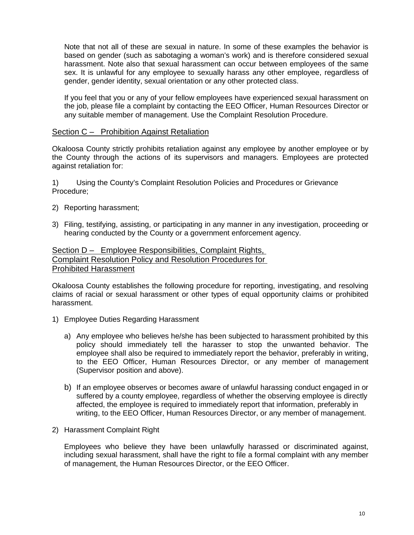Note that not all of these are sexual in nature. In some of these examples the behavior is based on gender (such as sabotaging a woman's work) and is therefore considered sexual harassment. Note also that sexual harassment can occur between employees of the same sex. It is unlawful for any employee to sexually harass any other employee, regardless of gender, gender identity, sexual orientation or any other protected class.

If you feel that you or any of your fellow employees have experienced sexual harassment on the job, please file a complaint by contacting the EEO Officer, Human Resources Director or any suitable member of management. Use the Complaint Resolution Procedure.

#### <span id="page-14-0"></span>Section C – Prohibition Against Retaliation

Okaloosa County strictly prohibits retaliation against any employee by another employee or by the County through the actions of its supervisors and managers. Employees are protected against retaliation for:

1) Using the County's Complaint Resolution Policies and Procedures or Grievance Procedure;

- 2) Reporting harassment;
- 3) Filing, testifying, assisting, or participating in any manner in any investigation, proceeding or hearing conducted by the County or a government enforcement agency.

#### <span id="page-14-1"></span>Section D – Employee Responsibilities, Complaint Rights, Complaint Resolution Policy and Resolution Procedures for Prohibited Harassment

Okaloosa County establishes the following procedure for reporting, investigating, and resolving claims of racial or sexual harassment or other types of equal opportunity claims or prohibited harassment.

- 1) Employee Duties Regarding Harassment
	- a) Any employee who believes he/she has been subjected to harassment prohibited by this policy should immediately tell the harasser to stop the unwanted behavior. The employee shall also be required to immediately report the behavior, preferably in writing, to the EEO Officer, Human Resources Director, or any member of management (Supervisor position and above).
	- b) If an employee observes or becomes aware of unlawful harassing conduct engaged in or suffered by a county employee, regardless of whether the observing employee is directly affected, the employee is required to immediately report that information, preferably in writing, to the EEO Officer, Human Resources Director, or any member of management.
- 2) Harassment Complaint Right

Employees who believe they have been unlawfully harassed or discriminated against, including sexual harassment, shall have the right to file a formal complaint with any member of management, the Human Resources Director, or the EEO Officer.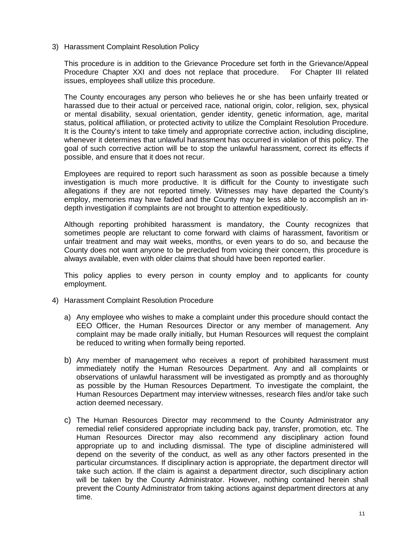3) Harassment Complaint Resolution Policy

This procedure is in addition to the Grievance Procedure set forth in the Grievance/Appeal Procedure Chapter XXI and does not replace that procedure. For Chapter III related issues, employees shall utilize this procedure.

The County encourages any person who believes he or she has been unfairly treated or harassed due to their actual or perceived race, national origin, color, religion, sex, physical or mental disability, sexual orientation, gender identity, genetic information, age, marital status, political affiliation, or protected activity to utilize the Complaint Resolution Procedure. It is the County's intent to take timely and appropriate corrective action, including discipline, whenever it determines that unlawful harassment has occurred in violation of this policy. The goal of such corrective action will be to stop the unlawful harassment, correct its effects if possible, and ensure that it does not recur.

Employees are required to report such harassment as soon as possible because a timely investigation is much more productive. It is difficult for the County to investigate such allegations if they are not reported timely. Witnesses may have departed the County's employ, memories may have faded and the County may be less able to accomplish an indepth investigation if complaints are not brought to attention expeditiously.

Although reporting prohibited harassment is mandatory, the County recognizes that sometimes people are reluctant to come forward with claims of harassment, favoritism or unfair treatment and may wait weeks, months, or even years to do so, and because the County does not want anyone to be precluded from voicing their concern, this procedure is always available, even with older claims that should have been reported earlier.

This policy applies to every person in county employ and to applicants for county employment.

- 4) Harassment Complaint Resolution Procedure
	- a) Any employee who wishes to make a complaint under this procedure should contact the EEO Officer, the Human Resources Director or any member of management. Any complaint may be made orally initially, but Human Resources will request the complaint be reduced to writing when formally being reported.
	- b) Any member of management who receives a report of prohibited harassment must immediately notify the Human Resources Department. Any and all complaints or observations of unlawful harassment will be investigated as promptly and as thoroughly as possible by the Human Resources Department. To investigate the complaint, the Human Resources Department may interview witnesses, research files and/or take such action deemed necessary.
	- c) The Human Resources Director may recommend to the County Administrator any remedial relief considered appropriate including back pay, transfer, promotion, etc. The Human Resources Director may also recommend any disciplinary action found appropriate up to and including dismissal. The type of discipline administered will depend on the severity of the conduct, as well as any other factors presented in the particular circumstances. If disciplinary action is appropriate, the department director will take such action. If the claim is against a department director, such disciplinary action will be taken by the County Administrator. However, nothing contained herein shall prevent the County Administrator from taking actions against department directors at any time.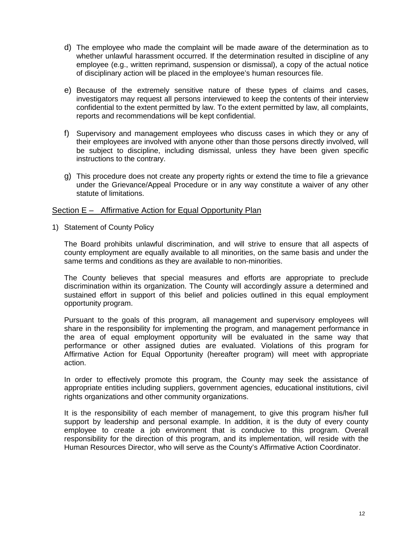- d) The employee who made the complaint will be made aware of the determination as to whether unlawful harassment occurred. If the determination resulted in discipline of any employee (e.g., written reprimand, suspension or dismissal), a copy of the actual notice of disciplinary action will be placed in the employee's human resources file.
- e) Because of the extremely sensitive nature of these types of claims and cases, investigators may request all persons interviewed to keep the contents of their interview confidential to the extent permitted by law. To the extent permitted by law, all complaints, reports and recommendations will be kept confidential.
- f) Supervisory and management employees who discuss cases in which they or any of their employees are involved with anyone other than those persons directly involved, will be subject to discipline, including dismissal, unless they have been given specific instructions to the contrary.
- g) This procedure does not create any property rights or extend the time to file a grievance under the Grievance/Appeal Procedure or in any way constitute a waiver of any other statute of limitations.

#### <span id="page-16-0"></span>Section E – Affirmative Action for Equal Opportunity Plan

1) Statement of County Policy

The Board prohibits unlawful discrimination, and will strive to ensure that all aspects of county employment are equally available to all minorities, on the same basis and under the same terms and conditions as they are available to non-minorities.

The County believes that special measures and efforts are appropriate to preclude discrimination within its organization. The County will accordingly assure a determined and sustained effort in support of this belief and policies outlined in this equal employment opportunity program.

Pursuant to the goals of this program, all management and supervisory employees will share in the responsibility for implementing the program, and management performance in the area of equal employment opportunity will be evaluated in the same way that performance or other assigned duties are evaluated. Violations of this program for Affirmative Action for Equal Opportunity (hereafter program) will meet with appropriate action.

In order to effectively promote this program, the County may seek the assistance of appropriate entities including suppliers, government agencies, educational institutions, civil rights organizations and other community organizations.

It is the responsibility of each member of management, to give this program his/her full support by leadership and personal example. In addition, it is the duty of every county employee to create a job environment that is conducive to this program. Overall responsibility for the direction of this program, and its implementation, will reside with the Human Resources Director, who will serve as the County's Affirmative Action Coordinator.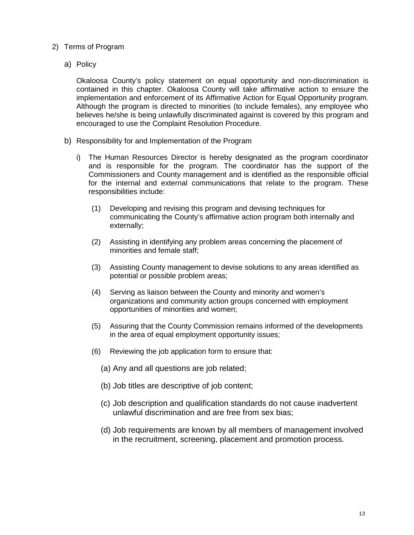- 2) Terms of Program
	- a) Policy

Okaloosa County's policy statement on equal opportunity and non-discrimination is contained in this chapter. Okaloosa County will take affirmative action to ensure the implementation and enforcement of its Affirmative Action for Equal Opportunity program. Although the program is directed to minorities (to include females), any employee who believes he/she is being unlawfully discriminated against is covered by this program and encouraged to use the Complaint Resolution Procedure.

- b) Responsibility for and Implementation of the Program
	- i) The Human Resources Director is hereby designated as the program coordinator and is responsible for the program. The coordinator has the support of the Commissioners and County management and is identified as the responsible official for the internal and external communications that relate to the program. These responsibilities include:
		- (1) Developing and revising this program and devising techniques for communicating the County's affirmative action program both internally and externally;
		- (2) Assisting in identifying any problem areas concerning the placement of minorities and female staff;
		- (3) Assisting County management to devise solutions to any areas identified as potential or possible problem areas;
		- (4) Serving as liaison between the County and minority and women's organizations and community action groups concerned with employment opportunities of minorities and women;
		- (5) Assuring that the County Commission remains informed of the developments in the area of equal employment opportunity issues;
		- (6) Reviewing the job application form to ensure that:
			- (a) Any and all questions are job related;
			- (b) Job titles are descriptive of job content;
			- (c) Job description and qualification standards do not cause inadvertent unlawful discrimination and are free from sex bias;
			- (d) Job requirements are known by all members of management involved in the recruitment, screening, placement and promotion process.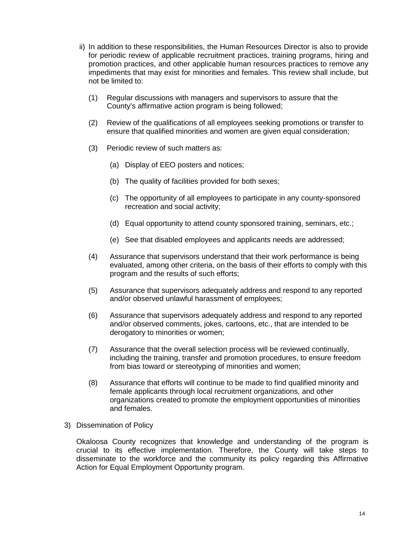- ii) In addition to these responsibilities, the Human Resources Director is also to provide for periodic review of applicable recruitment practices, training programs, hiring and promotion practices, and other applicable human resources practices to remove any impediments that may exist for minorities and females. This review shall include, but not be limited to:
	- (1) Regular discussions with managers and supervisors to assure that the County's affirmative action program is being followed;
	- (2) Review of the qualifications of all employees seeking promotions or transfer to ensure that qualified minorities and women are given equal consideration;
	- (3) Periodic review of such matters as:
		- (a) Display of EEO posters and notices;
		- (b) The quality of facilities provided for both sexes;
		- (c) The opportunity of all employees to participate in any county-sponsored recreation and social activity;
		- (d) Equal opportunity to attend county sponsored training, seminars, etc.;
		- (e) See that disabled employees and applicants needs are addressed;
	- (4) Assurance that supervisors understand that their work performance is being evaluated, among other criteria, on the basis of their efforts to comply with this program and the results of such efforts;
	- (5) Assurance that supervisors adequately address and respond to any reported and/or observed unlawful harassment of employees;
	- (6) Assurance that supervisors adequately address and respond to any reported and/or observed comments, jokes, cartoons, etc., that are intended to be derogatory to minorities or women;
	- (7) Assurance that the overall selection process will be reviewed continually, including the training, transfer and promotion procedures, to ensure freedom from bias toward or stereotyping of minorities and women;
	- (8) Assurance that efforts will continue to be made to find qualified minority and female applicants through local recruitment organizations, and other organizations created to promote the employment opportunities of minorities and females.
- 3) Dissemination of Policy

Okaloosa County recognizes that knowledge and understanding of the program is crucial to its effective implementation. Therefore, the County will take steps to disseminate to the workforce and the community its policy regarding this Affirmative Action for Equal Employment Opportunity program.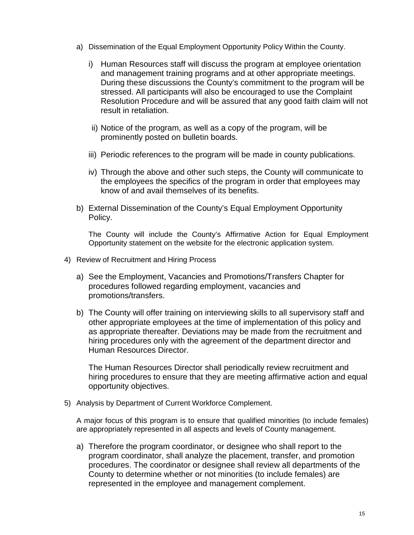- a) Dissemination of the Equal Employment Opportunity Policy Within the County.
	- i) Human Resources staff will discuss the program at employee orientation and management training programs and at other appropriate meetings. During these discussions the County's commitment to the program will be stressed. All participants will also be encouraged to use the Complaint Resolution Procedure and will be assured that any good faith claim will not result in retaliation.
	- ii) Notice of the program, as well as a copy of the program, will be prominently posted on bulletin boards.
	- iii) Periodic references to the program will be made in county publications.
	- iv) Through the above and other such steps, the County will communicate to the employees the specifics of the program in order that employees may know of and avail themselves of its benefits.
- b) External Dissemination of the County's Equal Employment Opportunity Policy.

The County will include the County's Affirmative Action for Equal Employment Opportunity statement on the website for the electronic application system.

- 4) Review of Recruitment and Hiring Process
	- a) See the Employment, Vacancies and Promotions/Transfers Chapter for procedures followed regarding employment, vacancies and promotions/transfers.
	- b) The County will offer training on interviewing skills to all supervisory staff and other appropriate employees at the time of implementation of this policy and as appropriate thereafter. Deviations may be made from the recruitment and hiring procedures only with the agreement of the department director and Human Resources Director.

The Human Resources Director shall periodically review recruitment and hiring procedures to ensure that they are meeting affirmative action and equal opportunity objectives.

5) Analysis by Department of Current Workforce Complement.

A major focus of this program is to ensure that qualified minorities (to include females) are appropriately represented in all aspects and levels of County management.

a) Therefore the program coordinator, or designee who shall report to the program coordinator, shall analyze the placement, transfer, and promotion procedures. The coordinator or designee shall review all departments of the County to determine whether or not minorities (to include females) are represented in the employee and management complement.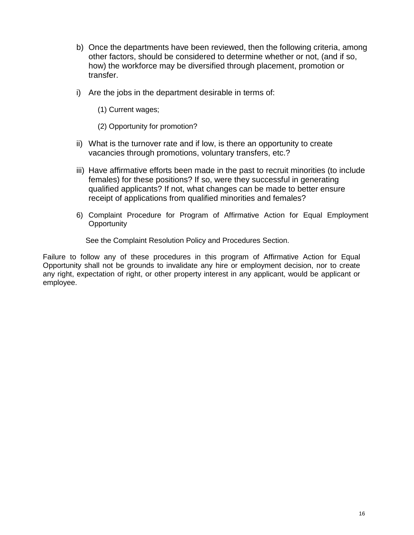- b) Once the departments have been reviewed, then the following criteria, among other factors, should be considered to determine whether or not, (and if so, how) the workforce may be diversified through placement, promotion or transfer.
- i) Are the jobs in the department desirable in terms of:
	- (1) Current wages;
	- (2) Opportunity for promotion?
- ii) What is the turnover rate and if low, is there an opportunity to create vacancies through promotions, voluntary transfers, etc.?
- iii) Have affirmative efforts been made in the past to recruit minorities (to include females) for these positions? If so, were they successful in generating qualified applicants? If not, what changes can be made to better ensure receipt of applications from qualified minorities and females?
- 6) Complaint Procedure for Program of Affirmative Action for Equal Employment **Opportunity**

See the Complaint Resolution Policy and Procedures Section.

Failure to follow any of these procedures in this program of Affirmative Action for Equal Opportunity shall not be grounds to invalidate any hire or employment decision, nor to create any right, expectation of right, or other property interest in any applicant, would be applicant or employee.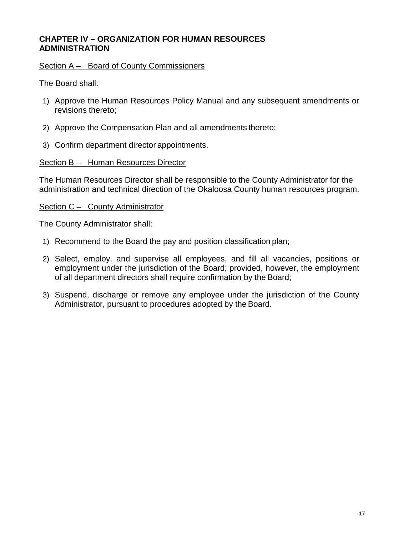## <span id="page-21-0"></span>**CHAPTER IV – ORGANIZATION FOR HUMAN RESOURCES ADMINISTRATION**

#### <span id="page-21-1"></span>Section A – Board of County Commissioners

The Board shall:

- 1) Approve the Human Resources Policy Manual and any subsequent amendments or revisions thereto;
- 2) Approve the Compensation Plan and all amendments thereto;
- 3) Confirm department director appointments.

#### <span id="page-21-2"></span>Section B – Human Resources Director

The Human Resources Director shall be responsible to the County Administrator for the administration and technical direction of the Okaloosa County human resources program.

#### <span id="page-21-3"></span>Section C – County Administrator

The County Administrator shall:

- 1) Recommend to the Board the pay and position classification plan;
- 2) Select, employ, and supervise all employees, and fill all vacancies, positions or employment under the jurisdiction of the Board; provided, however, the employment of all department directors shall require confirmation by the Board;
- 3) Suspend, discharge or remove any employee under the jurisdiction of the County Administrator, pursuant to procedures adopted by the Board.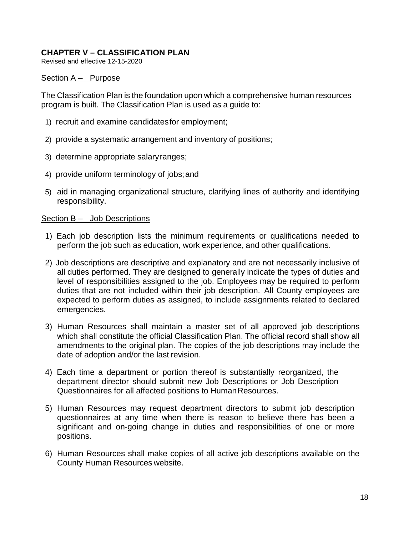# <span id="page-22-0"></span>**CHAPTER V – CLASSIFICATION PLAN**

Revised and effective 12-15-2020

#### <span id="page-22-1"></span>Section A – Purpose

The Classification Plan is the foundation upon which a comprehensive human resources program is built. The Classification Plan is used as a guide to:

- 1) recruit and examine candidatesfor employment;
- 2) provide a systematic arrangement and inventory of positions;
- 3) determine appropriate salaryranges;
- 4) provide uniform terminology of jobs;and
- 5) aid in managing organizational structure, clarifying lines of authority and identifying responsibility.

#### <span id="page-22-2"></span>Section B – Job Descriptions

- 1) Each job description lists the minimum requirements or qualifications needed to perform the job such as education, work experience, and other qualifications.
- 2) Job descriptions are descriptive and explanatory and are not necessarily inclusive of all duties performed. They are designed to generally indicate the types of duties and level of responsibilities assigned to the job. Employees may be required to perform duties that are not included within their job description. All County employees are expected to perform duties as assigned, to include assignments related to declared emergencies.
- 3) Human Resources shall maintain a master set of all approved job descriptions which shall constitute the official Classification Plan. The official record shall show all amendments to the original plan. The copies of the job descriptions may include the date of adoption and/or the last revision.
- 4) Each time a department or portion thereof is substantially reorganized, the department director should submit new Job Descriptions or Job Description Questionnaires for all affected positions to HumanResources.
- 5) Human Resources may request department directors to submit job description questionnaires at any time when there is reason to believe there has been a significant and on-going change in duties and responsibilities of one or more positions.
- 6) Human Resources shall make copies of all active job descriptions available on the County Human Resources website.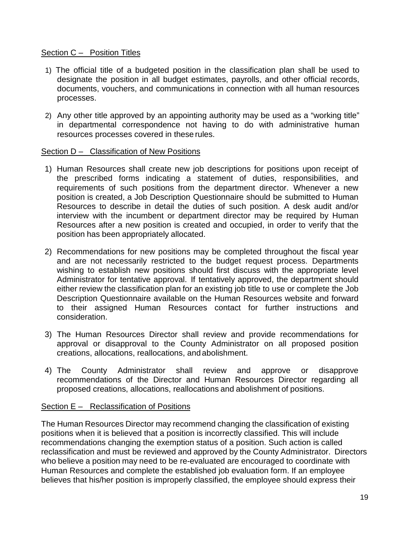## <span id="page-23-0"></span>Section C – Position Titles

- 1) The official title of a budgeted position in the classification plan shall be used to designate the position in all budget estimates, payrolls, and other official records, documents, vouchers, and communications in connection with all human resources processes.
- 2) Any other title approved by an appointing authority may be used as a "working title" in departmental correspondence not having to do with administrative human resources processes covered in these rules.

## <span id="page-23-1"></span>Section D – Classification of New Positions

- 1) Human Resources shall create new job descriptions for positions upon receipt of the prescribed forms indicating a statement of duties, responsibilities, and requirements of such positions from the department director. Whenever a new position is created, a Job Description Questionnaire should be submitted to Human Resources to describe in detail the duties of such position. A desk audit and/or interview with the incumbent or department director may be required by Human Resources after a new position is created and occupied, in order to verify that the position has been appropriately allocated.
- 2) Recommendations for new positions may be completed throughout the fiscal year and are not necessarily restricted to the budget request process. Departments wishing to establish new positions should first discuss with the appropriate level Administrator for tentative approval. If tentatively approved, the department should either review the classification plan for an existing job title to use or complete the Job Description Questionnaire available on the Human Resources website and forward to their assigned Human Resources contact for further instructions and consideration.
- 3) The Human Resources Director shall review and provide recommendations for approval or disapproval to the County Administrator on all proposed position creations, allocations, reallocations, and abolishment.
- 4) The County Administrator shall review and approve or disapprove recommendations of the Director and Human Resources Director regarding all proposed creations, allocations, reallocations and abolishment of positions.

# <span id="page-23-2"></span>Section E – Reclassification of Positions

The Human Resources Director may recommend changing the classification of existing positions when it is believed that a position is incorrectly classified. This will include recommendations changing the exemption status of a position. Such action is called reclassification and must be reviewed and approved by the County Administrator. Directors who believe a position may need to be re-evaluated are encouraged to coordinate with Human Resources and complete the established job evaluation form. If an employee believes that his/her position is improperly classified, the employee should express their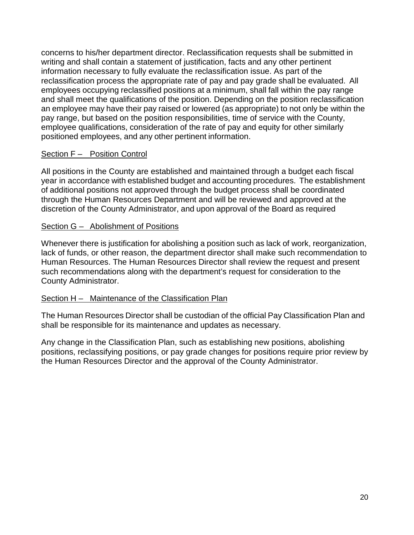concerns to his/her department director. Reclassification requests shall be submitted in writing and shall contain a statement of justification, facts and any other pertinent information necessary to fully evaluate the reclassification issue. As part of the reclassification process the appropriate rate of pay and pay grade shall be evaluated. All employees occupying reclassified positions at a minimum, shall fall within the pay range and shall meet the qualifications of the position. Depending on the position reclassification an employee may have their pay raised or lowered (as appropriate) to not only be within the pay range, but based on the position responsibilities, time of service with the County, employee qualifications, consideration of the rate of pay and equity for other similarly positioned employees, and any other pertinent information.

## <span id="page-24-0"></span>Section F – Position Control

All positions in the County are established and maintained through a budget each fiscal year in accordance with established budget and accounting procedures. The establishment of additional positions not approved through the budget process shall be coordinated through the Human Resources Department and will be reviewed and approved at the discretion of the County Administrator, and upon approval of the Board as required

## <span id="page-24-1"></span>Section G - Abolishment of Positions

Whenever there is justification for abolishing a position such as lack of work, reorganization, lack of funds, or other reason, the department director shall make such recommendation to Human Resources. The Human Resources Director shall review the request and present such recommendations along with the department's request for consideration to the County Administrator.

## <span id="page-24-2"></span>Section H - Maintenance of the Classification Plan

The Human Resources Director shall be custodian of the official Pay Classification Plan and shall be responsible for its maintenance and updates as necessary.

Any change in the Classification Plan, such as establishing new positions, abolishing positions, reclassifying positions, or pay grade changes for positions require prior review by the Human Resources Director and the approval of the County Administrator.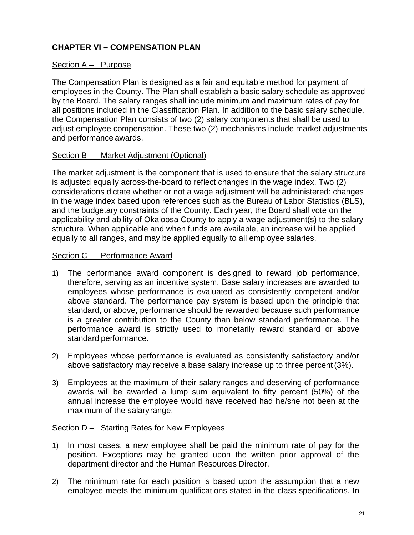# <span id="page-25-0"></span>**CHAPTER VI – COMPENSATION PLAN**

## <span id="page-25-1"></span>Section A – Purpose

The Compensation Plan is designed as a fair and equitable method for payment of employees in the County. The Plan shall establish a basic salary schedule as approved by the Board. The salary ranges shall include minimum and maximum rates of pay for all positions included in the Classification Plan. In addition to the basic salary schedule, the Compensation Plan consists of two (2) salary components that shall be used to adjust employee compensation. These two (2) mechanisms include market adjustments and performance awards.

## <span id="page-25-2"></span>Section B – Market Adjustment (Optional)

The market adjustment is the component that is used to ensure that the salary structure is adjusted equally across-the-board to reflect changes in the wage index. Two (2) considerations dictate whether or not a wage adjustment will be administered: changes in the wage index based upon references such as the Bureau of Labor Statistics (BLS), and the budgetary constraints of the County. Each year, the Board shall vote on the applicability and ability of Okaloosa County to apply a wage adjustment(s) to the salary structure. When applicable and when funds are available, an increase will be applied equally to all ranges, and may be applied equally to all employee salaries.

## <span id="page-25-3"></span>Section C – Performance Award

- 1) The performance award component is designed to reward job performance, therefore, serving as an incentive system. Base salary increases are awarded to employees whose performance is evaluated as consistently competent and/or above standard. The performance pay system is based upon the principle that standard, or above, performance should be rewarded because such performance is a greater contribution to the County than below standard performance. The performance award is strictly used to monetarily reward standard or above standard performance.
- 2) Employees whose performance is evaluated as consistently satisfactory and/or above satisfactory may receive a base salary increase up to three percent(3%).
- 3) Employees at the maximum of their salary ranges and deserving of performance awards will be awarded a lump sum equivalent to fifty percent (50%) of the annual increase the employee would have received had he/she not been at the maximum of the salaryrange.

## <span id="page-25-4"></span>Section D - Starting Rates for New Employees

- 1) In most cases, a new employee shall be paid the minimum rate of pay for the position. Exceptions may be granted upon the written prior approval of the department director and the Human Resources Director.
- 2) The minimum rate for each position is based upon the assumption that a new employee meets the minimum qualifications stated in the class specifications. In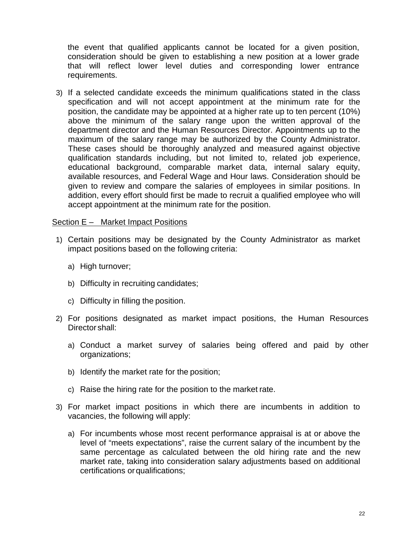the event that qualified applicants cannot be located for a given position, consideration should be given to establishing a new position at a lower grade that will reflect lower level duties and corresponding lower entrance requirements.

3) If a selected candidate exceeds the minimum qualifications stated in the class specification and will not accept appointment at the minimum rate for the position, the candidate may be appointed at a higher rate up to ten percent (10%) above the minimum of the salary range upon the written approval of the department director and the Human Resources Director. Appointments up to the maximum of the salary range may be authorized by the County Administrator. These cases should be thoroughly analyzed and measured against objective qualification standards including, but not limited to, related job experience, educational background, comparable market data, internal salary equity, available resources, and Federal Wage and Hour laws. Consideration should be given to review and compare the salaries of employees in similar positions. In addition, every effort should first be made to recruit a qualified employee who will accept appointment at the minimum rate for the position.

#### <span id="page-26-0"></span>Section E – Market Impact Positions

- 1) Certain positions may be designated by the County Administrator as market impact positions based on the following criteria:
	- a) High turnover;
	- b) Difficulty in recruiting candidates;
	- c) Difficulty in filling the position.
- 2) For positions designated as market impact positions, the Human Resources Director shall:
	- a) Conduct a market survey of salaries being offered and paid by other organizations;
	- b) Identify the market rate for the position;
	- c) Raise the hiring rate for the position to the market rate.
- 3) For market impact positions in which there are incumbents in addition to vacancies, the following will apply:
	- a) For incumbents whose most recent performance appraisal is at or above the level of "meets expectations", raise the current salary of the incumbent by the same percentage as calculated between the old hiring rate and the new market rate, taking into consideration salary adjustments based on additional certifications or qualifications;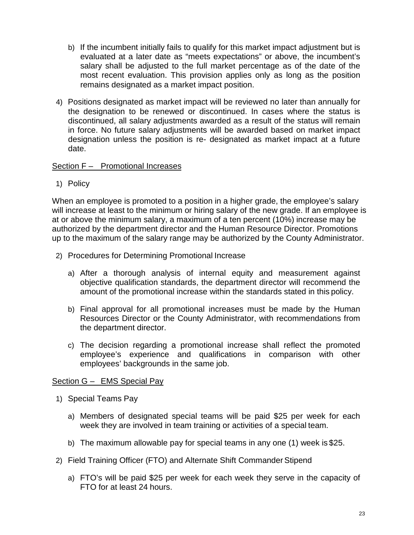- b) If the incumbent initially fails to qualify for this market impact adjustment but is evaluated at a later date as "meets expectations" or above, the incumbent's salary shall be adjusted to the full market percentage as of the date of the most recent evaluation. This provision applies only as long as the position remains designated as a market impact position.
- 4) Positions designated as market impact will be reviewed no later than annually for the designation to be renewed or discontinued. In cases where the status is discontinued, all salary adjustments awarded as a result of the status will remain in force. No future salary adjustments will be awarded based on market impact designation unless the position is re- designated as market impact at a future date.

## <span id="page-27-0"></span>Section F – Promotional Increases

1) Policy

When an employee is promoted to a position in a higher grade, the employee's salary will increase at least to the minimum or hiring salary of the new grade. If an employee is at or above the minimum salary, a maximum of a ten percent (10%) increase may be authorized by the department director and the Human Resource Director. Promotions up to the maximum of the salary range may be authorized by the County Administrator.

- 2) Procedures for Determining Promotional Increase
	- a) After a thorough analysis of internal equity and measurement against objective qualification standards, the department director will recommend the amount of the promotional increase within the standards stated in this policy.
	- b) Final approval for all promotional increases must be made by the Human Resources Director or the County Administrator, with recommendations from the department director.
	- c) The decision regarding a promotional increase shall reflect the promoted employee's experience and qualifications in comparison with other employees' backgrounds in the same job.

## <span id="page-27-1"></span>Section G – EMS Special Pay

- 1) Special Teams Pay
	- a) Members of designated special teams will be paid \$25 per week for each week they are involved in team training or activities of a special team.
	- b) The maximum allowable pay for special teams in any one (1) week is \$25.
- 2) Field Training Officer (FTO) and Alternate Shift Commander Stipend
	- a) FTO's will be paid \$25 per week for each week they serve in the capacity of FTO for at least 24 hours.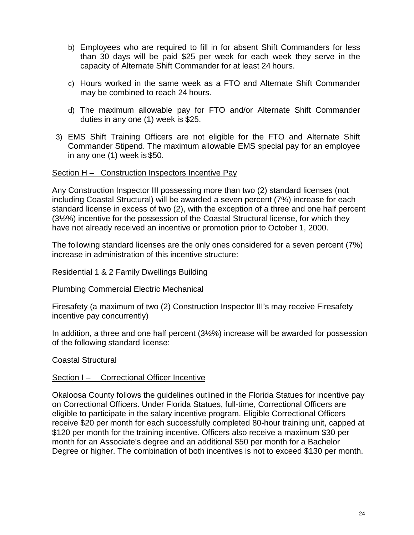- b) Employees who are required to fill in for absent Shift Commanders for less than 30 days will be paid \$25 per week for each week they serve in the capacity of Alternate Shift Commander for at least 24 hours.
- c) Hours worked in the same week as a FTO and Alternate Shift Commander may be combined to reach 24 hours.
- d) The maximum allowable pay for FTO and/or Alternate Shift Commander duties in any one (1) week is \$25.
- 3) EMS Shift Training Officers are not eligible for the FTO and Alternate Shift Commander Stipend. The maximum allowable EMS special pay for an employee in any one (1) week is \$50.

## <span id="page-28-0"></span>Section H – Construction Inspectors Incentive Pay

Any Construction Inspector III possessing more than two (2) standard licenses (not including Coastal Structural) will be awarded a seven percent (7%) increase for each standard license in excess of two (2), with the exception of a three and one half percent (3½%) incentive for the possession of the Coastal Structural license, for which they have not already received an incentive or promotion prior to October 1, 2000.

The following standard licenses are the only ones considered for a seven percent (7%) increase in administration of this incentive structure:

Residential 1 & 2 Family Dwellings Building

Plumbing Commercial Electric Mechanical

Firesafety (a maximum of two (2) Construction Inspector III's may receive Firesafety incentive pay concurrently)

In addition, a three and one half percent (3½%) increase will be awarded for possession of the following standard license:

Coastal Structural

## <span id="page-28-1"></span>Section I – Correctional Officer Incentive

Okaloosa County follows the guidelines outlined in the Florida Statues for incentive pay on Correctional Officers. Under Florida Statues, full-time, Correctional Officers are eligible to participate in the salary incentive program. Eligible Correctional Officers receive \$20 per month for each successfully completed 80-hour training unit, capped at \$120 per month for the training incentive. Officers also receive a maximum \$30 per month for an Associate's degree and an additional \$50 per month for a Bachelor Degree or higher. The combination of both incentives is not to exceed \$130 per month.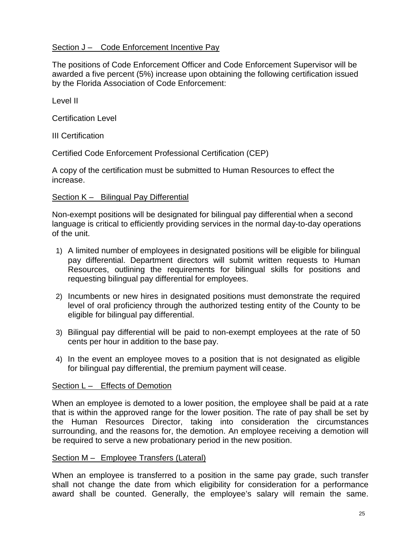## <span id="page-29-0"></span>Section J – Code Enforcement Incentive Pay

The positions of Code Enforcement Officer and Code Enforcement Supervisor will be awarded a five percent (5%) increase upon obtaining the following certification issued by the Florida Association of Code Enforcement:

Level II

Certification Level

III Certification

Certified Code Enforcement Professional Certification (CEP)

A copy of the certification must be submitted to Human Resources to effect the increase.

#### <span id="page-29-1"></span>Section K – Bilingual Pay Differential

Non-exempt positions will be designated for bilingual pay differential when a second language is critical to efficiently providing services in the normal day-to-day operations of the unit.

- 1) A limited number of employees in designated positions will be eligible for bilingual pay differential. Department directors will submit written requests to Human Resources, outlining the requirements for bilingual skills for positions and requesting bilingual pay differential for employees.
- 2) Incumbents or new hires in designated positions must demonstrate the required level of oral proficiency through the authorized testing entity of the County to be eligible for bilingual pay differential.
- 3) Bilingual pay differential will be paid to non-exempt employees at the rate of 50 cents per hour in addition to the base pay.
- 4) In the event an employee moves to a position that is not designated as eligible for bilingual pay differential, the premium payment will cease.

#### <span id="page-29-2"></span>Section L – Effects of Demotion

When an employee is demoted to a lower position, the employee shall be paid at a rate that is within the approved range for the lower position. The rate of pay shall be set by the Human Resources Director, taking into consideration the circumstances surrounding, and the reasons for, the demotion. An employee receiving a demotion will be required to serve a new probationary period in the new position.

#### <span id="page-29-3"></span>Section M – Employee Transfers (Lateral)

When an employee is transferred to a position in the same pay grade, such transfer shall not change the date from which eligibility for consideration for a performance award shall be counted. Generally, the employee's salary will remain the same.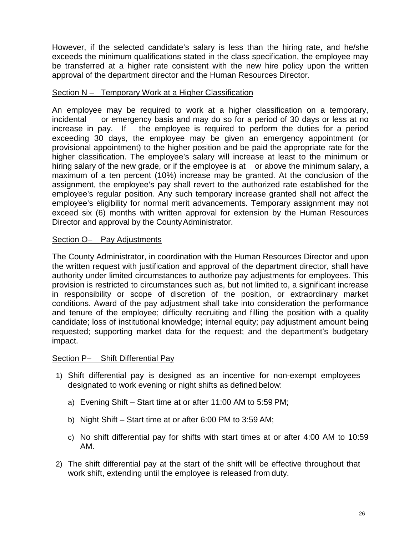However, if the selected candidate's salary is less than the hiring rate, and he/she exceeds the minimum qualifications stated in the class specification, the employee may be transferred at a higher rate consistent with the new hire policy upon the written approval of the department director and the Human Resources Director.

## <span id="page-30-0"></span>Section N – Temporary Work at a Higher Classification

An employee may be required to work at a higher classification on a temporary, incidental or emergency basis and may do so for a period of 30 days or less at no increase in pay. If the employee is required to perform the duties for a period exceeding 30 days, the employee may be given an emergency appointment (or provisional appointment) to the higher position and be paid the appropriate rate for the higher classification. The employee's salary will increase at least to the minimum or hiring salary of the new grade, or if the employee is at or above the minimum salary, a maximum of a ten percent (10%) increase may be granted. At the conclusion of the assignment, the employee's pay shall revert to the authorized rate established for the employee's regular position. Any such temporary increase granted shall not affect the employee's eligibility for normal merit advancements. Temporary assignment may not exceed six (6) months with written approval for extension by the Human Resources Director and approval by the County Administrator.

#### <span id="page-30-1"></span>Section O– Pay Adjustments

The County Administrator, in coordination with the Human Resources Director and upon the written request with justification and approval of the department director, shall have authority under limited circumstances to authorize pay adjustments for employees. This provision is restricted to circumstances such as, but not limited to, a significant increase in responsibility or scope of discretion of the position, or extraordinary market conditions. Award of the pay adjustment shall take into consideration the performance and tenure of the employee; difficulty recruiting and filling the position with a quality candidate; loss of institutional knowledge; internal equity; pay adjustment amount being requested; supporting market data for the request; and the department's budgetary impact.

#### <span id="page-30-2"></span>Section P– Shift Differential Pay

- 1) Shift differential pay is designed as an incentive for non-exempt employees designated to work evening or night shifts as defined below:
	- a) Evening Shift Start time at or after 11:00 AM to 5:59 PM;
	- b) Night Shift Start time at or after 6:00 PM to 3:59 AM;
	- c) No shift differential pay for shifts with start times at or after 4:00 AM to 10:59 AM.
- 2) The shift differential pay at the start of the shift will be effective throughout that work shift, extending until the employee is released from duty.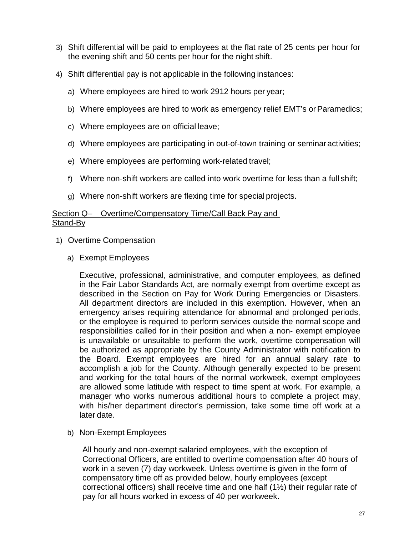- 3) Shift differential will be paid to employees at the flat rate of 25 cents per hour for the evening shift and 50 cents per hour for the night shift.
- 4) Shift differential pay is not applicable in the following instances:
	- a) Where employees are hired to work 2912 hours per year;
	- b) Where employees are hired to work as emergency relief EMT's or Paramedics;
	- c) Where employees are on official leave;
	- d) Where employees are participating in out-of-town training or seminaractivities;
	- e) Where employees are performing work-related travel;
	- f) Where non-shift workers are called into work overtime for less than a full shift;
	- g) Where non-shift workers are flexing time for special projects.

#### <span id="page-31-0"></span>Section Q– Overtime/Compensatory Time/Call Back Pay and Stand-By

- 1) Overtime Compensation
	- a) Exempt Employees

Executive, professional, administrative, and computer employees, as defined in the Fair Labor Standards Act, are normally exempt from overtime except as described in the Section on Pay for Work During Emergencies or Disasters. All department directors are included in this exemption. However, when an emergency arises requiring attendance for abnormal and prolonged periods, or the employee is required to perform services outside the normal scope and responsibilities called for in their position and when a non- exempt employee is unavailable or unsuitable to perform the work, overtime compensation will be authorized as appropriate by the County Administrator with notification to the Board. Exempt employees are hired for an annual salary rate to accomplish a job for the County. Although generally expected to be present and working for the total hours of the normal workweek, exempt employees are allowed some latitude with respect to time spent at work. For example, a manager who works numerous additional hours to complete a project may, with his/her department director's permission, take some time off work at a later date.

b) Non-Exempt Employees

All hourly and non-exempt salaried employees, with the exception of Correctional Officers, are entitled to overtime compensation after 40 hours of work in a seven (7) day workweek. Unless overtime is given in the form of compensatory time off as provided below, hourly employees (except correctional officers) shall receive time and one half (1½) their regular rate of pay for all hours worked in excess of 40 per workweek.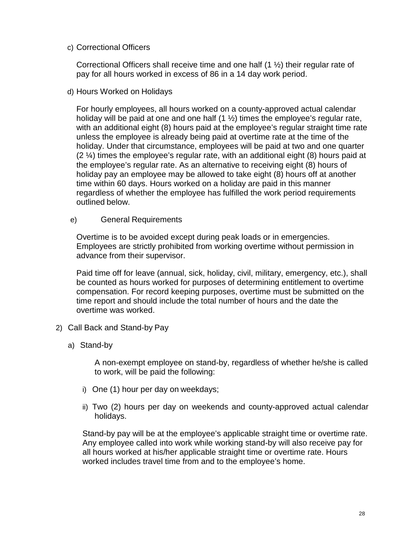## c) Correctional Officers

Correctional Officers shall receive time and one half (1 ½) their regular rate of pay for all hours worked in excess of 86 in a 14 day work period.

d) Hours Worked on Holidays

For hourly employees, all hours worked on a county-approved actual calendar holiday will be paid at one and one half  $(1 \frac{1}{2})$  times the employee's regular rate, with an additional eight (8) hours paid at the employee's regular straight time rate unless the employee is already being paid at overtime rate at the time of the holiday. Under that circumstance, employees will be paid at two and one quarter (2 ¼) times the employee's regular rate, with an additional eight (8) hours paid at the employee's regular rate. As an alternative to receiving eight (8) hours of holiday pay an employee may be allowed to take eight (8) hours off at another time within 60 days. Hours worked on a holiday are paid in this manner regardless of whether the employee has fulfilled the work period requirements outlined below.

e) General Requirements

Overtime is to be avoided except during peak loads or in emergencies. Employees are strictly prohibited from working overtime without permission in advance from their supervisor.

Paid time off for leave (annual, sick, holiday, civil, military, emergency, etc.), shall be counted as hours worked for purposes of determining entitlement to overtime compensation. For record keeping purposes, overtime must be submitted on the time report and should include the total number of hours and the date the overtime was worked.

- 2) Call Back and Stand-by Pay
	- a) Stand-by

A non-exempt employee on stand-by, regardless of whether he/she is called to work, will be paid the following:

- i) One (1) hour per day on weekdays;
- ii) Two (2) hours per day on weekends and county-approved actual calendar holidays.

Stand-by pay will be at the employee's applicable straight time or overtime rate. Any employee called into work while working stand-by will also receive pay for all hours worked at his/her applicable straight time or overtime rate. Hours worked includes travel time from and to the employee's home.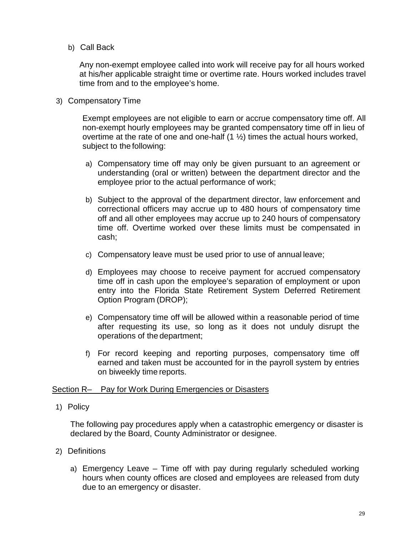## b) Call Back

Any non-exempt employee called into work will receive pay for all hours worked at his/her applicable straight time or overtime rate. Hours worked includes travel time from and to the employee's home.

#### 3) Compensatory Time

Exempt employees are not eligible to earn or accrue compensatory time off. All non-exempt hourly employees may be granted compensatory time off in lieu of overtime at the rate of one and one-half  $(1 \frac{1}{2})$  times the actual hours worked, subject to the following:

- a) Compensatory time off may only be given pursuant to an agreement or understanding (oral or written) between the department director and the employee prior to the actual performance of work;
- b) Subject to the approval of the department director, law enforcement and correctional officers may accrue up to 480 hours of compensatory time off and all other employees may accrue up to 240 hours of compensatory time off. Overtime worked over these limits must be compensated in cash;
- c) Compensatory leave must be used prior to use of annual leave;
- d) Employees may choose to receive payment for accrued compensatory time off in cash upon the employee's separation of employment or upon entry into the Florida State Retirement System Deferred Retirement Option Program (DROP);
- e) Compensatory time off will be allowed within a reasonable period of time after requesting its use, so long as it does not unduly disrupt the operations of the department;
- f) For record keeping and reporting purposes, compensatory time off earned and taken must be accounted for in the payroll system by entries on biweekly time reports.

## <span id="page-33-0"></span>Section R– Pay for Work During Emergencies or Disasters

## 1) Policy

The following pay procedures apply when a catastrophic emergency or disaster is declared by the Board, County Administrator or designee.

- 2) Definitions
	- a) Emergency Leave Time off with pay during regularly scheduled working hours when county offices are closed and employees are released from duty due to an emergency or disaster.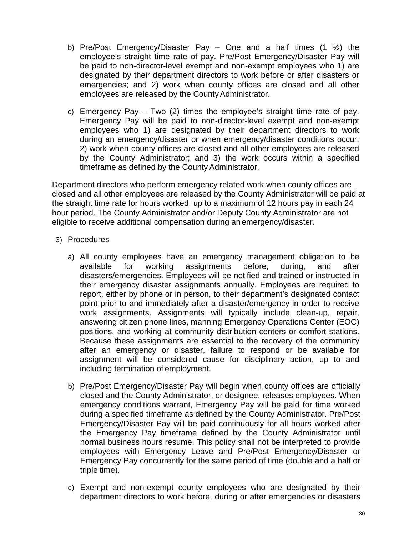- b) Pre/Post Emergency/Disaster Pay One and a half times  $(1 \frac{1}{2})$  the employee's straight time rate of pay. Pre/Post Emergency/Disaster Pay will be paid to non-director-level exempt and non-exempt employees who 1) are designated by their department directors to work before or after disasters or emergencies; and 2) work when county offices are closed and all other employees are released by the County Administrator.
- c) Emergency Pay Two (2) times the employee's straight time rate of pay. Emergency Pay will be paid to non-director-level exempt and non-exempt employees who 1) are designated by their department directors to work during an emergency/disaster or when emergency/disaster conditions occur; 2) work when county offices are closed and all other employees are released by the County Administrator; and 3) the work occurs within a specified timeframe as defined by the County Administrator.

Department directors who perform emergency related work when county offices are closed and all other employees are released by the County Administrator will be paid at the straight time rate for hours worked, up to a maximum of 12 hours pay in each 24 hour period. The County Administrator and/or Deputy County Administrator are not eligible to receive additional compensation during an emergency/disaster.

- 3) Procedures
	- a) All county employees have an emergency management obligation to be available for working assignments before, during, and after available for working assignments before, during, and after disasters/emergencies. Employees will be notified and trained or instructed in their emergency disaster assignments annually. Employees are required to report, either by phone or in person, to their department's designated contact point prior to and immediately after a disaster/emergency in order to receive work assignments. Assignments will typically include clean-up, repair, answering citizen phone lines, manning Emergency Operations Center (EOC) positions, and working at community distribution centers or comfort stations. Because these assignments are essential to the recovery of the community after an emergency or disaster, failure to respond or be available for assignment will be considered cause for disciplinary action, up to and including termination of employment.
	- b) Pre/Post Emergency/Disaster Pay will begin when county offices are officially closed and the County Administrator, or designee, releases employees. When emergency conditions warrant, Emergency Pay will be paid for time worked during a specified timeframe as defined by the County Administrator. Pre/Post Emergency/Disaster Pay will be paid continuously for all hours worked after the Emergency Pay timeframe defined by the County Administrator until normal business hours resume. This policy shall not be interpreted to provide employees with Emergency Leave and Pre/Post Emergency/Disaster or Emergency Pay concurrently for the same period of time (double and a half or triple time).
	- c) Exempt and non-exempt county employees who are designated by their department directors to work before, during or after emergencies or disasters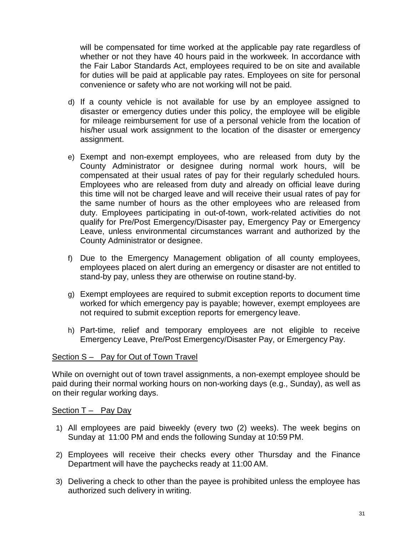will be compensated for time worked at the applicable pay rate regardless of whether or not they have 40 hours paid in the workweek. In accordance with the Fair Labor Standards Act, employees required to be on site and available for duties will be paid at applicable pay rates. Employees on site for personal convenience or safety who are not working will not be paid.

- d) If a county vehicle is not available for use by an employee assigned to disaster or emergency duties under this policy, the employee will be eligible for mileage reimbursement for use of a personal vehicle from the location of his/her usual work assignment to the location of the disaster or emergency assignment.
- e) Exempt and non-exempt employees, who are released from duty by the County Administrator or designee during normal work hours, will be compensated at their usual rates of pay for their regularly scheduled hours. Employees who are released from duty and already on official leave during this time will not be charged leave and will receive their usual rates of pay for the same number of hours as the other employees who are released from duty. Employees participating in out-of-town, work-related activities do not qualify for Pre/Post Emergency/Disaster pay, Emergency Pay or Emergency Leave, unless environmental circumstances warrant and authorized by the County Administrator or designee.
- f) Due to the Emergency Management obligation of all county employees, employees placed on alert during an emergency or disaster are not entitled to stand-by pay, unless they are otherwise on routine stand-by.
- g) Exempt employees are required to submit exception reports to document time worked for which emergency pay is payable; however, exempt employees are not required to submit exception reports for emergency leave.
- h) Part-time, relief and temporary employees are not eligible to receive Emergency Leave, Pre/Post Emergency/Disaster Pay, or Emergency Pay.

#### <span id="page-35-0"></span>Section S – Pay for Out of Town Travel

While on overnight out of town travel assignments, a non-exempt employee should be paid during their normal working hours on non-working days (e.g., Sunday), as well as on their regular working days.

#### <span id="page-35-1"></span>Section T – Pay Day

- 1) All employees are paid biweekly (every two (2) weeks). The week begins on Sunday at 11:00 PM and ends the following Sunday at 10:59 PM.
- 2) Employees will receive their checks every other Thursday and the Finance Department will have the paychecks ready at 11:00 AM.
- 3) Delivering a check to other than the payee is prohibited unless the employee has authorized such delivery in writing.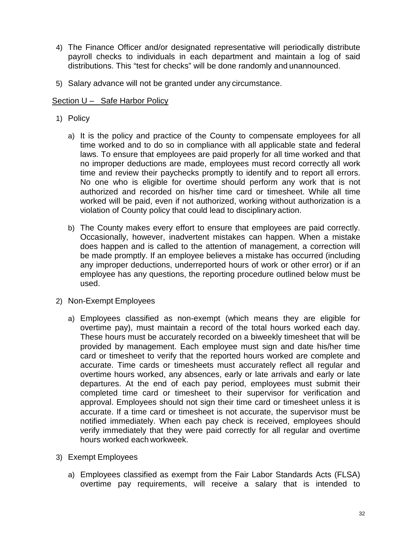- 4) The Finance Officer and/or designated representative will periodically distribute payroll checks to individuals in each department and maintain a log of said distributions. This "test for checks" will be done randomly and unannounced.
- 5) Salary advance will not be granted under any circumstance.

# Section U – Safe Harbor Policy

- 1) Policy
	- a) It is the policy and practice of the County to compensate employees for all time worked and to do so in compliance with all applicable state and federal laws. To ensure that employees are paid properly for all time worked and that no improper deductions are made, employees must record correctly all work time and review their paychecks promptly to identify and to report all errors. No one who is eligible for overtime should perform any work that is not authorized and recorded on his/her time card or timesheet. While all time worked will be paid, even if not authorized, working without authorization is a violation of County policy that could lead to disciplinary action.
	- b) The County makes every effort to ensure that employees are paid correctly. Occasionally, however, inadvertent mistakes can happen. When a mistake does happen and is called to the attention of management, a correction will be made promptly. If an employee believes a mistake has occurred (including any improper deductions, underreported hours of work or other error) or if an employee has any questions, the reporting procedure outlined below must be used.
- 2) Non-Exempt Employees
	- a) Employees classified as non-exempt (which means they are eligible for overtime pay), must maintain a record of the total hours worked each day. These hours must be accurately recorded on a biweekly timesheet that will be provided by management. Each employee must sign and date his/her time card or timesheet to verify that the reported hours worked are complete and accurate. Time cards or timesheets must accurately reflect all regular and overtime hours worked, any absences, early or late arrivals and early or late departures. At the end of each pay period, employees must submit their completed time card or timesheet to their supervisor for verification and approval. Employees should not sign their time card or timesheet unless it is accurate. If a time card or timesheet is not accurate, the supervisor must be notified immediately. When each pay check is received, employees should verify immediately that they were paid correctly for all regular and overtime hours worked each workweek.
- 3) Exempt Employees
	- a) Employees classified as exempt from the Fair Labor Standards Acts (FLSA) overtime pay requirements, will receive a salary that is intended to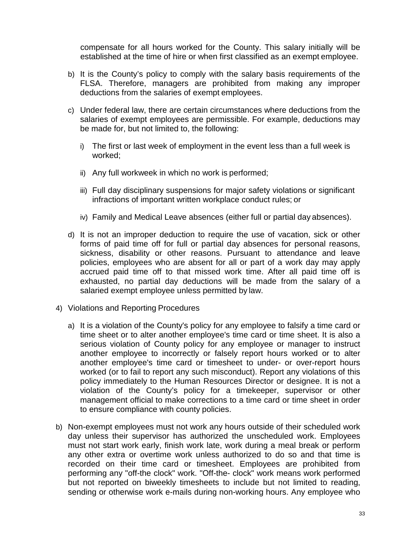compensate for all hours worked for the County. This salary initially will be established at the time of hire or when first classified as an exempt employee.

- b) It is the County's policy to comply with the salary basis requirements of the FLSA. Therefore, managers are prohibited from making any improper deductions from the salaries of exempt employees.
- c) Under federal law, there are certain circumstances where deductions from the salaries of exempt employees are permissible. For example, deductions may be made for, but not limited to, the following:
	- i) The first or last week of employment in the event less than a full week is worked;
	- ii) Any full workweek in which no work is performed;
	- iii) Full day disciplinary suspensions for major safety violations or significant infractions of important written workplace conduct rules; or
	- iv) Family and Medical Leave absences (either full or partial day absences).
- d) It is not an improper deduction to require the use of vacation, sick or other forms of paid time off for full or partial day absences for personal reasons, sickness, disability or other reasons. Pursuant to attendance and leave policies, employees who are absent for all or part of a work day may apply accrued paid time off to that missed work time. After all paid time off is exhausted, no partial day deductions will be made from the salary of a salaried exempt employee unless permitted by law.
- 4) Violations and Reporting Procedures
	- a) It is a violation of the County's policy for any employee to falsify a time card or time sheet or to alter another employee's time card or time sheet. It is also a serious violation of County policy for any employee or manager to instruct another employee to incorrectly or falsely report hours worked or to alter another employee's time card or timesheet to under- or over-report hours worked (or to fail to report any such misconduct). Report any violations of this policy immediately to the Human Resources Director or designee. It is not a violation of the County's policy for a timekeeper, supervisor or other management official to make corrections to a time card or time sheet in order to ensure compliance with county policies.
- b) Non-exempt employees must not work any hours outside of their scheduled work day unless their supervisor has authorized the unscheduled work. Employees must not start work early, finish work late, work during a meal break or perform any other extra or overtime work unless authorized to do so and that time is recorded on their time card or timesheet. Employees are prohibited from performing any "off-the clock" work. "Off-the- clock" work means work performed but not reported on biweekly timesheets to include but not limited to reading, sending or otherwise work e-mails during non-working hours. Any employee who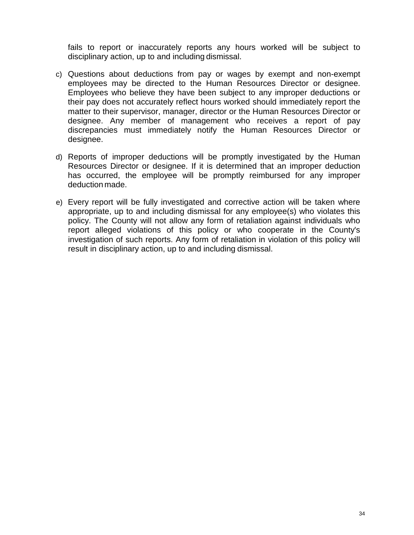fails to report or inaccurately reports any hours worked will be subject to disciplinary action, up to and including dismissal.

- c) Questions about deductions from pay or wages by exempt and non-exempt employees may be directed to the Human Resources Director or designee. Employees who believe they have been subject to any improper deductions or their pay does not accurately reflect hours worked should immediately report the matter to their supervisor, manager, director or the Human Resources Director or designee. Any member of management who receives a report of pay discrepancies must immediately notify the Human Resources Director or designee.
- d) Reports of improper deductions will be promptly investigated by the Human Resources Director or designee. If it is determined that an improper deduction has occurred, the employee will be promptly reimbursed for any improper deduction made.
- e) Every report will be fully investigated and corrective action will be taken where appropriate, up to and including dismissal for any employee(s) who violates this policy. The County will not allow any form of retaliation against individuals who report alleged violations of this policy or who cooperate in the County's investigation of such reports. Any form of retaliation in violation of this policy will result in disciplinary action, up to and including dismissal.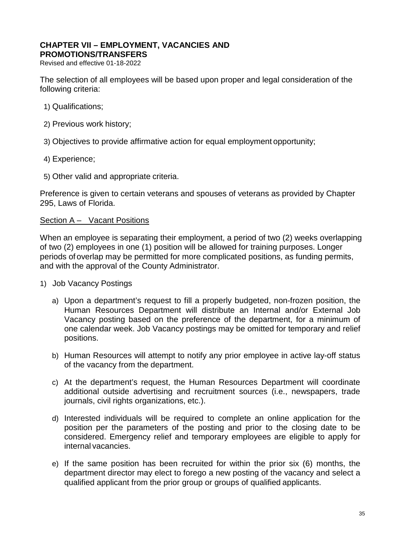# <span id="page-39-0"></span>**[CH](#page-39-0)APTER VII – [EMPLOYMENT, VACANCIES AND](#page-39-0)**

**[PROMOTIONS/TRANSFERS](#page-39-0)**

Revised and effective 01-18-2022

The selection of all employees will be based upon proper and legal consideration of the following criteria:

- 1) Qualifications;
- 2) Previous work history;
- 3) Objectives to provide affirmative action for equal employment opportunity;
- 4) Experience;
- 5) Other valid and appropriate criteria.

Preference is given to certain veterans and spouses of veterans as provided by Chapter 295, Laws of Florida.

## Section A - Vacant Positions

When an employee is separating their employment, a period of two (2) weeks overlapping of two (2) employees in one (1) position will be allowed for training purposes. Longer periods of overlap may be permitted for more complicated positions, as funding permits, and with the approval of the County Administrator.

- 1) Job Vacancy Postings
	- a) Upon a department's request to fill a properly budgeted, non-frozen position, the Human Resources Department will distribute an Internal and/or External Job Vacancy posting based on the preference of the department, for a minimum of one calendar week. Job Vacancy postings may be omitted for temporary and relief positions.
	- b) Human Resources will attempt to notify any prior employee in active lay-off status of the vacancy from the department.
	- c) At the department's request, the Human Resources Department will coordinate additional outside advertising and recruitment sources (i.e., newspapers, trade journals, civil rights organizations, etc.).
	- d) Interested individuals will be required to complete an online application for the position per the parameters of the posting and prior to the closing date to be considered. Emergency relief and temporary employees are eligible to apply for internal vacancies.
	- e) If the same position has been recruited for within the prior six (6) months, the department director may elect to forego a new posting of the vacancy and select a qualified applicant from the prior group or groups of qualified applicants.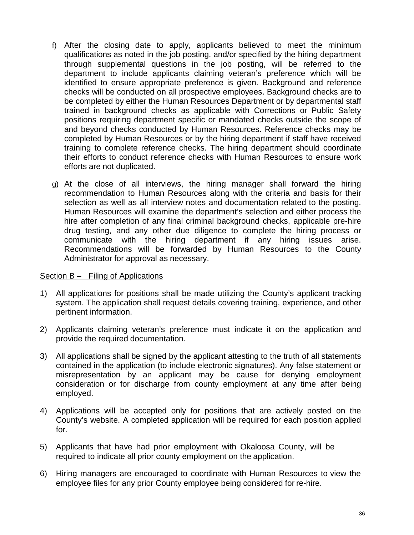- f) After the closing date to apply, applicants believed to meet the minimum qualifications as noted in the job posting, and/or specified by the hiring department through supplemental questions in the job posting, will be referred to the department to include applicants claiming veteran's preference which will be identified to ensure appropriate preference is given. Background and reference checks will be conducted on all prospective employees. Background checks are to be completed by either the Human Resources Department or by departmental staff trained in background checks as applicable with Corrections or Public Safety positions requiring department specific or mandated checks outside the scope of and beyond checks conducted by Human Resources. Reference checks may be completed by Human Resources or by the hiring department if staff have received training to complete reference checks. The hiring department should coordinate their efforts to conduct reference checks with Human Resources to ensure work efforts are not duplicated.
- g) At the close of all interviews, the hiring manager shall forward the hiring recommendation to Human Resources along with the criteria and basis for their selection as well as all interview notes and documentation related to the posting. Human Resources will examine the department's selection and either process the hire after completion of any final criminal background checks, applicable pre-hire drug testing, and any other due diligence to complete the hiring process or communicate with the hiring department if any hiring issues arise. Recommendations will be forwarded by Human Resources to the County Administrator for approval as necessary.

# Section B – Filing of Applications

- 1) All applications for positions shall be made utilizing the County's applicant tracking system. The application shall request details covering training, experience, and other pertinent information.
- 2) Applicants claiming veteran's preference must indicate it on the application and provide the required documentation.
- 3) All applications shall be signed by the applicant attesting to the truth of all statements contained in the application (to include electronic signatures). Any false statement or misrepresentation by an applicant may be cause for denying employment consideration or for discharge from county employment at any time after being employed.
- 4) Applications will be accepted only for positions that are actively posted on the County's website. A completed application will be required for each position applied for.
- 5) Applicants that have had prior employment with Okaloosa County, will be required to indicate all prior county employment on the application.
- 6) Hiring managers are encouraged to coordinate with Human Resources to view the employee files for any prior County employee being considered for re-hire.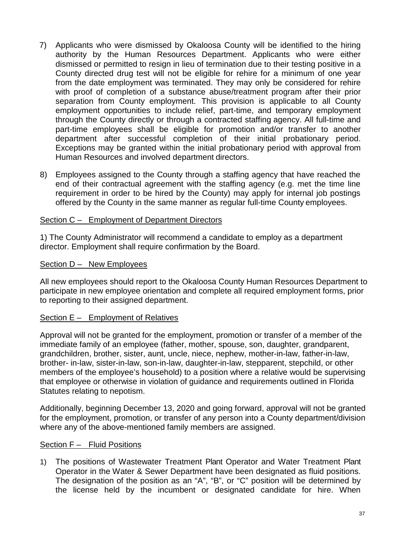- 7) Applicants who were dismissed by Okaloosa County will be identified to the hiring authority by the Human Resources Department. Applicants who were either dismissed or permitted to resign in lieu of termination due to their testing positive in a County directed drug test will not be eligible for rehire for a minimum of one year from the date employment was terminated. They may only be considered for rehire with proof of completion of a substance abuse/treatment program after their prior separation from County employment. This provision is applicable to all County employment opportunities to include relief, part-time, and temporary employment through the County directly or through a contracted staffing agency. All full-time and part-time employees shall be eligible for promotion and/or transfer to another department after successful completion of their initial probationary period. Exceptions may be granted within the initial probationary period with approval from Human Resources and involved department directors.
- 8) Employees assigned to the County through a staffing agency that have reached the end of their contractual agreement with the staffing agency (e.g. met the time line requirement in order to be hired by the County) may apply for internal job postings offered by the County in the same manner as regular full-time County employees.

# Section C – Employment of Department Directors

1) The County Administrator will recommend a candidate to employ as a department director. Employment shall require confirmation by the Board.

#### Section D - New Employees

All new employees should report to the Okaloosa County Human Resources Department to participate in new employee orientation and complete all required employment forms, prior to reporting to their assigned department.

# Section E – Employment of Relatives

Approval will not be granted for the employment, promotion or transfer of a member of the immediate family of an employee (father, mother, spouse, son, daughter, grandparent, grandchildren, brother, sister, aunt, uncle, niece, nephew, mother-in-law, father-in-law, brother- in-law, sister-in-law, son-in-law, daughter-in-law, stepparent, stepchild, or other members of the employee's household) to a position where a relative would be supervising that employee or otherwise in violation of guidance and requirements outlined in Florida Statutes relating to nepotism.

Additionally, beginning December 13, 2020 and going forward, approval will not be granted for the employment, promotion, or transfer of any person into a County department/division where any of the above-mentioned family members are assigned.

#### Section F - Fluid Positions

1) The positions of Wastewater Treatment Plant Operator and Water Treatment Plant Operator in the Water & Sewer Department have been designated as fluid positions. The designation of the position as an "A", "B", or "C" position will be determined by the license held by the incumbent or designated candidate for hire. When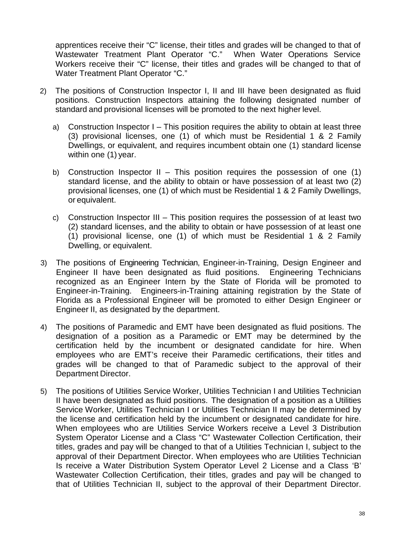apprentices receive their "C" license, their titles and grades will be changed to that of Wastewater Treatment Plant Operator "C." When Water Operations Service Workers receive their "C" license, their titles and grades will be changed to that of Water Treatment Plant Operator "C."

- 2) The positions of Construction Inspector I, II and III have been designated as fluid positions. Construction Inspectors attaining the following designated number of standard and provisional licenses will be promoted to the next higher level.
	- a) Construction Inspector I This position requires the ability to obtain at least three (3) provisional licenses, one (1) of which must be Residential 1 & 2 Family Dwellings, or equivalent, and requires incumbent obtain one (1) standard license within one (1) year.
	- b) Construction Inspector II This position requires the possession of one  $(1)$ standard license, and the ability to obtain or have possession of at least two (2) provisional licenses, one (1) of which must be Residential 1 & 2 Family Dwellings, or equivalent.
	- c) Construction Inspector III This position requires the possession of at least two (2) standard licenses, and the ability to obtain or have possession of at least one (1) provisional license, one (1) of which must be Residential 1 & 2 Family Dwelling, or equivalent.
- 3) The positions of Engineering Technician, Engineer-in-Training, Design Engineer and Engineer II have been designated as fluid positions. Engineering Technicians recognized as an Engineer Intern by the State of Florida will be promoted to Engineer-in-Training. Engineers-in-Training attaining registration by the State of Florida as a Professional Engineer will be promoted to either Design Engineer or Engineer II, as designated by the department.
- 4) The positions of Paramedic and EMT have been designated as fluid positions. The designation of a position as a Paramedic or EMT may be determined by the certification held by the incumbent or designated candidate for hire. When employees who are EMT's receive their Paramedic certifications, their titles and grades will be changed to that of Paramedic subject to the approval of their Department Director.
- 5) The positions of Utilities Service Worker, Utilities Technician I and Utilities Technician II have been designated as fluid positions. The designation of a position as a Utilities Service Worker, Utilities Technician I or Utilities Technician II may be determined by the license and certification held by the incumbent or designated candidate for hire. When employees who are Utilities Service Workers receive a Level 3 Distribution System Operator License and a Class "C" Wastewater Collection Certification, their titles, grades and pay will be changed to that of a Utilities Technician I, subject to the approval of their Department Director. When employees who are Utilities Technician Is receive a Water Distribution System Operator Level 2 License and a Class 'B' Wastewater Collection Certification, their titles, grades and pay will be changed to that of Utilities Technician II, subject to the approval of their Department Director.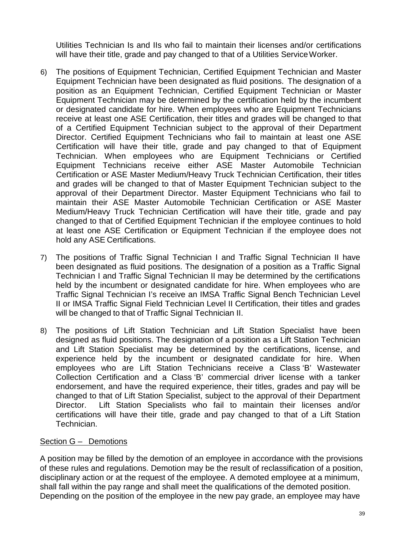Utilities Technician Is and IIs who fail to maintain their licenses and/or certifications will have their title, grade and pay changed to that of a Utilities Service Worker.

- 6) The positions of Equipment Technician, Certified Equipment Technician and Master Equipment Technician have been designated as fluid positions. The designation of a position as an Equipment Technician, Certified Equipment Technician or Master Equipment Technician may be determined by the certification held by the incumbent or designated candidate for hire. When employees who are Equipment Technicians receive at least one ASE Certification, their titles and grades will be changed to that of a Certified Equipment Technician subject to the approval of their Department Director. Certified Equipment Technicians who fail to maintain at least one ASE Certification will have their title, grade and pay changed to that of Equipment Technician. When employees who are Equipment Technicians or Certified Equipment Technicians receive either ASE Master Automobile Technician Certification or ASE Master Medium/Heavy Truck Technician Certification, their titles and grades will be changed to that of Master Equipment Technician subject to the approval of their Department Director. Master Equipment Technicians who fail to maintain their ASE Master Automobile Technician Certification or ASE Master Medium/Heavy Truck Technician Certification will have their title, grade and pay changed to that of Certified Equipment Technician if the employee continues to hold at least one ASE Certification or Equipment Technician if the employee does not hold any ASE Certifications.
- 7) The positions of Traffic Signal Technician I and Traffic Signal Technician II have been designated as fluid positions. The designation of a position as a Traffic Signal Technician I and Traffic Signal Technician II may be determined by the certifications held by the incumbent or designated candidate for hire. When employees who are Traffic Signal Technician I's receive an IMSA Traffic Signal Bench Technician Level II or IMSA Traffic Signal Field Technician Level II Certification, their titles and grades will be changed to that of Traffic Signal Technician II.
- 8) The positions of Lift Station Technician and Lift Station Specialist have been designed as fluid positions. The designation of a position as a Lift Station Technician and Lift Station Specialist may be determined by the certifications, license, and experience held by the incumbent or designated candidate for hire. When employees who are Lift Station Technicians receive a Class 'B' Wastewater Collection Certification and a Class 'B' commercial driver license with a tanker endorsement, and have the required experience, their titles, grades and pay will be changed to that of Lift Station Specialist, subject to the approval of their Department Director. Lift Station Specialists who fail to maintain their licenses and/or certifications will have their title, grade and pay changed to that of a Lift Station Technician.

#### Section G – Demotions

A position may be filled by the demotion of an employee in accordance with the provisions of these rules and regulations. Demotion may be the result of reclassification of a position, disciplinary action or at the request of the employee. A demoted employee at a minimum, shall fall within the pay range and shall meet the qualifications of the demoted position. Depending on the position of the employee in the new pay grade, an employee may have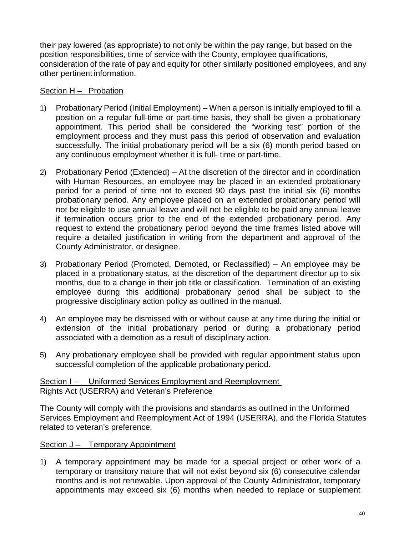their pay lowered (as appropriate) to not only be within the pay range, but based on the position responsibilities, time of service with the County, employee qualifications, consideration of the rate of pay and equity for other similarly positioned employees, and any other pertinent information.

# Section H – Probation

- 1) Probationary Period (Initial Employment) When a person is initially employed to fill a position on a regular full-time or part-time basis, they shall be given a probationary appointment. This period shall be considered the "working test" portion of the employment process and they must pass this period of observation and evaluation successfully. The initial probationary period will be a six (6) month period based on any continuous employment whether it is full- time or part-time.
- 2) Probationary Period (Extended) At the discretion of the director and in coordination with Human Resources, an employee may be placed in an extended probationary period for a period of time not to exceed 90 days past the initial six (6) months probationary period. Any employee placed on an extended probationary period will not be eligible to use annual leave and will not be eligible to be paid any annual leave if termination occurs prior to the end of the extended probationary period. Any request to extend the probationary period beyond the time frames listed above will require a detailed justification in writing from the department and approval of the County Administrator, or designee.
- 3) Probationary Period (Promoted, Demoted, or Reclassified) An employee may be placed in a probationary status, at the discretion of the department director up to six months, due to a change in their job title or classification. Termination of an existing employee during this additional probationary period shall be subject to the progressive disciplinary action policy as outlined in the manual.
- 4) An employee may be dismissed with or without cause at any time during the initial or extension of the initial probationary period or during a probationary period associated with a demotion as a result of disciplinary action.
- 5) Any probationary employee shall be provided with regular appointment status upon successful completion of the applicable probationary period.

# Section I – Uniformed Services Employment and Reemployment Rights Act (USERRA) and Veteran's Preference

The County will comply with the provisions and standards as outlined in the Uniformed Services Employment and Reemployment Act of 1994 (USERRA), and the Florida Statutes related to veteran's preference.

# Section J – Temporary Appointment

1) A temporary appointment may be made for a special project or other work of a temporary or transitory nature that will not exist beyond six (6) consecutive calendar months and is not renewable. Upon approval of the County Administrator, temporary appointments may exceed six (6) months when needed to replace or supplement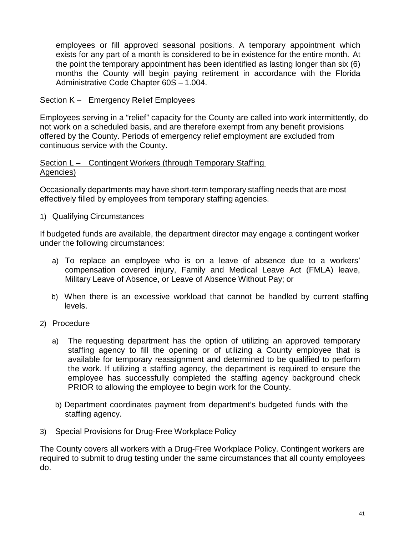employees or fill approved seasonal positions. A temporary appointment which exists for any part of a month is considered to be in existence for the entire month. At the point the temporary appointment has been identified as lasting longer than six (6) months the County will begin paying retirement in accordance with the Florida Administrative Code Chapter 60S – 1.004.

# Section K – Emergency Relief Employees

Employees serving in a "relief" capacity for the County are called into work intermittently, do not work on a scheduled basis, and are therefore exempt from any benefit provisions offered by the County. Periods of emergency relief employment are excluded from continuous service with the County.

#### Section L – Contingent Workers (through Temporary Staffing Agencies)

Occasionally departments may have short-term temporary staffing needs that are most effectively filled by employees from temporary staffing agencies.

1) Qualifying Circumstances

If budgeted funds are available, the department director may engage a contingent worker under the following circumstances:

- a) To replace an employee who is on a leave of absence due to a workers' compensation covered injury, Family and Medical Leave Act (FMLA) leave, Military Leave of Absence, or Leave of Absence Without Pay; or
- b) When there is an excessive workload that cannot be handled by current staffing levels.
- 2) Procedure
	- a) The requesting department has the option of utilizing an approved temporary staffing agency to fill the opening or of utilizing a County employee that is available for temporary reassignment and determined to be qualified to perform the work. If utilizing a staffing agency, the department is required to ensure the employee has successfully completed the staffing agency background check PRIOR to allowing the employee to begin work for the County.
	- b) Department coordinates payment from department's budgeted funds with the staffing agency.
- 3) Special Provisions for Drug-Free Workplace Policy

The County covers all workers with a Drug-Free Workplace Policy. Contingent workers are required to submit to drug testing under the same circumstances that all county employees do.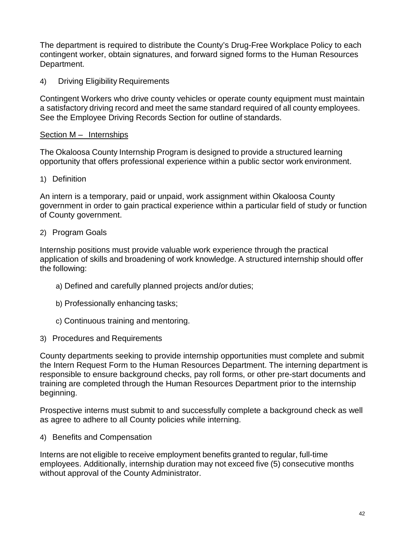The department is required to distribute the County's Drug-Free Workplace Policy to each contingent worker, obtain signatures, and forward signed forms to the Human Resources Department.

4) Driving Eligibility Requirements

Contingent Workers who drive county vehicles or operate county equipment must maintain a satisfactory driving record and meet the same standard required of all county employees. See the Employee Driving Records Section for outline of standards.

# Section M – Internships

The Okaloosa County Internship Program is designed to provide a structured learning opportunity that offers professional experience within a public sector work environment.

1) Definition

An intern is a temporary, paid or unpaid, work assignment within Okaloosa County government in order to gain practical experience within a particular field of study or function of County government.

# 2) Program Goals

Internship positions must provide valuable work experience through the practical application of skills and broadening of work knowledge. A structured internship should offer the following:

- a) Defined and carefully planned projects and/or duties;
- b) Professionally enhancing tasks;
- c) Continuous training and mentoring.
- 3) Procedures and Requirements

County departments seeking to provide internship opportunities must complete and submit the Intern Request Form to the Human Resources Department. The interning department is responsible to ensure background checks, pay roll forms, or other pre-start documents and training are completed through the Human Resources Department prior to the internship beginning.

Prospective interns must submit to and successfully complete a background check as well as agree to adhere to all County policies while interning.

4) Benefits and Compensation

Interns are not eligible to receive employment benefits granted to regular, full-time employees. Additionally, internship duration may not exceed five (5) consecutive months without approval of the County Administrator.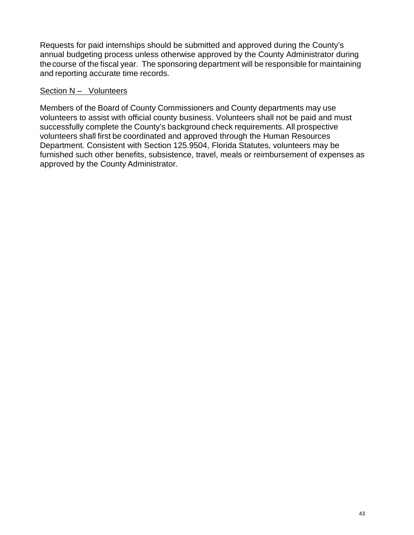Requests for paid internships should be submitted and approved during the County's annual budgeting process unless otherwise approved by the County Administrator during thecourse of the fiscal year. The sponsoring department will be responsible for maintaining and reporting accurate time records.

## Section N – Volunteers

Members of the Board of County Commissioners and County departments may use volunteers to assist with official county business. Volunteers shall not be paid and must successfully complete the County's background check requirements. All prospective volunteers shall first be coordinated and approved through the Human Resources Department. Consistent with Section 125.9504, Florida Statutes, volunteers may be furnished such other benefits, subsistence, travel, meals or reimbursement of expenses as approved by the County Administrator.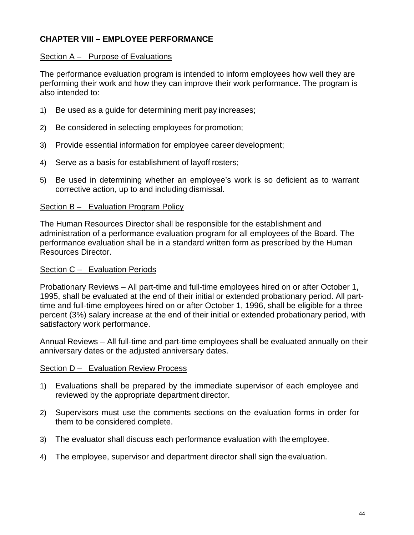# **CHAPTER VIII – EMPLOYEE PERFORMANCE**

## Section A – Purpose of Evaluations

The performance evaluation program is intended to inform employees how well they are performing their work and how they can improve their work performance. The program is also intended to:

- 1) Be used as a guide for determining merit pay increases;
- 2) Be considered in selecting employees for promotion;
- 3) Provide essential information for employee career development;
- 4) Serve as a basis for establishment of layoff rosters;
- 5) Be used in determining whether an employee's work is so deficient as to warrant corrective action, up to and including dismissal.

## Section B – Evaluation Program Policy

The Human Resources Director shall be responsible for the establishment and administration of a performance evaluation program for all employees of the Board. The performance evaluation shall be in a standard written form as prescribed by the Human Resources Director.

#### Section C – Evaluation Periods

Probationary Reviews – All part-time and full-time employees hired on or after October 1, 1995, shall be evaluated at the end of their initial or extended probationary period. All parttime and full-time employees hired on or after October 1, 1996, shall be eligible for a three percent (3%) salary increase at the end of their initial or extended probationary period, with satisfactory work performance.

Annual Reviews – All full-time and part-time employees shall be evaluated annually on their anniversary dates or the adjusted anniversary dates.

#### Section D – Evaluation Review Process

- 1) Evaluations shall be prepared by the immediate supervisor of each employee and reviewed by the appropriate department director.
- 2) Supervisors must use the comments sections on the evaluation forms in order for them to be considered complete.
- 3) The evaluator shall discuss each performance evaluation with the employee.
- 4) The employee, supervisor and department director shall sign the evaluation.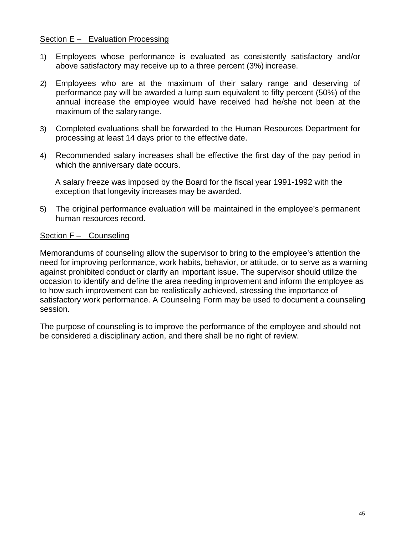### Section E – Evaluation Processing

- 1) Employees whose performance is evaluated as consistently satisfactory and/or above satisfactory may receive up to a three percent (3%) increase.
- 2) Employees who are at the maximum of their salary range and deserving of performance pay will be awarded a lump sum equivalent to fifty percent (50%) of the annual increase the employee would have received had he/she not been at the maximum of the salaryrange.
- 3) Completed evaluations shall be forwarded to the Human Resources Department for processing at least 14 days prior to the effective date.
- 4) Recommended salary increases shall be effective the first day of the pay period in which the anniversary date occurs.

A salary freeze was imposed by the Board for the fiscal year 1991-1992 with the exception that longevity increases may be awarded.

5) The original performance evaluation will be maintained in the employee's permanent human resources record.

## Section F – Counseling

Memorandums of counseling allow the supervisor to bring to the employee's attention the need for improving performance, work habits, behavior, or attitude, or to serve as a warning against prohibited conduct or clarify an important issue. The supervisor should utilize the occasion to identify and define the area needing improvement and inform the employee as to how such improvement can be realistically achieved, stressing the importance of satisfactory work performance. A Counseling Form may be used to document a counseling session.

The purpose of counseling is to improve the performance of the employee and should not be considered a disciplinary action, and there shall be no right of review.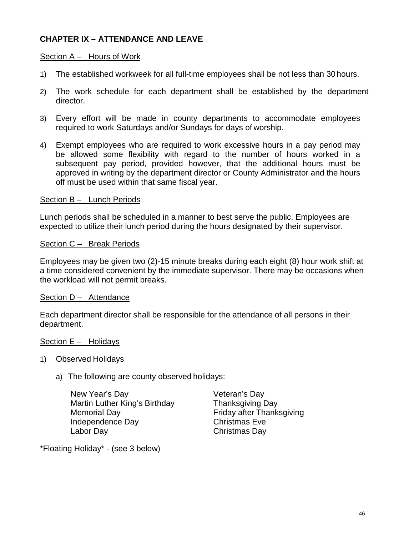# **CHAPTER IX – ATTENDANCE AND LEAVE**

#### Section A – Hours of Work

- 1) The established workweek for all full-time employees shall be not less than 30 hours.
- 2) The work schedule for each department shall be established by the department director.
- 3) Every effort will be made in county departments to accommodate employees required to work Saturdays and/or Sundays for days of worship.
- 4) Exempt employees who are required to work excessive hours in a pay period may be allowed some flexibility with regard to the number of hours worked in a subsequent pay period, provided however, that the additional hours must be approved in writing by the department director or County Administrator and the hours off must be used within that same fiscal year.

#### Section B - Lunch Periods

Lunch periods shall be scheduled in a manner to best serve the public. Employees are expected to utilize their lunch period during the hours designated by their supervisor.

#### Section C - Break Periods

Employees may be given two (2)-15 minute breaks during each eight (8) hour work shift at a time considered convenient by the immediate supervisor. There may be occasions when the workload will not permit breaks.

#### Section D – Attendance

Each department director shall be responsible for the attendance of all persons in their department.

#### Section E - Holidays

- 1) Observed Holidays
	- a) The following are county observed holidays:

New Year's Day **Veteran's Day** Martin Luther King's Birthday Thanksgiving Day Memorial Day **Friday after Thanksgiving** Independence Day Christmas Eve Labor Day Christmas Day

\*Floating Holiday\* - (see 3 below)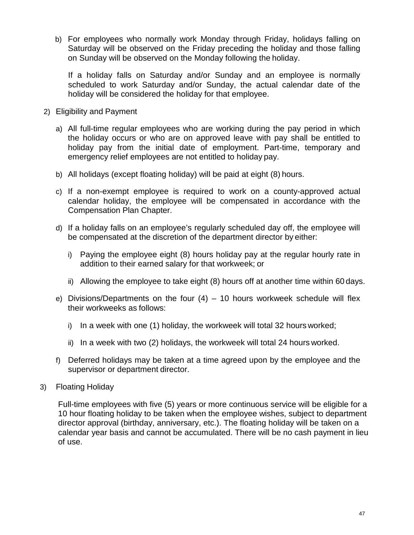b) For employees who normally work Monday through Friday, holidays falling on Saturday will be observed on the Friday preceding the holiday and those falling on Sunday will be observed on the Monday following the holiday.

If a holiday falls on Saturday and/or Sunday and an employee is normally scheduled to work Saturday and/or Sunday, the actual calendar date of the holiday will be considered the holiday for that employee.

- 2) Eligibility and Payment
	- a) All full-time regular employees who are working during the pay period in which the holiday occurs or who are on approved leave with pay shall be entitled to holiday pay from the initial date of employment. Part-time, temporary and emergency relief employees are not entitled to holiday pay.
	- b) All holidays (except floating holiday) will be paid at eight (8) hours.
	- c) If a non-exempt employee is required to work on a county-approved actual calendar holiday, the employee will be compensated in accordance with the Compensation Plan Chapter.
	- d) If a holiday falls on an employee's regularly scheduled day off, the employee will be compensated at the discretion of the department director by either:
		- i) Paying the employee eight (8) hours holiday pay at the regular hourly rate in addition to their earned salary for that workweek; or
		- ii) Allowing the employee to take eight (8) hours off at another time within 60 days.
	- e) Divisions/Departments on the four  $(4) 10$  hours workweek schedule will flex their workweeks as follows:
		- i) In a week with one (1) holiday, the workweek will total 32 hours worked;
		- ii) In a week with two (2) holidays, the workweek will total 24 hours worked.
	- f) Deferred holidays may be taken at a time agreed upon by the employee and the supervisor or department director.
- 3) Floating Holiday

Full-time employees with five (5) years or more continuous service will be eligible for a 10 hour floating holiday to be taken when the employee wishes, subject to department director approval (birthday, anniversary, etc.). The floating holiday will be taken on a calendar year basis and cannot be accumulated. There will be no cash payment in lieu of use.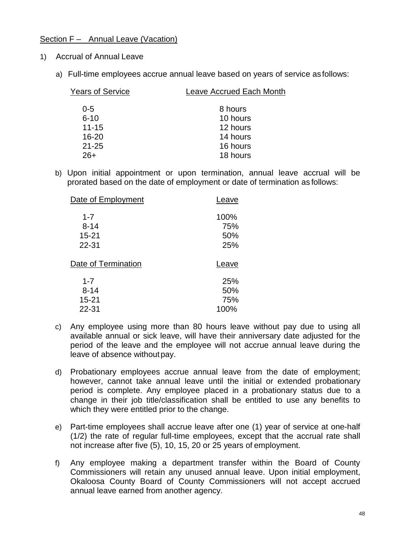## Section F – Annual Leave (Vacation)

- 1) Accrual of Annual Leave
	- a) Full-time employees accrue annual leave based on years of service asfollows:

| <b>Years of Service</b> | Leave Accrued Each Month |
|-------------------------|--------------------------|
| $0 - 5$                 | 8 hours                  |
| $6 - 10$                | 10 hours                 |
| $11 - 15$               | 12 hours                 |
| $16 - 20$               | 14 hours                 |
| $21 - 25$               | 16 hours                 |
| 26+                     | 18 hours                 |
|                         |                          |

b) Upon initial appointment or upon termination, annual leave accrual will be prorated based on the date of employment or date of termination as follows:

| Leave                     |
|---------------------------|
| 100%<br>75%<br>50%<br>25% |
| Leave                     |
| 25%<br>50%<br>75%<br>100% |
|                           |

- c) Any employee using more than 80 hours leave without pay due to using all available annual or sick leave, will have their anniversary date adjusted for the period of the leave and the employee will not accrue annual leave during the leave of absence withoutpay.
- d) Probationary employees accrue annual leave from the date of employment; however, cannot take annual leave until the initial or extended probationary period is complete. Any employee placed in a probationary status due to a change in their job title/classification shall be entitled to use any benefits to which they were entitled prior to the change.
- e) Part-time employees shall accrue leave after one (1) year of service at one-half (1/2) the rate of regular full-time employees, except that the accrual rate shall not increase after five (5), 10, 15, 20 or 25 years of employment.
- f) Any employee making a department transfer within the Board of County Commissioners will retain any unused annual leave. Upon initial employment, Okaloosa County Board of County Commissioners will not accept accrued annual leave earned from another agency.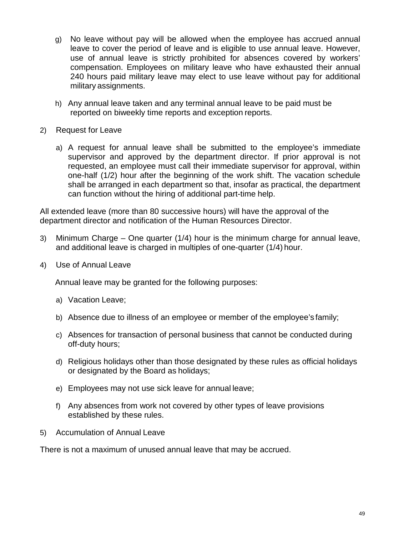- g) No leave without pay will be allowed when the employee has accrued annual leave to cover the period of leave and is eligible to use annual leave. However, use of annual leave is strictly prohibited for absences covered by workers' compensation. Employees on military leave who have exhausted their annual 240 hours paid military leave may elect to use leave without pay for additional military assignments.
- h) Any annual leave taken and any terminal annual leave to be paid must be reported on biweekly time reports and exception reports.
- 2) Request for Leave
	- a) A request for annual leave shall be submitted to the employee's immediate supervisor and approved by the department director. If prior approval is not requested, an employee must call their immediate supervisor for approval, within one-half (1/2) hour after the beginning of the work shift. The vacation schedule shall be arranged in each department so that, insofar as practical, the department can function without the hiring of additional part-time help.

All extended leave (more than 80 successive hours) will have the approval of the department director and notification of the Human Resources Director.

- 3) Minimum Charge One quarter (1/4) hour is the minimum charge for annual leave, and additional leave is charged in multiples of one-quarter (1/4) hour.
- 4) Use of Annual Leave

Annual leave may be granted for the following purposes:

- a) Vacation Leave;
- b) Absence due to illness of an employee or member of the employee's family;
- c) Absences for transaction of personal business that cannot be conducted during off-duty hours;
- d) Religious holidays other than those designated by these rules as official holidays or designated by the Board as holidays;
- e) Employees may not use sick leave for annual leave;
- f) Any absences from work not covered by other types of leave provisions established by these rules.
- 5) Accumulation of Annual Leave

There is not a maximum of unused annual leave that may be accrued.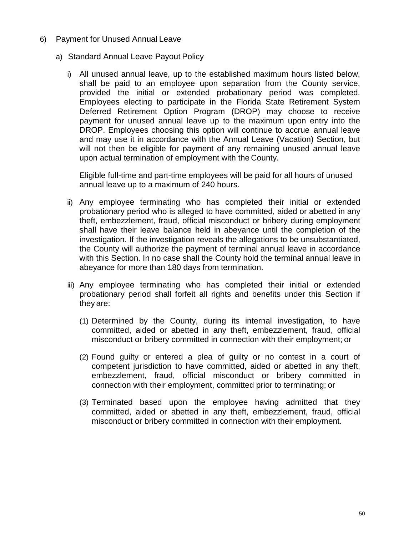- 6) Payment for Unused Annual Leave
	- a) Standard Annual Leave Payout Policy
		- i) All unused annual leave, up to the established maximum hours listed below, shall be paid to an employee upon separation from the County service, provided the initial or extended probationary period was completed. Employees electing to participate in the Florida State Retirement System Deferred Retirement Option Program (DROP) may choose to receive payment for unused annual leave up to the maximum upon entry into the DROP. Employees choosing this option will continue to accrue annual leave and may use it in accordance with the Annual Leave (Vacation) Section, but will not then be eligible for payment of any remaining unused annual leave upon actual termination of employment with the County.

Eligible full-time and part-time employees will be paid for all hours of unused annual leave up to a maximum of 240 hours.

- ii) Any employee terminating who has completed their initial or extended probationary period who is alleged to have committed, aided or abetted in any theft, embezzlement, fraud, official misconduct or bribery during employment shall have their leave balance held in abeyance until the completion of the investigation. If the investigation reveals the allegations to be unsubstantiated, the County will authorize the payment of terminal annual leave in accordance with this Section. In no case shall the County hold the terminal annual leave in abeyance for more than 180 days from termination.
- iii) Any employee terminating who has completed their initial or extended probationary period shall forfeit all rights and benefits under this Section if they are:
	- (1) Determined by the County, during its internal investigation, to have committed, aided or abetted in any theft, embezzlement, fraud, official misconduct or bribery committed in connection with their employment; or
	- (2) Found guilty or entered a plea of guilty or no contest in a court of competent jurisdiction to have committed, aided or abetted in any theft, embezzlement, fraud, official misconduct or bribery committed in connection with their employment, committed prior to terminating; or
	- (3) Terminated based upon the employee having admitted that they committed, aided or abetted in any theft, embezzlement, fraud, official misconduct or bribery committed in connection with their employment.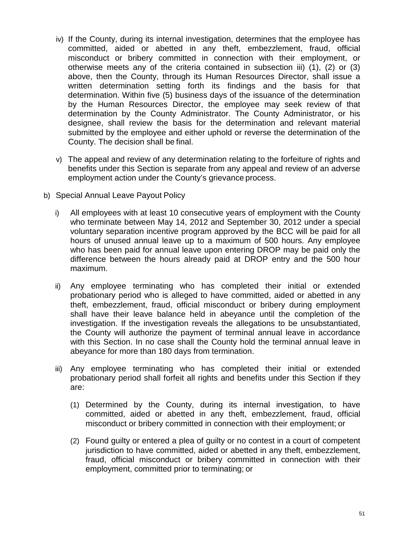- iv) If the County, during its internal investigation, determines that the employee has committed, aided or abetted in any theft, embezzlement, fraud, official misconduct or bribery committed in connection with their employment, or otherwise meets any of the criteria contained in subsection iii) (1), (2) or (3) above, then the County, through its Human Resources Director, shall issue a written determination setting forth its findings and the basis for that determination. Within five (5) business days of the issuance of the determination by the Human Resources Director, the employee may seek review of that determination by the County Administrator. The County Administrator, or his designee, shall review the basis for the determination and relevant material submitted by the employee and either uphold or reverse the determination of the County. The decision shall be final.
- v) The appeal and review of any determination relating to the forfeiture of rights and benefits under this Section is separate from any appeal and review of an adverse employment action under the County's grievance process.
- b) Special Annual Leave Payout Policy
	- i) All employees with at least 10 consecutive years of employment with the County who terminate between May 14, 2012 and September 30, 2012 under a special voluntary separation incentive program approved by the BCC will be paid for all hours of unused annual leave up to a maximum of 500 hours. Any employee who has been paid for annual leave upon entering DROP may be paid only the difference between the hours already paid at DROP entry and the 500 hour maximum.
	- ii) Any employee terminating who has completed their initial or extended probationary period who is alleged to have committed, aided or abetted in any theft, embezzlement, fraud, official misconduct or bribery during employment shall have their leave balance held in abeyance until the completion of the investigation. If the investigation reveals the allegations to be unsubstantiated, the County will authorize the payment of terminal annual leave in accordance with this Section. In no case shall the County hold the terminal annual leave in abeyance for more than 180 days from termination.
	- iii) Any employee terminating who has completed their initial or extended probationary period shall forfeit all rights and benefits under this Section if they are:
		- (1) Determined by the County, during its internal investigation, to have committed, aided or abetted in any theft, embezzlement, fraud, official misconduct or bribery committed in connection with their employment; or
		- (2) Found guilty or entered a plea of guilty or no contest in a court of competent jurisdiction to have committed, aided or abetted in any theft, embezzlement, fraud, official misconduct or bribery committed in connection with their employment, committed prior to terminating; or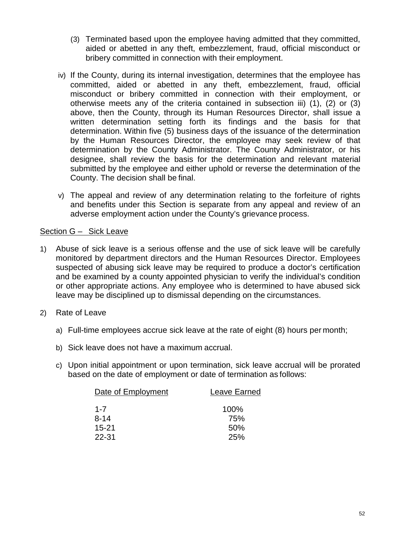- (3) Terminated based upon the employee having admitted that they committed, aided or abetted in any theft, embezzlement, fraud, official misconduct or bribery committed in connection with their employment.
- iv) If the County, during its internal investigation, determines that the employee has committed, aided or abetted in any theft, embezzlement, fraud, official misconduct or bribery committed in connection with their employment, or otherwise meets any of the criteria contained in subsection iii) (1), (2) or (3) above, then the County, through its Human Resources Director, shall issue a written determination setting forth its findings and the basis for that determination. Within five (5) business days of the issuance of the determination by the Human Resources Director, the employee may seek review of that determination by the County Administrator. The County Administrator, or his designee, shall review the basis for the determination and relevant material submitted by the employee and either uphold or reverse the determination of the County. The decision shall be final.
- v) The appeal and review of any determination relating to the forfeiture of rights and benefits under this Section is separate from any appeal and review of an adverse employment action under the County's grievance process.

# Section G – Sick Leave

- 1) Abuse of sick leave is a serious offense and the use of sick leave will be carefully monitored by department directors and the Human Resources Director. Employees suspected of abusing sick leave may be required to produce a doctor's certification and be examined by a county appointed physician to verify the individual's condition or other appropriate actions. Any employee who is determined to have abused sick leave may be disciplined up to dismissal depending on the circumstances.
- 2) Rate of Leave
	- a) Full-time employees accrue sick leave at the rate of eight (8) hours per month;
	- b) Sick leave does not have a maximum accrual.
	- c) Upon initial appointment or upon termination, sick leave accrual will be prorated based on the date of employment or date of termination as follows:

| Date of Employment | Leave Earned |
|--------------------|--------------|
| $1 - 7$            | 100%         |
| $8 - 14$           | 75%          |
| $15 - 21$          | 50%          |
| 22-31              | 25%          |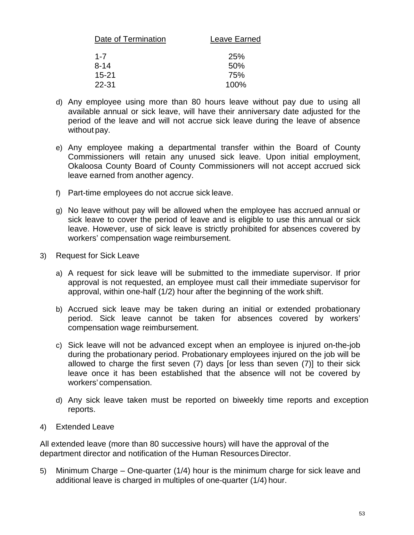| Leave Earned |
|--------------|
| <b>25%</b>   |
| 50%          |
| 75%          |
| 100%         |
|              |

- d) Any employee using more than 80 hours leave without pay due to using all available annual or sick leave, will have their anniversary date adjusted for the period of the leave and will not accrue sick leave during the leave of absence without pay.
- e) Any employee making a departmental transfer within the Board of County Commissioners will retain any unused sick leave. Upon initial employment, Okaloosa County Board of County Commissioners will not accept accrued sick leave earned from another agency.
- f) Part-time employees do not accrue sick leave.
- g) No leave without pay will be allowed when the employee has accrued annual or sick leave to cover the period of leave and is eligible to use this annual or sick leave. However, use of sick leave is strictly prohibited for absences covered by workers' compensation wage reimbursement.
- 3) Request for Sick Leave
	- a) A request for sick leave will be submitted to the immediate supervisor. If prior approval is not requested, an employee must call their immediate supervisor for approval, within one-half (1/2) hour after the beginning of the work shift.
	- b) Accrued sick leave may be taken during an initial or extended probationary period. Sick leave cannot be taken for absences covered by workers' compensation wage reimbursement.
	- c) Sick leave will not be advanced except when an employee is injured on-the-job during the probationary period. Probationary employees injured on the job will be allowed to charge the first seven (7) days [or less than seven (7)] to their sick leave once it has been established that the absence will not be covered by workers' compensation.
	- d) Any sick leave taken must be reported on biweekly time reports and exception reports.
- 4) Extended Leave

All extended leave (more than 80 successive hours) will have the approval of the department director and notification of the Human Resources Director.

5) Minimum Charge – One-quarter (1/4) hour is the minimum charge for sick leave and additional leave is charged in multiples of one-quarter (1/4) hour.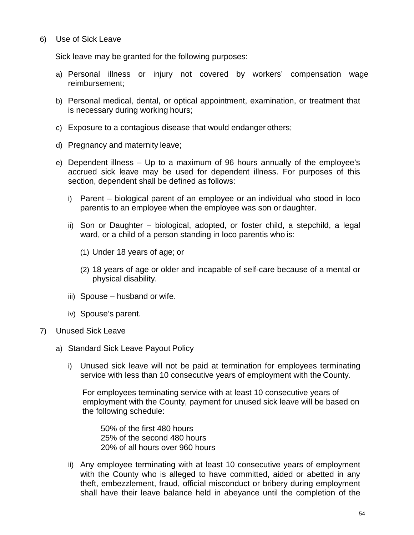6) Use of Sick Leave

Sick leave may be granted for the following purposes:

- a) Personal illness or injury not covered by workers' compensation wage reimbursement;
- b) Personal medical, dental, or optical appointment, examination, or treatment that is necessary during working hours;
- c) Exposure to a contagious disease that would endanger others;
- d) Pregnancy and maternity leave;
- e) Dependent illness Up to a maximum of 96 hours annually of the employee's accrued sick leave may be used for dependent illness. For purposes of this section, dependent shall be defined as follows:
	- i) Parent biological parent of an employee or an individual who stood in loco parentis to an employee when the employee was son or daughter.
	- ii) Son or Daughter biological, adopted, or foster child, a stepchild, a legal ward, or a child of a person standing in loco parentis who is:
		- (1) Under 18 years of age; or
		- (2) 18 years of age or older and incapable of self-care because of a mental or physical disability.
	- iii) Spouse husband or wife.
	- iv) Spouse's parent.
- 7) Unused Sick Leave
	- a) Standard Sick Leave Payout Policy
		- i) Unused sick leave will not be paid at termination for employees terminating service with less than 10 consecutive years of employment with the County.

For employees terminating service with at least 10 consecutive years of employment with the County, payment for unused sick leave will be based on the following schedule:

50% of the first 480 hours 25% of the second 480 hours 20% of all hours over 960 hours

ii) Any employee terminating with at least 10 consecutive years of employment with the County who is alleged to have committed, aided or abetted in any theft, embezzlement, fraud, official misconduct or bribery during employment shall have their leave balance held in abeyance until the completion of the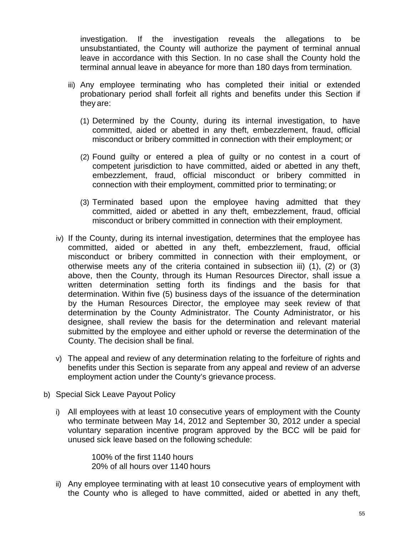investigation. If the investigation reveals the allegations to be unsubstantiated, the County will authorize the payment of terminal annual leave in accordance with this Section. In no case shall the County hold the terminal annual leave in abeyance for more than 180 days from termination.

- iii) Any employee terminating who has completed their initial or extended probationary period shall forfeit all rights and benefits under this Section if they are:
	- (1) Determined by the County, during its internal investigation, to have committed, aided or abetted in any theft, embezzlement, fraud, official misconduct or bribery committed in connection with their employment; or
	- (2) Found guilty or entered a plea of guilty or no contest in a court of competent jurisdiction to have committed, aided or abetted in any theft, embezzlement, fraud, official misconduct or bribery committed in connection with their employment, committed prior to terminating; or
	- (3) Terminated based upon the employee having admitted that they committed, aided or abetted in any theft, embezzlement, fraud, official misconduct or bribery committed in connection with their employment.
- iv) If the County, during its internal investigation, determines that the employee has committed, aided or abetted in any theft, embezzlement, fraud, official misconduct or bribery committed in connection with their employment, or otherwise meets any of the criteria contained in subsection iii) (1), (2) or (3) above, then the County, through its Human Resources Director, shall issue a written determination setting forth its findings and the basis for that determination. Within five (5) business days of the issuance of the determination by the Human Resources Director, the employee may seek review of that determination by the County Administrator. The County Administrator, or his designee, shall review the basis for the determination and relevant material submitted by the employee and either uphold or reverse the determination of the County. The decision shall be final.
- v) The appeal and review of any determination relating to the forfeiture of rights and benefits under this Section is separate from any appeal and review of an adverse employment action under the County's grievance process.
- b) Special Sick Leave Payout Policy
	- i) All employees with at least 10 consecutive years of employment with the County who terminate between May 14, 2012 and September 30, 2012 under a special voluntary separation incentive program approved by the BCC will be paid for unused sick leave based on the following schedule:

100% of the first 1140 hours 20% of all hours over 1140 hours

ii) Any employee terminating with at least 10 consecutive years of employment with the County who is alleged to have committed, aided or abetted in any theft,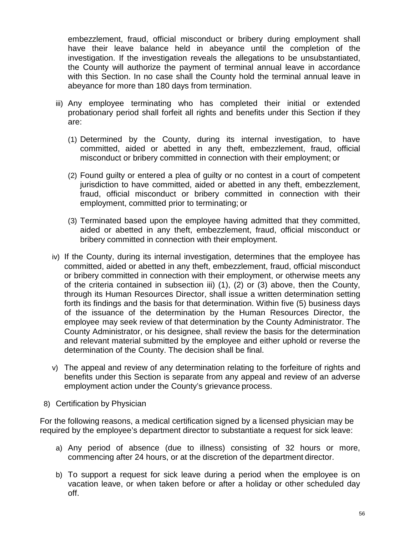embezzlement, fraud, official misconduct or bribery during employment shall have their leave balance held in abeyance until the completion of the investigation. If the investigation reveals the allegations to be unsubstantiated, the County will authorize the payment of terminal annual leave in accordance with this Section. In no case shall the County hold the terminal annual leave in abeyance for more than 180 days from termination.

- iii) Any employee terminating who has completed their initial or extended probationary period shall forfeit all rights and benefits under this Section if they are:
	- (1) Determined by the County, during its internal investigation, to have committed, aided or abetted in any theft, embezzlement, fraud, official misconduct or bribery committed in connection with their employment; or
	- (2) Found guilty or entered a plea of guilty or no contest in a court of competent jurisdiction to have committed, aided or abetted in any theft, embezzlement, fraud, official misconduct or bribery committed in connection with their employment, committed prior to terminating; or
	- (3) Terminated based upon the employee having admitted that they committed, aided or abetted in any theft, embezzlement, fraud, official misconduct or bribery committed in connection with their employment.
- iv) If the County, during its internal investigation, determines that the employee has committed, aided or abetted in any theft, embezzlement, fraud, official misconduct or bribery committed in connection with their employment, or otherwise meets any of the criteria contained in subsection iii) (1), (2) or (3) above, then the County, through its Human Resources Director, shall issue a written determination setting forth its findings and the basis for that determination. Within five (5) business days of the issuance of the determination by the Human Resources Director, the employee may seek review of that determination by the County Administrator. The County Administrator, or his designee, shall review the basis for the determination and relevant material submitted by the employee and either uphold or reverse the determination of the County. The decision shall be final.
- v) The appeal and review of any determination relating to the forfeiture of rights and benefits under this Section is separate from any appeal and review of an adverse employment action under the County's grievance process.
- 8) Certification by Physician

For the following reasons, a medical certification signed by a licensed physician may be required by the employee's department director to substantiate a request for sick leave:

- a) Any period of absence (due to illness) consisting of 32 hours or more, commencing after 24 hours, or at the discretion of the department director.
- b) To support a request for sick leave during a period when the employee is on vacation leave, or when taken before or after a holiday or other scheduled day off.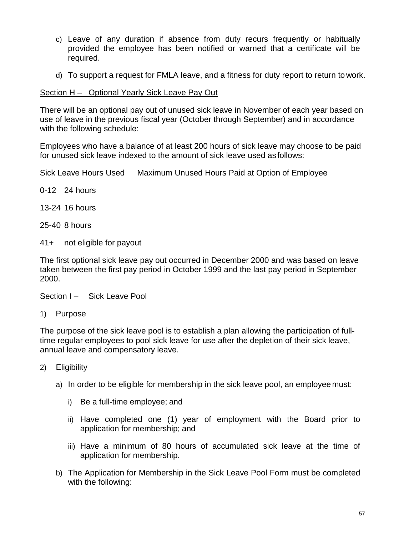- c) Leave of any duration if absence from duty recurs frequently or habitually provided the employee has been notified or warned that a certificate will be required.
- d) To support a request for FMLA leave, and a fitness for duty report to return to work.

# Section H - Optional Yearly Sick Leave Pay Out

There will be an optional pay out of unused sick leave in November of each year based on use of leave in the previous fiscal year (October through September) and in accordance with the following schedule:

Employees who have a balance of at least 200 hours of sick leave may choose to be paid for unused sick leave indexed to the amount of sick leave used as follows:

Sick Leave Hours Used Maximum Unused Hours Paid at Option of Employee

- 0-12 24 hours
- 13-24 16 hours
- 25-40 8 hours
- 41+ not eligible for payout

The first optional sick leave pay out occurred in December 2000 and was based on leave taken between the first pay period in October 1999 and the last pay period in September 2000.

Section I – Sick Leave Pool

1) Purpose

The purpose of the sick leave pool is to establish a plan allowing the participation of fulltime regular employees to pool sick leave for use after the depletion of their sick leave, annual leave and compensatory leave.

- 2) Eligibility
	- a) In order to be eligible for membership in the sick leave pool, an employee must:
		- i) Be a full-time employee; and
		- ii) Have completed one (1) year of employment with the Board prior to application for membership; and
		- iii) Have a minimum of 80 hours of accumulated sick leave at the time of application for membership.
	- b) The Application for Membership in the Sick Leave Pool Form must be completed with the following: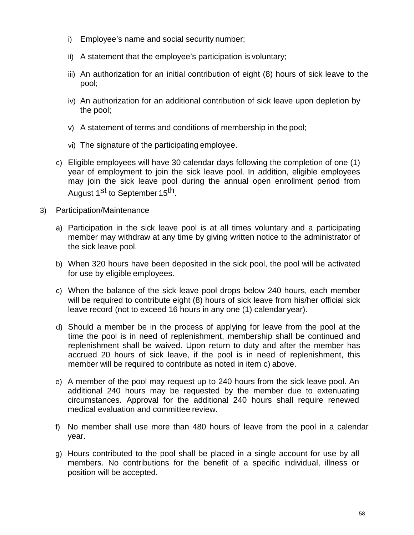- i) Employee's name and social security number;
- ii) A statement that the employee's participation is voluntary;
- iii) An authorization for an initial contribution of eight (8) hours of sick leave to the pool;
- iv) An authorization for an additional contribution of sick leave upon depletion by the pool;
- v) A statement of terms and conditions of membership in the pool;
- vi) The signature of the participating employee.
- c) Eligible employees will have 30 calendar days following the completion of one (1) year of employment to join the sick leave pool. In addition, eligible employees may join the sick leave pool during the annual open enrollment period from August 1<sup>st</sup> to September 15<sup>th</sup>.
- 3) Participation/Maintenance
	- a) Participation in the sick leave pool is at all times voluntary and a participating member may withdraw at any time by giving written notice to the administrator of the sick leave pool.
	- b) When 320 hours have been deposited in the sick pool, the pool will be activated for use by eligible employees.
	- c) When the balance of the sick leave pool drops below 240 hours, each member will be required to contribute eight (8) hours of sick leave from his/her official sick leave record (not to exceed 16 hours in any one (1) calendar year).
	- d) Should a member be in the process of applying for leave from the pool at the time the pool is in need of replenishment, membership shall be continued and replenishment shall be waived. Upon return to duty and after the member has accrued 20 hours of sick leave, if the pool is in need of replenishment, this member will be required to contribute as noted in item c) above.
	- e) A member of the pool may request up to 240 hours from the sick leave pool. An additional 240 hours may be requested by the member due to extenuating circumstances. Approval for the additional 240 hours shall require renewed medical evaluation and committee review.
	- f) No member shall use more than 480 hours of leave from the pool in a calendar year.
	- g) Hours contributed to the pool shall be placed in a single account for use by all members. No contributions for the benefit of a specific individual, illness or position will be accepted.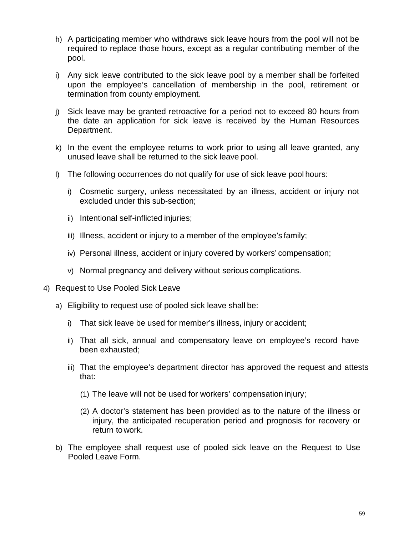- h) A participating member who withdraws sick leave hours from the pool will not be required to replace those hours, except as a regular contributing member of the pool.
- i) Any sick leave contributed to the sick leave pool by a member shall be forfeited upon the employee's cancellation of membership in the pool, retirement or termination from county employment.
- j) Sick leave may be granted retroactive for a period not to exceed 80 hours from the date an application for sick leave is received by the Human Resources Department.
- k) In the event the employee returns to work prior to using all leave granted, any unused leave shall be returned to the sick leave pool.
- l) The following occurrences do not qualify for use of sick leave pool hours:
	- i) Cosmetic surgery, unless necessitated by an illness, accident or injury not excluded under this sub-section;
	- ii) Intentional self-inflicted injuries;
	- iii) Illness, accident or injury to a member of the employee's family;
	- iv) Personal illness, accident or injury covered by workers' compensation;
	- v) Normal pregnancy and delivery without serious complications.
- 4) Request to Use Pooled Sick Leave
	- a) Eligibility to request use of pooled sick leave shall be:
		- i) That sick leave be used for member's illness, injury or accident;
		- ii) That all sick, annual and compensatory leave on employee's record have been exhausted;
		- iii) That the employee's department director has approved the request and attests that:
			- (1) The leave will not be used for workers' compensation injury;
			- (2) A doctor's statement has been provided as to the nature of the illness or injury, the anticipated recuperation period and prognosis for recovery or return towork.
	- b) The employee shall request use of pooled sick leave on the Request to Use Pooled Leave Form.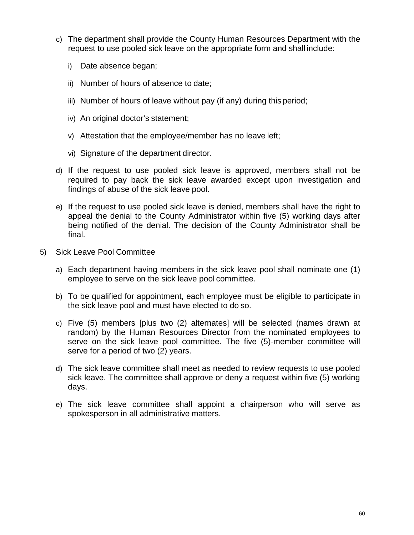- c) The department shall provide the County Human Resources Department with the request to use pooled sick leave on the appropriate form and shall include:
	- i) Date absence began;
	- ii) Number of hours of absence to date;
	- iii) Number of hours of leave without pay (if any) during this period;
	- iv) An original doctor's statement;
	- v) Attestation that the employee/member has no leave left;
	- vi) Signature of the department director.
- d) If the request to use pooled sick leave is approved, members shall not be required to pay back the sick leave awarded except upon investigation and findings of abuse of the sick leave pool.
- e) If the request to use pooled sick leave is denied, members shall have the right to appeal the denial to the County Administrator within five (5) working days after being notified of the denial. The decision of the County Administrator shall be final.
- 5) Sick Leave Pool Committee
	- a) Each department having members in the sick leave pool shall nominate one (1) employee to serve on the sick leave pool committee.
	- b) To be qualified for appointment, each employee must be eligible to participate in the sick leave pool and must have elected to do so.
	- c) Five (5) members [plus two (2) alternates] will be selected (names drawn at random) by the Human Resources Director from the nominated employees to serve on the sick leave pool committee. The five (5)-member committee will serve for a period of two (2) years.
	- d) The sick leave committee shall meet as needed to review requests to use pooled sick leave. The committee shall approve or deny a request within five (5) working days.
	- e) The sick leave committee shall appoint a chairperson who will serve as spokesperson in all administrative matters.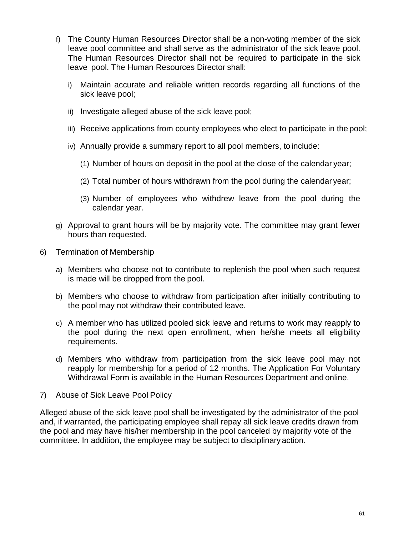- f) The County Human Resources Director shall be a non-voting member of the sick leave pool committee and shall serve as the administrator of the sick leave pool. The Human Resources Director shall not be required to participate in the sick leave pool. The Human Resources Director shall:
	- i) Maintain accurate and reliable written records regarding all functions of the sick leave pool;
	- ii) Investigate alleged abuse of the sick leave pool;
	- iii) Receive applications from county employees who elect to participate in the pool;
	- iv) Annually provide a summary report to all pool members, to include:
		- (1) Number of hours on deposit in the pool at the close of the calendar year;
		- (2) Total number of hours withdrawn from the pool during the calendar year;
		- (3) Number of employees who withdrew leave from the pool during the calendar year.
- g) Approval to grant hours will be by majority vote. The committee may grant fewer hours than requested.
- 6) Termination of Membership
	- a) Members who choose not to contribute to replenish the pool when such request is made will be dropped from the pool.
	- b) Members who choose to withdraw from participation after initially contributing to the pool may not withdraw their contributed leave.
	- c) A member who has utilized pooled sick leave and returns to work may reapply to the pool during the next open enrollment, when he/she meets all eligibility requirements.
	- d) Members who withdraw from participation from the sick leave pool may not reapply for membership for a period of 12 months. The Application For Voluntary Withdrawal Form is available in the Human Resources Department and online.
- 7) Abuse of Sick Leave Pool Policy

Alleged abuse of the sick leave pool shall be investigated by the administrator of the pool and, if warranted, the participating employee shall repay all sick leave credits drawn from the pool and may have his/her membership in the pool canceled by majority vote of the committee. In addition, the employee may be subject to disciplinary action.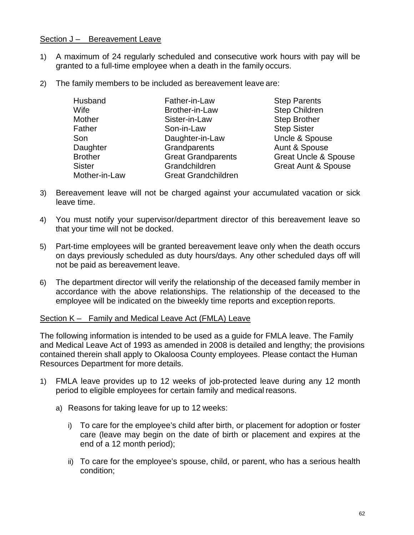### Section J - Bereavement Leave

- 1) A maximum of 24 regularly scheduled and consecutive work hours with pay will be granted to a full-time employee when a death in the family occurs.
- 2) The family members to be included as bereavement leave are:

| Husband        | Father-in-Law              |
|----------------|----------------------------|
| Wife           | Brother-in-Law             |
| <b>Mother</b>  | Sister-in-Law              |
| Father         | Son-in-Law                 |
| Son            | Daughter-in-Law            |
| Daughter       | Grandparents               |
| <b>Brother</b> | <b>Great Grandparents</b>  |
| <b>Sister</b>  | Grandchildren              |
| Mother-in-Law  | <b>Great Grandchildren</b> |

**Step Parents** Step Children Step Brother **Step Sister** Uncle & Spouse Aunt & Spouse **Great Uncle & Spouse** Great Aunt & Spouse

- 3) Bereavement leave will not be charged against your accumulated vacation or sick leave time.
- 4) You must notify your supervisor/department director of this bereavement leave so that your time will not be docked.
- 5) Part-time employees will be granted bereavement leave only when the death occurs on days previously scheduled as duty hours/days. Any other scheduled days off will not be paid as bereavement leave.
- 6) The department director will verify the relationship of the deceased family member in accordance with the above relationships. The relationship of the deceased to the employee will be indicated on the biweekly time reports and exception reports.

#### Section K – Family and Medical Leave Act (FMLA) Leave

The following information is intended to be used as a guide for FMLA leave. The Family and Medical Leave Act of 1993 as amended in 2008 is detailed and lengthy; the provisions contained therein shall apply to Okaloosa County employees. Please contact the Human Resources Department for more details.

- 1) FMLA leave provides up to 12 weeks of job-protected leave during any 12 month period to eligible employees for certain family and medical reasons.
	- a) Reasons for taking leave for up to 12 weeks:
		- i) To care for the employee's child after birth, or placement for adoption or foster care (leave may begin on the date of birth or placement and expires at the end of a 12 month period);
		- ii) To care for the employee's spouse, child, or parent, who has a serious health condition;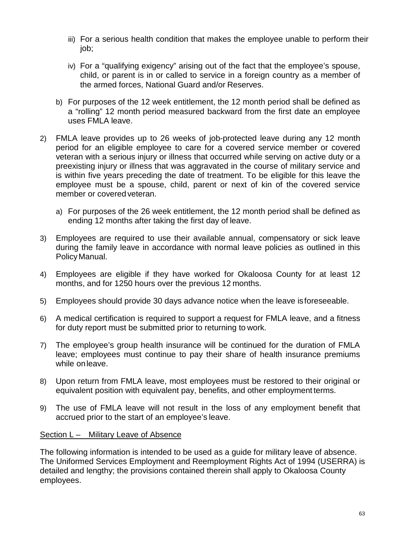- iii) For a serious health condition that makes the employee unable to perform their job;
- iv) For a "qualifying exigency" arising out of the fact that the employee's spouse, child, or parent is in or called to service in a foreign country as a member of the armed forces, National Guard and/or Reserves.
- b) For purposes of the 12 week entitlement, the 12 month period shall be defined as a "rolling" 12 month period measured backward from the first date an employee uses FMLA leave.
- 2) FMLA leave provides up to 26 weeks of job-protected leave during any 12 month period for an eligible employee to care for a covered service member or covered veteran with a serious injury or illness that occurred while serving on active duty or a preexisting injury or illness that was aggravated in the course of military service and is within five years preceding the date of treatment. To be eligible for this leave the employee must be a spouse, child, parent or next of kin of the covered service member or covered veteran.
	- a) For purposes of the 26 week entitlement, the 12 month period shall be defined as ending 12 months after taking the first day of leave.
- 3) Employees are required to use their available annual, compensatory or sick leave during the family leave in accordance with normal leave policies as outlined in this PolicyManual.
- 4) Employees are eligible if they have worked for Okaloosa County for at least 12 months, and for 1250 hours over the previous 12 months.
- 5) Employees should provide 30 days advance notice when the leave isforeseeable.
- 6) A medical certification is required to support a request for FMLA leave, and a fitness for duty report must be submitted prior to returning to work.
- 7) The employee's group health insurance will be continued for the duration of FMLA leave; employees must continue to pay their share of health insurance premiums while onleave.
- 8) Upon return from FMLA leave, most employees must be restored to their original or equivalent position with equivalent pay, benefits, and other employment terms.
- 9) The use of FMLA leave will not result in the loss of any employment benefit that accrued prior to the start of an employee's leave.

# Section L – Military Leave of Absence

The following information is intended to be used as a guide for military leave of absence. The Uniformed Services Employment and Reemployment Rights Act of 1994 (USERRA) is detailed and lengthy; the provisions contained therein shall apply to Okaloosa County employees.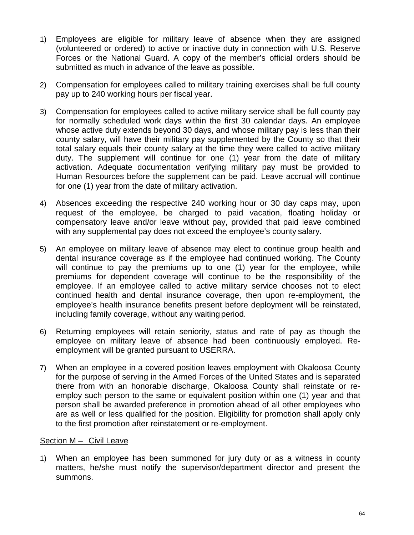- 1) Employees are eligible for military leave of absence when they are assigned (volunteered or ordered) to active or inactive duty in connection with U.S. Reserve Forces or the National Guard. A copy of the member's official orders should be submitted as much in advance of the leave as possible.
- 2) Compensation for employees called to military training exercises shall be full county pay up to 240 working hours per fiscal year.
- 3) Compensation for employees called to active military service shall be full county pay for normally scheduled work days within the first 30 calendar days. An employee whose active duty extends beyond 30 days, and whose military pay is less than their county salary, will have their military pay supplemented by the County so that their total salary equals their county salary at the time they were called to active military duty. The supplement will continue for one (1) year from the date of military activation. Adequate documentation verifying military pay must be provided to Human Resources before the supplement can be paid. Leave accrual will continue for one (1) year from the date of military activation.
- 4) Absences exceeding the respective 240 working hour or 30 day caps may, upon request of the employee, be charged to paid vacation, floating holiday or compensatory leave and/or leave without pay, provided that paid leave combined with any supplemental pay does not exceed the employee's county salary.
- 5) An employee on military leave of absence may elect to continue group health and dental insurance coverage as if the employee had continued working. The County will continue to pay the premiums up to one (1) year for the employee, while premiums for dependent coverage will continue to be the responsibility of the employee. If an employee called to active military service chooses not to elect continued health and dental insurance coverage, then upon re-employment, the employee's health insurance benefits present before deployment will be reinstated, including family coverage, without any waiting period.
- 6) Returning employees will retain seniority, status and rate of pay as though the employee on military leave of absence had been continuously employed. Reemployment will be granted pursuant to USERRA.
- 7) When an employee in a covered position leaves employment with Okaloosa County for the purpose of serving in the Armed Forces of the United States and is separated there from with an honorable discharge, Okaloosa County shall reinstate or reemploy such person to the same or equivalent position within one (1) year and that person shall be awarded preference in promotion ahead of all other employees who are as well or less qualified for the position. Eligibility for promotion shall apply only to the first promotion after reinstatement or re-employment.

#### Section M – Civil Leave

1) When an employee has been summoned for jury duty or as a witness in county matters, he/she must notify the supervisor/department director and present the summons.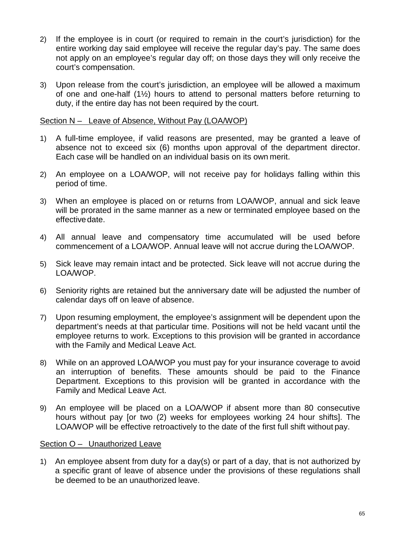- 2) If the employee is in court (or required to remain in the court's jurisdiction) for the entire working day said employee will receive the regular day's pay. The same does not apply on an employee's regular day off; on those days they will only receive the court's compensation.
- 3) Upon release from the court's jurisdiction, an employee will be allowed a maximum of one and one-half (1½) hours to attend to personal matters before returning to duty, if the entire day has not been required by the court.

## Section N – Leave of Absence, Without Pay (LOA/WOP)

- 1) A full-time employee, if valid reasons are presented, may be granted a leave of absence not to exceed six (6) months upon approval of the department director. Each case will be handled on an individual basis on its own merit.
- 2) An employee on a LOA/WOP, will not receive pay for holidays falling within this period of time.
- 3) When an employee is placed on or returns from LOA/WOP, annual and sick leave will be prorated in the same manner as a new or terminated employee based on the effective date.
- 4) All annual leave and compensatory time accumulated will be used before commencement of a LOA/WOP. Annual leave will not accrue during the LOA/WOP.
- 5) Sick leave may remain intact and be protected. Sick leave will not accrue during the LOA/WOP.
- 6) Seniority rights are retained but the anniversary date will be adjusted the number of calendar days off on leave of absence.
- 7) Upon resuming employment, the employee's assignment will be dependent upon the department's needs at that particular time. Positions will not be held vacant until the employee returns to work. Exceptions to this provision will be granted in accordance with the Family and Medical Leave Act.
- 8) While on an approved LOA/WOP you must pay for your insurance coverage to avoid an interruption of benefits. These amounts should be paid to the Finance Department. Exceptions to this provision will be granted in accordance with the Family and Medical Leave Act.
- 9) An employee will be placed on a LOA/WOP if absent more than 80 consecutive hours without pay [or two (2) weeks for employees working 24 hour shifts]. The LOA/WOP will be effective retroactively to the date of the first full shift without pay.

# Section O – Unauthorized Leave

1) An employee absent from duty for a day(s) or part of a day, that is not authorized by a specific grant of leave of absence under the provisions of these regulations shall be deemed to be an unauthorized leave.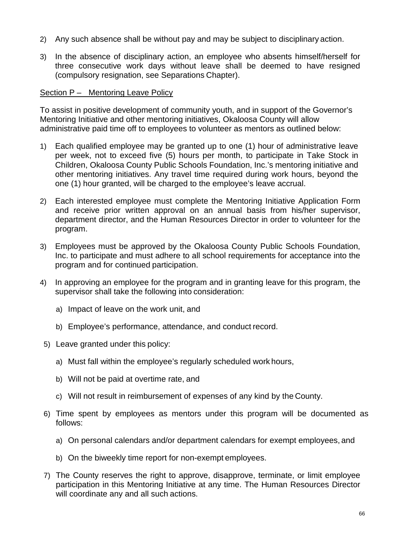- 2) Any such absence shall be without pay and may be subject to disciplinary action.
- 3) In the absence of disciplinary action, an employee who absents himself/herself for three consecutive work days without leave shall be deemed to have resigned (compulsory resignation, see Separations Chapter).

## Section P – Mentoring Leave Policy

To assist in positive development of community youth, and in support of the Governor's Mentoring Initiative and other mentoring initiatives, Okaloosa County will allow administrative paid time off to employees to volunteer as mentors as outlined below:

- 1) Each qualified employee may be granted up to one (1) hour of administrative leave per week, not to exceed five (5) hours per month, to participate in Take Stock in Children, Okaloosa County Public Schools Foundation, Inc.'s mentoring initiative and other mentoring initiatives. Any travel time required during work hours, beyond the one (1) hour granted, will be charged to the employee's leave accrual.
- 2) Each interested employee must complete the Mentoring Initiative Application Form and receive prior written approval on an annual basis from his/her supervisor, department director, and the Human Resources Director in order to volunteer for the program.
- 3) Employees must be approved by the Okaloosa County Public Schools Foundation, Inc. to participate and must adhere to all school requirements for acceptance into the program and for continued participation.
- 4) In approving an employee for the program and in granting leave for this program, the supervisor shall take the following into consideration:
	- a) Impact of leave on the work unit, and
	- b) Employee's performance, attendance, and conduct record.
- 5) Leave granted under this policy:
	- a) Must fall within the employee's regularly scheduled work hours,
	- b) Will not be paid at overtime rate, and
	- c) Will not result in reimbursement of expenses of any kind by the County.
- 6) Time spent by employees as mentors under this program will be documented as follows:
	- a) On personal calendars and/or department calendars for exempt employees, and
	- b) On the biweekly time report for non-exempt employees.
- 7) The County reserves the right to approve, disapprove, terminate, or limit employee participation in this Mentoring Initiative at any time. The Human Resources Director will coordinate any and all such actions.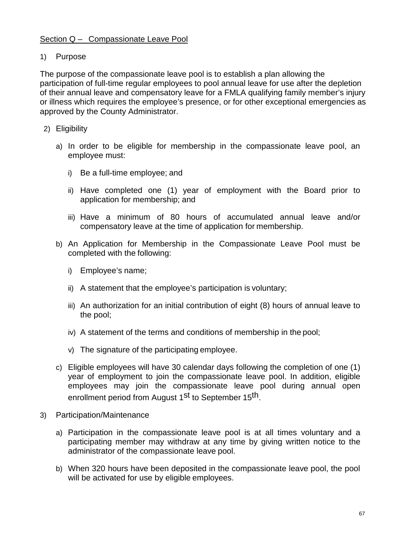# Section Q – Compassionate Leave Pool

# 1) Purpose

The purpose of the compassionate leave pool is to establish a plan allowing the participation of full-time regular employees to pool annual leave for use after the depletion of their annual leave and compensatory leave for a FMLA qualifying family member's injury or illness which requires the employee's presence, or for other exceptional emergencies as approved by the County Administrator.

- 2) Eligibility
	- a) In order to be eligible for membership in the compassionate leave pool, an employee must:
		- i) Be a full-time employee; and
		- ii) Have completed one (1) year of employment with the Board prior to application for membership; and
		- iii) Have a minimum of 80 hours of accumulated annual leave and/or compensatory leave at the time of application for membership.
	- b) An Application for Membership in the Compassionate Leave Pool must be completed with the following:
		- i) Employee's name;
		- ii) A statement that the employee's participation is voluntary;
		- iii) An authorization for an initial contribution of eight (8) hours of annual leave to the pool;
		- iv) A statement of the terms and conditions of membership in the pool;
		- v) The signature of the participating employee.
	- c) Eligible employees will have 30 calendar days following the completion of one (1) year of employment to join the compassionate leave pool. In addition, eligible employees may join the compassionate leave pool during annual open enrollment period from August 1<sup>st</sup> to September 15<sup>th</sup>.
- 3) Participation/Maintenance
	- a) Participation in the compassionate leave pool is at all times voluntary and a participating member may withdraw at any time by giving written notice to the administrator of the compassionate leave pool.
	- b) When 320 hours have been deposited in the compassionate leave pool, the pool will be activated for use by eligible employees.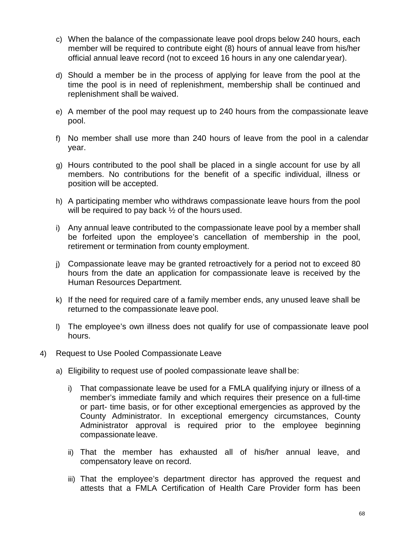- c) When the balance of the compassionate leave pool drops below 240 hours, each member will be required to contribute eight (8) hours of annual leave from his/her official annual leave record (not to exceed 16 hours in any one calendar year).
- d) Should a member be in the process of applying for leave from the pool at the time the pool is in need of replenishment, membership shall be continued and replenishment shall be waived.
- e) A member of the pool may request up to 240 hours from the compassionate leave pool.
- f) No member shall use more than 240 hours of leave from the pool in a calendar year.
- g) Hours contributed to the pool shall be placed in a single account for use by all members. No contributions for the benefit of a specific individual, illness or position will be accepted.
- h) A participating member who withdraws compassionate leave hours from the pool will be required to pay back  $\frac{1}{2}$  of the hours used.
- i) Any annual leave contributed to the compassionate leave pool by a member shall be forfeited upon the employee's cancellation of membership in the pool, retirement or termination from county employment.
- j) Compassionate leave may be granted retroactively for a period not to exceed 80 hours from the date an application for compassionate leave is received by the Human Resources Department.
- k) If the need for required care of a family member ends, any unused leave shall be returned to the compassionate leave pool.
- l) The employee's own illness does not qualify for use of compassionate leave pool hours.
- 4) Request to Use Pooled Compassionate Leave
	- a) Eligibility to request use of pooled compassionate leave shall be:
		- i) That compassionate leave be used for a FMLA qualifying injury or illness of a member's immediate family and which requires their presence on a full-time or part- time basis, or for other exceptional emergencies as approved by the County Administrator. In exceptional emergency circumstances, County Administrator approval is required prior to the employee beginning compassionate leave.
		- ii) That the member has exhausted all of his/her annual leave, and compensatory leave on record.
		- iii) That the employee's department director has approved the request and attests that a FMLA Certification of Health Care Provider form has been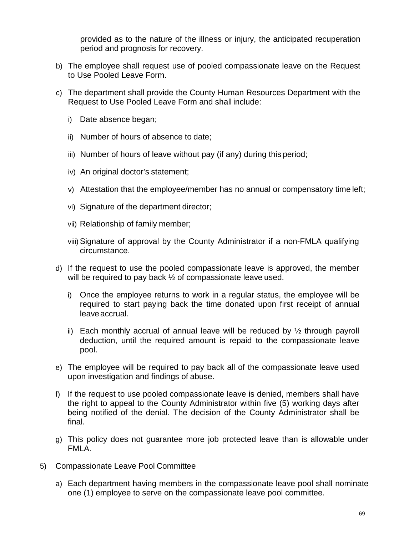provided as to the nature of the illness or injury, the anticipated recuperation period and prognosis for recovery.

- b) The employee shall request use of pooled compassionate leave on the Request to Use Pooled Leave Form.
- c) The department shall provide the County Human Resources Department with the Request to Use Pooled Leave Form and shall include:
	- i) Date absence began;
	- ii) Number of hours of absence to date;
	- iii) Number of hours of leave without pay (if any) during this period;
	- iv) An original doctor's statement;
	- v) Attestation that the employee/member has no annual or compensatory time left;
	- vi) Signature of the department director;
	- vii) Relationship of family member;
	- viii)Signature of approval by the County Administrator if a non-FMLA qualifying circumstance.
- d) If the request to use the pooled compassionate leave is approved, the member will be required to pay back  $\frac{1}{2}$  of compassionate leave used.
	- i) Once the employee returns to work in a regular status, the employee will be required to start paying back the time donated upon first receipt of annual leaveaccrual.
	- ii) Each monthly accrual of annual leave will be reduced by  $\frac{1}{2}$  through payroll deduction, until the required amount is repaid to the compassionate leave pool.
- e) The employee will be required to pay back all of the compassionate leave used upon investigation and findings of abuse.
- f) If the request to use pooled compassionate leave is denied, members shall have the right to appeal to the County Administrator within five (5) working days after being notified of the denial. The decision of the County Administrator shall be final.
- g) This policy does not guarantee more job protected leave than is allowable under FMLA.
- 5) Compassionate Leave Pool Committee
	- a) Each department having members in the compassionate leave pool shall nominate one (1) employee to serve on the compassionate leave pool committee.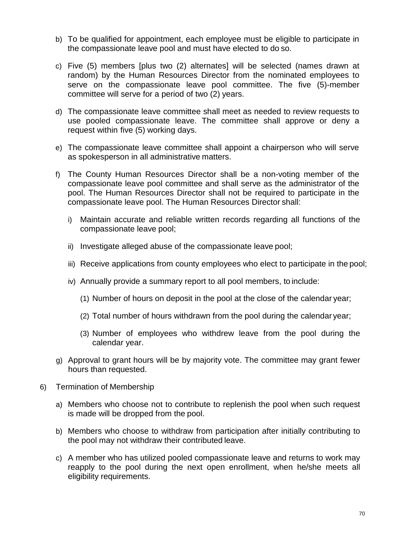- b) To be qualified for appointment, each employee must be eligible to participate in the compassionate leave pool and must have elected to do so.
- c) Five (5) members [plus two (2) alternates] will be selected (names drawn at random) by the Human Resources Director from the nominated employees to serve on the compassionate leave pool committee. The five (5)-member committee will serve for a period of two (2) years.
- d) The compassionate leave committee shall meet as needed to review requests to use pooled compassionate leave. The committee shall approve or deny a request within five (5) working days.
- e) The compassionate leave committee shall appoint a chairperson who will serve as spokesperson in all administrative matters.
- f) The County Human Resources Director shall be a non-voting member of the compassionate leave pool committee and shall serve as the administrator of the pool. The Human Resources Director shall not be required to participate in the compassionate leave pool. The Human Resources Director shall:
	- i) Maintain accurate and reliable written records regarding all functions of the compassionate leave pool;
	- ii) Investigate alleged abuse of the compassionate leave pool;
	- iii) Receive applications from county employees who elect to participate in the pool;
	- iv) Annually provide a summary report to all pool members, to include:
		- (1) Number of hours on deposit in the pool at the close of the calendar year;
		- (2) Total number of hours withdrawn from the pool during the calendar year;
		- (3) Number of employees who withdrew leave from the pool during the calendar year.
- g) Approval to grant hours will be by majority vote. The committee may grant fewer hours than requested.
- 6) Termination of Membership
	- a) Members who choose not to contribute to replenish the pool when such request is made will be dropped from the pool.
	- b) Members who choose to withdraw from participation after initially contributing to the pool may not withdraw their contributed leave.
	- c) A member who has utilized pooled compassionate leave and returns to work may reapply to the pool during the next open enrollment, when he/she meets all eligibility requirements.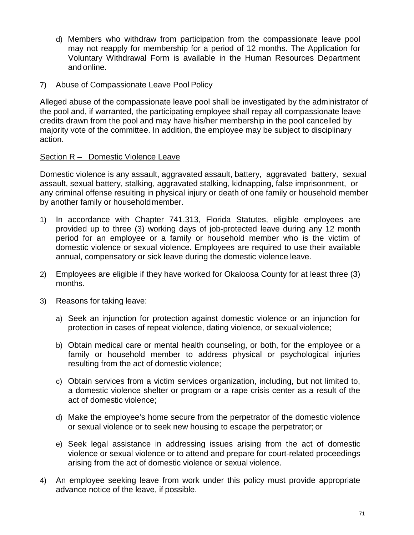- d) Members who withdraw from participation from the compassionate leave pool may not reapply for membership for a period of 12 months. The Application for Voluntary Withdrawal Form is available in the Human Resources Department and online.
- 7) Abuse of Compassionate Leave Pool Policy

Alleged abuse of the compassionate leave pool shall be investigated by the administrator of the pool and, if warranted, the participating employee shall repay all compassionate leave credits drawn from the pool and may have his/her membership in the pool cancelled by majority vote of the committee. In addition, the employee may be subject to disciplinary action.

## Section R – Domestic Violence Leave

Domestic violence is any assault, aggravated assault, battery, aggravated battery, sexual assault, sexual battery, stalking, aggravated stalking, kidnapping, false imprisonment, or any criminal offense resulting in physical injury or death of one family or household member by another family or householdmember.

- 1) In accordance with Chapter 741.313, Florida Statutes, eligible employees are provided up to three (3) working days of job-protected leave during any 12 month period for an employee or a family or household member who is the victim of domestic violence or sexual violence. Employees are required to use their available annual, compensatory or sick leave during the domestic violence leave.
- 2) Employees are eligible if they have worked for Okaloosa County for at least three (3) months.
- 3) Reasons for taking leave:
	- a) Seek an injunction for protection against domestic violence or an injunction for protection in cases of repeat violence, dating violence, or sexual violence;
	- b) Obtain medical care or mental health counseling, or both, for the employee or a family or household member to address physical or psychological injuries resulting from the act of domestic violence;
	- c) Obtain services from a victim services organization, including, but not limited to, a domestic violence shelter or program or a rape crisis center as a result of the act of domestic violence;
	- d) Make the employee's home secure from the perpetrator of the domestic violence or sexual violence or to seek new housing to escape the perpetrator; or
	- e) Seek legal assistance in addressing issues arising from the act of domestic violence or sexual violence or to attend and prepare for court-related proceedings arising from the act of domestic violence or sexual violence.
- 4) An employee seeking leave from work under this policy must provide appropriate advance notice of the leave, if possible.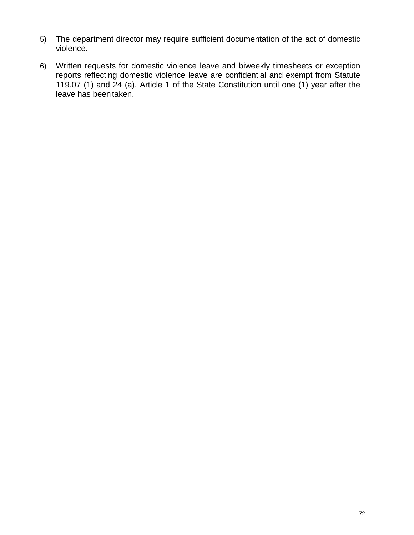- 5) The department director may require sufficient documentation of the act of domestic violence.
- 6) Written requests for domestic violence leave and biweekly timesheets or exception reports reflecting domestic violence leave are confidential and exempt from Statute 119.07 (1) and 24 (a), Article 1 of the State Constitution until one (1) year after the leave has beentaken.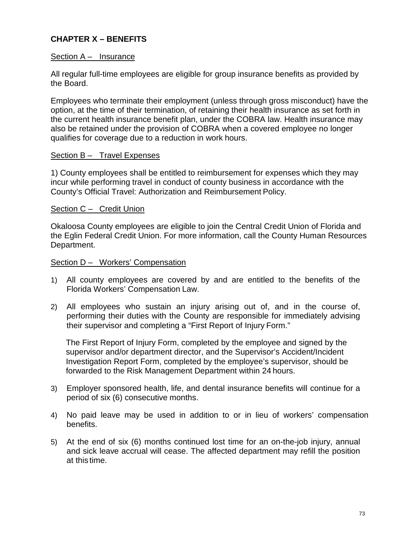# **CHAPTER X – BENEFITS**

### Section A – Insurance

All regular full-time employees are eligible for group insurance benefits as provided by the Board.

Employees who terminate their employment (unless through gross misconduct) have the option, at the time of their termination, of retaining their health insurance as set forth in the current health insurance benefit plan, under the COBRA law. Health insurance may also be retained under the provision of COBRA when a covered employee no longer qualifies for coverage due to a reduction in work hours.

### Section B – Travel Expenses

1) County employees shall be entitled to reimbursement for expenses which they may incur while performing travel in conduct of county business in accordance with the County's Official Travel: Authorization and Reimbursement Policy.

### Section C – Credit Union

Okaloosa County employees are eligible to join the Central Credit Union of Florida and the Eglin Federal Credit Union. For more information, call the County Human Resources Department.

#### Section D – Workers' Compensation

- 1) All county employees are covered by and are entitled to the benefits of the Florida Workers' Compensation Law.
- 2) All employees who sustain an injury arising out of, and in the course of, performing their duties with the County are responsible for immediately advising their supervisor and completing a "First Report of Injury Form."

The First Report of Injury Form, completed by the employee and signed by the supervisor and/or department director, and the Supervisor's Accident/Incident Investigation Report Form, completed by the employee's supervisor, should be forwarded to the Risk Management Department within 24 hours.

- 3) Employer sponsored health, life, and dental insurance benefits will continue for a period of six (6) consecutive months.
- 4) No paid leave may be used in addition to or in lieu of workers' compensation benefits.
- 5) At the end of six (6) months continued lost time for an on-the-job injury, annual and sick leave accrual will cease. The affected department may refill the position at this time.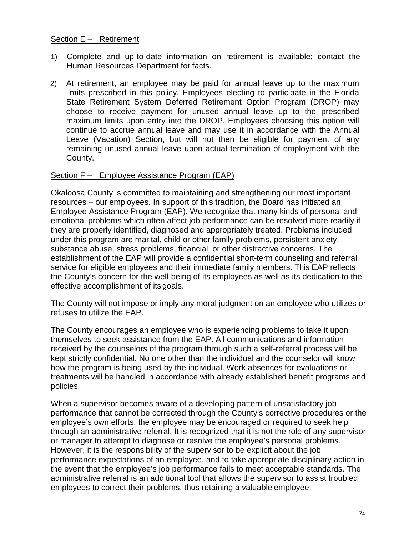### Section E – Retirement

- 1) Complete and up-to-date information on retirement is available; contact the Human Resources Department for facts.
- 2) At retirement, an employee may be paid for annual leave up to the maximum limits prescribed in this policy. Employees electing to participate in the Florida State Retirement System Deferred Retirement Option Program (DROP) may choose to receive payment for unused annual leave up to the prescribed maximum limits upon entry into the DROP. Employees choosing this option will continue to accrue annual leave and may use it in accordance with the Annual Leave (Vacation) Section, but will not then be eligible for payment of any remaining unused annual leave upon actual termination of employment with the County.

## Section F – Employee Assistance Program (EAP)

Okaloosa County is committed to maintaining and strengthening our most important resources – our employees. In support of this tradition, the Board has initiated an Employee Assistance Program (EAP). We recognize that many kinds of personal and emotional problems which often affect job performance can be resolved more readily if they are properly identified, diagnosed and appropriately treated. Problems included under this program are marital, child or other family problems, persistent anxiety, substance abuse, stress problems, financial, or other distractive concerns. The establishment of the EAP will provide a confidential short-term counseling and referral service for eligible employees and their immediate family members. This EAP reflects the County's concern for the well-being of its employees as well as its dedication to the effective accomplishment of its goals.

The County will not impose or imply any moral judgment on an employee who utilizes or refuses to utilize the EAP.

The County encourages an employee who is experiencing problems to take it upon themselves to seek assistance from the EAP. All communications and information received by the counselors of the program through such a self-referral process will be kept strictly confidential. No one other than the individual and the counselor will know how the program is being used by the individual. Work absences for evaluations or treatments will be handled in accordance with already established benefit programs and policies.

When a supervisor becomes aware of a developing pattern of unsatisfactory job performance that cannot be corrected through the County's corrective procedures or the employee's own efforts, the employee may be encouraged or required to seek help through an administrative referral. It is recognized that it is not the role of any supervisor or manager to attempt to diagnose or resolve the employee's personal problems. However, it is the responsibility of the supervisor to be explicit about the job performance expectations of an employee, and to take appropriate disciplinary action in the event that the employee's job performance fails to meet acceptable standards. The administrative referral is an additional tool that allows the supervisor to assist troubled employees to correct their problems, thus retaining a valuable employee.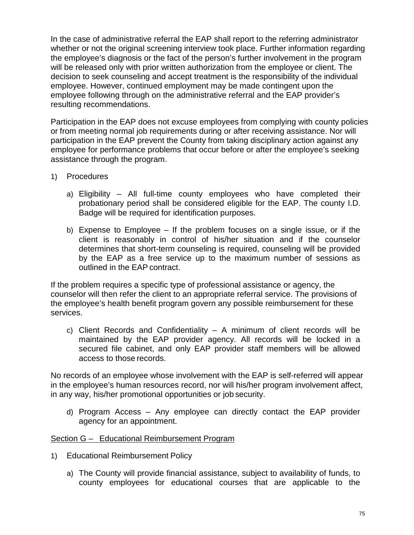In the case of administrative referral the EAP shall report to the referring administrator whether or not the original screening interview took place. Further information regarding the employee's diagnosis or the fact of the person's further involvement in the program will be released only with prior written authorization from the employee or client. The decision to seek counseling and accept treatment is the responsibility of the individual employee. However, continued employment may be made contingent upon the employee following through on the administrative referral and the EAP provider's resulting recommendations.

Participation in the EAP does not excuse employees from complying with county policies or from meeting normal job requirements during or after receiving assistance. Nor will participation in the EAP prevent the County from taking disciplinary action against any employee for performance problems that occur before or after the employee's seeking assistance through the program.

- 1) Procedures
	- a) Eligibility All full-time county employees who have completed their probationary period shall be considered eligible for the EAP. The county I.D. Badge will be required for identification purposes.
	- b) Expense to Employee If the problem focuses on a single issue, or if the client is reasonably in control of his/her situation and if the counselor determines that short-term counseling is required, counseling will be provided by the EAP as a free service up to the maximum number of sessions as outlined in the EAP contract.

If the problem requires a specific type of professional assistance or agency, the counselor will then refer the client to an appropriate referral service. The provisions of the employee's health benefit program govern any possible reimbursement for these services.

c) Client Records and Confidentiality – A minimum of client records will be maintained by the EAP provider agency. All records will be locked in a secured file cabinet, and only EAP provider staff members will be allowed access to those records.

No records of an employee whose involvement with the EAP is self-referred will appear in the employee's human resources record, nor will his/her program involvement affect, in any way, his/her promotional opportunities or job security.

d) Program Access – Any employee can directly contact the EAP provider agency for an appointment.

## Section G – Educational Reimbursement Program

- 1) Educational Reimbursement Policy
	- a) The County will provide financial assistance, subject to availability of funds, to county employees for educational courses that are applicable to the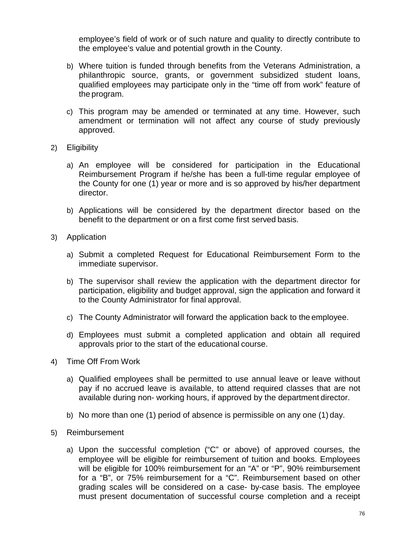employee's field of work or of such nature and quality to directly contribute to the employee's value and potential growth in the County.

- b) Where tuition is funded through benefits from the Veterans Administration, a philanthropic source, grants, or government subsidized student loans, qualified employees may participate only in the "time off from work" feature of the program.
- c) This program may be amended or terminated at any time. However, such amendment or termination will not affect any course of study previously approved.
- 2) Eligibility
	- a) An employee will be considered for participation in the Educational Reimbursement Program if he/she has been a full-time regular employee of the County for one (1) year or more and is so approved by his/her department director.
	- b) Applications will be considered by the department director based on the benefit to the department or on a first come first served basis.
- 3) Application
	- a) Submit a completed Request for Educational Reimbursement Form to the immediate supervisor.
	- b) The supervisor shall review the application with the department director for participation, eligibility and budget approval, sign the application and forward it to the County Administrator for final approval.
	- c) The County Administrator will forward the application back to the employee.
	- d) Employees must submit a completed application and obtain all required approvals prior to the start of the educational course.
- 4) Time Off From Work
	- a) Qualified employees shall be permitted to use annual leave or leave without pay if no accrued leave is available, to attend required classes that are not available during non- working hours, if approved by the department director.
	- b) No more than one (1) period of absence is permissible on any one (1) day.
- 5) Reimbursement
	- a) Upon the successful completion ("C" or above) of approved courses, the employee will be eligible for reimbursement of tuition and books. Employees will be eligible for 100% reimbursement for an "A" or "P", 90% reimbursement for a "B", or 75% reimbursement for a "C". Reimbursement based on other grading scales will be considered on a case- by-case basis. The employee must present documentation of successful course completion and a receipt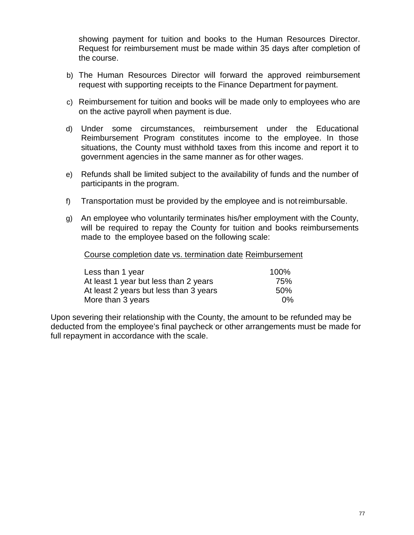showing payment for tuition and books to the Human Resources Director. Request for reimbursement must be made within 35 days after completion of the course.

- b) The Human Resources Director will forward the approved reimbursement request with supporting receipts to the Finance Department for payment.
- c) Reimbursement for tuition and books will be made only to employees who are on the active payroll when payment is due.
- d) Under some circumstances, reimbursement under the Educational Reimbursement Program constitutes income to the employee. In those situations, the County must withhold taxes from this income and report it to government agencies in the same manner as for other wages.
- e) Refunds shall be limited subject to the availability of funds and the number of participants in the program.
- f) Transportation must be provided by the employee and is notreimbursable.
- g) An employee who voluntarily terminates his/her employment with the County, will be required to repay the County for tuition and books reimbursements made to the employee based on the following scale:

Course completion date vs. termination date Reimbursement

| Less than 1 year                       | 100%  |
|----------------------------------------|-------|
| At least 1 year but less than 2 years  | 75%   |
| At least 2 years but less than 3 years | .50%  |
| More than 3 years                      | $0\%$ |

Upon severing their relationship with the County, the amount to be refunded may be deducted from the employee's final paycheck or other arrangements must be made for full repayment in accordance with the scale.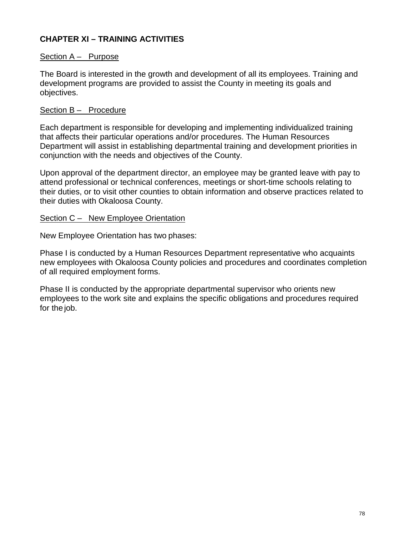# **CHAPTER XI – TRAINING ACTIVITIES**

### Section A – Purpose

The Board is interested in the growth and development of all its employees. Training and development programs are provided to assist the County in meeting its goals and objectives.

## Section B - Procedure

Each department is responsible for developing and implementing individualized training that affects their particular operations and/or procedures. The Human Resources Department will assist in establishing departmental training and development priorities in conjunction with the needs and objectives of the County.

Upon approval of the department director, an employee may be granted leave with pay to attend professional or technical conferences, meetings or short-time schools relating to their duties, or to visit other counties to obtain information and observe practices related to their duties with Okaloosa County.

### Section C – New Employee Orientation

New Employee Orientation has two phases:

Phase I is conducted by a Human Resources Department representative who acquaints new employees with Okaloosa County policies and procedures and coordinates completion of all required employment forms.

Phase II is conducted by the appropriate departmental supervisor who orients new employees to the work site and explains the specific obligations and procedures required for the job.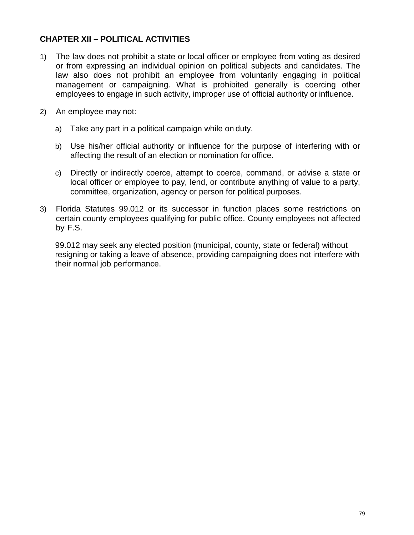## **CHAPTER XII – POLITICAL ACTIVITIES**

- 1) The law does not prohibit a state or local officer or employee from voting as desired or from expressing an individual opinion on political subjects and candidates. The law also does not prohibit an employee from voluntarily engaging in political management or campaigning. What is prohibited generally is coercing other employees to engage in such activity, improper use of official authority or influence.
- 2) An employee may not:
	- a) Take any part in a political campaign while on duty.
	- b) Use his/her official authority or influence for the purpose of interfering with or affecting the result of an election or nomination for office.
	- c) Directly or indirectly coerce, attempt to coerce, command, or advise a state or local officer or employee to pay, lend, or contribute anything of value to a party, committee, organization, agency or person for political purposes.
- 3) Florida Statutes 99.012 or its successor in function places some restrictions on certain county employees qualifying for public office. County employees not affected by F.S.

99.012 may seek any elected position (municipal, county, state or federal) without resigning or taking a leave of absence, providing campaigning does not interfere with their normal job performance.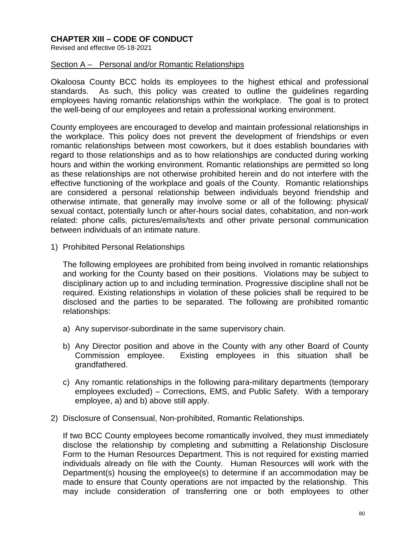## **CHAPTER XIII – CODE OF CONDUCT**

Revised and effective 05-18-2021

#### Section A – Personal and/or Romantic Relationships

Okaloosa County BCC holds its employees to the highest ethical and professional standards. As such, this policy was created to outline the guidelines regarding employees having romantic relationships within the workplace. The goal is to protect the well-being of our employees and retain a professional working environment.

County employees are encouraged to develop and maintain professional relationships in the workplace. This policy does not prevent the development of friendships or even romantic relationships between most coworkers, but it does establish boundaries with regard to those relationships and as to how relationships are conducted during working hours and within the working environment. Romantic relationships are permitted so long as these relationships are not otherwise prohibited herein and do not interfere with the effective functioning of the workplace and goals of the County. Romantic relationships are considered a personal relationship between individuals beyond friendship and otherwise intimate, that generally may involve some or all of the following: physical/ sexual contact, potentially lunch or after-hours social dates, cohabitation, and non-work related: phone calls, pictures/emails/texts and other private personal communication between individuals of an intimate nature.

1) Prohibited Personal Relationships

The following employees are prohibited from being involved in romantic relationships and working for the County based on their positions. Violations may be subject to disciplinary action up to and including termination. Progressive discipline shall not be required. Existing relationships in violation of these policies shall be required to be disclosed and the parties to be separated. The following are prohibited romantic relationships:

- a) Any supervisor-subordinate in the same supervisory chain.
- b) Any Director position and above in the County with any other Board of County Commission employee. Existing employees in this situation shall be grandfathered.
- c) Any romantic relationships in the following para-military departments (temporary employees excluded) – Corrections, EMS, and Public Safety. With a temporary employee, a) and b) above still apply.
- 2) Disclosure of Consensual, Non-prohibited, Romantic Relationships.

If two BCC County employees become romantically involved, they must immediately disclose the relationship by completing and submitting a Relationship Disclosure Form to the Human Resources Department. This is not required for existing married individuals already on file with the County. Human Resources will work with the Department(s) housing the employee(s) to determine if an accommodation may be made to ensure that County operations are not impacted by the relationship. This may include consideration of transferring one or both employees to other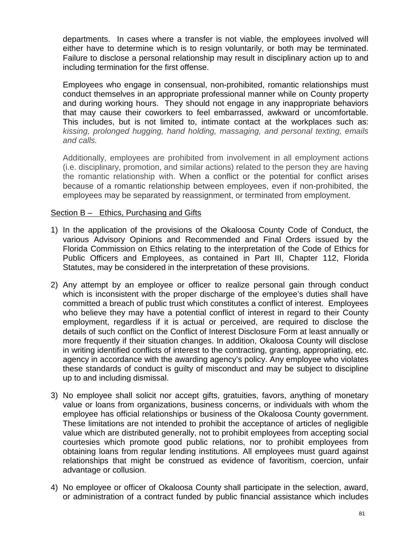departments. In cases where a transfer is not viable, the employees involved will either have to determine which is to resign voluntarily, or both may be terminated. Failure to disclose a personal relationship may result in disciplinary action up to and including termination for the first offense.

Employees who engage in consensual, non-prohibited, romantic relationships must conduct themselves in an appropriate professional manner while on County property and during working hours. They should not engage in any inappropriate behaviors that may cause their coworkers to feel embarrassed, awkward or uncomfortable. This includes, but is not limited to, intimate contact at the workplaces such as: *kissing, prolonged hugging, hand holding, massaging, and personal texting, emails and calls.*

Additionally, employees are prohibited from involvement in all employment actions (i.e. disciplinary, promotion, and similar actions) related to the person they are having the romantic relationship with. When a conflict or the potential for conflict arises because of a romantic relationship between employees, even if non-prohibited, the employees may be separated by reassignment, or terminated from employment.

## Section B – Ethics, Purchasing and Gifts

- 1) In the application of the provisions of the Okaloosa County Code of Conduct, the various Advisory Opinions and Recommended and Final Orders issued by the Florida Commission on Ethics relating to the interpretation of the Code of Ethics for Public Officers and Employees, as contained in Part III, Chapter 112, Florida Statutes, may be considered in the interpretation of these provisions.
- 2) Any attempt by an employee or officer to realize personal gain through conduct which is inconsistent with the proper discharge of the employee's duties shall have committed a breach of public trust which constitutes a conflict of interest. Employees who believe they may have a potential conflict of interest in regard to their County employment, regardless if it is actual or perceived, are required to disclose the details of such conflict on the Conflict of Interest Disclosure Form at least annually or more frequently if their situation changes. In addition, Okaloosa County will disclose in writing identified conflicts of interest to the contracting, granting, appropriating, etc. agency in accordance with the awarding agency's policy. Any employee who violates these standards of conduct is guilty of misconduct and may be subject to discipline up to and including dismissal.
- 3) No employee shall solicit nor accept gifts, gratuities, favors, anything of monetary value or loans from organizations, business concerns, or individuals with whom the employee has official relationships or business of the Okaloosa County government. These limitations are not intended to prohibit the acceptance of articles of negligible value which are distributed generally, not to prohibit employees from accepting social courtesies which promote good public relations, nor to prohibit employees from obtaining loans from regular lending institutions. All employees must guard against relationships that might be construed as evidence of favoritism, coercion, unfair advantage or collusion.
- 4) No employee or officer of Okaloosa County shall participate in the selection, award, or administration of a contract funded by public financial assistance which includes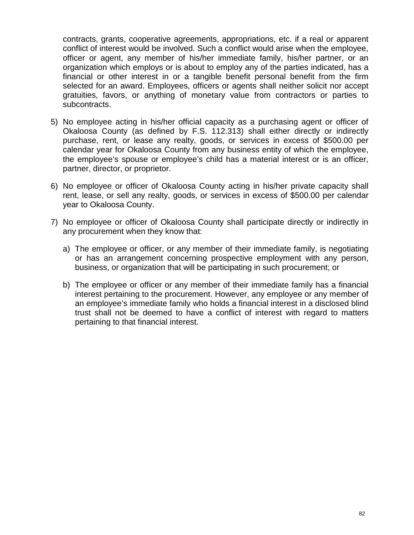contracts, grants, cooperative agreements, appropriations, etc. if a real or apparent conflict of interest would be involved. Such a conflict would arise when the employee, officer or agent, any member of his/her immediate family, his/her partner, or an organization which employs or is about to employ any of the parties indicated, has a financial or other interest in or a tangible benefit personal benefit from the firm selected for an award. Employees, officers or agents shall neither solicit nor accept gratuities, favors, or anything of monetary value from contractors or parties to subcontracts.

- 5) No employee acting in his/her official capacity as a purchasing agent or officer of Okaloosa County (as defined by F.S. 112.313) shall either directly or indirectly purchase, rent, or lease any realty, goods, or services in excess of \$500.00 per calendar year for Okaloosa County from any business entity of which the employee, the employee's spouse or employee's child has a material interest or is an officer, partner, director, or proprietor.
- 6) No employee or officer of Okaloosa County acting in his/her private capacity shall rent, lease, or sell any realty, goods, or services in excess of \$500.00 per calendar year to Okaloosa County.
- 7) No employee or officer of Okaloosa County shall participate directly or indirectly in any procurement when they know that:
	- a) The employee or officer, or any member of their immediate family, is negotiating or has an arrangement concerning prospective employment with any person, business, or organization that will be participating in such procurement; or
	- b) The employee or officer or any member of their immediate family has a financial interest pertaining to the procurement. However, any employee or any member of an employee's immediate family who holds a financial interest in a disclosed blind trust shall not be deemed to have a conflict of interest with regard to matters pertaining to that financial interest.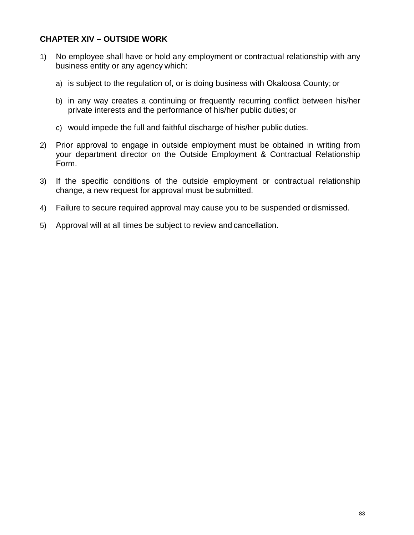## **CHAPTER XIV – OUTSIDE WORK**

- 1) No employee shall have or hold any employment or contractual relationship with any business entity or any agency which:
	- a) is subject to the regulation of, or is doing business with Okaloosa County; or
	- b) in any way creates a continuing or frequently recurring conflict between his/her private interests and the performance of his/her public duties; or
	- c) would impede the full and faithful discharge of his/her public duties.
- 2) Prior approval to engage in outside employment must be obtained in writing from your department director on the Outside Employment & Contractual Relationship Form.
- 3) If the specific conditions of the outside employment or contractual relationship change, a new request for approval must be submitted.
- 4) Failure to secure required approval may cause you to be suspended or dismissed.
- 5) Approval will at all times be subject to review and cancellation.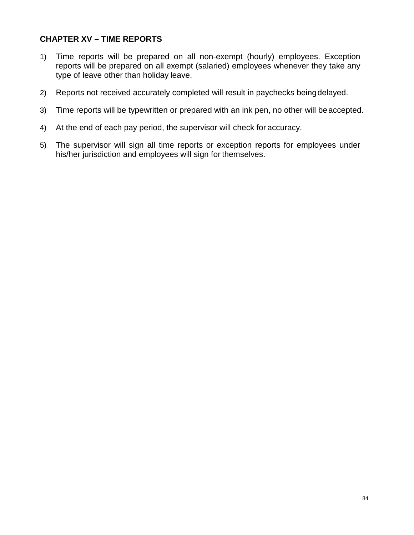# **CHAPTER XV – TIME REPORTS**

- 1) Time reports will be prepared on all non-exempt (hourly) employees. Exception reports will be prepared on all exempt (salaried) employees whenever they take any type of leave other than holiday leave.
- 2) Reports not received accurately completed will result in paychecks beingdelayed.
- 3) Time reports will be typewritten or prepared with an ink pen, no other will beaccepted.
- 4) At the end of each pay period, the supervisor will check for accuracy.
- 5) The supervisor will sign all time reports or exception reports for employees under his/her jurisdiction and employees will sign for themselves.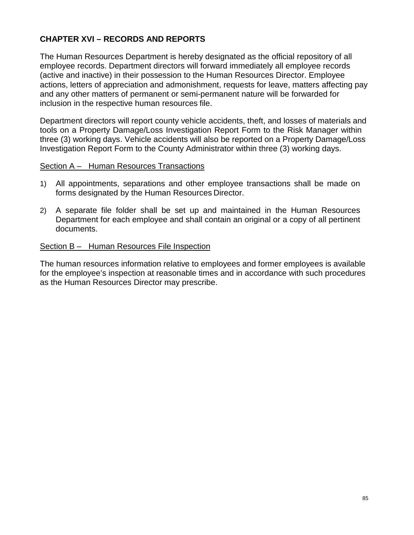# **CHAPTER XVI – RECORDS AND REPORTS**

The Human Resources Department is hereby designated as the official repository of all employee records. Department directors will forward immediately all employee records (active and inactive) in their possession to the Human Resources Director. Employee actions, letters of appreciation and admonishment, requests for leave, matters affecting pay and any other matters of permanent or semi-permanent nature will be forwarded for inclusion in the respective human resources file.

Department directors will report county vehicle accidents, theft, and losses of materials and tools on a Property Damage/Loss Investigation Report Form to the Risk Manager within three (3) working days. Vehicle accidents will also be reported on a Property Damage/Loss Investigation Report Form to the County Administrator within three (3) working days.

### Section A – Human Resources Transactions

- 1) All appointments, separations and other employee transactions shall be made on forms designated by the Human Resources Director.
- 2) A separate file folder shall be set up and maintained in the Human Resources Department for each employee and shall contain an original or a copy of all pertinent documents.

#### Section B – Human Resources File Inspection

The human resources information relative to employees and former employees is available for the employee's inspection at reasonable times and in accordance with such procedures as the Human Resources Director may prescribe.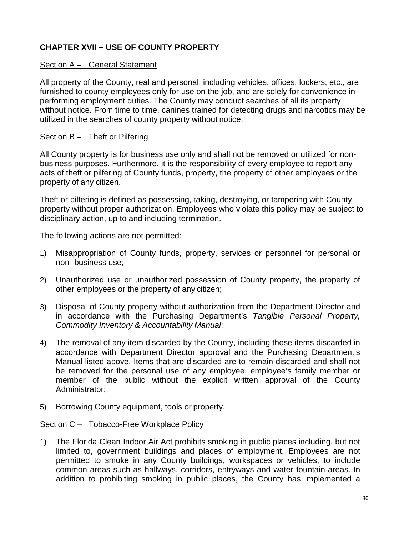# **CHAPTER XVII – USE OF COUNTY PROPERTY**

### Section A – General Statement

All property of the County, real and personal, including vehicles, offices, lockers, etc., are furnished to county employees only for use on the job, and are solely for convenience in performing employment duties. The County may conduct searches of all its property without notice. From time to time, canines trained for detecting drugs and narcotics may be utilized in the searches of county property without notice.

### Section B - Theft or Pilfering

All County property is for business use only and shall not be removed or utilized for nonbusiness purposes. Furthermore, it is the responsibility of every employee to report any acts of theft or pilfering of County funds, property, the property of other employees or the property of any citizen.

Theft or pilfering is defined as possessing, taking, destroying, or tampering with County property without proper authorization. Employees who violate this policy may be subject to disciplinary action, up to and including termination.

The following actions are not permitted:

- 1) Misappropriation of County funds, property, services or personnel for personal or non- business use;
- 2) Unauthorized use or unauthorized possession of County property, the property of other employees or the property of any citizen;
- 3) Disposal of County property without authorization from the Department Director and in accordance with the Purchasing Department's *Tangible Personal Property, Commodity Inventory & Accountability Manual*;
- 4) The removal of any item discarded by the County, including those items discarded in accordance with Department Director approval and the Purchasing Department's Manual listed above. Items that are discarded are to remain discarded and shall not be removed for the personal use of any employee, employee's family member or member of the public without the explicit written approval of the County Administrator;
- 5) Borrowing County equipment, tools or property.

#### Section C – Tobacco-Free Workplace Policy

1) The Florida Clean Indoor Air Act prohibits smoking in public places including, but not limited to, government buildings and places of employment. Employees are not permitted to smoke in any County buildings, workspaces or vehicles, to include common areas such as hallways, corridors, entryways and water fountain areas. In addition to prohibiting smoking in public places, the County has implemented a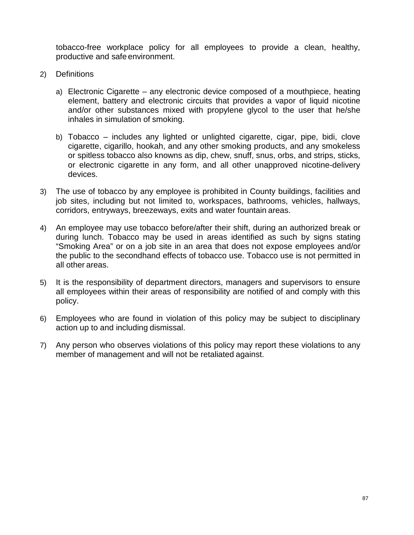tobacco-free workplace policy for all employees to provide a clean, healthy, productive and safe environment.

- 2) Definitions
	- a) Electronic Cigarette any electronic device composed of a mouthpiece, heating element, battery and electronic circuits that provides a vapor of liquid nicotine and/or other substances mixed with propylene glycol to the user that he/she inhales in simulation of smoking.
	- b) Tobacco includes any lighted or unlighted cigarette, cigar, pipe, bidi, clove cigarette, cigarillo, hookah, and any other smoking products, and any smokeless or spitless tobacco also knowns as dip, chew, snuff, snus, orbs, and strips, sticks, or electronic cigarette in any form, and all other unapproved nicotine-delivery devices.
- 3) The use of tobacco by any employee is prohibited in County buildings, facilities and job sites, including but not limited to, workspaces, bathrooms, vehicles, hallways, corridors, entryways, breezeways, exits and water fountain areas.
- 4) An employee may use tobacco before/after their shift, during an authorized break or during lunch. Tobacco may be used in areas identified as such by signs stating "Smoking Area" or on a job site in an area that does not expose employees and/or the public to the secondhand effects of tobacco use. Tobacco use is not permitted in all other areas.
- 5) It is the responsibility of department directors, managers and supervisors to ensure all employees within their areas of responsibility are notified of and comply with this policy.
- 6) Employees who are found in violation of this policy may be subject to disciplinary action up to and including dismissal.
- 7) Any person who observes violations of this policy may report these violations to any member of management and will not be retaliated against.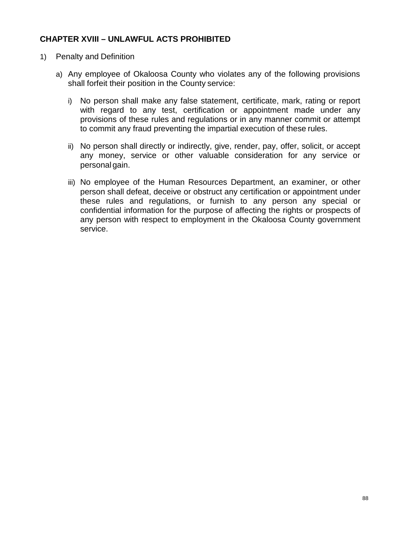## **CHAPTER XVIII – UNLAWFUL ACTS PROHIBITED**

- 1) Penalty and Definition
	- a) Any employee of Okaloosa County who violates any of the following provisions shall forfeit their position in the County service:
		- i) No person shall make any false statement, certificate, mark, rating or report with regard to any test, certification or appointment made under any provisions of these rules and regulations or in any manner commit or attempt to commit any fraud preventing the impartial execution of these rules.
		- ii) No person shall directly or indirectly, give, render, pay, offer, solicit, or accept any money, service or other valuable consideration for any service or personal gain.
		- iii) No employee of the Human Resources Department, an examiner, or other person shall defeat, deceive or obstruct any certification or appointment under these rules and regulations, or furnish to any person any special or confidential information for the purpose of affecting the rights or prospects of any person with respect to employment in the Okaloosa County government service.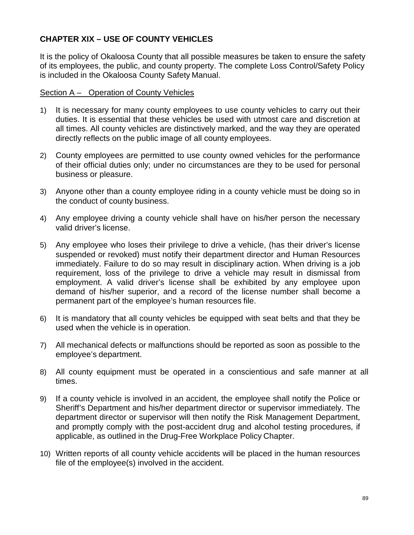# **CHAPTER XIX – USE OF COUNTY VEHICLES**

It is the policy of Okaloosa County that all possible measures be taken to ensure the safety of its employees, the public, and county property. The complete Loss Control/Safety Policy is included in the Okaloosa County Safety Manual.

## Section A – Operation of County Vehicles

- 1) It is necessary for many county employees to use county vehicles to carry out their duties. It is essential that these vehicles be used with utmost care and discretion at all times. All county vehicles are distinctively marked, and the way they are operated directly reflects on the public image of all county employees.
- 2) County employees are permitted to use county owned vehicles for the performance of their official duties only; under no circumstances are they to be used for personal business or pleasure.
- 3) Anyone other than a county employee riding in a county vehicle must be doing so in the conduct of county business.
- 4) Any employee driving a county vehicle shall have on his/her person the necessary valid driver's license.
- 5) Any employee who loses their privilege to drive a vehicle, (has their driver's license suspended or revoked) must notify their department director and Human Resources immediately. Failure to do so may result in disciplinary action. When driving is a job requirement, loss of the privilege to drive a vehicle may result in dismissal from employment. A valid driver's license shall be exhibited by any employee upon demand of his/her superior, and a record of the license number shall become a permanent part of the employee's human resources file.
- 6) It is mandatory that all county vehicles be equipped with seat belts and that they be used when the vehicle is in operation.
- 7) All mechanical defects or malfunctions should be reported as soon as possible to the employee's department.
- 8) All county equipment must be operated in a conscientious and safe manner at all times.
- 9) If a county vehicle is involved in an accident, the employee shall notify the Police or Sheriff's Department and his/her department director or supervisor immediately. The department director or supervisor will then notify the Risk Management Department, and promptly comply with the post-accident drug and alcohol testing procedures, if applicable, as outlined in the Drug-Free Workplace Policy Chapter.
- 10) Written reports of all county vehicle accidents will be placed in the human resources file of the employee(s) involved in the accident.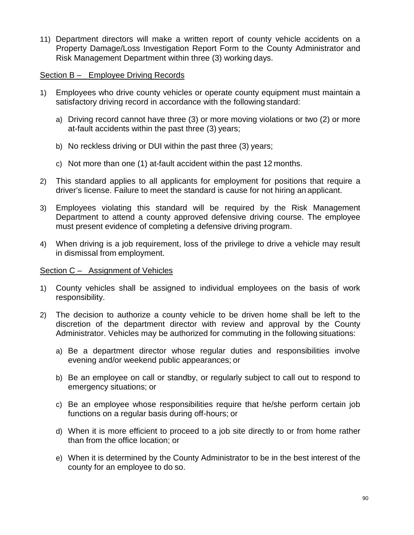11) Department directors will make a written report of county vehicle accidents on a Property Damage/Loss Investigation Report Form to the County Administrator and Risk Management Department within three (3) working days.

## Section B – Employee Driving Records

- 1) Employees who drive county vehicles or operate county equipment must maintain a satisfactory driving record in accordance with the following standard:
	- a) Driving record cannot have three (3) or more moving violations or two (2) or more at-fault accidents within the past three (3) years;
	- b) No reckless driving or DUI within the past three (3) years;
	- c) Not more than one (1) at-fault accident within the past 12 months.
- 2) This standard applies to all applicants for employment for positions that require a driver's license. Failure to meet the standard is cause for not hiring an applicant.
- 3) Employees violating this standard will be required by the Risk Management Department to attend a county approved defensive driving course. The employee must present evidence of completing a defensive driving program.
- 4) When driving is a job requirement, loss of the privilege to drive a vehicle may result in dismissal from employment.

## Section C – Assignment of Vehicles

- 1) County vehicles shall be assigned to individual employees on the basis of work responsibility.
- 2) The decision to authorize a county vehicle to be driven home shall be left to the discretion of the department director with review and approval by the County Administrator. Vehicles may be authorized for commuting in the following situations:
	- a) Be a department director whose regular duties and responsibilities involve evening and/or weekend public appearances; or
	- b) Be an employee on call or standby, or regularly subject to call out to respond to emergency situations; or
	- c) Be an employee whose responsibilities require that he/she perform certain job functions on a regular basis during off-hours; or
	- d) When it is more efficient to proceed to a job site directly to or from home rather than from the office location; or
	- e) When it is determined by the County Administrator to be in the best interest of the county for an employee to do so.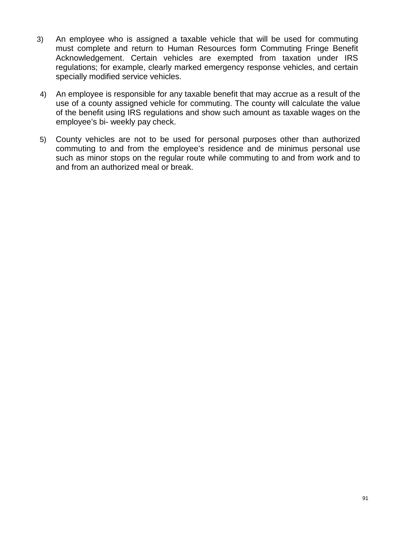- 3) An employee who is assigned a taxable vehicle that will be used for commuting must complete and return to Human Resources form Commuting Fringe Benefit Acknowledgement. Certain vehicles are exempted from taxation under IRS regulations; for example, clearly marked emergency response vehicles, and certain specially modified service vehicles.
- 4) An employee is responsible for any taxable benefit that may accrue as a result of the use of a county assigned vehicle for commuting. The county will calculate the value of the benefit using IRS regulations and show such amount as taxable wages on the employee's bi- weekly pay check.
- 5) County vehicles are not to be used for personal purposes other than authorized commuting to and from the employee's residence and de minimus personal use such as minor stops on the regular route while commuting to and from work and to and from an authorized meal or break.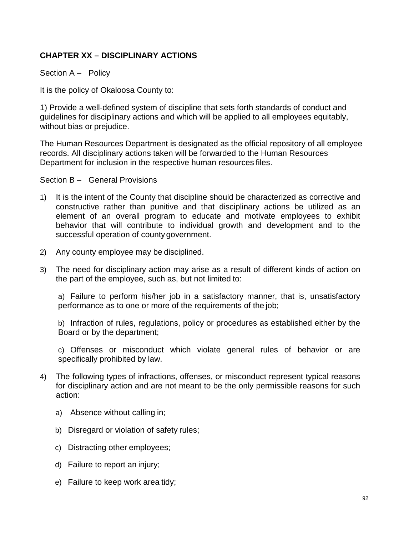# **CHAPTER XX – DISCIPLINARY ACTIONS**

## Section A – Policy

It is the policy of Okaloosa County to:

1) Provide a well-defined system of discipline that sets forth standards of conduct and guidelines for disciplinary actions and which will be applied to all employees equitably, without bias or prejudice.

The Human Resources Department is designated as the official repository of all employee records. All disciplinary actions taken will be forwarded to the Human Resources Department for inclusion in the respective human resources files.

### Section B – General Provisions

- 1) It is the intent of the County that discipline should be characterized as corrective and constructive rather than punitive and that disciplinary actions be utilized as an element of an overall program to educate and motivate employees to exhibit behavior that will contribute to individual growth and development and to the successful operation of county government.
- 2) Any county employee may be disciplined.
- 3) The need for disciplinary action may arise as a result of different kinds of action on the part of the employee, such as, but not limited to:

a) Failure to perform his/her job in a satisfactory manner, that is, unsatisfactory performance as to one or more of the requirements of the job;

b) Infraction of rules, regulations, policy or procedures as established either by the Board or by the department;

c) Offenses or misconduct which violate general rules of behavior or are specifically prohibited by law.

- 4) The following types of infractions, offenses, or misconduct represent typical reasons for disciplinary action and are not meant to be the only permissible reasons for such action:
	- a) Absence without calling in;
	- b) Disregard or violation of safety rules;
	- c) Distracting other employees;
	- d) Failure to report an injury;
	- e) Failure to keep work area tidy;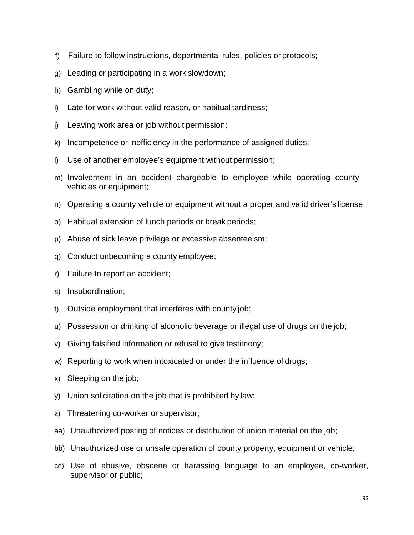- f) Failure to follow instructions, departmental rules, policies or protocols;
- g) Leading or participating in a work slowdown;
- h) Gambling while on duty;
- i) Late for work without valid reason, or habitual tardiness;
- j) Leaving work area or job without permission;
- k) Incompetence or inefficiency in the performance of assigned duties;
- l) Use of another employee's equipment without permission;
- m) Involvement in an accident chargeable to employee while operating county vehicles or equipment;
- n) Operating a county vehicle or equipment without a proper and valid driver's license;
- o) Habitual extension of lunch periods or break periods;
- p) Abuse of sick leave privilege or excessive absenteeism;
- q) Conduct unbecoming a county employee;
- r) Failure to report an accident;
- s) Insubordination;
- t) Outside employment that interferes with county job;
- u) Possession or drinking of alcoholic beverage or illegal use of drugs on the job;
- v) Giving falsified information or refusal to give testimony;
- w) Reporting to work when intoxicated or under the influence of drugs;
- x) Sleeping on the job;
- y) Union solicitation on the job that is prohibited by law;
- z) Threatening co-worker or supervisor;
- aa) Unauthorized posting of notices or distribution of union material on the job;
- bb) Unauthorized use or unsafe operation of county property, equipment or vehicle;
- cc) Use of abusive, obscene or harassing language to an employee, co-worker, supervisor or public;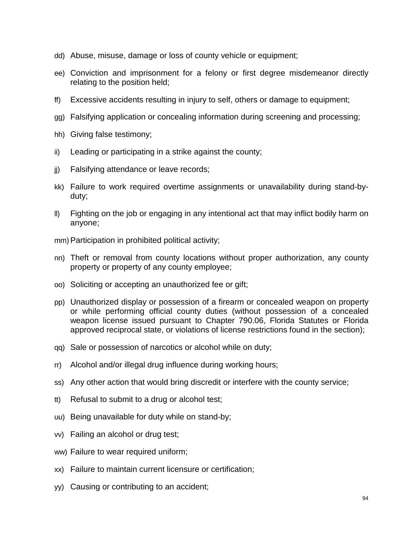- dd) Abuse, misuse, damage or loss of county vehicle or equipment;
- ee) Conviction and imprisonment for a felony or first degree misdemeanor directly relating to the position held;
- ff) Excessive accidents resulting in injury to self, others or damage to equipment;
- gg) Falsifying application or concealing information during screening and processing;
- hh) Giving false testimony;
- ii) Leading or participating in a strike against the county;
- jj) Falsifying attendance or leave records;
- kk) Failure to work required overtime assignments or unavailability during stand-byduty;
- ll) Fighting on the job or engaging in any intentional act that may inflict bodily harm on anyone;
- mm)Participation in prohibited political activity;
- nn) Theft or removal from county locations without proper authorization, any county property or property of any county employee;
- oo) Soliciting or accepting an unauthorized fee or gift;
- pp) Unauthorized display or possession of a firearm or concealed weapon on property or while performing official county duties (without possession of a concealed weapon license issued pursuant to Chapter 790.06, Florida Statutes or Florida approved reciprocal state, or violations of license restrictions found in the section);
- qq) Sale or possession of narcotics or alcohol while on duty;
- rr) Alcohol and/or illegal drug influence during working hours;
- ss) Any other action that would bring discredit or interfere with the county service;
- tt) Refusal to submit to a drug or alcohol test;
- uu) Being unavailable for duty while on stand-by;
- vv) Failing an alcohol or drug test;
- ww) Failure to wear required uniform;
- xx) Failure to maintain current licensure or certification;
- yy) Causing or contributing to an accident;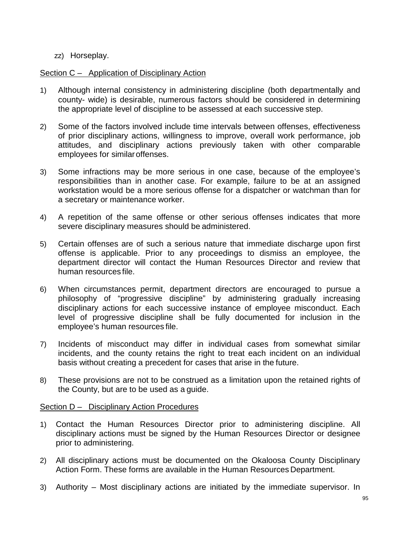## zz) Horseplay.

## Section C – Application of Disciplinary Action

- 1) Although internal consistency in administering discipline (both departmentally and county- wide) is desirable, numerous factors should be considered in determining the appropriate level of discipline to be assessed at each successive step.
- 2) Some of the factors involved include time intervals between offenses, effectiveness of prior disciplinary actions, willingness to improve, overall work performance, job attitudes, and disciplinary actions previously taken with other comparable employees for similaroffenses.
- 3) Some infractions may be more serious in one case, because of the employee's responsibilities than in another case. For example, failure to be at an assigned workstation would be a more serious offense for a dispatcher or watchman than for a secretary or maintenance worker.
- 4) A repetition of the same offense or other serious offenses indicates that more severe disciplinary measures should be administered.
- 5) Certain offenses are of such a serious nature that immediate discharge upon first offense is applicable. Prior to any proceedings to dismiss an employee, the department director will contact the Human Resources Director and review that human resources file.
- 6) When circumstances permit, department directors are encouraged to pursue a philosophy of "progressive discipline" by administering gradually increasing disciplinary actions for each successive instance of employee misconduct. Each level of progressive discipline shall be fully documented for inclusion in the employee's human resources file.
- 7) Incidents of misconduct may differ in individual cases from somewhat similar incidents, and the county retains the right to treat each incident on an individual basis without creating a precedent for cases that arise in the future.
- 8) These provisions are not to be construed as a limitation upon the retained rights of the County, but are to be used as a guide.

## Section D – Disciplinary Action Procedures

- 1) Contact the Human Resources Director prior to administering discipline. All disciplinary actions must be signed by the Human Resources Director or designee prior to administering.
- 2) All disciplinary actions must be documented on the Okaloosa County Disciplinary Action Form. These forms are available in the Human Resources Department.
- 3) Authority Most disciplinary actions are initiated by the immediate supervisor. In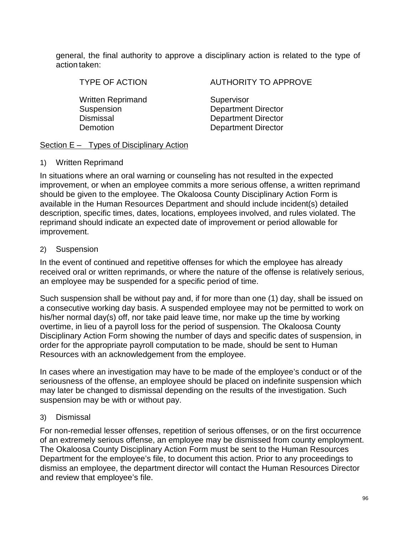general, the final authority to approve a disciplinary action is related to the type of action taken:

Written Reprimand Supervisor

TYPE OF ACTION AUTHORITY TO APPROVE

Suspension Department Director Dismissal Department Director Demotion Department Director

### Section E – Types of Disciplinary Action

### 1) Written Reprimand

In situations where an oral warning or counseling has not resulted in the expected improvement, or when an employee commits a more serious offense, a written reprimand should be given to the employee. The Okaloosa County Disciplinary Action Form is available in the Human Resources Department and should include incident(s) detailed description, specific times, dates, locations, employees involved, and rules violated. The reprimand should indicate an expected date of improvement or period allowable for improvement.

## 2) Suspension

In the event of continued and repetitive offenses for which the employee has already received oral or written reprimands, or where the nature of the offense is relatively serious, an employee may be suspended for a specific period of time.

Such suspension shall be without pay and, if for more than one (1) day, shall be issued on a consecutive working day basis. A suspended employee may not be permitted to work on his/her normal day(s) off, nor take paid leave time, nor make up the time by working overtime, in lieu of a payroll loss for the period of suspension. The Okaloosa County Disciplinary Action Form showing the number of days and specific dates of suspension, in order for the appropriate payroll computation to be made, should be sent to Human Resources with an acknowledgement from the employee.

In cases where an investigation may have to be made of the employee's conduct or of the seriousness of the offense, an employee should be placed on indefinite suspension which may later be changed to dismissal depending on the results of the investigation. Such suspension may be with or without pay.

## 3) Dismissal

For non-remedial lesser offenses, repetition of serious offenses, or on the first occurrence of an extremely serious offense, an employee may be dismissed from county employment. The Okaloosa County Disciplinary Action Form must be sent to the Human Resources Department for the employee's file, to document this action. Prior to any proceedings to dismiss an employee, the department director will contact the Human Resources Director and review that employee's file.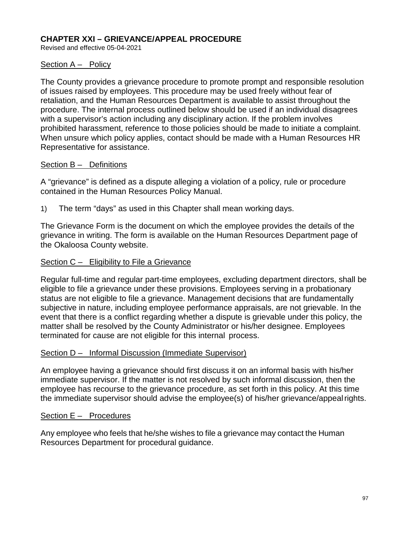## **CHAPTER XXI – GRIEVANCE/APPEAL PROCEDURE**

Revised and effective 05-04-2021

### Section A – Policy

The County provides a grievance procedure to promote prompt and responsible resolution of issues raised by employees. This procedure may be used freely without fear of retaliation, and the Human Resources Department is available to assist throughout the procedure. The internal process outlined below should be used if an individual disagrees with a supervisor's action including any disciplinary action. If the problem involves prohibited harassment, reference to those policies should be made to initiate a complaint. When unsure which policy applies, contact should be made with a Human Resources HR Representative for assistance.

### Section B – Definitions

A "grievance" is defined as a dispute alleging a violation of a policy, rule or procedure contained in the Human Resources Policy Manual.

1) The term "days" as used in this Chapter shall mean working days.

The Grievance Form is the document on which the employee provides the details of the grievance in writing. The form is available on the Human Resources Department page of the Okaloosa County website.

### Section C – Eligibility to File a Grievance

Regular full-time and regular part-time employees, excluding department directors, shall be eligible to file a grievance under these provisions. Employees serving in a probationary status are not eligible to file a grievance. Management decisions that are fundamentally subjective in nature, including employee performance appraisals, are not grievable. In the event that there is a conflict regarding whether a dispute is grievable under this policy, the matter shall be resolved by the County Administrator or his/her designee. Employees terminated for cause are not eligible for this internal process.

## Section D – Informal Discussion (Immediate Supervisor)

An employee having a grievance should first discuss it on an informal basis with his/her immediate supervisor. If the matter is not resolved by such informal discussion, then the employee has recourse to the grievance procedure, as set forth in this policy. At this time the immediate supervisor should advise the employee(s) of his/her grievance/appealrights.

## Section E – Procedures

Any employee who feels that he/she wishes to file a grievance may contact the Human Resources Department for procedural guidance.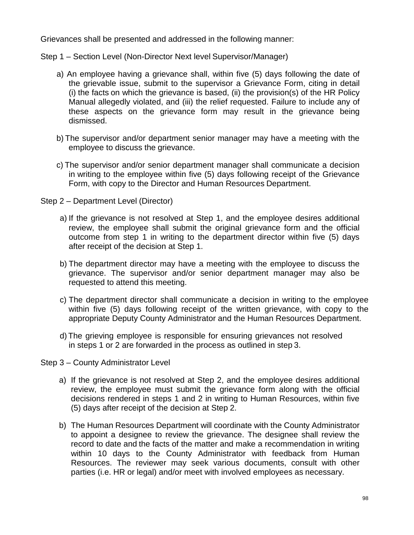Grievances shall be presented and addressed in the following manner:

Step 1 – Section Level (Non-Director Next level Supervisor/Manager)

- a) An employee having a grievance shall, within five (5) days following the date of the grievable issue, submit to the supervisor a Grievance Form, citing in detail (i) the facts on which the grievance is based, (ii) the provision(s) of the HR Policy Manual allegedly violated, and (iii) the relief requested. Failure to include any of these aspects on the grievance form may result in the grievance being dismissed.
- b) The supervisor and/or department senior manager may have a meeting with the employee to discuss the grievance.
- c) The supervisor and/or senior department manager shall communicate a decision in writing to the employee within five (5) days following receipt of the Grievance Form, with copy to the Director and Human Resources Department.
- Step 2 Department Level (Director)
	- a) If the grievance is not resolved at Step 1, and the employee desires additional review, the employee shall submit the original grievance form and the official outcome from step 1 in writing to the department director within five (5) days after receipt of the decision at Step 1.
	- b) The department director may have a meeting with the employee to discuss the grievance. The supervisor and/or senior department manager may also be requested to attend this meeting.
	- c) The department director shall communicate a decision in writing to the employee within five (5) days following receipt of the written grievance, with copy to the appropriate Deputy County Administrator and the Human Resources Department.
	- d) The grieving employee is responsible for ensuring grievances not resolved in steps 1 or 2 are forwarded in the process as outlined in step 3.
- Step 3 County Administrator Level
	- a) If the grievance is not resolved at Step 2, and the employee desires additional review, the employee must submit the grievance form along with the official decisions rendered in steps 1 and 2 in writing to Human Resources, within five (5) days after receipt of the decision at Step 2.
	- b) The Human Resources Department will coordinate with the County Administrator to appoint a designee to review the grievance. The designee shall review the record to date and the facts of the matter and make a recommendation in writing within 10 days to the County Administrator with feedback from Human Resources. The reviewer may seek various documents, consult with other parties (i.e. HR or legal) and/or meet with involved employees as necessary.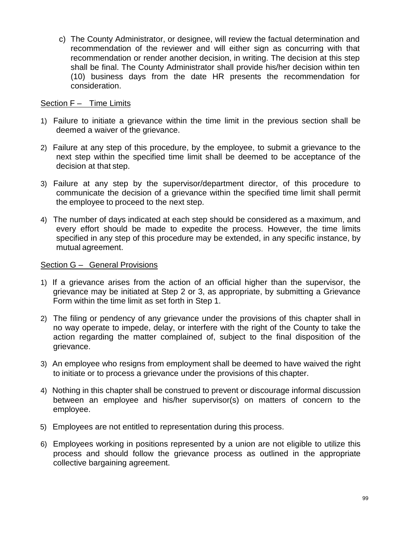c) The County Administrator, or designee, will review the factual determination and recommendation of the reviewer and will either sign as concurring with that recommendation or render another decision, in writing. The decision at this step shall be final. The County Administrator shall provide his/her decision within ten (10) business days from the date HR presents the recommendation for consideration.

### Section F – Time Limits

- 1) Failure to initiate a grievance within the time limit in the previous section shall be deemed a waiver of the grievance.
- 2) Failure at any step of this procedure, by the employee, to submit a grievance to the next step within the specified time limit shall be deemed to be acceptance of the decision at that step.
- 3) Failure at any step by the supervisor/department director, of this procedure to communicate the decision of a grievance within the specified time limit shall permit the employee to proceed to the next step.
- 4) The number of days indicated at each step should be considered as a maximum, and every effort should be made to expedite the process. However, the time limits specified in any step of this procedure may be extended, in any specific instance, by mutual agreement.

#### Section G – General Provisions

- 1) If a grievance arises from the action of an official higher than the supervisor, the grievance may be initiated at Step 2 or 3, as appropriate, by submitting a Grievance Form within the time limit as set forth in Step 1.
- 2) The filing or pendency of any grievance under the provisions of this chapter shall in no way operate to impede, delay, or interfere with the right of the County to take the action regarding the matter complained of, subject to the final disposition of the grievance.
- 3) An employee who resigns from employment shall be deemed to have waived the right to initiate or to process a grievance under the provisions of this chapter.
- 4) Nothing in this chapter shall be construed to prevent or discourage informal discussion between an employee and his/her supervisor(s) on matters of concern to the employee.
- 5) Employees are not entitled to representation during this process.
- 6) Employees working in positions represented by a union are not eligible to utilize this process and should follow the grievance process as outlined in the appropriate collective bargaining agreement.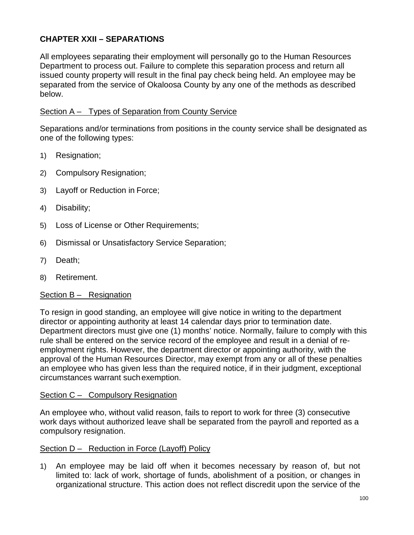# **CHAPTER XXII – SEPARATIONS**

All employees separating their employment will personally go to the Human Resources Department to process out. Failure to complete this separation process and return all issued county property will result in the final pay check being held. An employee may be separated from the service of Okaloosa County by any one of the methods as described below.

## Section A – Types of Separation from County Service

Separations and/or terminations from positions in the county service shall be designated as one of the following types:

- 1) Resignation;
- 2) Compulsory Resignation;
- 3) Layoff or Reduction in Force;
- 4) Disability;
- 5) Loss of License or Other Requirements;
- 6) Dismissal or Unsatisfactory Service Separation;
- 7) Death;
- 8) Retirement.

## Section B – Resignation

To resign in good standing, an employee will give notice in writing to the department director or appointing authority at least 14 calendar days prior to termination date. Department directors must give one (1) months' notice. Normally, failure to comply with this rule shall be entered on the service record of the employee and result in a denial of reemployment rights. However, the department director or appointing authority, with the approval of the Human Resources Director, may exempt from any or all of these penalties an employee who has given less than the required notice, if in their judgment, exceptional circumstances warrant suchexemption.

## Section C - Compulsory Resignation

An employee who, without valid reason, fails to report to work for three (3) consecutive work days without authorized leave shall be separated from the payroll and reported as a compulsory resignation.

## Section D – Reduction in Force (Layoff) Policy

1) An employee may be laid off when it becomes necessary by reason of, but not limited to: lack of work, shortage of funds, abolishment of a position, or changes in organizational structure. This action does not reflect discredit upon the service of the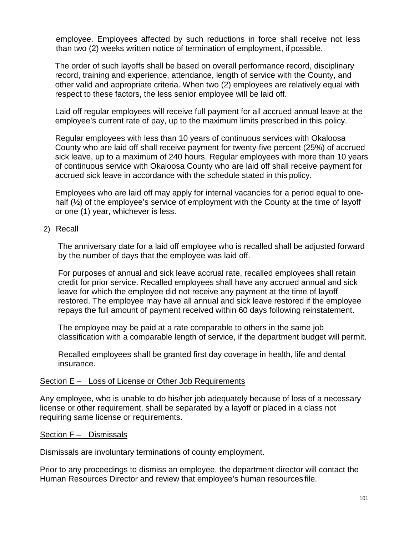employee. Employees affected by such reductions in force shall receive not less than two (2) weeks written notice of termination of employment, if possible.

The order of such layoffs shall be based on overall performance record, disciplinary record, training and experience, attendance, length of service with the County, and other valid and appropriate criteria. When two (2) employees are relatively equal with respect to these factors, the less senior employee will be laid off.

Laid off regular employees will receive full payment for all accrued annual leave at the employee's current rate of pay, up to the maximum limits prescribed in this policy.

Regular employees with less than 10 years of continuous services with Okaloosa County who are laid off shall receive payment for twenty-five percent (25%) of accrued sick leave, up to a maximum of 240 hours. Regular employees with more than 10 years of continuous service with Okaloosa County who are laid off shall receive payment for accrued sick leave in accordance with the schedule stated in this policy.

Employees who are laid off may apply for internal vacancies for a period equal to onehalf ( $\frac{1}{2}$ ) of the employee's service of employment with the County at the time of layoff or one (1) year, whichever is less.

### 2) Recall

The anniversary date for a laid off employee who is recalled shall be adjusted forward by the number of days that the employee was laid off.

For purposes of annual and sick leave accrual rate, recalled employees shall retain credit for prior service. Recalled employees shall have any accrued annual and sick leave for which the employee did not receive any payment at the time of layoff restored. The employee may have all annual and sick leave restored if the employee repays the full amount of payment received within 60 days following reinstatement.

The employee may be paid at a rate comparable to others in the same job classification with a comparable length of service, if the department budget will permit.

Recalled employees shall be granted first day coverage in health, life and dental insurance.

#### Section E – Loss of License or Other Job Requirements

Any employee, who is unable to do his/her job adequately because of loss of a necessary license or other requirement, shall be separated by a layoff or placed in a class not requiring same license or requirements.

#### Section F – Dismissals

Dismissals are involuntary terminations of county employment.

Prior to any proceedings to dismiss an employee, the department director will contact the Human Resources Director and review that employee's human resources file.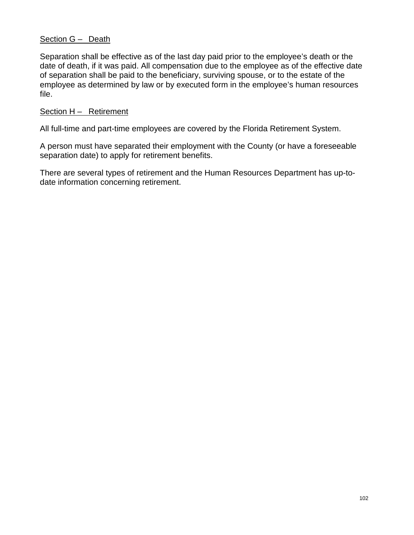### Section G - Death

Separation shall be effective as of the last day paid prior to the employee's death or the date of death, if it was paid. All compensation due to the employee as of the effective date of separation shall be paid to the beneficiary, surviving spouse, or to the estate of the employee as determined by law or by executed form in the employee's human resources file.

### Section H – Retirement

All full-time and part-time employees are covered by the Florida Retirement System.

A person must have separated their employment with the County (or have a foreseeable separation date) to apply for retirement benefits.

There are several types of retirement and the Human Resources Department has up-todate information concerning retirement.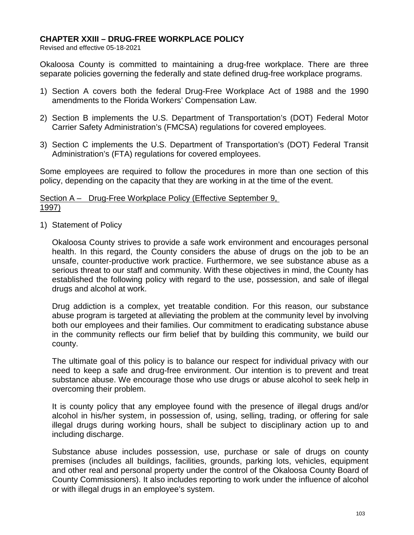## **CHAPTER XXIII – DRUG-FREE WORKPLACE POLICY**

Revised and effective 05-18-2021

Okaloosa County is committed to maintaining a drug-free workplace. There are three separate policies governing the federally and state defined drug-free workplace programs.

- 1) Section A covers both the federal Drug-Free Workplace Act of 1988 and the 1990 amendments to the Florida Workers' Compensation Law.
- 2) Section B implements the U.S. Department of Transportation's (DOT) Federal Motor Carrier Safety Administration's (FMCSA) regulations for covered employees.
- 3) Section C implements the U.S. Department of Transportation's (DOT) Federal Transit Administration's (FTA) regulations for covered employees.

Some employees are required to follow the procedures in more than one section of this policy, depending on the capacity that they are working in at the time of the event.

### Section A – Drug-Free Workplace Policy (Effective September 9, 1997)

1) Statement of Policy

Okaloosa County strives to provide a safe work environment and encourages personal health. In this regard, the County considers the abuse of drugs on the job to be an unsafe, counter-productive work practice. Furthermore, we see substance abuse as a serious threat to our staff and community. With these objectives in mind, the County has established the following policy with regard to the use, possession, and sale of illegal drugs and alcohol at work.

Drug addiction is a complex, yet treatable condition. For this reason, our substance abuse program is targeted at alleviating the problem at the community level by involving both our employees and their families. Our commitment to eradicating substance abuse in the community reflects our firm belief that by building this community, we build our county.

The ultimate goal of this policy is to balance our respect for individual privacy with our need to keep a safe and drug-free environment. Our intention is to prevent and treat substance abuse. We encourage those who use drugs or abuse alcohol to seek help in overcoming their problem.

It is county policy that any employee found with the presence of illegal drugs and/or alcohol in his/her system, in possession of, using, selling, trading, or offering for sale illegal drugs during working hours, shall be subject to disciplinary action up to and including discharge.

Substance abuse includes possession, use, purchase or sale of drugs on county premises (includes all buildings, facilities, grounds, parking lots, vehicles, equipment and other real and personal property under the control of the Okaloosa County Board of County Commissioners). It also includes reporting to work under the influence of alcohol or with illegal drugs in an employee's system.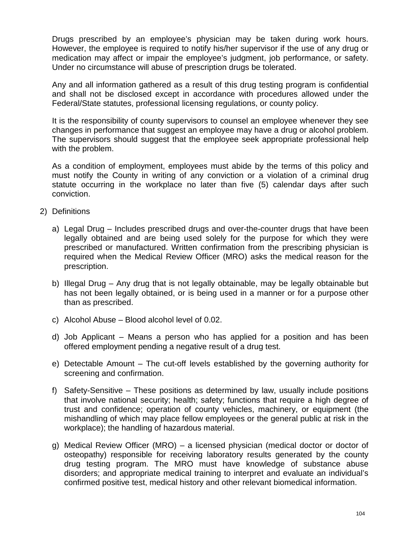Drugs prescribed by an employee's physician may be taken during work hours. However, the employee is required to notify his/her supervisor if the use of any drug or medication may affect or impair the employee's judgment, job performance, or safety. Under no circumstance will abuse of prescription drugs be tolerated.

Any and all information gathered as a result of this drug testing program is confidential and shall not be disclosed except in accordance with procedures allowed under the Federal/State statutes, professional licensing regulations, or county policy.

It is the responsibility of county supervisors to counsel an employee whenever they see changes in performance that suggest an employee may have a drug or alcohol problem. The supervisors should suggest that the employee seek appropriate professional help with the problem.

As a condition of employment, employees must abide by the terms of this policy and must notify the County in writing of any conviction or a violation of a criminal drug statute occurring in the workplace no later than five (5) calendar days after such conviction.

- 2) Definitions
	- a) Legal Drug Includes prescribed drugs and over-the-counter drugs that have been legally obtained and are being used solely for the purpose for which they were prescribed or manufactured. Written confirmation from the prescribing physician is required when the Medical Review Officer (MRO) asks the medical reason for the prescription.
	- b) Illegal Drug Any drug that is not legally obtainable, may be legally obtainable but has not been legally obtained, or is being used in a manner or for a purpose other than as prescribed.
	- c) Alcohol Abuse Blood alcohol level of 0.02.
	- d) Job Applicant Means a person who has applied for a position and has been offered employment pending a negative result of a drug test.
	- e) Detectable Amount The cut-off levels established by the governing authority for screening and confirmation.
	- f) Safety-Sensitive These positions as determined by law, usually include positions that involve national security; health; safety; functions that require a high degree of trust and confidence; operation of county vehicles, machinery, or equipment (the mishandling of which may place fellow employees or the general public at risk in the workplace); the handling of hazardous material.
	- g) Medical Review Officer (MRO) a licensed physician (medical doctor or doctor of osteopathy) responsible for receiving laboratory results generated by the county drug testing program. The MRO must have knowledge of substance abuse disorders; and appropriate medical training to interpret and evaluate an individual's confirmed positive test, medical history and other relevant biomedical information.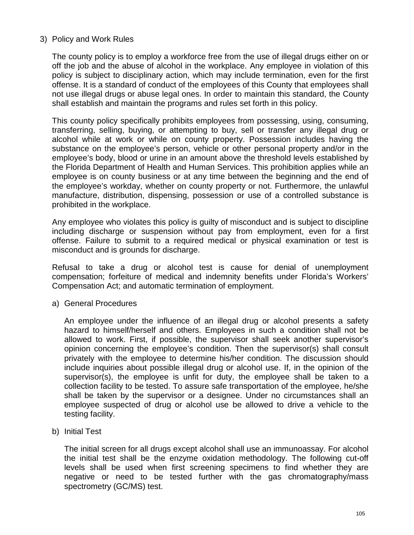# 3) Policy and Work Rules

The county policy is to employ a workforce free from the use of illegal drugs either on or off the job and the abuse of alcohol in the workplace. Any employee in violation of this policy is subject to disciplinary action, which may include termination, even for the first offense. It is a standard of conduct of the employees of this County that employees shall not use illegal drugs or abuse legal ones. In order to maintain this standard, the County shall establish and maintain the programs and rules set forth in this policy.

This county policy specifically prohibits employees from possessing, using, consuming, transferring, selling, buying, or attempting to buy, sell or transfer any illegal drug or alcohol while at work or while on county property. Possession includes having the substance on the employee's person, vehicle or other personal property and/or in the employee's body, blood or urine in an amount above the threshold levels established by the Florida Department of Health and Human Services. This prohibition applies while an employee is on county business or at any time between the beginning and the end of the employee's workday, whether on county property or not. Furthermore, the unlawful manufacture, distribution, dispensing, possession or use of a controlled substance is prohibited in the workplace.

Any employee who violates this policy is guilty of misconduct and is subject to discipline including discharge or suspension without pay from employment, even for a first offense. Failure to submit to a required medical or physical examination or test is misconduct and is grounds for discharge.

Refusal to take a drug or alcohol test is cause for denial of unemployment compensation; forfeiture of medical and indemnity benefits under Florida's Workers' Compensation Act; and automatic termination of employment.

a) General Procedures

An employee under the influence of an illegal drug or alcohol presents a safety hazard to himself/herself and others. Employees in such a condition shall not be allowed to work. First, if possible, the supervisor shall seek another supervisor's opinion concerning the employee's condition. Then the supervisor(s) shall consult privately with the employee to determine his/her condition. The discussion should include inquiries about possible illegal drug or alcohol use. If, in the opinion of the supervisor(s), the employee is unfit for duty, the employee shall be taken to a collection facility to be tested. To assure safe transportation of the employee, he/she shall be taken by the supervisor or a designee. Under no circumstances shall an employee suspected of drug or alcohol use be allowed to drive a vehicle to the testing facility.

b) Initial Test

The initial screen for all drugs except alcohol shall use an immunoassay. For alcohol the initial test shall be the enzyme oxidation methodology. The following cut-off levels shall be used when first screening specimens to find whether they are negative or need to be tested further with the gas chromatography/mass spectrometry (GC/MS) test.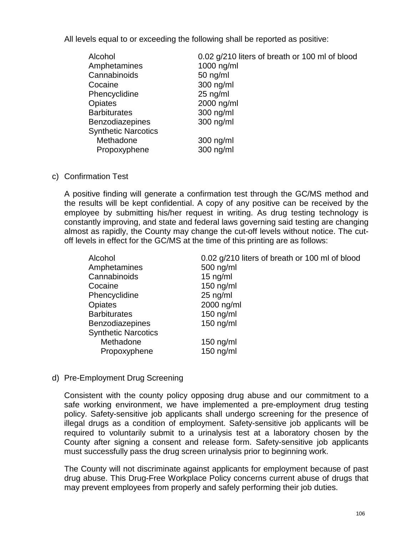All levels equal to or exceeding the following shall be reported as positive:

| Alcohol                    | 0.02 g/210 liters of breath or 100 ml of blood |
|----------------------------|------------------------------------------------|
| Amphetamines               | 1000 ng/ml                                     |
| Cannabinoids               | $50$ ng/ml                                     |
| Cocaine                    | 300 ng/ml                                      |
| Phencyclidine              | $25$ ng/ml                                     |
| <b>Opiates</b>             | 2000 ng/ml                                     |
| <b>Barbiturates</b>        | 300 ng/ml                                      |
| <b>Benzodiazepines</b>     | 300 ng/ml                                      |
| <b>Synthetic Narcotics</b> |                                                |
| Methadone                  | 300 ng/ml                                      |
| Propoxyphene               | 300 ng/ml                                      |

#### c) Confirmation Test

A positive finding will generate a confirmation test through the GC/MS method and the results will be kept confidential. A copy of any positive can be received by the employee by submitting his/her request in writing. As drug testing technology is constantly improving, and state and federal laws governing said testing are changing almost as rapidly, the County may change the cut-off levels without notice. The cutoff levels in effect for the GC/MS at the time of this printing are as follows:

| Alcohol                    | 0.02 g/210 liters of breath or 100 ml of blood |
|----------------------------|------------------------------------------------|
| Amphetamines               | 500 ng/ml                                      |
| Cannabinoids               | $15$ ng/ml                                     |
| Cocaine                    | $150$ ng/ml                                    |
| Phencyclidine              | $25$ ng/ml                                     |
| <b>Opiates</b>             | 2000 ng/ml                                     |
| <b>Barbiturates</b>        | $150$ ng/ml                                    |
| <b>Benzodiazepines</b>     | $150$ ng/ml                                    |
| <b>Synthetic Narcotics</b> |                                                |
| Methadone                  | 150 ng/ml                                      |
| Propoxyphene               | $150$ ng/ml                                    |
|                            |                                                |

# d) Pre-Employment Drug Screening

Consistent with the county policy opposing drug abuse and our commitment to a safe working environment, we have implemented a pre-employment drug testing policy. Safety-sensitive job applicants shall undergo screening for the presence of illegal drugs as a condition of employment. Safety-sensitive job applicants will be required to voluntarily submit to a urinalysis test at a laboratory chosen by the County after signing a consent and release form. Safety-sensitive job applicants must successfully pass the drug screen urinalysis prior to beginning work.

The County will not discriminate against applicants for employment because of past drug abuse. This Drug-Free Workplace Policy concerns current abuse of drugs that may prevent employees from properly and safely performing their job duties.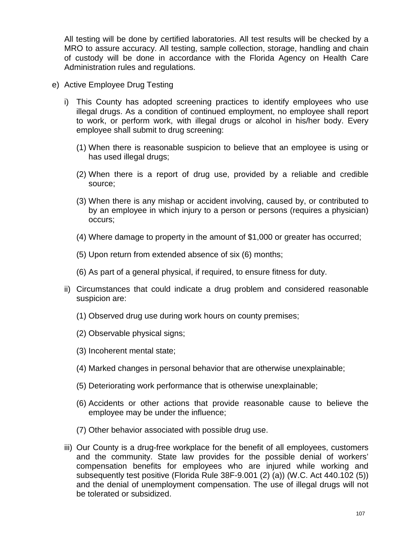All testing will be done by certified laboratories. All test results will be checked by a MRO to assure accuracy. All testing, sample collection, storage, handling and chain of custody will be done in accordance with the Florida Agency on Health Care Administration rules and regulations.

- e) Active Employee Drug Testing
	- i) This County has adopted screening practices to identify employees who use illegal drugs. As a condition of continued employment, no employee shall report to work, or perform work, with illegal drugs or alcohol in his/her body. Every employee shall submit to drug screening:
		- (1) When there is reasonable suspicion to believe that an employee is using or has used illegal drugs;
		- (2) When there is a report of drug use, provided by a reliable and credible source;
		- (3) When there is any mishap or accident involving, caused by, or contributed to by an employee in which injury to a person or persons (requires a physician) occurs;
		- (4) Where damage to property in the amount of \$1,000 or greater has occurred;
		- (5) Upon return from extended absence of six (6) months;
		- (6) As part of a general physical, if required, to ensure fitness for duty.
	- ii) Circumstances that could indicate a drug problem and considered reasonable suspicion are:
		- (1) Observed drug use during work hours on county premises;
		- (2) Observable physical signs;
		- (3) Incoherent mental state;
		- (4) Marked changes in personal behavior that are otherwise unexplainable;
		- (5) Deteriorating work performance that is otherwise unexplainable;
		- (6) Accidents or other actions that provide reasonable cause to believe the employee may be under the influence;
		- (7) Other behavior associated with possible drug use.
	- iii) Our County is a drug-free workplace for the benefit of all employees, customers and the community. State law provides for the possible denial of workers' compensation benefits for employees who are injured while working and subsequently test positive (Florida Rule 38F-9.001 (2) (a)) (W.C. Act 440.102 (5)) and the denial of unemployment compensation. The use of illegal drugs will not be tolerated or subsidized.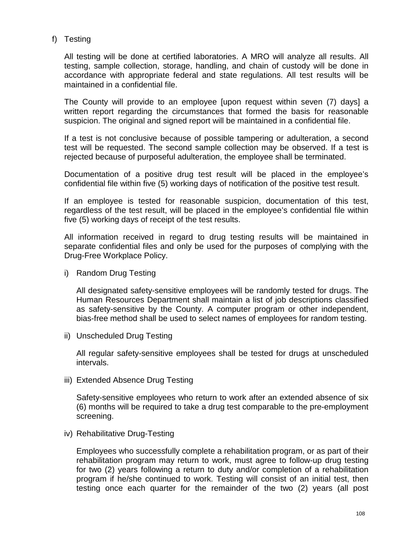f) Testing

All testing will be done at certified laboratories. A MRO will analyze all results. All testing, sample collection, storage, handling, and chain of custody will be done in accordance with appropriate federal and state regulations. All test results will be maintained in a confidential file.

The County will provide to an employee [upon request within seven (7) days] a written report regarding the circumstances that formed the basis for reasonable suspicion. The original and signed report will be maintained in a confidential file.

If a test is not conclusive because of possible tampering or adulteration, a second test will be requested. The second sample collection may be observed. If a test is rejected because of purposeful adulteration, the employee shall be terminated.

Documentation of a positive drug test result will be placed in the employee's confidential file within five (5) working days of notification of the positive test result.

If an employee is tested for reasonable suspicion, documentation of this test, regardless of the test result, will be placed in the employee's confidential file within five (5) working days of receipt of the test results.

All information received in regard to drug testing results will be maintained in separate confidential files and only be used for the purposes of complying with the Drug-Free Workplace Policy.

i) Random Drug Testing

All designated safety-sensitive employees will be randomly tested for drugs. The Human Resources Department shall maintain a list of job descriptions classified as safety-sensitive by the County. A computer program or other independent, bias-free method shall be used to select names of employees for random testing.

ii) Unscheduled Drug Testing

All regular safety-sensitive employees shall be tested for drugs at unscheduled intervals.

iii) Extended Absence Drug Testing

Safety-sensitive employees who return to work after an extended absence of six (6) months will be required to take a drug test comparable to the pre-employment screening.

iv) Rehabilitative Drug-Testing

Employees who successfully complete a rehabilitation program, or as part of their rehabilitation program may return to work, must agree to follow-up drug testing for two (2) years following a return to duty and/or completion of a rehabilitation program if he/she continued to work. Testing will consist of an initial test, then testing once each quarter for the remainder of the two (2) years (all post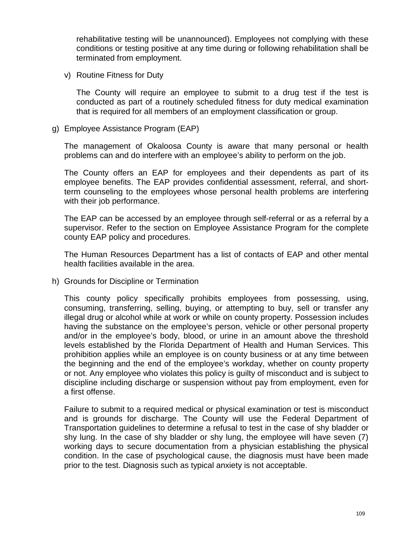rehabilitative testing will be unannounced). Employees not complying with these conditions or testing positive at any time during or following rehabilitation shall be terminated from employment.

v) Routine Fitness for Duty

The County will require an employee to submit to a drug test if the test is conducted as part of a routinely scheduled fitness for duty medical examination that is required for all members of an employment classification or group.

g) Employee Assistance Program (EAP)

The management of Okaloosa County is aware that many personal or health problems can and do interfere with an employee's ability to perform on the job.

The County offers an EAP for employees and their dependents as part of its employee benefits. The EAP provides confidential assessment, referral, and shortterm counseling to the employees whose personal health problems are interfering with their job performance.

The EAP can be accessed by an employee through self-referral or as a referral by a supervisor. Refer to the section on Employee Assistance Program for the complete county EAP policy and procedures.

The Human Resources Department has a list of contacts of EAP and other mental health facilities available in the area.

h) Grounds for Discipline or Termination

This county policy specifically prohibits employees from possessing, using, consuming, transferring, selling, buying, or attempting to buy, sell or transfer any illegal drug or alcohol while at work or while on county property. Possession includes having the substance on the employee's person, vehicle or other personal property and/or in the employee's body, blood, or urine in an amount above the threshold levels established by the Florida Department of Health and Human Services. This prohibition applies while an employee is on county business or at any time between the beginning and the end of the employee's workday, whether on county property or not. Any employee who violates this policy is guilty of misconduct and is subject to discipline including discharge or suspension without pay from employment, even for a first offense.

Failure to submit to a required medical or physical examination or test is misconduct and is grounds for discharge. The County will use the Federal Department of Transportation guidelines to determine a refusal to test in the case of shy bladder or shy lung. In the case of shy bladder or shy lung, the employee will have seven (7) working days to secure documentation from a physician establishing the physical condition. In the case of psychological cause, the diagnosis must have been made prior to the test. Diagnosis such as typical anxiety is not acceptable.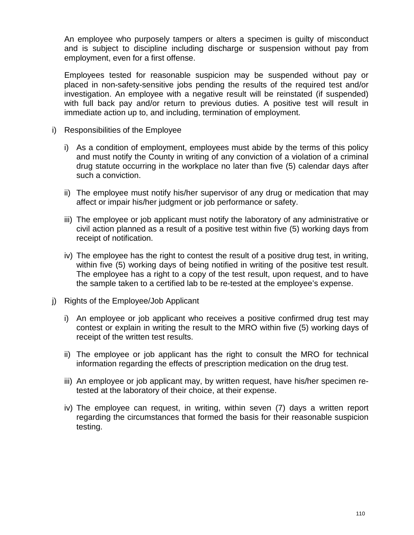An employee who purposely tampers or alters a specimen is guilty of misconduct and is subject to discipline including discharge or suspension without pay from employment, even for a first offense.

Employees tested for reasonable suspicion may be suspended without pay or placed in non-safety-sensitive jobs pending the results of the required test and/or investigation. An employee with a negative result will be reinstated (if suspended) with full back pay and/or return to previous duties. A positive test will result in immediate action up to, and including, termination of employment.

- i) Responsibilities of the Employee
	- i) As a condition of employment, employees must abide by the terms of this policy and must notify the County in writing of any conviction of a violation of a criminal drug statute occurring in the workplace no later than five (5) calendar days after such a conviction.
	- ii) The employee must notify his/her supervisor of any drug or medication that may affect or impair his/her judgment or job performance or safety.
	- iii) The employee or job applicant must notify the laboratory of any administrative or civil action planned as a result of a positive test within five (5) working days from receipt of notification.
	- iv) The employee has the right to contest the result of a positive drug test, in writing, within five (5) working days of being notified in writing of the positive test result. The employee has a right to a copy of the test result, upon request, and to have the sample taken to a certified lab to be re-tested at the employee's expense.
- j) Rights of the Employee/Job Applicant
	- i) An employee or job applicant who receives a positive confirmed drug test may contest or explain in writing the result to the MRO within five (5) working days of receipt of the written test results.
	- ii) The employee or job applicant has the right to consult the MRO for technical information regarding the effects of prescription medication on the drug test.
	- iii) An employee or job applicant may, by written request, have his/her specimen retested at the laboratory of their choice, at their expense.
	- iv) The employee can request, in writing, within seven (7) days a written report regarding the circumstances that formed the basis for their reasonable suspicion testing.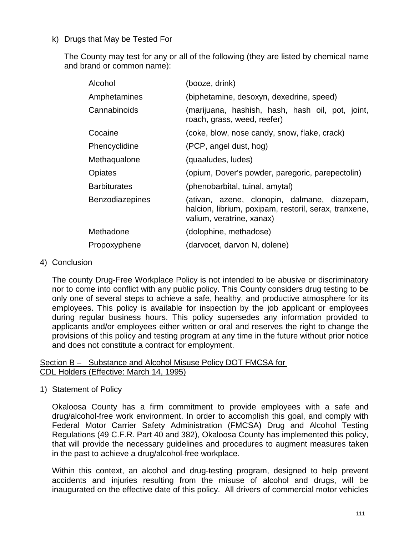# k) Drugs that May be Tested For

The County may test for any or all of the following (they are listed by chemical name and brand or common name):

| Alcohol                | (booze, drink)                                                                                                                     |
|------------------------|------------------------------------------------------------------------------------------------------------------------------------|
| Amphetamines           | (biphetamine, desoxyn, dexedrine, speed)                                                                                           |
| Cannabinoids           | (marijuana, hashish, hash, hash oil, pot, joint,<br>roach, grass, weed, reefer)                                                    |
| Cocaine                | (coke, blow, nose candy, snow, flake, crack)                                                                                       |
| Phencyclidine          | (PCP, angel dust, hog)                                                                                                             |
| Methaqualone           | (quaaludes, ludes)                                                                                                                 |
| <b>Opiates</b>         | (opium, Dover's powder, paregoric, parepectolin)                                                                                   |
| <b>Barbiturates</b>    | (phenobarbital, tuinal, amytal)                                                                                                    |
| <b>Benzodiazepines</b> | (ativan, azene, clonopin, dalmane, diazepam,<br>halcion, librium, poxipam, restoril, serax, tranxene,<br>valium, veratrine, xanax) |
| Methadone              | (dolophine, methadose)                                                                                                             |
| Propoxyphene           | (darvocet, darvon N, dolene)                                                                                                       |

#### 4) Conclusion

The county Drug-Free Workplace Policy is not intended to be abusive or discriminatory nor to come into conflict with any public policy. This County considers drug testing to be only one of several steps to achieve a safe, healthy, and productive atmosphere for its employees. This policy is available for inspection by the job applicant or employees during regular business hours. This policy supersedes any information provided to applicants and/or employees either written or oral and reserves the right to change the provisions of this policy and testing program at any time in the future without prior notice and does not constitute a contract for employment.

# Section B – Substance and Alcohol Misuse Policy DOT FMCSA for CDL Holders (Effective: March 14, 1995)

1) Statement of Policy

Okaloosa County has a firm commitment to provide employees with a safe and drug/alcohol-free work environment. In order to accomplish this goal, and comply with Federal Motor Carrier Safety Administration (FMCSA) Drug and Alcohol Testing Regulations (49 C.F.R. Part 40 and 382), Okaloosa County has implemented this policy, that will provide the necessary guidelines and procedures to augment measures taken in the past to achieve a drug/alcohol-free workplace.

Within this context, an alcohol and drug-testing program, designed to help prevent accidents and injuries resulting from the misuse of alcohol and drugs, will be inaugurated on the effective date of this policy. All drivers of commercial motor vehicles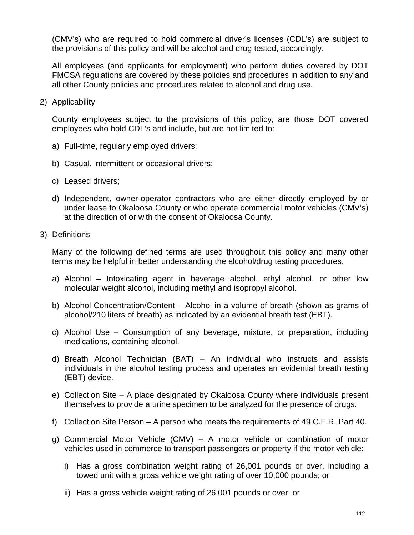(CMV's) who are required to hold commercial driver's licenses (CDL's) are subject to the provisions of this policy and will be alcohol and drug tested, accordingly.

All employees (and applicants for employment) who perform duties covered by DOT FMCSA regulations are covered by these policies and procedures in addition to any and all other County policies and procedures related to alcohol and drug use.

2) Applicability

County employees subject to the provisions of this policy, are those DOT covered employees who hold CDL's and include, but are not limited to:

- a) Full-time, regularly employed drivers;
- b) Casual, intermittent or occasional drivers;
- c) Leased drivers;
- d) Independent, owner-operator contractors who are either directly employed by or under lease to Okaloosa County or who operate commercial motor vehicles (CMV's) at the direction of or with the consent of Okaloosa County.
- 3) Definitions

Many of the following defined terms are used throughout this policy and many other terms may be helpful in better understanding the alcohol/drug testing procedures.

- a) Alcohol Intoxicating agent in beverage alcohol, ethyl alcohol, or other low molecular weight alcohol, including methyl and isopropyl alcohol.
- b) Alcohol Concentration/Content Alcohol in a volume of breath (shown as grams of alcohol/210 liters of breath) as indicated by an evidential breath test (EBT).
- c) Alcohol Use Consumption of any beverage, mixture, or preparation, including medications, containing alcohol.
- d) Breath Alcohol Technician (BAT) An individual who instructs and assists individuals in the alcohol testing process and operates an evidential breath testing (EBT) device.
- e) Collection Site A place designated by Okaloosa County where individuals present themselves to provide a urine specimen to be analyzed for the presence of drugs.
- f) Collection Site Person A person who meets the requirements of 49 C.F.R. Part 40.
- g) Commercial Motor Vehicle (CMV) A motor vehicle or combination of motor vehicles used in commerce to transport passengers or property if the motor vehicle:
	- i) Has a gross combination weight rating of 26,001 pounds or over, including a towed unit with a gross vehicle weight rating of over 10,000 pounds; or
	- ii) Has a gross vehicle weight rating of 26,001 pounds or over; or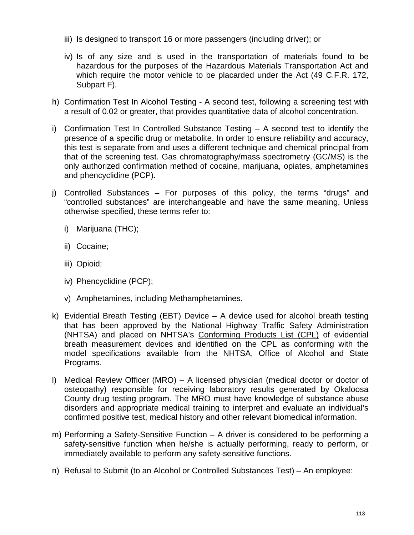- iii) Is designed to transport 16 or more passengers (including driver); or
- iv) Is of any size and is used in the transportation of materials found to be hazardous for the purposes of the Hazardous Materials Transportation Act and which require the motor vehicle to be placarded under the Act (49 C.F.R. 172, Subpart F).
- h) Confirmation Test In Alcohol Testing A second test, following a screening test with a result of 0.02 or greater, that provides quantitative data of alcohol concentration.
- i) Confirmation Test In Controlled Substance Testing A second test to identify the presence of a specific drug or metabolite. In order to ensure reliability and accuracy, this test is separate from and uses a different technique and chemical principal from that of the screening test. Gas chromatography/mass spectrometry (GC/MS) is the only authorized confirmation method of cocaine, marijuana, opiates, amphetamines and phencyclidine (PCP).
- j) Controlled Substances For purposes of this policy, the terms "drugs" and "controlled substances" are interchangeable and have the same meaning. Unless otherwise specified, these terms refer to:
	- i) Marijuana (THC);
	- ii) Cocaine;
	- iii) Opioid;
	- iv) Phencyclidine (PCP);
	- v) Amphetamines, including Methamphetamines.
- k) Evidential Breath Testing (EBT) Device A device used for alcohol breath testing that has been approved by the National Highway Traffic Safety Administration (NHTSA) and placed on NHTSA's Conforming Products List (CPL) of evidential breath measurement devices and identified on the CPL as conforming with the model specifications available from the NHTSA, Office of Alcohol and State Programs.
- l) Medical Review Officer (MRO) A licensed physician (medical doctor or doctor of osteopathy) responsible for receiving laboratory results generated by Okaloosa County drug testing program. The MRO must have knowledge of substance abuse disorders and appropriate medical training to interpret and evaluate an individual's confirmed positive test, medical history and other relevant biomedical information.
- m) Performing a Safety-Sensitive Function A driver is considered to be performing a safety-sensitive function when he/she is actually performing, ready to perform, or immediately available to perform any safety-sensitive functions.
- n) Refusal to Submit (to an Alcohol or Controlled Substances Test) An employee: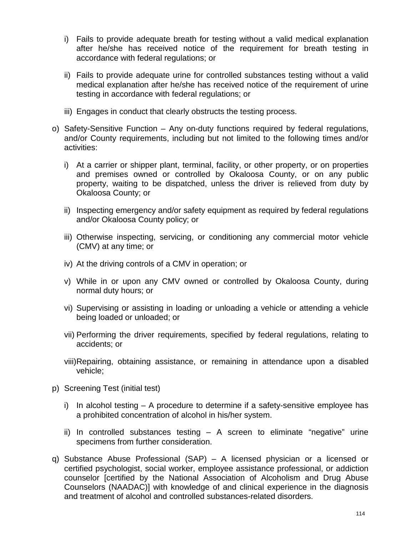- i) Fails to provide adequate breath for testing without a valid medical explanation after he/she has received notice of the requirement for breath testing in accordance with federal regulations; or
- ii) Fails to provide adequate urine for controlled substances testing without a valid medical explanation after he/she has received notice of the requirement of urine testing in accordance with federal regulations; or
- iii) Engages in conduct that clearly obstructs the testing process.
- o) Safety-Sensitive Function Any on-duty functions required by federal regulations, and/or County requirements, including but not limited to the following times and/or activities:
	- i) At a carrier or shipper plant, terminal, facility, or other property, or on properties and premises owned or controlled by Okaloosa County, or on any public property, waiting to be dispatched, unless the driver is relieved from duty by Okaloosa County; or
	- ii) Inspecting emergency and/or safety equipment as required by federal regulations and/or Okaloosa County policy; or
	- iii) Otherwise inspecting, servicing, or conditioning any commercial motor vehicle (CMV) at any time; or
	- iv) At the driving controls of a CMV in operation; or
	- v) While in or upon any CMV owned or controlled by Okaloosa County, during normal duty hours; or
	- vi) Supervising or assisting in loading or unloading a vehicle or attending a vehicle being loaded or unloaded; or
	- vii) Performing the driver requirements, specified by federal regulations, relating to accidents; or
	- viii)Repairing, obtaining assistance, or remaining in attendance upon a disabled vehicle;
- p) Screening Test (initial test)
	- i) In alcohol testing  $-$  A procedure to determine if a safety-sensitive employee has a prohibited concentration of alcohol in his/her system.
	- ii) In controlled substances testing  $-$  A screen to eliminate "negative" urine specimens from further consideration.
- q) Substance Abuse Professional (SAP) A licensed physician or a licensed or certified psychologist, social worker, employee assistance professional, or addiction counselor [certified by the National Association of Alcoholism and Drug Abuse Counselors (NAADAC)] with knowledge of and clinical experience in the diagnosis and treatment of alcohol and controlled substances-related disorders.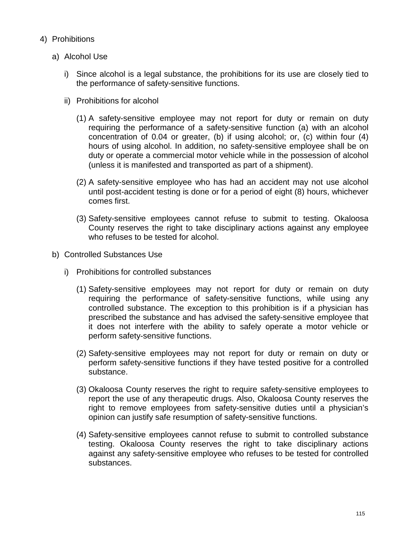- 4) Prohibitions
	- a) Alcohol Use
		- i) Since alcohol is a legal substance, the prohibitions for its use are closely tied to the performance of safety-sensitive functions.
		- ii) Prohibitions for alcohol
			- (1) A safety-sensitive employee may not report for duty or remain on duty requiring the performance of a safety-sensitive function (a) with an alcohol concentration of 0.04 or greater, (b) if using alcohol; or, (c) within four (4) hours of using alcohol. In addition, no safety-sensitive employee shall be on duty or operate a commercial motor vehicle while in the possession of alcohol (unless it is manifested and transported as part of a shipment).
			- (2) A safety-sensitive employee who has had an accident may not use alcohol until post-accident testing is done or for a period of eight (8) hours, whichever comes first.
			- (3) Safety-sensitive employees cannot refuse to submit to testing. Okaloosa County reserves the right to take disciplinary actions against any employee who refuses to be tested for alcohol.
	- b) Controlled Substances Use
		- i) Prohibitions for controlled substances
			- (1) Safety-sensitive employees may not report for duty or remain on duty requiring the performance of safety-sensitive functions, while using any controlled substance. The exception to this prohibition is if a physician has prescribed the substance and has advised the safety-sensitive employee that it does not interfere with the ability to safely operate a motor vehicle or perform safety-sensitive functions.
			- (2) Safety-sensitive employees may not report for duty or remain on duty or perform safety-sensitive functions if they have tested positive for a controlled substance.
			- (3) Okaloosa County reserves the right to require safety-sensitive employees to report the use of any therapeutic drugs. Also, Okaloosa County reserves the right to remove employees from safety-sensitive duties until a physician's opinion can justify safe resumption of safety-sensitive functions.
			- (4) Safety-sensitive employees cannot refuse to submit to controlled substance testing. Okaloosa County reserves the right to take disciplinary actions against any safety-sensitive employee who refuses to be tested for controlled substances.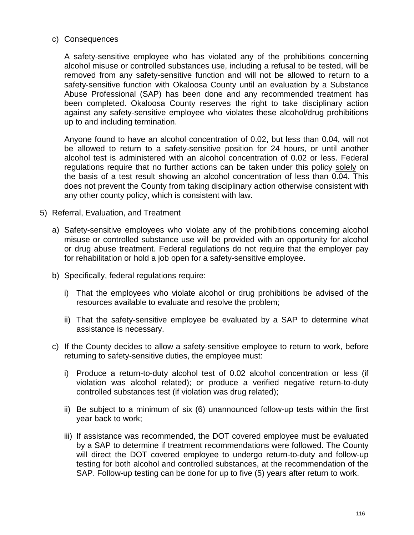### c) Consequences

A safety-sensitive employee who has violated any of the prohibitions concerning alcohol misuse or controlled substances use, including a refusal to be tested, will be removed from any safety-sensitive function and will not be allowed to return to a safety-sensitive function with Okaloosa County until an evaluation by a Substance Abuse Professional (SAP) has been done and any recommended treatment has been completed. Okaloosa County reserves the right to take disciplinary action against any safety-sensitive employee who violates these alcohol/drug prohibitions up to and including termination.

Anyone found to have an alcohol concentration of 0.02, but less than 0.04, will not be allowed to return to a safety-sensitive position for 24 hours, or until another alcohol test is administered with an alcohol concentration of 0.02 or less. Federal regulations require that no further actions can be taken under this policy solely on the basis of a test result showing an alcohol concentration of less than 0.04. This does not prevent the County from taking disciplinary action otherwise consistent with any other county policy, which is consistent with law.

- 5) Referral, Evaluation, and Treatment
	- a) Safety-sensitive employees who violate any of the prohibitions concerning alcohol misuse or controlled substance use will be provided with an opportunity for alcohol or drug abuse treatment. Federal regulations do not require that the employer pay for rehabilitation or hold a job open for a safety-sensitive employee.
	- b) Specifically, federal regulations require:
		- i) That the employees who violate alcohol or drug prohibitions be advised of the resources available to evaluate and resolve the problem;
		- ii) That the safety-sensitive employee be evaluated by a SAP to determine what assistance is necessary.
	- c) If the County decides to allow a safety-sensitive employee to return to work, before returning to safety-sensitive duties, the employee must:
		- i) Produce a return-to-duty alcohol test of 0.02 alcohol concentration or less (if violation was alcohol related); or produce a verified negative return-to-duty controlled substances test (if violation was drug related);
		- ii) Be subject to a minimum of six (6) unannounced follow-up tests within the first year back to work;
		- iii) If assistance was recommended, the DOT covered employee must be evaluated by a SAP to determine if treatment recommendations were followed. The County will direct the DOT covered employee to undergo return-to-duty and follow-up testing for both alcohol and controlled substances, at the recommendation of the SAP. Follow-up testing can be done for up to five (5) years after return to work.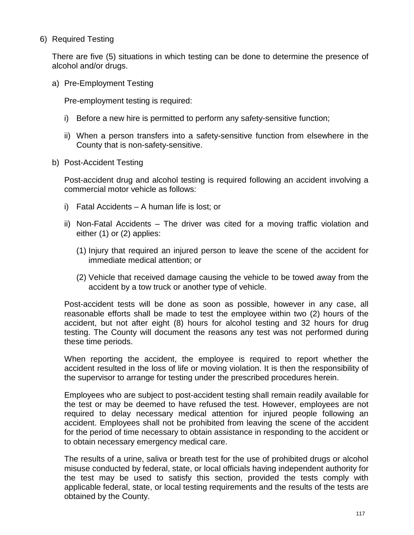6) Required Testing

There are five (5) situations in which testing can be done to determine the presence of alcohol and/or drugs.

a) Pre-Employment Testing

Pre-employment testing is required:

- i) Before a new hire is permitted to perform any safety-sensitive function;
- ii) When a person transfers into a safety-sensitive function from elsewhere in the County that is non-safety-sensitive.
- b) Post-Accident Testing

Post-accident drug and alcohol testing is required following an accident involving a commercial motor vehicle as follows:

- i) Fatal Accidents A human life is lost; or
- ii) Non-Fatal Accidents The driver was cited for a moving traffic violation and either (1) or (2) applies:
	- (1) Injury that required an injured person to leave the scene of the accident for immediate medical attention; or
	- (2) Vehicle that received damage causing the vehicle to be towed away from the accident by a tow truck or another type of vehicle.

Post-accident tests will be done as soon as possible, however in any case, all reasonable efforts shall be made to test the employee within two (2) hours of the accident, but not after eight (8) hours for alcohol testing and 32 hours for drug testing. The County will document the reasons any test was not performed during these time periods.

When reporting the accident, the employee is required to report whether the accident resulted in the loss of life or moving violation. It is then the responsibility of the supervisor to arrange for testing under the prescribed procedures herein.

Employees who are subject to post-accident testing shall remain readily available for the test or may be deemed to have refused the test. However, employees are not required to delay necessary medical attention for injured people following an accident. Employees shall not be prohibited from leaving the scene of the accident for the period of time necessary to obtain assistance in responding to the accident or to obtain necessary emergency medical care.

The results of a urine, saliva or breath test for the use of prohibited drugs or alcohol misuse conducted by federal, state, or local officials having independent authority for the test may be used to satisfy this section, provided the tests comply with applicable federal, state, or local testing requirements and the results of the tests are obtained by the County.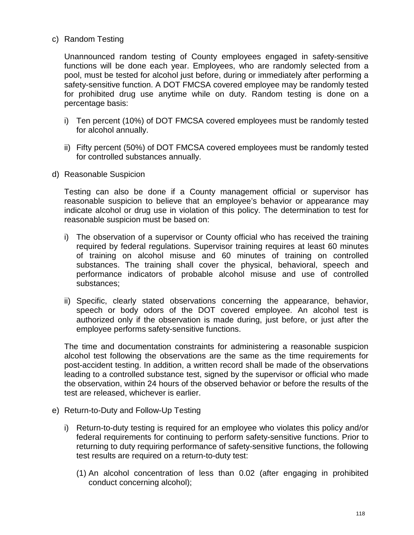# c) Random Testing

Unannounced random testing of County employees engaged in safety-sensitive functions will be done each year. Employees, who are randomly selected from a pool, must be tested for alcohol just before, during or immediately after performing a safety-sensitive function. A DOT FMCSA covered employee may be randomly tested for prohibited drug use anytime while on duty. Random testing is done on a percentage basis:

- i) Ten percent (10%) of DOT FMCSA covered employees must be randomly tested for alcohol annually.
- ii) Fifty percent (50%) of DOT FMCSA covered employees must be randomly tested for controlled substances annually.
- d) Reasonable Suspicion

Testing can also be done if a County management official or supervisor has reasonable suspicion to believe that an employee's behavior or appearance may indicate alcohol or drug use in violation of this policy. The determination to test for reasonable suspicion must be based on:

- i) The observation of a supervisor or County official who has received the training required by federal regulations. Supervisor training requires at least 60 minutes of training on alcohol misuse and 60 minutes of training on controlled substances. The training shall cover the physical, behavioral, speech and performance indicators of probable alcohol misuse and use of controlled substances;
- ii) Specific, clearly stated observations concerning the appearance, behavior, speech or body odors of the DOT covered employee. An alcohol test is authorized only if the observation is made during, just before, or just after the employee performs safety-sensitive functions.

The time and documentation constraints for administering a reasonable suspicion alcohol test following the observations are the same as the time requirements for post-accident testing. In addition, a written record shall be made of the observations leading to a controlled substance test, signed by the supervisor or official who made the observation, within 24 hours of the observed behavior or before the results of the test are released, whichever is earlier.

- e) Return-to-Duty and Follow-Up Testing
	- i) Return-to-duty testing is required for an employee who violates this policy and/or federal requirements for continuing to perform safety-sensitive functions. Prior to returning to duty requiring performance of safety-sensitive functions, the following test results are required on a return-to-duty test:
		- (1) An alcohol concentration of less than 0.02 (after engaging in prohibited conduct concerning alcohol);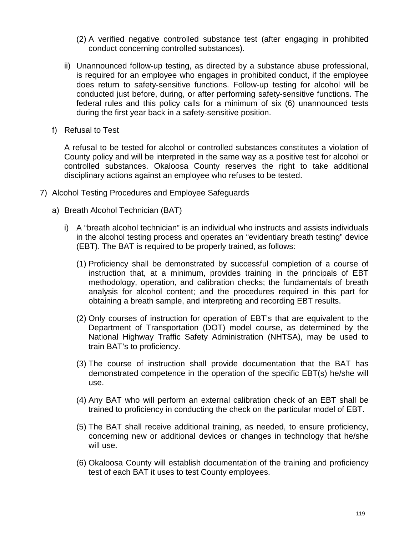- (2) A verified negative controlled substance test (after engaging in prohibited conduct concerning controlled substances).
- ii) Unannounced follow-up testing, as directed by a substance abuse professional, is required for an employee who engages in prohibited conduct, if the employee does return to safety-sensitive functions. Follow-up testing for alcohol will be conducted just before, during, or after performing safety-sensitive functions. The federal rules and this policy calls for a minimum of six (6) unannounced tests during the first year back in a safety-sensitive position.
- f) Refusal to Test

A refusal to be tested for alcohol or controlled substances constitutes a violation of County policy and will be interpreted in the same way as a positive test for alcohol or controlled substances. Okaloosa County reserves the right to take additional disciplinary actions against an employee who refuses to be tested.

- 7) Alcohol Testing Procedures and Employee Safeguards
	- a) Breath Alcohol Technician (BAT)
		- i) A "breath alcohol technician" is an individual who instructs and assists individuals in the alcohol testing process and operates an "evidentiary breath testing" device (EBT). The BAT is required to be properly trained, as follows:
			- (1) Proficiency shall be demonstrated by successful completion of a course of instruction that, at a minimum, provides training in the principals of EBT methodology, operation, and calibration checks; the fundamentals of breath analysis for alcohol content; and the procedures required in this part for obtaining a breath sample, and interpreting and recording EBT results.
			- (2) Only courses of instruction for operation of EBT's that are equivalent to the Department of Transportation (DOT) model course, as determined by the National Highway Traffic Safety Administration (NHTSA), may be used to train BAT's to proficiency.
			- (3) The course of instruction shall provide documentation that the BAT has demonstrated competence in the operation of the specific EBT(s) he/she will use.
			- (4) Any BAT who will perform an external calibration check of an EBT shall be trained to proficiency in conducting the check on the particular model of EBT.
			- (5) The BAT shall receive additional training, as needed, to ensure proficiency, concerning new or additional devices or changes in technology that he/she will use.
			- (6) Okaloosa County will establish documentation of the training and proficiency test of each BAT it uses to test County employees.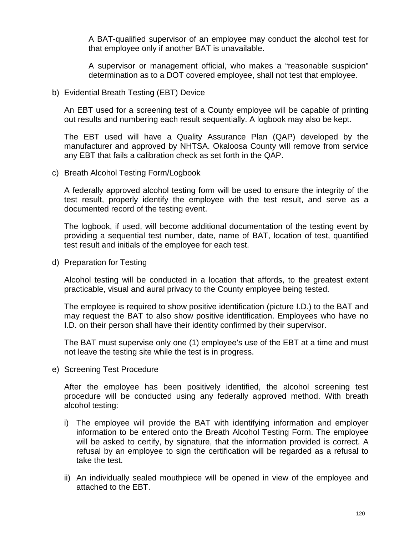A BAT-qualified supervisor of an employee may conduct the alcohol test for that employee only if another BAT is unavailable.

A supervisor or management official, who makes a "reasonable suspicion" determination as to a DOT covered employee, shall not test that employee.

#### b) Evidential Breath Testing (EBT) Device

An EBT used for a screening test of a County employee will be capable of printing out results and numbering each result sequentially. A logbook may also be kept.

The EBT used will have a Quality Assurance Plan (QAP) developed by the manufacturer and approved by NHTSA. Okaloosa County will remove from service any EBT that fails a calibration check as set forth in the QAP.

c) Breath Alcohol Testing Form/Logbook

A federally approved alcohol testing form will be used to ensure the integrity of the test result, properly identify the employee with the test result, and serve as a documented record of the testing event.

The logbook, if used, will become additional documentation of the testing event by providing a sequential test number, date, name of BAT, location of test, quantified test result and initials of the employee for each test.

d) Preparation for Testing

Alcohol testing will be conducted in a location that affords, to the greatest extent practicable, visual and aural privacy to the County employee being tested.

The employee is required to show positive identification (picture I.D.) to the BAT and may request the BAT to also show positive identification. Employees who have no I.D. on their person shall have their identity confirmed by their supervisor.

The BAT must supervise only one (1) employee's use of the EBT at a time and must not leave the testing site while the test is in progress.

e) Screening Test Procedure

After the employee has been positively identified, the alcohol screening test procedure will be conducted using any federally approved method. With breath alcohol testing:

- i) The employee will provide the BAT with identifying information and employer information to be entered onto the Breath Alcohol Testing Form. The employee will be asked to certify, by signature, that the information provided is correct. A refusal by an employee to sign the certification will be regarded as a refusal to take the test.
- ii) An individually sealed mouthpiece will be opened in view of the employee and attached to the EBT.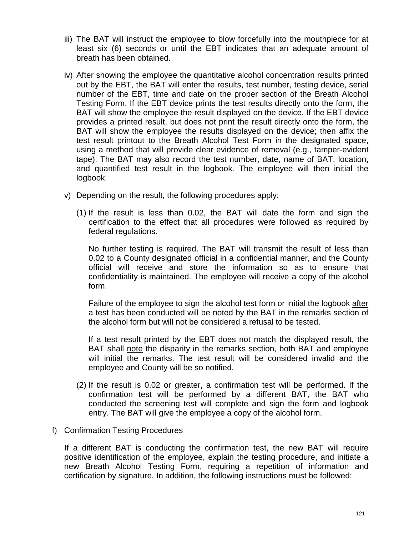- iii) The BAT will instruct the employee to blow forcefully into the mouthpiece for at least six (6) seconds or until the EBT indicates that an adequate amount of breath has been obtained.
- iv) After showing the employee the quantitative alcohol concentration results printed out by the EBT, the BAT will enter the results, test number, testing device, serial number of the EBT, time and date on the proper section of the Breath Alcohol Testing Form. If the EBT device prints the test results directly onto the form, the BAT will show the employee the result displayed on the device. If the EBT device provides a printed result, but does not print the result directly onto the form, the BAT will show the employee the results displayed on the device; then affix the test result printout to the Breath Alcohol Test Form in the designated space, using a method that will provide clear evidence of removal (e.g., tamper-evident tape). The BAT may also record the test number, date, name of BAT, location, and quantified test result in the logbook. The employee will then initial the logbook.
- v) Depending on the result, the following procedures apply:
	- (1) If the result is less than 0.02, the BAT will date the form and sign the certification to the effect that all procedures were followed as required by federal regulations.

No further testing is required. The BAT will transmit the result of less than 0.02 to a County designated official in a confidential manner, and the County official will receive and store the information so as to ensure that confidentiality is maintained. The employee will receive a copy of the alcohol form.

Failure of the employee to sign the alcohol test form or initial the logbook after a test has been conducted will be noted by the BAT in the remarks section of the alcohol form but will not be considered a refusal to be tested.

If a test result printed by the EBT does not match the displayed result, the BAT shall note the disparity in the remarks section, both BAT and employee will initial the remarks. The test result will be considered invalid and the employee and County will be so notified.

- (2) If the result is 0.02 or greater, a confirmation test will be performed. If the confirmation test will be performed by a different BAT, the BAT who conducted the screening test will complete and sign the form and logbook entry. The BAT will give the employee a copy of the alcohol form.
- f) Confirmation Testing Procedures

If a different BAT is conducting the confirmation test, the new BAT will require positive identification of the employee, explain the testing procedure, and initiate a new Breath Alcohol Testing Form, requiring a repetition of information and certification by signature. In addition, the following instructions must be followed: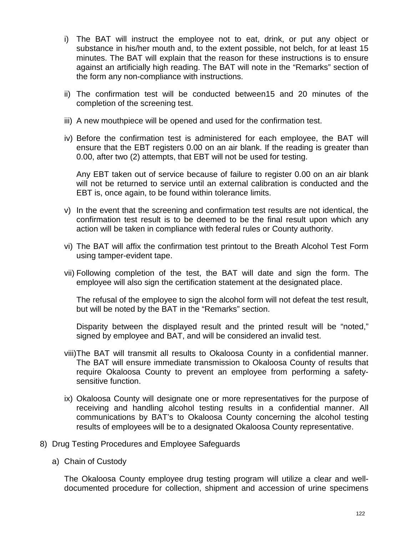- i) The BAT will instruct the employee not to eat, drink, or put any object or substance in his/her mouth and, to the extent possible, not belch, for at least 15 minutes. The BAT will explain that the reason for these instructions is to ensure against an artificially high reading. The BAT will note in the "Remarks" section of the form any non-compliance with instructions.
- ii) The confirmation test will be conducted between15 and 20 minutes of the completion of the screening test.
- iii) A new mouthpiece will be opened and used for the confirmation test.
- iv) Before the confirmation test is administered for each employee, the BAT will ensure that the EBT registers 0.00 on an air blank. If the reading is greater than 0.00, after two (2) attempts, that EBT will not be used for testing.

Any EBT taken out of service because of failure to register 0.00 on an air blank will not be returned to service until an external calibration is conducted and the EBT is, once again, to be found within tolerance limits.

- v) In the event that the screening and confirmation test results are not identical, the confirmation test result is to be deemed to be the final result upon which any action will be taken in compliance with federal rules or County authority.
- vi) The BAT will affix the confirmation test printout to the Breath Alcohol Test Form using tamper-evident tape.
- vii) Following completion of the test, the BAT will date and sign the form. The employee will also sign the certification statement at the designated place.

The refusal of the employee to sign the alcohol form will not defeat the test result, but will be noted by the BAT in the "Remarks" section.

Disparity between the displayed result and the printed result will be "noted," signed by employee and BAT, and will be considered an invalid test.

- viii)The BAT will transmit all results to Okaloosa County in a confidential manner. The BAT will ensure immediate transmission to Okaloosa County of results that require Okaloosa County to prevent an employee from performing a safetysensitive function.
- ix) Okaloosa County will designate one or more representatives for the purpose of receiving and handling alcohol testing results in a confidential manner. All communications by BAT's to Okaloosa County concerning the alcohol testing results of employees will be to a designated Okaloosa County representative.
- 8) Drug Testing Procedures and Employee Safeguards
	- a) Chain of Custody

The Okaloosa County employee drug testing program will utilize a clear and welldocumented procedure for collection, shipment and accession of urine specimens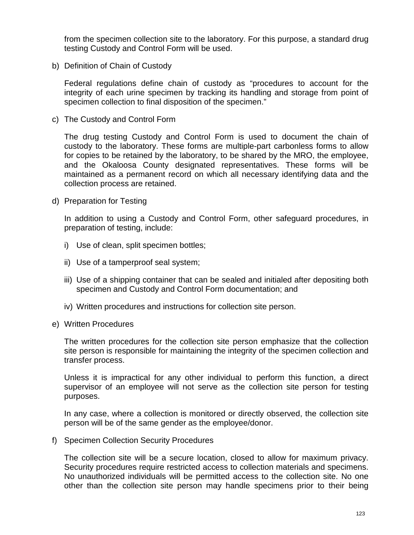from the specimen collection site to the laboratory. For this purpose, a standard drug testing Custody and Control Form will be used.

b) Definition of Chain of Custody

Federal regulations define chain of custody as "procedures to account for the integrity of each urine specimen by tracking its handling and storage from point of specimen collection to final disposition of the specimen."

c) The Custody and Control Form

The drug testing Custody and Control Form is used to document the chain of custody to the laboratory. These forms are multiple-part carbonless forms to allow for copies to be retained by the laboratory, to be shared by the MRO, the employee, and the Okaloosa County designated representatives. These forms will be maintained as a permanent record on which all necessary identifying data and the collection process are retained.

d) Preparation for Testing

In addition to using a Custody and Control Form, other safeguard procedures, in preparation of testing, include:

- i) Use of clean, split specimen bottles;
- ii) Use of a tamperproof seal system;
- iii) Use of a shipping container that can be sealed and initialed after depositing both specimen and Custody and Control Form documentation; and
- iv) Written procedures and instructions for collection site person.
- e) Written Procedures

The written procedures for the collection site person emphasize that the collection site person is responsible for maintaining the integrity of the specimen collection and transfer process.

Unless it is impractical for any other individual to perform this function, a direct supervisor of an employee will not serve as the collection site person for testing purposes.

In any case, where a collection is monitored or directly observed, the collection site person will be of the same gender as the employee/donor.

f) Specimen Collection Security Procedures

The collection site will be a secure location, closed to allow for maximum privacy. Security procedures require restricted access to collection materials and specimens. No unauthorized individuals will be permitted access to the collection site. No one other than the collection site person may handle specimens prior to their being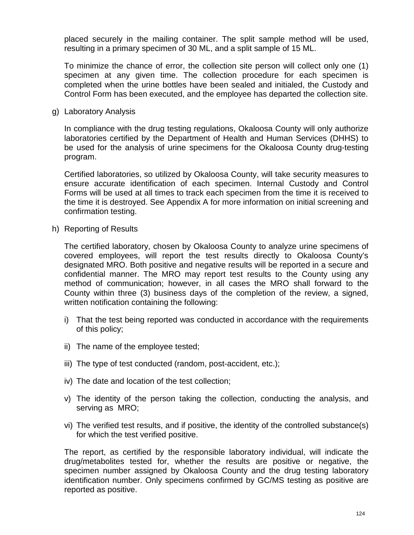placed securely in the mailing container. The split sample method will be used, resulting in a primary specimen of 30 ML, and a split sample of 15 ML.

To minimize the chance of error, the collection site person will collect only one (1) specimen at any given time. The collection procedure for each specimen is completed when the urine bottles have been sealed and initialed, the Custody and Control Form has been executed, and the employee has departed the collection site.

g) Laboratory Analysis

In compliance with the drug testing regulations, Okaloosa County will only authorize laboratories certified by the Department of Health and Human Services (DHHS) to be used for the analysis of urine specimens for the Okaloosa County drug-testing program.

Certified laboratories, so utilized by Okaloosa County, will take security measures to ensure accurate identification of each specimen. Internal Custody and Control Forms will be used at all times to track each specimen from the time it is received to the time it is destroyed. See Appendix A for more information on initial screening and confirmation testing.

h) Reporting of Results

The certified laboratory, chosen by Okaloosa County to analyze urine specimens of covered employees, will report the test results directly to Okaloosa County's designated MRO. Both positive and negative results will be reported in a secure and confidential manner. The MRO may report test results to the County using any method of communication; however, in all cases the MRO shall forward to the County within three (3) business days of the completion of the review, a signed, written notification containing the following:

- i) That the test being reported was conducted in accordance with the requirements of this policy;
- ii) The name of the employee tested;
- iii) The type of test conducted (random, post-accident, etc.);
- iv) The date and location of the test collection;
- v) The identity of the person taking the collection, conducting the analysis, and serving as MRO;
- vi) The verified test results, and if positive, the identity of the controlled substance(s) for which the test verified positive.

The report, as certified by the responsible laboratory individual, will indicate the drug/metabolites tested for, whether the results are positive or negative, the specimen number assigned by Okaloosa County and the drug testing laboratory identification number. Only specimens confirmed by GC/MS testing as positive are reported as positive.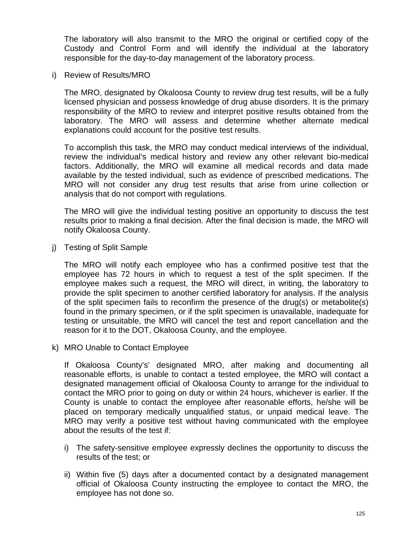The laboratory will also transmit to the MRO the original or certified copy of the Custody and Control Form and will identify the individual at the laboratory responsible for the day-to-day management of the laboratory process.

i) Review of Results/MRO

The MRO, designated by Okaloosa County to review drug test results, will be a fully licensed physician and possess knowledge of drug abuse disorders. It is the primary responsibility of the MRO to review and interpret positive results obtained from the laboratory. The MRO will assess and determine whether alternate medical explanations could account for the positive test results.

To accomplish this task, the MRO may conduct medical interviews of the individual, review the individual's medical history and review any other relevant bio-medical factors. Additionally, the MRO will examine all medical records and data made available by the tested individual, such as evidence of prescribed medications. The MRO will not consider any drug test results that arise from urine collection or analysis that do not comport with regulations.

The MRO will give the individual testing positive an opportunity to discuss the test results prior to making a final decision. After the final decision is made, the MRO will notify Okaloosa County.

j) Testing of Split Sample

The MRO will notify each employee who has a confirmed positive test that the employee has 72 hours in which to request a test of the split specimen. If the employee makes such a request, the MRO will direct, in writing, the laboratory to provide the split specimen to another certified laboratory for analysis. If the analysis of the split specimen fails to reconfirm the presence of the drug(s) or metabolite(s) found in the primary specimen, or if the split specimen is unavailable, inadequate for testing or unsuitable, the MRO will cancel the test and report cancellation and the reason for it to the DOT, Okaloosa County, and the employee.

k) MRO Unable to Contact Employee

If Okaloosa County's' designated MRO, after making and documenting all reasonable efforts, is unable to contact a tested employee, the MRO will contact a designated management official of Okaloosa County to arrange for the individual to contact the MRO prior to going on duty or within 24 hours, whichever is earlier. If the County is unable to contact the employee after reasonable efforts, he/she will be placed on temporary medically unqualified status, or unpaid medical leave. The MRO may verify a positive test without having communicated with the employee about the results of the test if:

- i) The safety-sensitive employee expressly declines the opportunity to discuss the results of the test; or
- ii) Within five (5) days after a documented contact by a designated management official of Okaloosa County instructing the employee to contact the MRO, the employee has not done so.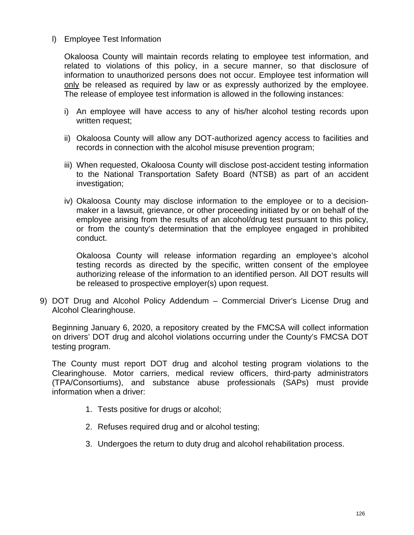### l) Employee Test Information

Okaloosa County will maintain records relating to employee test information, and related to violations of this policy, in a secure manner, so that disclosure of information to unauthorized persons does not occur. Employee test information will only be released as required by law or as expressly authorized by the employee. The release of employee test information is allowed in the following instances:

- i) An employee will have access to any of his/her alcohol testing records upon written request;
- ii) Okaloosa County will allow any DOT-authorized agency access to facilities and records in connection with the alcohol misuse prevention program;
- iii) When requested, Okaloosa County will disclose post-accident testing information to the National Transportation Safety Board (NTSB) as part of an accident investigation;
- iv) Okaloosa County may disclose information to the employee or to a decisionmaker in a lawsuit, grievance, or other proceeding initiated by or on behalf of the employee arising from the results of an alcohol/drug test pursuant to this policy, or from the county's determination that the employee engaged in prohibited conduct.

Okaloosa County will release information regarding an employee's alcohol testing records as directed by the specific, written consent of the employee authorizing release of the information to an identified person. All DOT results will be released to prospective employer(s) upon request.

9) DOT Drug and Alcohol Policy Addendum – Commercial Driver's License Drug and Alcohol Clearinghouse.

Beginning January 6, 2020, a repository created by the FMCSA will collect information on drivers' DOT drug and alcohol violations occurring under the County's FMCSA DOT testing program.

The County must report DOT drug and alcohol testing program violations to the Clearinghouse. Motor carriers, medical review officers, third-party administrators (TPA/Consortiums), and substance abuse professionals (SAPs) must provide information when a driver:

- 1. Tests positive for drugs or alcohol;
- 2. Refuses required drug and or alcohol testing;
- 3. Undergoes the return to duty drug and alcohol rehabilitation process.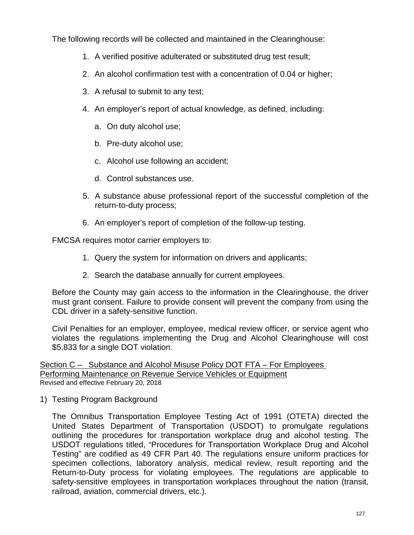The following records will be collected and maintained in the Clearinghouse:

- 1. A verified positive adulterated or substituted drug test result;
- 2. An alcohol confirmation test with a concentration of 0.04 or higher;
- 3. A refusal to submit to any test;
- 4. An employer's report of actual knowledge, as defined, including:
	- a. On duty alcohol use;
	- b. Pre-duty alcohol use;
	- c. Alcohol use following an accident;
	- d. Control substances use.
- 5. A substance abuse professional report of the successful completion of the return-to-duty process;
- 6. An employer's report of completion of the follow-up testing.

FMCSA requires motor carrier employers to:

- 1. Query the system for information on drivers and applicants;
- 2. Search the database annually for current employees.

Before the County may gain access to the information in the Clearinghouse, the driver must grant consent. Failure to provide consent will prevent the company from using the CDL driver in a safety-sensitive function.

Civil Penalties for an employer, employee, medical review officer, or service agent who violates the regulations implementing the Drug and Alcohol Clearinghouse will cost \$5,833 for a single DOT violation.

Section C – Substance and Alcohol Misuse Policy DOT FTA – For Employees Performing Maintenance on Revenue Service Vehicles or Equipment Revised and effective February 20, 2018

1) Testing Program Background

The Omnibus Transportation Employee Testing Act of 1991 (OTETA) directed the United States Department of Transportation (USDOT) to promulgate regulations outlining the procedures for transportation workplace drug and alcohol testing. The USDOT regulations titled, "Procedures for Transportation Workplace Drug and Alcohol Testing" are codified as 49 CFR Part 40. The regulations ensure uniform practices for specimen collections, laboratory analysis, medical review, result reporting and the Return-to-Duty process for violating employees. The regulations are applicable to safety-sensitive employees in transportation workplaces throughout the nation (transit, railroad, aviation, commercial drivers, etc.).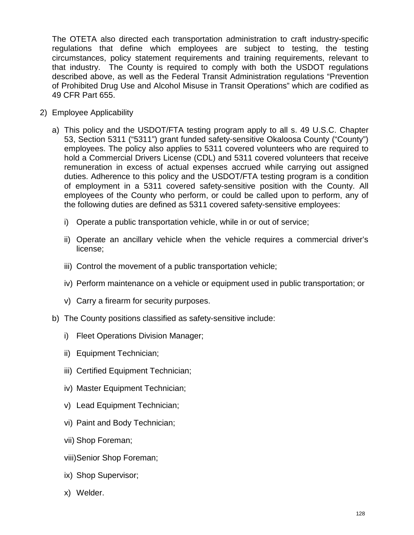The OTETA also directed each transportation administration to craft industry-specific regulations that define which employees are subject to testing, the testing circumstances, policy statement requirements and training requirements, relevant to that industry. The County is required to comply with both the USDOT regulations described above, as well as the Federal Transit Administration regulations "Prevention of Prohibited Drug Use and Alcohol Misuse in Transit Operations" which are codified as 49 CFR Part 655.

- 2) Employee Applicability
	- a) This policy and the USDOT/FTA testing program apply to all s. 49 U.S.C. Chapter 53, Section 5311 ("5311") grant funded safety-sensitive Okaloosa County ("County") employees. The policy also applies to 5311 covered volunteers who are required to hold a Commercial Drivers License (CDL) and 5311 covered volunteers that receive remuneration in excess of actual expenses accrued while carrying out assigned duties. Adherence to this policy and the USDOT/FTA testing program is a condition of employment in a 5311 covered safety-sensitive position with the County. All employees of the County who perform, or could be called upon to perform, any of the following duties are defined as 5311 covered safety-sensitive employees:
		- i) Operate a public transportation vehicle, while in or out of service;
		- ii) Operate an ancillary vehicle when the vehicle requires a commercial driver's license;
		- iii) Control the movement of a public transportation vehicle;
		- iv) Perform maintenance on a vehicle or equipment used in public transportation; or
		- v) Carry a firearm for security purposes.
	- b) The County positions classified as safety-sensitive include:
		- i) Fleet Operations Division Manager;
		- ii) Equipment Technician;
		- iii) Certified Equipment Technician;
		- iv) Master Equipment Technician;
		- v) Lead Equipment Technician;
		- vi) Paint and Body Technician;
		- vii) Shop Foreman;
		- viii)Senior Shop Foreman;
		- ix) Shop Supervisor;
		- x) Welder.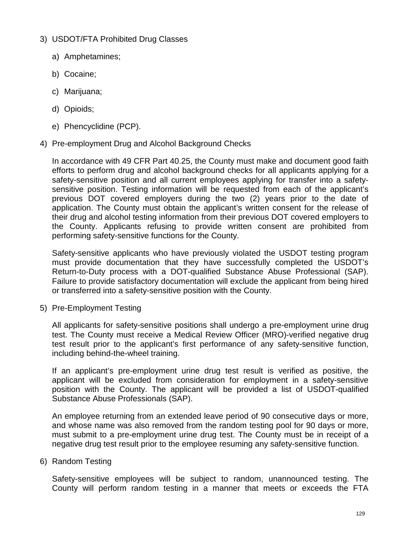- 3) USDOT/FTA Prohibited Drug Classes
	- a) Amphetamines;
	- b) Cocaine;
	- c) Marijuana;
	- d) Opioids;
	- e) Phencyclidine (PCP).
- 4) Pre-employment Drug and Alcohol Background Checks

In accordance with 49 CFR Part 40.25, the County must make and document good faith efforts to perform drug and alcohol background checks for all applicants applying for a safety-sensitive position and all current employees applying for transfer into a safetysensitive position. Testing information will be requested from each of the applicant's previous DOT covered employers during the two (2) years prior to the date of application. The County must obtain the applicant's written consent for the release of their drug and alcohol testing information from their previous DOT covered employers to the County. Applicants refusing to provide written consent are prohibited from performing safety-sensitive functions for the County.

Safety-sensitive applicants who have previously violated the USDOT testing program must provide documentation that they have successfully completed the USDOT's Return-to-Duty process with a DOT-qualified Substance Abuse Professional (SAP). Failure to provide satisfactory documentation will exclude the applicant from being hired or transferred into a safety-sensitive position with the County.

5) Pre-Employment Testing

All applicants for safety-sensitive positions shall undergo a pre-employment urine drug test. The County must receive a Medical Review Officer (MRO)-verified negative drug test result prior to the applicant's first performance of any safety-sensitive function, including behind-the-wheel training.

If an applicant's pre-employment urine drug test result is verified as positive, the applicant will be excluded from consideration for employment in a safety-sensitive position with the County. The applicant will be provided a list of USDOT-qualified Substance Abuse Professionals (SAP).

An employee returning from an extended leave period of 90 consecutive days or more, and whose name was also removed from the random testing pool for 90 days or more, must submit to a pre-employment urine drug test. The County must be in receipt of a negative drug test result prior to the employee resuming any safety-sensitive function.

6) Random Testing

Safety-sensitive employees will be subject to random, unannounced testing. The County will perform random testing in a manner that meets or exceeds the FTA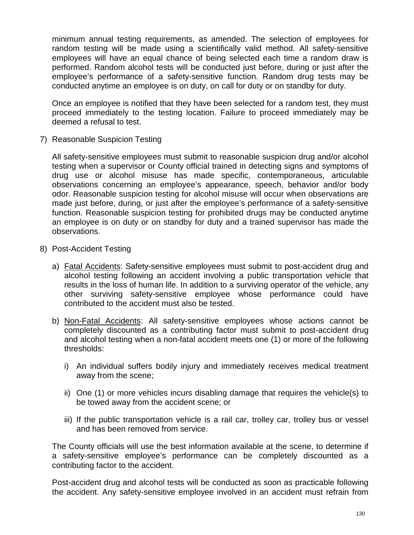minimum annual testing requirements, as amended. The selection of employees for random testing will be made using a scientifically valid method. All safety-sensitive employees will have an equal chance of being selected each time a random draw is performed. Random alcohol tests will be conducted just before, during or just after the employee's performance of a safety-sensitive function. Random drug tests may be conducted anytime an employee is on duty, on call for duty or on standby for duty.

Once an employee is notified that they have been selected for a random test, they must proceed immediately to the testing location. Failure to proceed immediately may be deemed a refusal to test.

7) Reasonable Suspicion Testing

All safety-sensitive employees must submit to reasonable suspicion drug and/or alcohol testing when a supervisor or County official trained in detecting signs and symptoms of drug use or alcohol misuse has made specific, contemporaneous, articulable observations concerning an employee's appearance, speech, behavior and/or body odor. Reasonable suspicion testing for alcohol misuse will occur when observations are made just before, during, or just after the employee's performance of a safety-sensitive function. Reasonable suspicion testing for prohibited drugs may be conducted anytime an employee is on duty or on standby for duty and a trained supervisor has made the observations.

- 8) Post-Accident Testing
	- a) Fatal Accidents: Safety-sensitive employees must submit to post-accident drug and alcohol testing following an accident involving a public transportation vehicle that results in the loss of human life. In addition to a surviving operator of the vehicle, any other surviving safety-sensitive employee whose performance could have contributed to the accident must also be tested.
	- b) Non-Fatal Accidents: All safety-sensitive employees whose actions cannot be completely discounted as a contributing factor must submit to post-accident drug and alcohol testing when a non-fatal accident meets one (1) or more of the following thresholds:
		- i) An individual suffers bodily injury and immediately receives medical treatment away from the scene;
		- ii) One (1) or more vehicles incurs disabling damage that requires the vehicle(s) to be towed away from the accident scene; or
		- iii) If the public transportation vehicle is a rail car, trolley car, trolley bus or vessel and has been removed from service.

The County officials will use the best information available at the scene, to determine if a safety-sensitive employee's performance can be completely discounted as a contributing factor to the accident.

Post-accident drug and alcohol tests will be conducted as soon as practicable following the accident. Any safety-sensitive employee involved in an accident must refrain from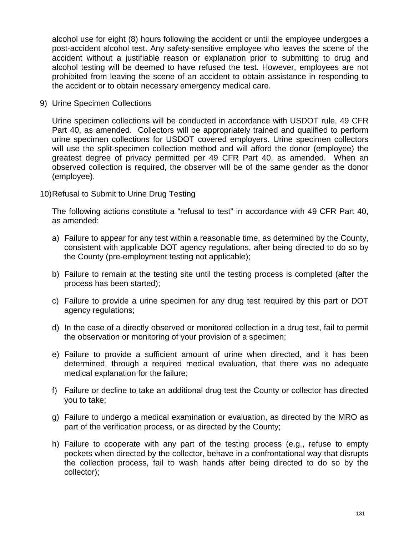alcohol use for eight (8) hours following the accident or until the employee undergoes a post-accident alcohol test. Any safety-sensitive employee who leaves the scene of the accident without a justifiable reason or explanation prior to submitting to drug and alcohol testing will be deemed to have refused the test. However, employees are not prohibited from leaving the scene of an accident to obtain assistance in responding to the accident or to obtain necessary emergency medical care.

9) Urine Specimen Collections

Urine specimen collections will be conducted in accordance with USDOT rule, 49 CFR Part 40, as amended. Collectors will be appropriately trained and qualified to perform urine specimen collections for USDOT covered employers. Urine specimen collectors will use the split-specimen collection method and will afford the donor (employee) the greatest degree of privacy permitted per 49 CFR Part 40, as amended. When an observed collection is required, the observer will be of the same gender as the donor (employee).

10)Refusal to Submit to Urine Drug Testing

The following actions constitute a "refusal to test" in accordance with 49 CFR Part 40, as amended:

- a) Failure to appear for any test within a reasonable time, as determined by the County, consistent with applicable DOT agency regulations, after being directed to do so by the County (pre-employment testing not applicable);
- b) Failure to remain at the testing site until the testing process is completed (after the process has been started);
- c) Failure to provide a urine specimen for any drug test required by this part or DOT agency regulations;
- d) In the case of a directly observed or monitored collection in a drug test, fail to permit the observation or monitoring of your provision of a specimen;
- e) Failure to provide a sufficient amount of urine when directed, and it has been determined, through a required medical evaluation, that there was no adequate medical explanation for the failure;
- f) Failure or decline to take an additional drug test the County or collector has directed you to take;
- g) Failure to undergo a medical examination or evaluation, as directed by the MRO as part of the verification process, or as directed by the County;
- h) Failure to cooperate with any part of the testing process (e.g., refuse to empty pockets when directed by the collector, behave in a confrontational way that disrupts the collection process, fail to wash hands after being directed to do so by the collector);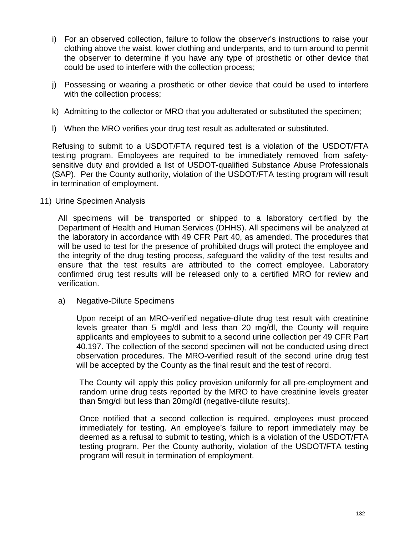- i) For an observed collection, failure to follow the observer's instructions to raise your clothing above the waist, lower clothing and underpants, and to turn around to permit the observer to determine if you have any type of prosthetic or other device that could be used to interfere with the collection process;
- j) Possessing or wearing a prosthetic or other device that could be used to interfere with the collection process:
- k) Admitting to the collector or MRO that you adulterated or substituted the specimen;
- l) When the MRO verifies your drug test result as adulterated or substituted.

Refusing to submit to a USDOT/FTA required test is a violation of the USDOT/FTA testing program. Employees are required to be immediately removed from safetysensitive duty and provided a list of USDOT-qualified Substance Abuse Professionals (SAP). Per the County authority, violation of the USDOT/FTA testing program will result in termination of employment.

11) Urine Specimen Analysis

All specimens will be transported or shipped to a laboratory certified by the Department of Health and Human Services (DHHS). All specimens will be analyzed at the laboratory in accordance with 49 CFR Part 40, as amended. The procedures that will be used to test for the presence of prohibited drugs will protect the employee and the integrity of the drug testing process, safeguard the validity of the test results and ensure that the test results are attributed to the correct employee. Laboratory confirmed drug test results will be released only to a certified MRO for review and verification.

a) Negative-Dilute Specimens

Upon receipt of an MRO-verified negative-dilute drug test result with creatinine levels greater than 5 mg/dl and less than 20 mg/dl, the County will require applicants and employees to submit to a second urine collection per 49 CFR Part 40.197. The collection of the second specimen will not be conducted using direct observation procedures. The MRO-verified result of the second urine drug test will be accepted by the County as the final result and the test of record.

The County will apply this policy provision uniformly for all pre-employment and random urine drug tests reported by the MRO to have creatinine levels greater than 5mg/dl but less than 20mg/dl (negative-dilute results).

Once notified that a second collection is required, employees must proceed immediately for testing. An employee's failure to report immediately may be deemed as a refusal to submit to testing, which is a violation of the USDOT/FTA testing program. Per the County authority, violation of the USDOT/FTA testing program will result in termination of employment.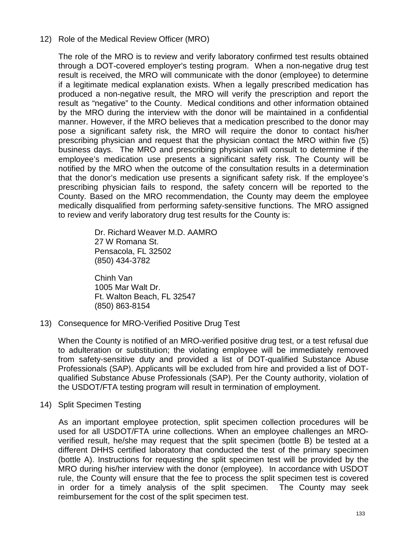# 12) Role of the Medical Review Officer (MRO)

The role of the MRO is to review and verify laboratory confirmed test results obtained through a DOT-covered employer's testing program. When a non-negative drug test result is received, the MRO will communicate with the donor (employee) to determine if a legitimate medical explanation exists. When a legally prescribed medication has produced a non-negative result, the MRO will verify the prescription and report the result as "negative" to the County. Medical conditions and other information obtained by the MRO during the interview with the donor will be maintained in a confidential manner. However, if the MRO believes that a medication prescribed to the donor may pose a significant safety risk, the MRO will require the donor to contact his/her prescribing physician and request that the physician contact the MRO within five (5) business days. The MRO and prescribing physician will consult to determine if the employee's medication use presents a significant safety risk. The County will be notified by the MRO when the outcome of the consultation results in a determination that the donor's medication use presents a significant safety risk. If the employee's prescribing physician fails to respond, the safety concern will be reported to the County. Based on the MRO recommendation, the County may deem the employee medically disqualified from performing safety-sensitive functions. The MRO assigned to review and verify laboratory drug test results for the County is:

> Dr. Richard Weaver M.D. AAMRO 27 W Romana St. Pensacola, FL 32502 (850) 434-3782

Chinh Van 1005 Mar Walt Dr. Ft. Walton Beach, FL 32547 (850) 863-8154

13) Consequence for MRO-Verified Positive Drug Test

When the County is notified of an MRO-verified positive drug test, or a test refusal due to adulteration or substitution; the violating employee will be immediately removed from safety-sensitive duty and provided a list of DOT-qualified Substance Abuse Professionals (SAP). Applicants will be excluded from hire and provided a list of DOTqualified Substance Abuse Professionals (SAP). Per the County authority, violation of the USDOT/FTA testing program will result in termination of employment.

14) Split Specimen Testing

As an important employee protection, split specimen collection procedures will be used for all USDOT/FTA urine collections. When an employee challenges an MROverified result, he/she may request that the split specimen (bottle B) be tested at a different DHHS certified laboratory that conducted the test of the primary specimen (bottle A). Instructions for requesting the split specimen test will be provided by the MRO during his/her interview with the donor (employee). In accordance with USDOT rule, the County will ensure that the fee to process the split specimen test is covered in order for a timely analysis of the split specimen. The County may seek reimbursement for the cost of the split specimen test.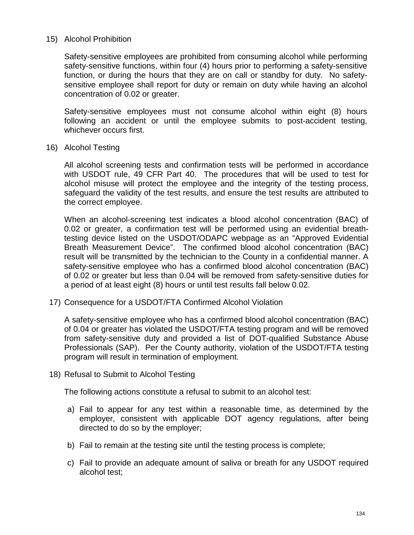### 15) Alcohol Prohibition

Safety-sensitive employees are prohibited from consuming alcohol while performing safety-sensitive functions, within four (4) hours prior to performing a safety-sensitive function, or during the hours that they are on call or standby for duty. No safetysensitive employee shall report for duty or remain on duty while having an alcohol concentration of 0.02 or greater.

Safety-sensitive employees must not consume alcohol within eight (8) hours following an accident or until the employee submits to post-accident testing, whichever occurs first.

16) Alcohol Testing

All alcohol screening tests and confirmation tests will be performed in accordance with USDOT rule, 49 CFR Part 40. The procedures that will be used to test for alcohol misuse will protect the employee and the integrity of the testing process, safeguard the validity of the test results, and ensure the test results are attributed to the correct employee.

When an alcohol-screening test indicates a blood alcohol concentration (BAC) of 0.02 or greater, a confirmation test will be performed using an evidential breathtesting device listed on the USDOT/ODAPC webpage as an "Approved Evidential Breath Measurement Device". The confirmed blood alcohol concentration (BAC) result will be transmitted by the technician to the County in a confidential manner. A safety-sensitive employee who has a confirmed blood alcohol concentration (BAC) of 0.02 or greater but less than 0.04 will be removed from safety-sensitive duties for a period of at least eight (8) hours or until test results fall below 0.02.

17) Consequence for a USDOT/FTA Confirmed Alcohol Violation

A safety-sensitive employee who has a confirmed blood alcohol concentration (BAC) of 0.04 or greater has violated the USDOT/FTA testing program and will be removed from safety-sensitive duty and provided a list of DOT-qualified Substance Abuse Professionals (SAP). Per the County authority, violation of the USDOT/FTA testing program will result in termination of employment.

18) Refusal to Submit to Alcohol Testing

The following actions constitute a refusal to submit to an alcohol test:

- a) Fail to appear for any test within a reasonable time, as determined by the employer, consistent with applicable DOT agency regulations, after being directed to do so by the employer;
- b) Fail to remain at the testing site until the testing process is complete;
- c) Fail to provide an adequate amount of saliva or breath for any USDOT required alcohol test;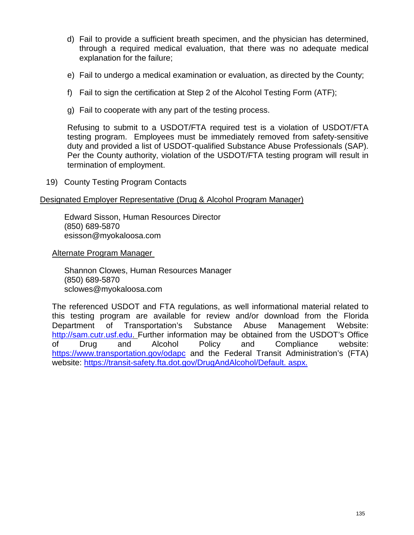- d) Fail to provide a sufficient breath specimen, and the physician has determined, through a required medical evaluation, that there was no adequate medical explanation for the failure;
- e) Fail to undergo a medical examination or evaluation, as directed by the County;
- f) Fail to sign the certification at Step 2 of the Alcohol Testing Form (ATF);
- g) Fail to cooperate with any part of the testing process.

Refusing to submit to a USDOT/FTA required test is a violation of USDOT/FTA testing program. Employees must be immediately removed from safety-sensitive duty and provided a list of USDOT-qualified Substance Abuse Professionals (SAP). Per the County authority, violation of the USDOT/FTA testing program will result in termination of employment.

19) County Testing Program Contacts

#### Designated Employer Representative (Drug & Alcohol Program Manager)

Edward Sisson, Human Resources Director (850) 689-5870 esisson@myokaloosa.com

Alternate Program Manager

Shannon Clowes, Human Resources Manager (850) 689-5870 sclowes@myokaloosa.com

The referenced USDOT and FTA regulations, as well informational material related to this testing program are available for review and/or download from the Florida Department of Transportation's Substance Abuse Management Website: [http://sam.cutr.usf.edu.](http://sam.cutr.usf.edu/) Further information may be obtained from the USDOT's Office of Drug and Alcohol Policy and Compliance website: <https://www.transportation.gov/odapc> and the Federal Transit Administration's (FTA) website: [https://transit-safety.fta.dot.gov/DrugAndAlcohol/Default. aspx.](https://transit-safety.fta.dot.gov/DrugAndAlcohol/Default.%20aspx)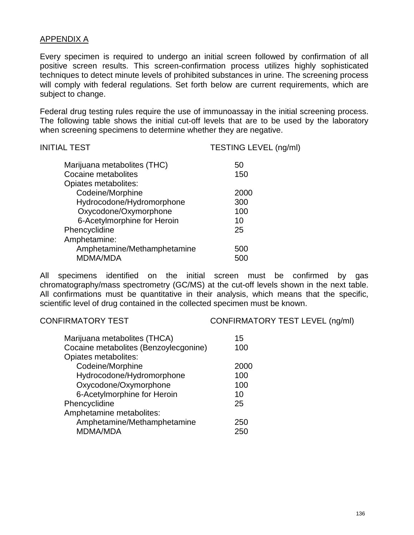# APPENDIX A

Every specimen is required to undergo an initial screen followed by confirmation of all positive screen results. This screen-confirmation process utilizes highly sophisticated techniques to detect minute levels of prohibited substances in urine. The screening process will comply with federal regulations. Set forth below are current requirements, which are subject to change.

Federal drug testing rules require the use of immunoassay in the initial screening process. The following table shows the initial cut-off levels that are to be used by the laboratory when screening specimens to determine whether they are negative.

| <b>INITIAL TEST</b>         | TESTING LEVEL (ng/ml) |  |
|-----------------------------|-----------------------|--|
| Marijuana metabolites (THC) | 50                    |  |
| Cocaine metabolites         | 150                   |  |
| Opiates metabolites:        |                       |  |
| Codeine/Morphine            | 2000                  |  |
| Hydrocodone/Hydromorphone   | 300                   |  |
| Oxycodone/Oxymorphone       | 100                   |  |
| 6-Acetylmorphine for Heroin | 10                    |  |
| Phencyclidine               | 25                    |  |
| Amphetamine:                |                       |  |
| Amphetamine/Methamphetamine | 500                   |  |
| MDMA/MDA                    | 500                   |  |
|                             |                       |  |

All specimens identified on the initial screen must be confirmed by gas chromatography/mass spectrometry (GC/MS) at the cut-off levels shown in the next table. All confirmations must be quantitative in their analysis, which means that the specific, scientific level of drug contained in the collected specimen must be known.

CONFIRMATORY TEST CONFIRMATORY TEST LEVEL (ng/ml)

| Marijuana metabolites (THCA)<br>Cocaine metabolites (Benzoylecgonine) | 15<br>100 |
|-----------------------------------------------------------------------|-----------|
| Opiates metabolites:                                                  |           |
| Codeine/Morphine                                                      | 2000      |
| Hydrocodone/Hydromorphone                                             | 100       |
| Oxycodone/Oxymorphone                                                 | 100       |
| 6-Acetylmorphine for Heroin                                           | 10        |
| Phencyclidine                                                         | 25        |
| Amphetamine metabolites:                                              |           |
| Amphetamine/Methamphetamine                                           | 250       |
| <b>MDMA/MDA</b>                                                       | 25        |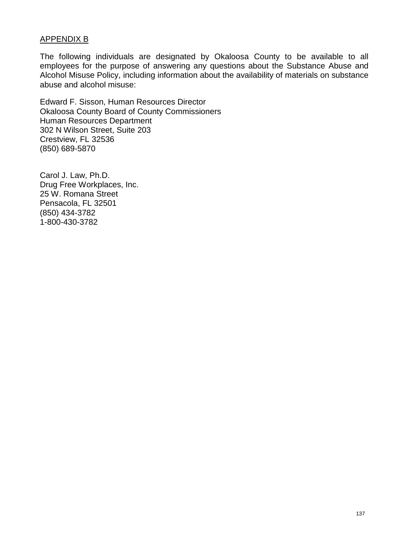# APPENDIX B

The following individuals are designated by Okaloosa County to be available to all employees for the purpose of answering any questions about the Substance Abuse and Alcohol Misuse Policy, including information about the availability of materials on substance abuse and alcohol misuse:

Edward F. Sisson, Human Resources Director Okaloosa County Board of County Commissioners Human Resources Department 302 N Wilson Street, Suite 203 Crestview, FL 32536 (850) 689-5870

Carol J. Law, Ph.D. Drug Free Workplaces, Inc. 25 W. Romana Street Pensacola, FL 32501 (850) 434-3782 1-800-430-3782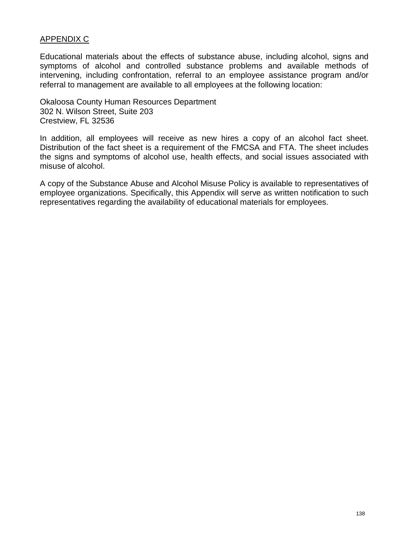# APPENDIX C

Educational materials about the effects of substance abuse, including alcohol, signs and symptoms of alcohol and controlled substance problems and available methods of intervening, including confrontation, referral to an employee assistance program and/or referral to management are available to all employees at the following location:

Okaloosa County Human Resources Department 302 N. Wilson Street, Suite 203 Crestview, FL 32536

In addition, all employees will receive as new hires a copy of an alcohol fact sheet. Distribution of the fact sheet is a requirement of the FMCSA and FTA. The sheet includes the signs and symptoms of alcohol use, health effects, and social issues associated with misuse of alcohol.

A copy of the Substance Abuse and Alcohol Misuse Policy is available to representatives of employee organizations. Specifically, this Appendix will serve as written notification to such representatives regarding the availability of educational materials for employees.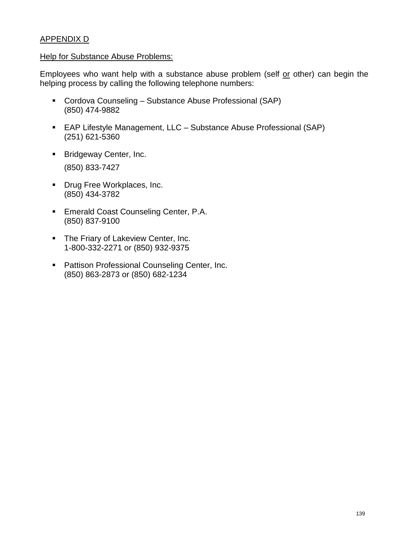# APPENDIX D

#### Help for Substance Abuse Problems:

Employees who want help with a substance abuse problem (self or other) can begin the helping process by calling the following telephone numbers:

- Cordova Counseling Substance Abuse Professional (SAP) (850) 474-9882
- EAP Lifestyle Management, LLC Substance Abuse Professional (SAP) (251) 621-5360
- **Bridgeway Center, Inc.** (850) 833-7427
- **Drug Free Workplaces, Inc.** (850) 434-3782
- **Emerald Coast Counseling Center, P.A.** (850) 837-9100
- **The Friary of Lakeview Center, Inc.** 1-800-332-2271 or (850) 932-9375
- **Pattison Professional Counseling Center, Inc.** (850) 863-2873 or (850) 682-1234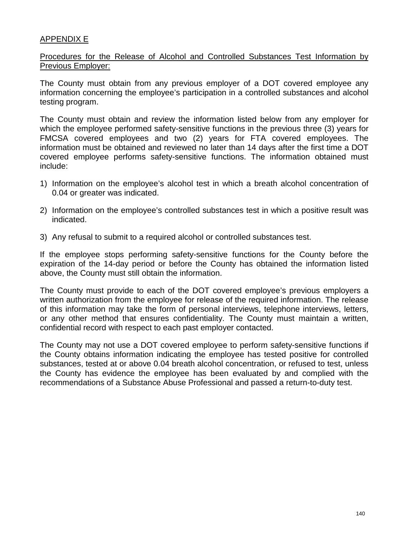## APPENDIX E

Procedures for the Release of Alcohol and Controlled Substances Test Information by Previous Employer:

The County must obtain from any previous employer of a DOT covered employee any information concerning the employee's participation in a controlled substances and alcohol testing program.

The County must obtain and review the information listed below from any employer for which the employee performed safety-sensitive functions in the previous three (3) years for FMCSA covered employees and two (2) years for FTA covered employees. The information must be obtained and reviewed no later than 14 days after the first time a DOT covered employee performs safety-sensitive functions. The information obtained must include:

- 1) Information on the employee's alcohol test in which a breath alcohol concentration of 0.04 or greater was indicated.
- 2) Information on the employee's controlled substances test in which a positive result was indicated.
- 3) Any refusal to submit to a required alcohol or controlled substances test.

If the employee stops performing safety-sensitive functions for the County before the expiration of the 14-day period or before the County has obtained the information listed above, the County must still obtain the information.

The County must provide to each of the DOT covered employee's previous employers a written authorization from the employee for release of the required information. The release of this information may take the form of personal interviews, telephone interviews, letters, or any other method that ensures confidentiality. The County must maintain a written, confidential record with respect to each past employer contacted.

The County may not use a DOT covered employee to perform safety-sensitive functions if the County obtains information indicating the employee has tested positive for controlled substances, tested at or above 0.04 breath alcohol concentration, or refused to test, unless the County has evidence the employee has been evaluated by and complied with the recommendations of a Substance Abuse Professional and passed a return-to-duty test.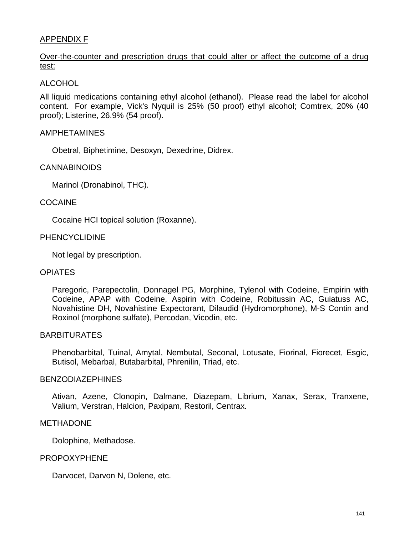## APPENDIX F

# Over-the-counter and prescription drugs that could alter or affect the outcome of a drug test:

## ALCOHOL

All liquid medications containing ethyl alcohol (ethanol). Please read the label for alcohol content. For example, Vick's Nyquil is 25% (50 proof) ethyl alcohol; Comtrex, 20% (40 proof); Listerine, 26.9% (54 proof).

### AMPHETAMINES

Obetral, Biphetimine, Desoxyn, Dexedrine, Didrex.

### CANNABINOIDS

Marinol (Dronabinol, THC).

### COCAINE

Cocaine HCI topical solution (Roxanne).

### PHENCYCLIDINE

Not legal by prescription.

### OPIATES

Paregoric, Parepectolin, Donnagel PG, Morphine, Tylenol with Codeine, Empirin with Codeine, APAP with Codeine, Aspirin with Codeine, Robitussin AC, Guiatuss AC, Novahistine DH, Novahistine Expectorant, Dilaudid (Hydromorphone), M-S Contin and Roxinol (morphone sulfate), Percodan, Vicodin, etc.

## **BARBITURATES**

Phenobarbital, Tuinal, Amytal, Nembutal, Seconal, Lotusate, Fiorinal, Fiorecet, Esgic, Butisol, Mebarbal, Butabarbital, Phrenilin, Triad, etc.

### BENZODIAZEPHINES

Ativan, Azene, Clonopin, Dalmane, Diazepam, Librium, Xanax, Serax, Tranxene, Valium, Verstran, Halcion, Paxipam, Restoril, Centrax.

### METHADONE

Dolophine, Methadose.

### PROPOXYPHENE

Darvocet, Darvon N, Dolene, etc.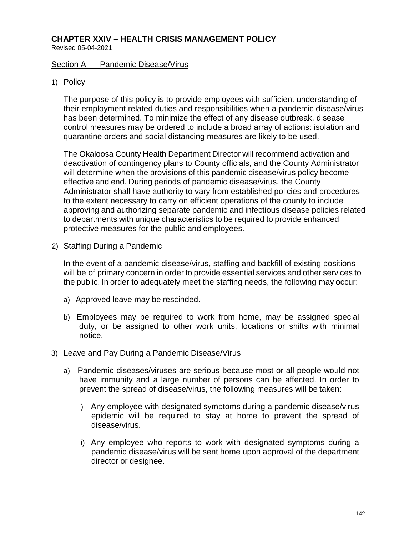# **CHAPTER XXIV – HEALTH CRISIS MANAGEMENT POLICY**

Revised 05-04-2021

### Section A – Pandemic Disease/Virus

## 1) Policy

The purpose of this policy is to provide employees with sufficient understanding of their employment related duties and responsibilities when a pandemic disease/virus has been determined. To minimize the effect of any disease outbreak, disease control measures may be ordered to include a broad array of actions: isolation and quarantine orders and social distancing measures are likely to be used.

The Okaloosa County Health Department Director will recommend activation and deactivation of contingency plans to County officials, and the County Administrator will determine when the provisions of this pandemic disease/virus policy become effective and end. During periods of pandemic disease/virus, the County Administrator shall have authority to vary from established policies and procedures to the extent necessary to carry on efficient operations of the county to include approving and authorizing separate pandemic and infectious disease policies related to departments with unique characteristics to be required to provide enhanced protective measures for the public and employees.

2) Staffing During a Pandemic

In the event of a pandemic disease/virus, staffing and backfill of existing positions will be of primary concern in order to provide essential services and other services to the public. In order to adequately meet the staffing needs, the following may occur:

- a) Approved leave may be rescinded.
- b) Employees may be required to work from home, may be assigned special duty, or be assigned to other work units, locations or shifts with minimal notice.
- 3) Leave and Pay During a Pandemic Disease/Virus
	- a) Pandemic diseases/viruses are serious because most or all people would not have immunity and a large number of persons can be affected. In order to prevent the spread of disease/virus, the following measures will be taken:
		- i) Any employee with designated symptoms during a pandemic disease/virus epidemic will be required to stay at home to prevent the spread of disease/virus.
		- ii) Any employee who reports to work with designated symptoms during a pandemic disease/virus will be sent home upon approval of the department director or designee.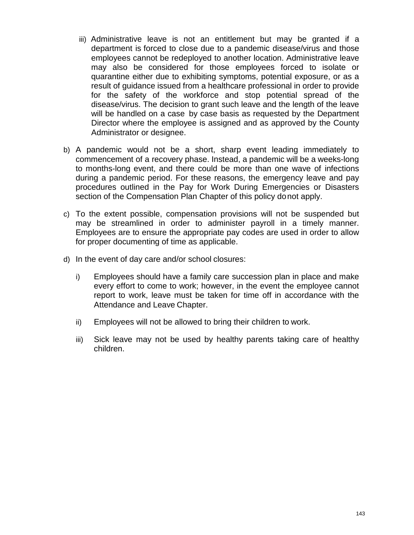- iii) Administrative leave is not an entitlement but may be granted if a department is forced to close due to a pandemic disease/virus and those employees cannot be redeployed to another location. Administrative leave may also be considered for those employees forced to isolate or quarantine either due to exhibiting symptoms, potential exposure, or as a result of guidance issued from a healthcare professional in order to provide for the safety of the workforce and stop potential spread of the disease/virus. The decision to grant such leave and the length of the leave will be handled on a case by case basis as requested by the Department Director where the employee is assigned and as approved by the County Administrator or designee.
- b) A pandemic would not be a short, sharp event leading immediately to commencement of a recovery phase. Instead, a pandemic will be a weeks-long to months-long event, and there could be more than one wave of infections during a pandemic period. For these reasons, the emergency leave and pay procedures outlined in the Pay for Work During Emergencies or Disasters section of the Compensation Plan Chapter of this policy donot apply.
- c) To the extent possible, compensation provisions will not be suspended but may be streamlined in order to administer payroll in a timely manner. Employees are to ensure the appropriate pay codes are used in order to allow for proper documenting of time as applicable.
- d) In the event of day care and/or school closures:
	- i) Employees should have a family care succession plan in place and make every effort to come to work; however, in the event the employee cannot report to work, leave must be taken for time off in accordance with the Attendance and Leave Chapter.
	- ii) Employees will not be allowed to bring their children to work.
	- iii) Sick leave may not be used by healthy parents taking care of healthy children.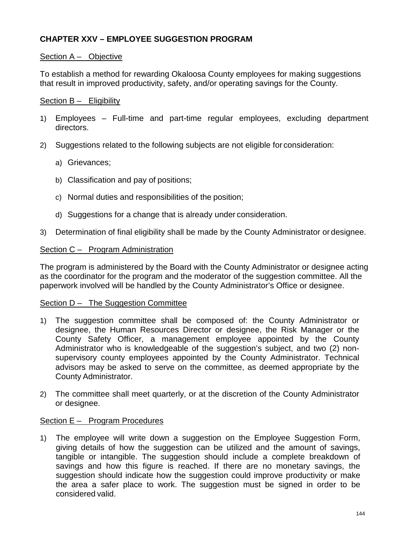# **CHAPTER XXV – EMPLOYEE SUGGESTION PROGRAM**

## Section A – Objective

To establish a method for rewarding Okaloosa County employees for making suggestions that result in improved productivity, safety, and/or operating savings for the County.

### Section B – Eligibility

- 1) Employees Full-time and part-time regular employees, excluding department directors.
- 2) Suggestions related to the following subjects are not eligible for consideration:
	- a) Grievances;
	- b) Classification and pay of positions;
	- c) Normal duties and responsibilities of the position;
	- d) Suggestions for a change that is already under consideration.
- 3) Determination of final eligibility shall be made by the County Administrator or designee.

### Section C – Program Administration

The program is administered by the Board with the County Administrator or designee acting as the coordinator for the program and the moderator of the suggestion committee. All the paperwork involved will be handled by the County Administrator's Office or designee.

### Section D – The Suggestion Committee

- 1) The suggestion committee shall be composed of: the County Administrator or designee, the Human Resources Director or designee, the Risk Manager or the County Safety Officer, a management employee appointed by the County Administrator who is knowledgeable of the suggestion's subject, and two (2) nonsupervisory county employees appointed by the County Administrator. Technical advisors may be asked to serve on the committee, as deemed appropriate by the County Administrator.
- 2) The committee shall meet quarterly, or at the discretion of the County Administrator or designee.

### Section E – Program Procedures

1) The employee will write down a suggestion on the Employee Suggestion Form, giving details of how the suggestion can be utilized and the amount of savings, tangible or intangible. The suggestion should include a complete breakdown of savings and how this figure is reached. If there are no monetary savings, the suggestion should indicate how the suggestion could improve productivity or make the area a safer place to work. The suggestion must be signed in order to be considered valid.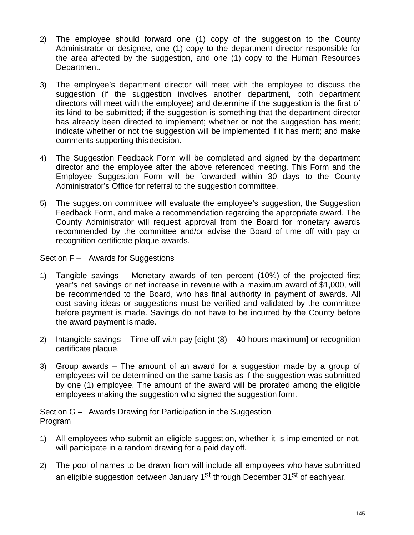- 2) The employee should forward one (1) copy of the suggestion to the County Administrator or designee, one (1) copy to the department director responsible for the area affected by the suggestion, and one (1) copy to the Human Resources Department.
- 3) The employee's department director will meet with the employee to discuss the suggestion (if the suggestion involves another department, both department directors will meet with the employee) and determine if the suggestion is the first of its kind to be submitted; if the suggestion is something that the department director has already been directed to implement; whether or not the suggestion has merit; indicate whether or not the suggestion will be implemented if it has merit; and make comments supporting this decision.
- 4) The Suggestion Feedback Form will be completed and signed by the department director and the employee after the above referenced meeting. This Form and the Employee Suggestion Form will be forwarded within 30 days to the County Administrator's Office for referral to the suggestion committee.
- 5) The suggestion committee will evaluate the employee's suggestion, the Suggestion Feedback Form, and make a recommendation regarding the appropriate award. The County Administrator will request approval from the Board for monetary awards recommended by the committee and/or advise the Board of time off with pay or recognition certificate plaque awards.

## Section F – Awards for Suggestions

- 1) Tangible savings Monetary awards of ten percent (10%) of the projected first year's net savings or net increase in revenue with a maximum award of \$1,000, will be recommended to the Board, who has final authority in payment of awards. All cost saving ideas or suggestions must be verified and validated by the committee before payment is made. Savings do not have to be incurred by the County before the award payment is made.
- 2) Intangible savings Time off with pay  $\left[\text{eight (8)} 40 \text{ hours maximum}\right]$  or recognition certificate plaque.
- 3) Group awards The amount of an award for a suggestion made by a group of employees will be determined on the same basis as if the suggestion was submitted by one (1) employee. The amount of the award will be prorated among the eligible employees making the suggestion who signed the suggestion form.

## Section G – Awards Drawing for Participation in the Suggestion Program

- 1) All employees who submit an eligible suggestion, whether it is implemented or not, will participate in a random drawing for a paid day off.
- 2) The pool of names to be drawn from will include all employees who have submitted an eligible suggestion between January 1<sup>st</sup> through December 31<sup>st</sup> of each year.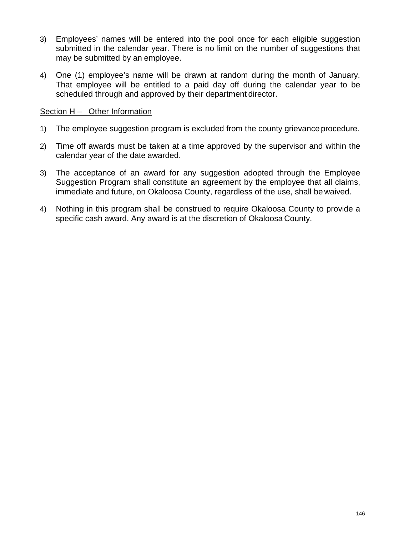- 3) Employees' names will be entered into the pool once for each eligible suggestion submitted in the calendar year. There is no limit on the number of suggestions that may be submitted by an employee.
- 4) One (1) employee's name will be drawn at random during the month of January. That employee will be entitled to a paid day off during the calendar year to be scheduled through and approved by their department director.

### Section H – Other Information

- 1) The employee suggestion program is excluded from the county grievance procedure.
- 2) Time off awards must be taken at a time approved by the supervisor and within the calendar year of the date awarded.
- 3) The acceptance of an award for any suggestion adopted through the Employee Suggestion Program shall constitute an agreement by the employee that all claims, immediate and future, on Okaloosa County, regardless of the use, shall be waived.
- 4) Nothing in this program shall be construed to require Okaloosa County to provide a specific cash award. Any award is at the discretion of Okaloosa County.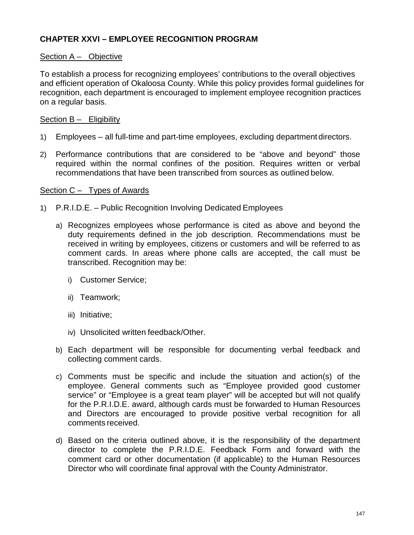# **CHAPTER XXVI – EMPLOYEE RECOGNITION PROGRAM**

## Section A – Objective

To establish a process for recognizing employees' contributions to the overall objectives and efficient operation of Okaloosa County. While this policy provides formal guidelines for recognition, each department is encouraged to implement employee recognition practices on a regular basis.

### Section B – Eligibility

- 1) Employees all full-time and part-time employees, excluding department directors.
- 2) Performance contributions that are considered to be "above and beyond" those required within the normal confines of the position. Requires written or verbal recommendations that have been transcribed from sources as outlined below.

### Section C – Types of Awards

- 1) P.R.I.D.E. Public Recognition Involving Dedicated Employees
	- a) Recognizes employees whose performance is cited as above and beyond the duty requirements defined in the job description. Recommendations must be received in writing by employees, citizens or customers and will be referred to as comment cards. In areas where phone calls are accepted, the call must be transcribed. Recognition may be:
		- i) Customer Service;
		- ii) Teamwork;
		- iii) Initiative;
		- iv) Unsolicited written feedback/Other.
	- b) Each department will be responsible for documenting verbal feedback and collecting comment cards.
	- c) Comments must be specific and include the situation and action(s) of the employee. General comments such as "Employee provided good customer service" or "Employee is a great team player" will be accepted but will not qualify for the P.R.I.D.E. award, although cards must be forwarded to Human Resources and Directors are encouraged to provide positive verbal recognition for all comments received.
	- d) Based on the criteria outlined above, it is the responsibility of the department director to complete the P.R.I.D.E. Feedback Form and forward with the comment card or other documentation (if applicable) to the Human Resources Director who will coordinate final approval with the County Administrator.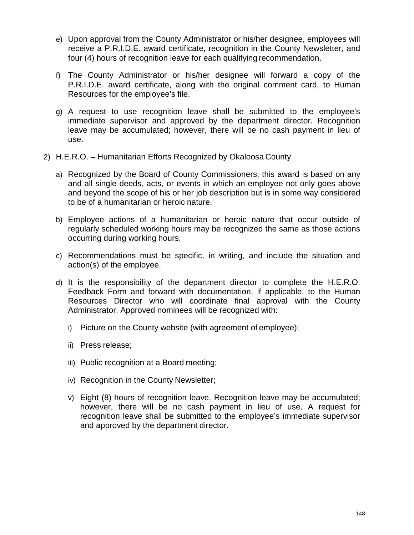- e) Upon approval from the County Administrator or his/her designee, employees will receive a P.R.I.D.E. award certificate, recognition in the County Newsletter, and four (4) hours of recognition leave for each qualifying recommendation.
- f) The County Administrator or his/her designee will forward a copy of the P.R.I.D.E. award certificate, along with the original comment card, to Human Resources for the employee's file.
- g) A request to use recognition leave shall be submitted to the employee's immediate supervisor and approved by the department director. Recognition leave may be accumulated; however, there will be no cash payment in lieu of use.
- 2) H.E.R.O. Humanitarian Efforts Recognized by Okaloosa County
	- a) Recognized by the Board of County Commissioners, this award is based on any and all single deeds, acts, or events in which an employee not only goes above and beyond the scope of his or her job description but is in some way considered to be of a humanitarian or heroic nature.
	- b) Employee actions of a humanitarian or heroic nature that occur outside of regularly scheduled working hours may be recognized the same as those actions occurring during working hours.
	- c) Recommendations must be specific, in writing, and include the situation and action(s) of the employee.
	- d) It is the responsibility of the department director to complete the H.E.R.O. Feedback Form and forward with documentation, if applicable, to the Human Resources Director who will coordinate final approval with the County Administrator. Approved nominees will be recognized with:
		- i) Picture on the County website (with agreement of employee);
		- ii) Press release;
		- iii) Public recognition at a Board meeting;
		- iv) Recognition in the County Newsletter;
		- v) Eight (8) hours of recognition leave. Recognition leave may be accumulated; however, there will be no cash payment in lieu of use. A request for recognition leave shall be submitted to the employee's immediate supervisor and approved by the department director.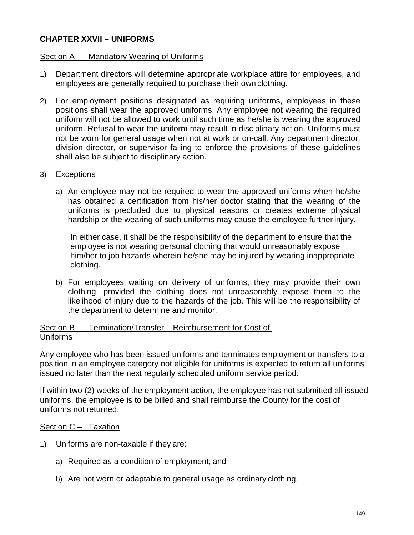# **CHAPTER XXVII – UNIFORMS**

### Section A – Mandatory Wearing of Uniforms

- 1) Department directors will determine appropriate workplace attire for employees, and employees are generally required to purchase their own clothing.
- 2) For employment positions designated as requiring uniforms, employees in these positions shall wear the approved uniforms. Any employee not wearing the required uniform will not be allowed to work until such time as he/she is wearing the approved uniform. Refusal to wear the uniform may result in disciplinary action. Uniforms must not be worn for general usage when not at work or on-call. Any department director, division director, or supervisor failing to enforce the provisions of these guidelines shall also be subject to disciplinary action.

### 3) Exceptions

a) An employee may not be required to wear the approved uniforms when he/she has obtained a certification from his/her doctor stating that the wearing of the uniforms is precluded due to physical reasons or creates extreme physical hardship or the wearing of such uniforms may cause the employee further injury.

In either case, it shall be the responsibility of the department to ensure that the employee is not wearing personal clothing that would unreasonably expose him/her to job hazards wherein he/she may be injured by wearing inappropriate clothing.

b) For employees waiting on delivery of uniforms, they may provide their own clothing, provided the clothing does not unreasonably expose them to the likelihood of injury due to the hazards of the job. This will be the responsibility of the department to determine and monitor.

## Section B – Termination/Transfer – Reimbursement for Cost of Uniforms

Any employee who has been issued uniforms and terminates employment or transfers to a position in an employee category not eligible for uniforms is expected to return all uniforms issued no later than the next regularly scheduled uniform service period.

If within two (2) weeks of the employment action, the employee has not submitted all issued uniforms, the employee is to be billed and shall reimburse the County for the cost of uniforms not returned.

### Section C - Taxation

- 1) Uniforms are non-taxable if they are:
	- a) Required as a condition of employment; and
	- b) Are not worn or adaptable to general usage as ordinary clothing.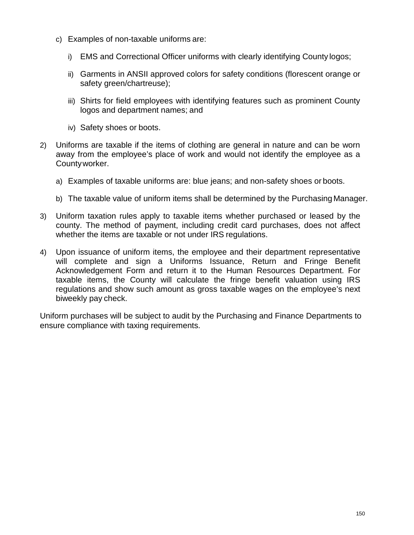- c) Examples of non-taxable uniforms are:
	- i) EMS and Correctional Officer uniforms with clearly identifying County logos;
	- ii) Garments in ANSII approved colors for safety conditions (florescent orange or safety green/chartreuse);
	- iii) Shirts for field employees with identifying features such as prominent County logos and department names; and
	- iv) Safety shoes or boots.
- 2) Uniforms are taxable if the items of clothing are general in nature and can be worn away from the employee's place of work and would not identify the employee as a Countyworker.
	- a) Examples of taxable uniforms are: blue jeans; and non-safety shoes or boots.
	- b) The taxable value of uniform items shall be determined by the Purchasing Manager.
- 3) Uniform taxation rules apply to taxable items whether purchased or leased by the county. The method of payment, including credit card purchases, does not affect whether the items are taxable or not under IRS regulations.
- 4) Upon issuance of uniform items, the employee and their department representative will complete and sign a Uniforms Issuance, Return and Fringe Benefit Acknowledgement Form and return it to the Human Resources Department. For taxable items, the County will calculate the fringe benefit valuation using IRS regulations and show such amount as gross taxable wages on the employee's next biweekly pay check.

Uniform purchases will be subject to audit by the Purchasing and Finance Departments to ensure compliance with taxing requirements.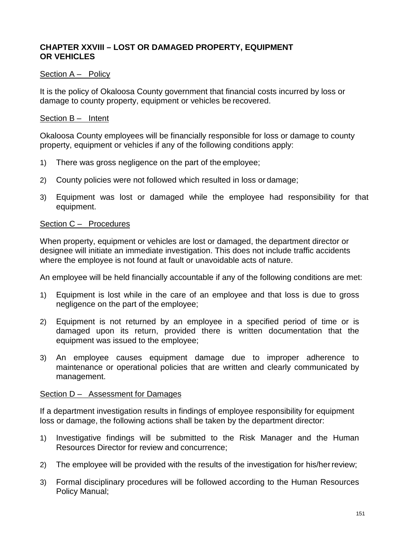# **CHAPTER XXVIII – LOST OR DAMAGED PROPERTY, EQUIPMENT OR VEHICLES**

### Section A – Policy

It is the policy of Okaloosa County government that financial costs incurred by loss or damage to county property, equipment or vehicles be recovered.

### Section B – Intent

Okaloosa County employees will be financially responsible for loss or damage to county property, equipment or vehicles if any of the following conditions apply:

- 1) There was gross negligence on the part of the employee;
- 2) County policies were not followed which resulted in loss or damage;
- 3) Equipment was lost or damaged while the employee had responsibility for that equipment.

### Section C – Procedures

When property, equipment or vehicles are lost or damaged, the department director or designee will initiate an immediate investigation. This does not include traffic accidents where the employee is not found at fault or unavoidable acts of nature.

An employee will be held financially accountable if any of the following conditions are met:

- 1) Equipment is lost while in the care of an employee and that loss is due to gross negligence on the part of the employee;
- 2) Equipment is not returned by an employee in a specified period of time or is damaged upon its return, provided there is written documentation that the equipment was issued to the employee;
- 3) An employee causes equipment damage due to improper adherence to maintenance or operational policies that are written and clearly communicated by management.

### Section D – Assessment for Damages

If a department investigation results in findings of employee responsibility for equipment loss or damage, the following actions shall be taken by the department director:

- 1) Investigative findings will be submitted to the Risk Manager and the Human Resources Director for review and concurrence;
- 2) The employee will be provided with the results of the investigation for his/herreview;
- 3) Formal disciplinary procedures will be followed according to the Human Resources Policy Manual;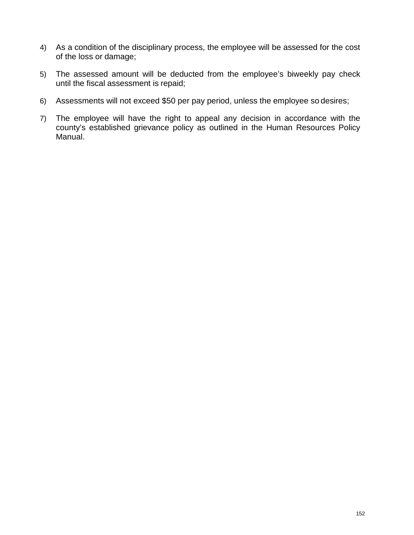- 4) As a condition of the disciplinary process, the employee will be assessed for the cost of the loss or damage;
- 5) The assessed amount will be deducted from the employee's biweekly pay check until the fiscal assessment is repaid;
- 6) Assessments will not exceed \$50 per pay period, unless the employee so desires;
- 7) The employee will have the right to appeal any decision in accordance with the county's established grievance policy as outlined in the Human Resources Policy Manual.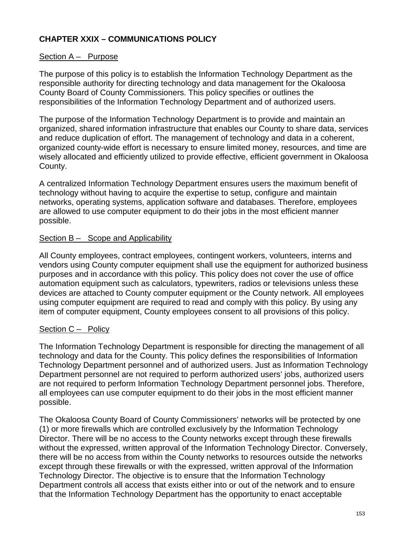# **CHAPTER XXIX – COMMUNICATIONS POLICY**

## Section A – Purpose

The purpose of this policy is to establish the Information Technology Department as the responsible authority for directing technology and data management for the Okaloosa County Board of County Commissioners. This policy specifies or outlines the responsibilities of the Information Technology Department and of authorized users.

The purpose of the Information Technology Department is to provide and maintain an organized, shared information infrastructure that enables our County to share data, services and reduce duplication of effort. The management of technology and data in a coherent, organized county-wide effort is necessary to ensure limited money, resources, and time are wisely allocated and efficiently utilized to provide effective, efficient government in Okaloosa County.

A centralized Information Technology Department ensures users the maximum benefit of technology without having to acquire the expertise to setup, configure and maintain networks, operating systems, application software and databases. Therefore, employees are allowed to use computer equipment to do their jobs in the most efficient manner possible.

### Section B - Scope and Applicability

All County employees, contract employees, contingent workers, volunteers, interns and vendors using County computer equipment shall use the equipment for authorized business purposes and in accordance with this policy. This policy does not cover the use of office automation equipment such as calculators, typewriters, radios or televisions unless these devices are attached to County computer equipment or the County network. All employees using computer equipment are required to read and comply with this policy. By using any item of computer equipment, County employees consent to all provisions of this policy.

### Section C – Policy

The Information Technology Department is responsible for directing the management of all technology and data for the County. This policy defines the responsibilities of Information Technology Department personnel and of authorized users. Just as Information Technology Department personnel are not required to perform authorized users' jobs, authorized users are not required to perform Information Technology Department personnel jobs. Therefore, all employees can use computer equipment to do their jobs in the most efficient manner possible.

The Okaloosa County Board of County Commissioners' networks will be protected by one (1) or more firewalls which are controlled exclusively by the Information Technology Director. There will be no access to the County networks except through these firewalls without the expressed, written approval of the Information Technology Director. Conversely, there will be no access from within the County networks to resources outside the networks except through these firewalls or with the expressed, written approval of the Information Technology Director. The objective is to ensure that the Information Technology Department controls all access that exists either into or out of the network and to ensure that the Information Technology Department has the opportunity to enact acceptable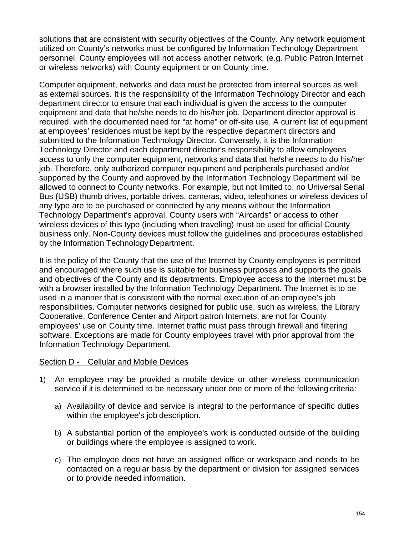solutions that are consistent with security objectives of the County. Any network equipment utilized on County's networks must be configured by Information Technology Department personnel. County employees will not access another network, (e.g. Public Patron Internet or wireless networks) with County equipment or on County time.

Computer equipment, networks and data must be protected from internal sources as well as external sources. It is the responsibility of the Information Technology Director and each department director to ensure that each individual is given the access to the computer equipment and data that he/she needs to do his/her job. Department director approval is required, with the documented need for "at home" or off-site use. A current list of equipment at employees' residences must be kept by the respective department directors and submitted to the Information Technology Director. Conversely, it is the Information Technology Director and each department director's responsibility to allow employees access to only the computer equipment, networks and data that he/she needs to do his/her job. Therefore, only authorized computer equipment and peripherals purchased and/or supported by the County and approved by the Information Technology Department will be allowed to connect to County networks. For example, but not limited to, no Universal Serial Bus (USB) thumb drives, portable drives, cameras, video, telephones or wireless devices of any type are to be purchased or connected by any means without the Information Technology Department's approval. County users with "Aircards" or access to other wireless devices of this type (including when traveling) must be used for official County business only. Non-County devices must follow the guidelines and procedures established by the Information Technology Department.

It is the policy of the County that the use of the Internet by County employees is permitted and encouraged where such use is suitable for business purposes and supports the goals and objectives of the County and its departments. Employee access to the Internet must be with a browser installed by the Information Technology Department. The Internet is to be used in a manner that is consistent with the normal execution of an employee's job responsibilities. Computer networks designed for public use, such as wireless, the Library Cooperative, Conference Center and Airport patron Internets, are not for County employees' use on County time. Internet traffic must pass through firewall and filtering software. Exceptions are made for County employees travel with prior approval from the Information Technology Department.

## Section D - Cellular and Mobile Devices

- 1) An employee may be provided a mobile device or other wireless communication service if it is determined to be necessary under one or more of the following criteria:
	- a) Availability of device and service is integral to the performance of specific duties within the employee's job description.
	- b) A substantial portion of the employee's work is conducted outside of the building or buildings where the employee is assigned to work.
	- c) The employee does not have an assigned office or workspace and needs to be contacted on a regular basis by the department or division for assigned services or to provide needed information.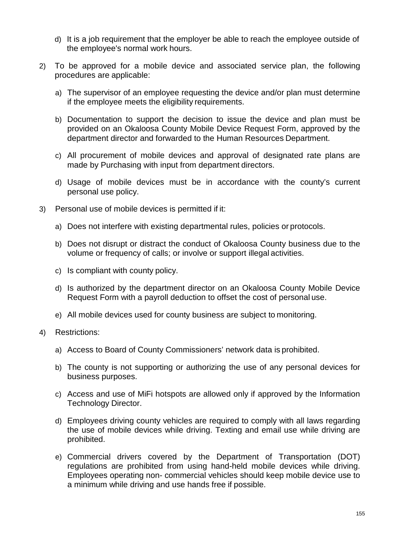- d) It is a job requirement that the employer be able to reach the employee outside of the employee's normal work hours.
- 2) To be approved for a mobile device and associated service plan, the following procedures are applicable:
	- a) The supervisor of an employee requesting the device and/or plan must determine if the employee meets the eligibility requirements.
	- b) Documentation to support the decision to issue the device and plan must be provided on an Okaloosa County Mobile Device Request Form, approved by the department director and forwarded to the Human Resources Department.
	- c) All procurement of mobile devices and approval of designated rate plans are made by Purchasing with input from department directors.
	- d) Usage of mobile devices must be in accordance with the county's current personal use policy.
- 3) Personal use of mobile devices is permitted if it:
	- a) Does not interfere with existing departmental rules, policies or protocols.
	- b) Does not disrupt or distract the conduct of Okaloosa County business due to the volume or frequency of calls; or involve or support illegal activities.
	- c) Is compliant with county policy.
	- d) Is authorized by the department director on an Okaloosa County Mobile Device Request Form with a payroll deduction to offset the cost of personal use.
	- e) All mobile devices used for county business are subject to monitoring.
- 4) Restrictions:
	- a) Access to Board of County Commissioners' network data is prohibited.
	- b) The county is not supporting or authorizing the use of any personal devices for business purposes.
	- c) Access and use of MiFi hotspots are allowed only if approved by the Information Technology Director.
	- d) Employees driving county vehicles are required to comply with all laws regarding the use of mobile devices while driving. Texting and email use while driving are prohibited.
	- e) Commercial drivers covered by the Department of Transportation (DOT) regulations are prohibited from using hand-held mobile devices while driving. Employees operating non- commercial vehicles should keep mobile device use to a minimum while driving and use hands free if possible.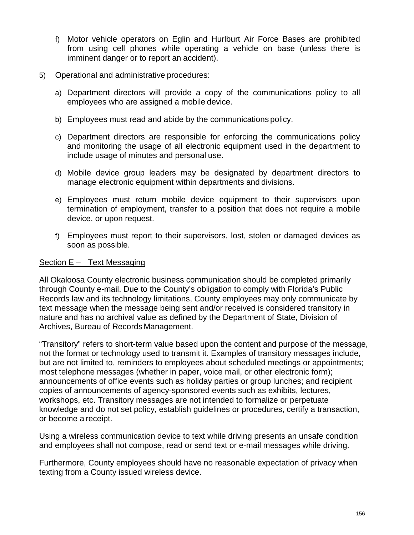- f) Motor vehicle operators on Eglin and Hurlburt Air Force Bases are prohibited from using cell phones while operating a vehicle on base (unless there is imminent danger or to report an accident).
- 5) Operational and administrative procedures:
	- a) Department directors will provide a copy of the communications policy to all employees who are assigned a mobile device.
	- b) Employees must read and abide by the communications policy.
	- c) Department directors are responsible for enforcing the communications policy and monitoring the usage of all electronic equipment used in the department to include usage of minutes and personal use.
	- d) Mobile device group leaders may be designated by department directors to manage electronic equipment within departments and divisions.
	- e) Employees must return mobile device equipment to their supervisors upon termination of employment, transfer to a position that does not require a mobile device, or upon request.
	- f) Employees must report to their supervisors, lost, stolen or damaged devices as soon as possible.

# Section E – Text Messaging

All Okaloosa County electronic business communication should be completed primarily through County e-mail. Due to the County's obligation to comply with Florida's Public Records law and its technology limitations, County employees may only communicate by text message when the message being sent and/or received is considered transitory in nature and has no archival value as defined by the Department of State, Division of Archives, Bureau of Records Management.

"Transitory" refers to short-term value based upon the content and purpose of the message, not the format or technology used to transmit it. Examples of transitory messages include, but are not limited to, reminders to employees about scheduled meetings or appointments; most telephone messages (whether in paper, voice mail, or other electronic form); announcements of office events such as holiday parties or group lunches; and recipient copies of announcements of agency-sponsored events such as exhibits, lectures, workshops, etc. Transitory messages are not intended to formalize or perpetuate knowledge and do not set policy, establish guidelines or procedures, certify a transaction, or become a receipt.

Using a wireless communication device to text while driving presents an unsafe condition and employees shall not compose, read or send text or e-mail messages while driving.

Furthermore, County employees should have no reasonable expectation of privacy when texting from a County issued wireless device.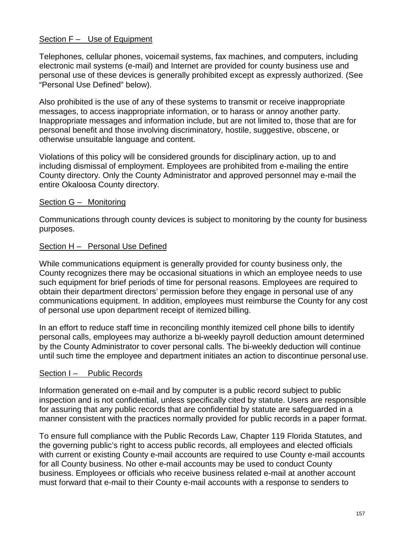## Section F – Use of Equipment

Telephones, cellular phones, voicemail systems, fax machines, and computers, including electronic mail systems (e-mail) and Internet are provided for county business use and personal use of these devices is generally prohibited except as expressly authorized. (See "Personal Use Defined" below).

Also prohibited is the use of any of these systems to transmit or receive inappropriate messages, to access inappropriate information, or to harass or annoy another party. Inappropriate messages and information include, but are not limited to, those that are for personal benefit and those involving discriminatory, hostile, suggestive, obscene, or otherwise unsuitable language and content.

Violations of this policy will be considered grounds for disciplinary action, up to and including dismissal of employment. Employees are prohibited from e-mailing the entire County directory. Only the County Administrator and approved personnel may e-mail the entire Okaloosa County directory.

### Section G – Monitoring

Communications through county devices is subject to monitoring by the county for business purposes.

### Section H – Personal Use Defined

While communications equipment is generally provided for county business only, the County recognizes there may be occasional situations in which an employee needs to use such equipment for brief periods of time for personal reasons. Employees are required to obtain their department directors' permission before they engage in personal use of any communications equipment. In addition, employees must reimburse the County for any cost of personal use upon department receipt of itemized billing.

In an effort to reduce staff time in reconciling monthly itemized cell phone bills to identify personal calls, employees may authorize a bi-weekly payroll deduction amount determined by the County Administrator to cover personal calls. The bi-weekly deduction will continue until such time the employee and department initiates an action to discontinue personal use.

### Section I – Public Records

Information generated on e-mail and by computer is a public record subject to public inspection and is not confidential, unless specifically cited by statute. Users are responsible for assuring that any public records that are confidential by statute are safeguarded in a manner consistent with the practices normally provided for public records in a paper format.

To ensure full compliance with the Public Records Law, Chapter 119 Florida Statutes, and the governing public's right to access public records, all employees and elected officials with current or existing County e-mail accounts are required to use County e-mail accounts for all County business. No other e-mail accounts may be used to conduct County business. Employees or officials who receive business related e-mail at another account must forward that e-mail to their County e-mail accounts with a response to senders to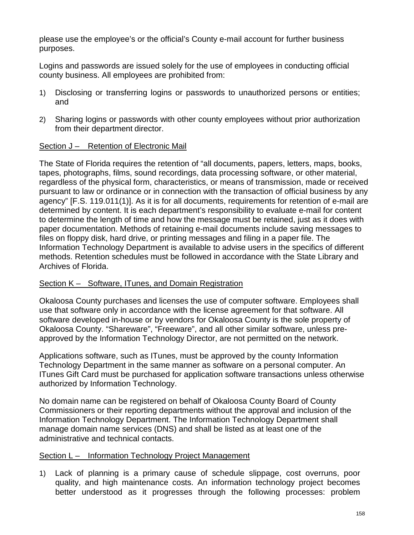please use the employee's or the official's County e-mail account for further business purposes.

Logins and passwords are issued solely for the use of employees in conducting official county business. All employees are prohibited from:

- 1) Disclosing or transferring logins or passwords to unauthorized persons or entities; and
- 2) Sharing logins or passwords with other county employees without prior authorization from their department director.

# Section J – Retention of Electronic Mail

The State of Florida requires the retention of "all documents, papers, letters, maps, books, tapes, photographs, films, sound recordings, data processing software, or other material, regardless of the physical form, characteristics, or means of transmission, made or received pursuant to law or ordinance or in connection with the transaction of official business by any agency" [F.S. 119.011(1)]. As it is for all documents, requirements for retention of e-mail are determined by content. It is each department's responsibility to evaluate e-mail for content to determine the length of time and how the message must be retained, just as it does with paper documentation. Methods of retaining e-mail documents include saving messages to files on floppy disk, hard drive, or printing messages and filing in a paper file. The Information Technology Department is available to advise users in the specifics of different methods. Retention schedules must be followed in accordance with the State Library and Archives of Florida.

# Section K – Software, ITunes, and Domain Registration

Okaloosa County purchases and licenses the use of computer software. Employees shall use that software only in accordance with the license agreement for that software. All software developed in-house or by vendors for Okaloosa County is the sole property of Okaloosa County. "Shareware", "Freeware", and all other similar software, unless preapproved by the Information Technology Director, are not permitted on the network.

Applications software, such as ITunes, must be approved by the county Information Technology Department in the same manner as software on a personal computer. An ITunes Gift Card must be purchased for application software transactions unless otherwise authorized by Information Technology.

No domain name can be registered on behalf of Okaloosa County Board of County Commissioners or their reporting departments without the approval and inclusion of the Information Technology Department. The Information Technology Department shall manage domain name services (DNS) and shall be listed as at least one of the administrative and technical contacts.

## Section L – Information Technology Project Management

1) Lack of planning is a primary cause of schedule slippage, cost overruns, poor quality, and high maintenance costs. An information technology project becomes better understood as it progresses through the following processes: problem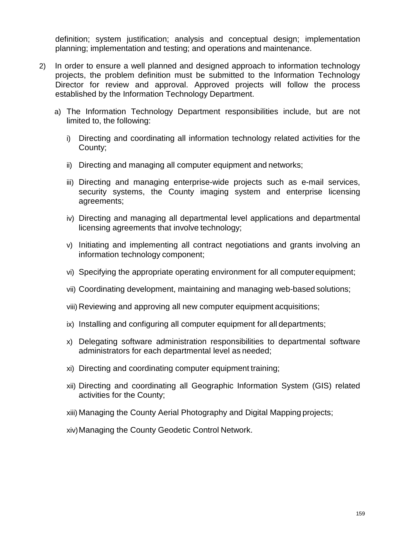definition; system justification; analysis and conceptual design; implementation planning; implementation and testing; and operations and maintenance.

- 2) In order to ensure a well planned and designed approach to information technology projects, the problem definition must be submitted to the Information Technology Director for review and approval. Approved projects will follow the process established by the Information Technology Department.
	- a) The Information Technology Department responsibilities include, but are not limited to, the following:
		- i) Directing and coordinating all information technology related activities for the County;
		- ii) Directing and managing all computer equipment and networks;
		- iii) Directing and managing enterprise-wide projects such as e-mail services, security systems, the County imaging system and enterprise licensing agreements;
		- iv) Directing and managing all departmental level applications and departmental licensing agreements that involve technology;
		- v) Initiating and implementing all contract negotiations and grants involving an information technology component;
		- vi) Specifying the appropriate operating environment for all computerequipment;
		- vii) Coordinating development, maintaining and managing web-based solutions;
		- viii) Reviewing and approving all new computer equipment acquisitions;
		- ix) Installing and configuring all computer equipment for all departments;
		- x) Delegating software administration responsibilities to departmental software administrators for each departmental level as needed;
		- xi) Directing and coordinating computer equipment training;
		- xii) Directing and coordinating all Geographic Information System (GIS) related activities for the County;
		- xiii) Managing the County Aerial Photography and Digital Mapping projects;
		- xiv)Managing the County Geodetic Control Network.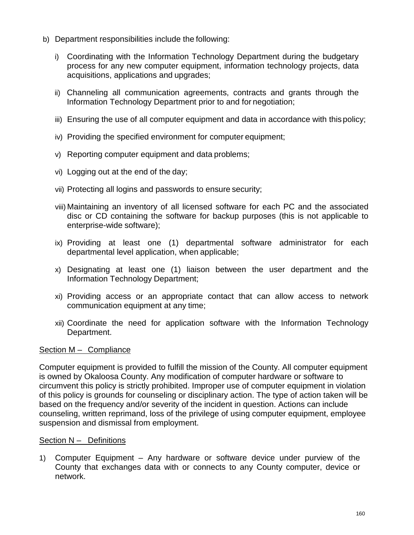- b) Department responsibilities include the following:
	- i) Coordinating with the Information Technology Department during the budgetary process for any new computer equipment, information technology projects, data acquisitions, applications and upgrades;
	- ii) Channeling all communication agreements, contracts and grants through the Information Technology Department prior to and for negotiation;
	- iii) Ensuring the use of all computer equipment and data in accordance with this policy:
	- iv) Providing the specified environment for computer equipment;
	- v) Reporting computer equipment and data problems;
	- vi) Logging out at the end of the day;
	- vii) Protecting all logins and passwords to ensure security;
	- viii) Maintaining an inventory of all licensed software for each PC and the associated disc or CD containing the software for backup purposes (this is not applicable to enterprise-wide software);
	- ix) Providing at least one (1) departmental software administrator for each departmental level application, when applicable;
	- x) Designating at least one (1) liaison between the user department and the Information Technology Department;
	- xi) Providing access or an appropriate contact that can allow access to network communication equipment at any time;
	- xii) Coordinate the need for application software with the Information Technology Department.

### Section M – Compliance

Computer equipment is provided to fulfill the mission of the County. All computer equipment is owned by Okaloosa County. Any modification of computer hardware or software to circumvent this policy is strictly prohibited. Improper use of computer equipment in violation of this policy is grounds for counseling or disciplinary action. The type of action taken will be based on the frequency and/or severity of the incident in question. Actions can include counseling, written reprimand, loss of the privilege of using computer equipment, employee suspension and dismissal from employment.

### Section N – Definitions

1) Computer Equipment – Any hardware or software device under purview of the County that exchanges data with or connects to any County computer, device or network.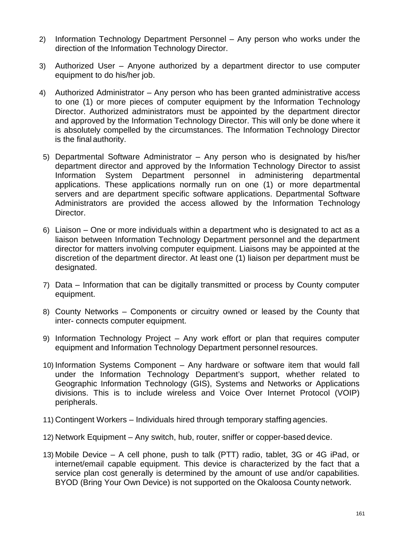- 2) Information Technology Department Personnel Any person who works under the direction of the Information Technology Director.
- 3) Authorized User Anyone authorized by a department director to use computer equipment to do his/her job.
- 4) Authorized Administrator Any person who has been granted administrative access to one (1) or more pieces of computer equipment by the Information Technology Director. Authorized administrators must be appointed by the department director and approved by the Information Technology Director. This will only be done where it is absolutely compelled by the circumstances. The Information Technology Director is the final authority.
- 5) Departmental Software Administrator Any person who is designated by his/her department director and approved by the Information Technology Director to assist Information System Department personnel in administering departmental applications. These applications normally run on one (1) or more departmental servers and are department specific software applications. Departmental Software Administrators are provided the access allowed by the Information Technology Director.
- 6) Liaison One or more individuals within a department who is designated to act as a liaison between Information Technology Department personnel and the department director for matters involving computer equipment. Liaisons may be appointed at the discretion of the department director. At least one (1) liaison per department must be designated.
- 7) Data Information that can be digitally transmitted or process by County computer equipment.
- 8) County Networks Components or circuitry owned or leased by the County that inter- connects computer equipment.
- 9) Information Technology Project Any work effort or plan that requires computer equipment and Information Technology Department personnel resources.
- 10) Information Systems Component Any hardware or software item that would fall under the Information Technology Department's support, whether related to Geographic Information Technology (GIS), Systems and Networks or Applications divisions. This is to include wireless and Voice Over Internet Protocol (VOIP) peripherals.
- 11) Contingent Workers Individuals hired through temporary staffing agencies.
- 12) Network Equipment Any switch, hub, router, sniffer or copper-based device.
- 13) Mobile Device A cell phone, push to talk (PTT) radio, tablet, 3G or 4G iPad, or internet/email capable equipment. This device is characterized by the fact that a service plan cost generally is determined by the amount of use and/or capabilities. BYOD (Bring Your Own Device) is not supported on the Okaloosa County network.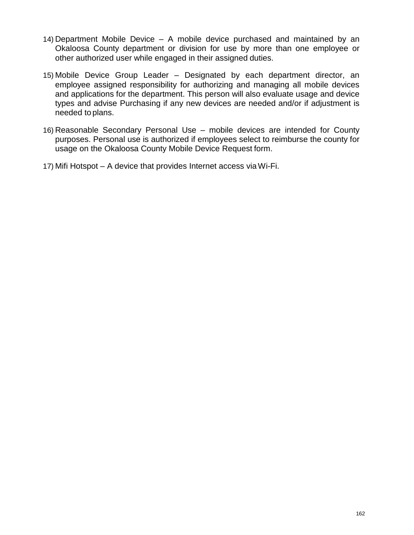- 14) Department Mobile Device A mobile device purchased and maintained by an Okaloosa County department or division for use by more than one employee or other authorized user while engaged in their assigned duties.
- 15) Mobile Device Group Leader Designated by each department director, an employee assigned responsibility for authorizing and managing all mobile devices and applications for the department. This person will also evaluate usage and device types and advise Purchasing if any new devices are needed and/or if adjustment is needed to plans.
- 16) Reasonable Secondary Personal Use mobile devices are intended for County purposes. Personal use is authorized if employees select to reimburse the county for usage on the Okaloosa County Mobile Device Request form.
- 17) Mifi Hotspot A device that provides Internet access viaWi-Fi.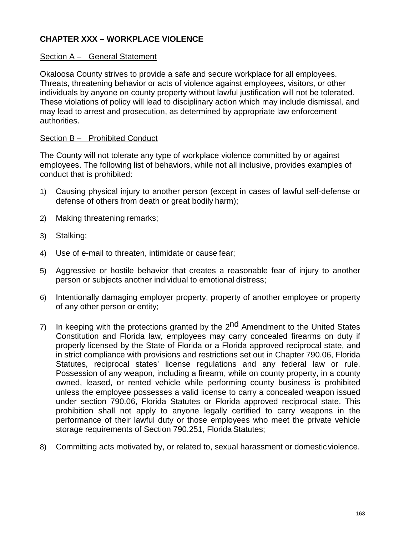# **CHAPTER XXX – WORKPLACE VIOLENCE**

### Section A - General Statement

Okaloosa County strives to provide a safe and secure workplace for all employees. Threats, threatening behavior or acts of violence against employees, visitors, or other individuals by anyone on county property without lawful justification will not be tolerated. These violations of policy will lead to disciplinary action which may include dismissal, and may lead to arrest and prosecution, as determined by appropriate law enforcement authorities.

### Section B – Prohibited Conduct

The County will not tolerate any type of workplace violence committed by or against employees. The following list of behaviors, while not all inclusive, provides examples of conduct that is prohibited:

- 1) Causing physical injury to another person (except in cases of lawful self-defense or defense of others from death or great bodily harm);
- 2) Making threatening remarks;
- 3) Stalking;
- 4) Use of e-mail to threaten, intimidate or cause fear;
- 5) Aggressive or hostile behavior that creates a reasonable fear of injury to another person or subjects another individual to emotional distress;
- 6) Intentionally damaging employer property, property of another employee or property of any other person or entity;
- 7) In keeping with the protections granted by the 2<sup>nd</sup> Amendment to the United States Constitution and Florida law, employees may carry concealed firearms on duty if properly licensed by the State of Florida or a Florida approved reciprocal state, and in strict compliance with provisions and restrictions set out in Chapter 790.06, Florida Statutes, reciprocal states' license regulations and any federal law or rule. Possession of any weapon, including a firearm, while on county property, in a county owned, leased, or rented vehicle while performing county business is prohibited unless the employee possesses a valid license to carry a concealed weapon issued under section 790.06, Florida Statutes or Florida approved reciprocal state. This prohibition shall not apply to anyone legally certified to carry weapons in the performance of their lawful duty or those employees who meet the private vehicle storage requirements of Section 790.251, Florida Statutes;
- 8) Committing acts motivated by, or related to, sexual harassment or domesticviolence.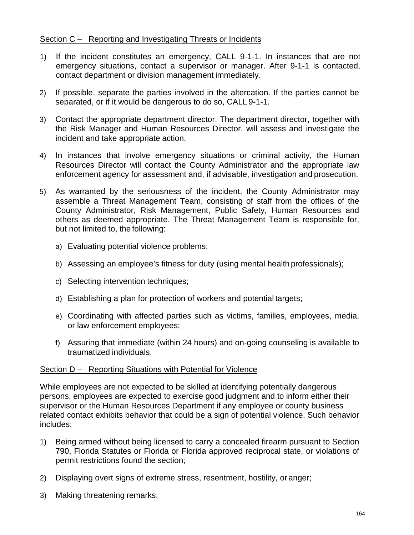## Section C – Reporting and Investigating Threats or Incidents

- 1) If the incident constitutes an emergency, CALL 9-1-1. In instances that are not emergency situations, contact a supervisor or manager. After 9-1-1 is contacted, contact department or division management immediately.
- 2) If possible, separate the parties involved in the altercation. If the parties cannot be separated, or if it would be dangerous to do so, CALL 9-1-1.
- 3) Contact the appropriate department director. The department director, together with the Risk Manager and Human Resources Director, will assess and investigate the incident and take appropriate action.
- 4) In instances that involve emergency situations or criminal activity, the Human Resources Director will contact the County Administrator and the appropriate law enforcement agency for assessment and, if advisable, investigation and prosecution.
- 5) As warranted by the seriousness of the incident, the County Administrator may assemble a Threat Management Team, consisting of staff from the offices of the County Administrator, Risk Management, Public Safety, Human Resources and others as deemed appropriate. The Threat Management Team is responsible for, but not limited to, the following:
	- a) Evaluating potential violence problems;
	- b) Assessing an employee's fitness for duty (using mental health professionals);
	- c) Selecting intervention techniques;
	- d) Establishing a plan for protection of workers and potential targets;
	- e) Coordinating with affected parties such as victims, families, employees, media, or law enforcement employees;
	- f) Assuring that immediate (within 24 hours) and on-going counseling is available to traumatized individuals.

### Section D – Reporting Situations with Potential for Violence

While employees are not expected to be skilled at identifying potentially dangerous persons, employees are expected to exercise good judgment and to inform either their supervisor or the Human Resources Department if any employee or county business related contact exhibits behavior that could be a sign of potential violence. Such behavior includes:

- 1) Being armed without being licensed to carry a concealed firearm pursuant to Section 790, Florida Statutes or Florida or Florida approved reciprocal state, or violations of permit restrictions found the section;
- 2) Displaying overt signs of extreme stress, resentment, hostility, or anger;
- 3) Making threatening remarks;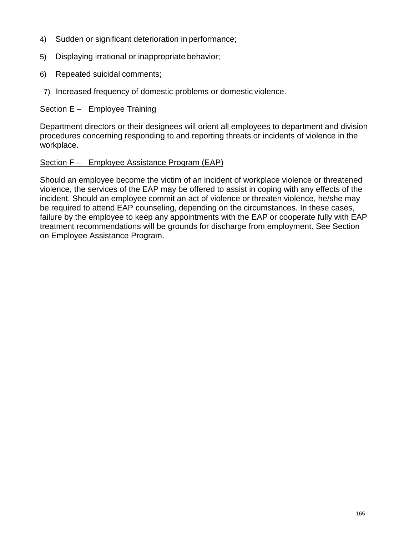- 4) Sudden or significant deterioration in performance;
- 5) Displaying irrational or inappropriate behavior;
- 6) Repeated suicidal comments;
- 7) Increased frequency of domestic problems or domestic violence.

## Section E – Employee Training

Department directors or their designees will orient all employees to department and division procedures concerning responding to and reporting threats or incidents of violence in the workplace.

# Section F – Employee Assistance Program (EAP)

Should an employee become the victim of an incident of workplace violence or threatened violence, the services of the EAP may be offered to assist in coping with any effects of the incident. Should an employee commit an act of violence or threaten violence, he/she may be required to attend EAP counseling, depending on the circumstances. In these cases, failure by the employee to keep any appointments with the EAP or cooperate fully with EAP treatment recommendations will be grounds for discharge from employment. See Section on Employee Assistance Program.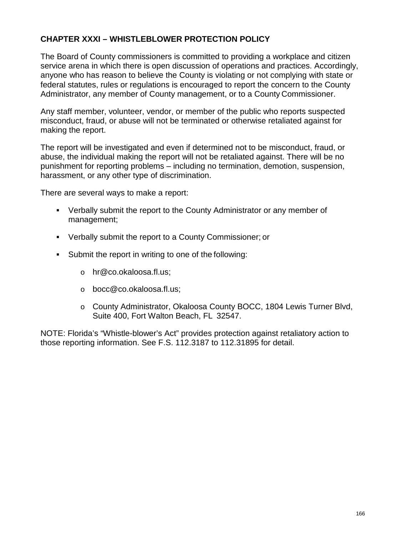# **CHAPTER XXXI – WHISTLEBLOWER PROTECTION POLICY**

The Board of County commissioners is committed to providing a workplace and citizen service arena in which there is open discussion of operations and practices. Accordingly, anyone who has reason to believe the County is violating or not complying with state or federal statutes, rules or regulations is encouraged to report the concern to the County Administrator, any member of County management, or to a County Commissioner.

Any staff member, volunteer, vendor, or member of the public who reports suspected misconduct, fraud, or abuse will not be terminated or otherwise retaliated against for making the report.

The report will be investigated and even if determined not to be misconduct, fraud, or abuse, the individual making the report will not be retaliated against. There will be no punishment for reporting problems – including no termination, demotion, suspension, harassment, or any other type of discrimination.

There are several ways to make a report:

- Verbally submit the report to the County Administrator or any member of management;
- Verbally submit the report to a County Commissioner; or
- Submit the report in writing to one of the following:
	- o [hr@co.okaloosa.fl.us;](mailto:hr@co.okaloosa.fl.us)
	- o [bocc@co.okaloosa.fl.us;](mailto:bocc@co.okaloosa.fl.us)
	- o County Administrator, Okaloosa County BOCC, 1804 Lewis Turner Blvd, Suite 400, Fort Walton Beach, FL 32547.

NOTE: Florida's "Whistle-blower's Act" provides protection against retaliatory action to those reporting information. See F.S. 112.3187 to 112.31895 for detail.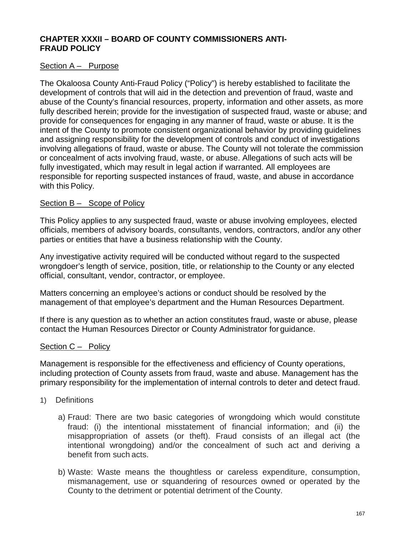# **CHAPTER XXXII – BOARD OF COUNTY COMMISSIONERS ANTI-FRAUD POLICY**

## Section A – Purpose

The Okaloosa County Anti-Fraud Policy ("Policy") is hereby established to facilitate the development of controls that will aid in the detection and prevention of fraud, waste and abuse of the County's financial resources, property, information and other assets, as more fully described herein; provide for the investigation of suspected fraud, waste or abuse; and provide for consequences for engaging in any manner of fraud, waste or abuse. It is the intent of the County to promote consistent organizational behavior by providing guidelines and assigning responsibility for the development of controls and conduct of investigations involving allegations of fraud, waste or abuse. The County will not tolerate the commission or concealment of acts involving fraud, waste, or abuse. Allegations of such acts will be fully investigated, which may result in legal action if warranted. All employees are responsible for reporting suspected instances of fraud, waste, and abuse in accordance with this Policy.

## Section B – Scope of Policy

This Policy applies to any suspected fraud, waste or abuse involving employees, elected officials, members of advisory boards, consultants, vendors, contractors, and/or any other parties or entities that have a business relationship with the County.

Any investigative activity required will be conducted without regard to the suspected wrongdoer's length of service, position, title, or relationship to the County or any elected official, consultant, vendor, contractor, or employee.

Matters concerning an employee's actions or conduct should be resolved by the management of that employee's department and the Human Resources Department.

If there is any question as to whether an action constitutes fraud, waste or abuse, please contact the Human Resources Director or County Administrator for guidance.

## Section C – Policy

Management is responsible for the effectiveness and efficiency of County operations, including protection of County assets from fraud, waste and abuse. Management has the primary responsibility for the implementation of internal controls to deter and detect fraud.

- 1) Definitions
	- a) Fraud: There are two basic categories of wrongdoing which would constitute fraud: (i) the intentional misstatement of financial information; and (ii) the misappropriation of assets (or theft). Fraud consists of an illegal act (the intentional wrongdoing) and/or the concealment of such act and deriving a benefit from such acts.
	- b) Waste: Waste means the thoughtless or careless expenditure, consumption, mismanagement, use or squandering of resources owned or operated by the County to the detriment or potential detriment of the County.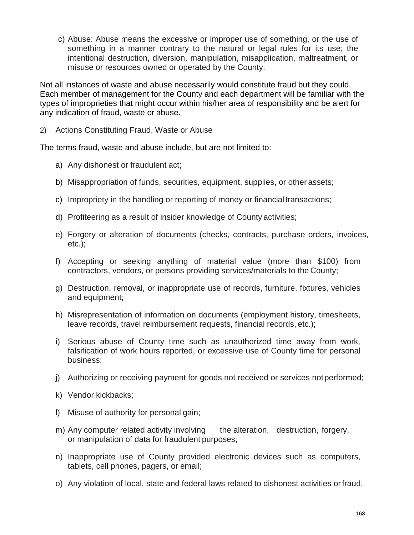c) Abuse: Abuse means the excessive or improper use of something, or the use of something in a manner contrary to the natural or legal rules for its use; the intentional destruction, diversion, manipulation, misapplication, maltreatment, or misuse or resources owned or operated by the County.

Not all instances of waste and abuse necessarily would constitute fraud but they could. Each member of management for the County and each department will be familiar with the types of improprieties that might occur within his/her area of responsibility and be alert for any indication of fraud, waste or abuse.

2) Actions Constituting Fraud, Waste or Abuse

The terms fraud, waste and abuse include, but are not limited to:

- a) Any dishonest or fraudulent act;
- b) Misappropriation of funds, securities, equipment, supplies, or other assets;
- c) Impropriety in the handling or reporting of money or financial transactions;
- d) Profiteering as a result of insider knowledge of County activities;
- e) Forgery or alteration of documents (checks, contracts, purchase orders, invoices, etc.);
- f) Accepting or seeking anything of material value (more than \$100) from contractors, vendors, or persons providing services/materials to the County;
- g) Destruction, removal, or inappropriate use of records, furniture, fixtures, vehicles and equipment;
- h) Misrepresentation of information on documents (employment history, timesheets, leave records, travel reimbursement requests, financial records, etc.);
- i) Serious abuse of County time such as unauthorized time away from work, falsification of work hours reported, or excessive use of County time for personal business;
- j) Authorizing or receiving payment for goods not received or services notperformed;
- k) Vendor kickbacks;
- l) Misuse of authority for personal gain;
- m) Any computer related activity involving the alteration, destruction, forgery, or manipulation of data for fraudulent purposes;
- n) Inappropriate use of County provided electronic devices such as computers, tablets, cell phones, pagers, or email;
- o) Any violation of local, state and federal laws related to dishonest activities orfraud.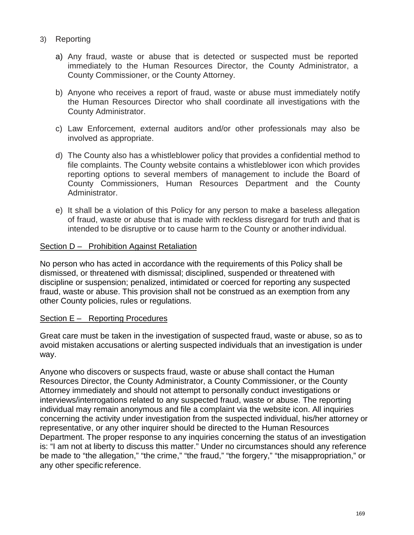- 3) Reporting
	- a) Any fraud, waste or abuse that is detected or suspected must be reported immediately to the Human Resources Director, the County Administrator, a County Commissioner, or the County Attorney.
	- b) Anyone who receives a report of fraud, waste or abuse must immediately notify the Human Resources Director who shall coordinate all investigations with the County Administrator.
	- c) Law Enforcement, external auditors and/or other professionals may also be involved as appropriate.
	- d) The County also has a whistleblower policy that provides a confidential method to file complaints. The County website contains a whistleblower icon which provides reporting options to several members of management to include the Board of County Commissioners, Human Resources Department and the County Administrator.
	- e) It shall be a violation of this Policy for any person to make a baseless allegation of fraud, waste or abuse that is made with reckless disregard for truth and that is intended to be disruptive or to cause harm to the County or another individual.

## Section D – Prohibition Against Retaliation

No person who has acted in accordance with the requirements of this Policy shall be dismissed, or threatened with dismissal; disciplined, suspended or threatened with discipline or suspension; penalized, intimidated or coerced for reporting any suspected fraud, waste or abuse. This provision shall not be construed as an exemption from any other County policies, rules or regulations.

## Section E – Reporting Procedures

Great care must be taken in the investigation of suspected fraud, waste or abuse, so as to avoid mistaken accusations or alerting suspected individuals that an investigation is under way.

Anyone who discovers or suspects fraud, waste or abuse shall contact the Human Resources Director, the County Administrator, a County Commissioner, or the County Attorney immediately and should not attempt to personally conduct investigations or interviews/interrogations related to any suspected fraud, waste or abuse. The reporting individual may remain anonymous and file a complaint via the website icon. All inquiries concerning the activity under investigation from the suspected individual, his/her attorney or representative, or any other inquirer should be directed to the Human Resources Department. The proper response to any inquiries concerning the status of an investigation is: "I am not at liberty to discuss this matter." Under no circumstances should any reference be made to "the allegation," "the crime," "the fraud," "the forgery," "the misappropriation," or any other specific reference.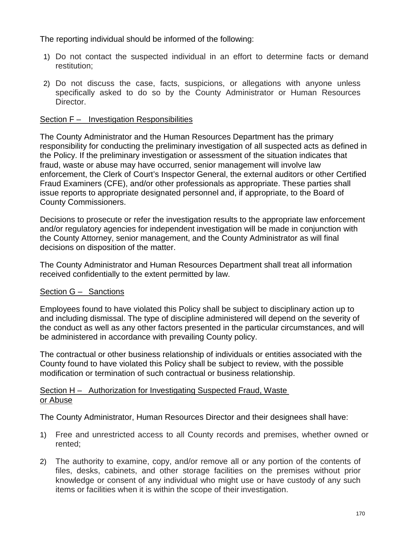The reporting individual should be informed of the following:

- 1) Do not contact the suspected individual in an effort to determine facts or demand restitution;
- 2) Do not discuss the case, facts, suspicions, or allegations with anyone unless specifically asked to do so by the County Administrator or Human Resources Director.

# Section F – Investigation Responsibilities

The County Administrator and the Human Resources Department has the primary responsibility for conducting the preliminary investigation of all suspected acts as defined in the Policy. If the preliminary investigation or assessment of the situation indicates that fraud, waste or abuse may have occurred, senior management will involve law enforcement, the Clerk of Court's Inspector General, the external auditors or other Certified Fraud Examiners (CFE), and/or other professionals as appropriate. These parties shall issue reports to appropriate designated personnel and, if appropriate, to the Board of County Commissioners.

Decisions to prosecute or refer the investigation results to the appropriate law enforcement and/or regulatory agencies for independent investigation will be made in conjunction with the County Attorney, senior management, and the County Administrator as will final decisions on disposition of the matter.

The County Administrator and Human Resources Department shall treat all information received confidentially to the extent permitted by law.

# Section G - Sanctions

Employees found to have violated this Policy shall be subject to disciplinary action up to and including dismissal. The type of discipline administered will depend on the severity of the conduct as well as any other factors presented in the particular circumstances, and will be administered in accordance with prevailing County policy.

The contractual or other business relationship of individuals or entities associated with the County found to have violated this Policy shall be subject to review, with the possible modification or termination of such contractual or business relationship.

# Section H – Authorization for Investigating Suspected Fraud, Waste or Abuse

The County Administrator, Human Resources Director and their designees shall have:

- 1) Free and unrestricted access to all County records and premises, whether owned or rented;
- 2) The authority to examine, copy, and/or remove all or any portion of the contents of files, desks, cabinets, and other storage facilities on the premises without prior knowledge or consent of any individual who might use or have custody of any such items or facilities when it is within the scope of their investigation.